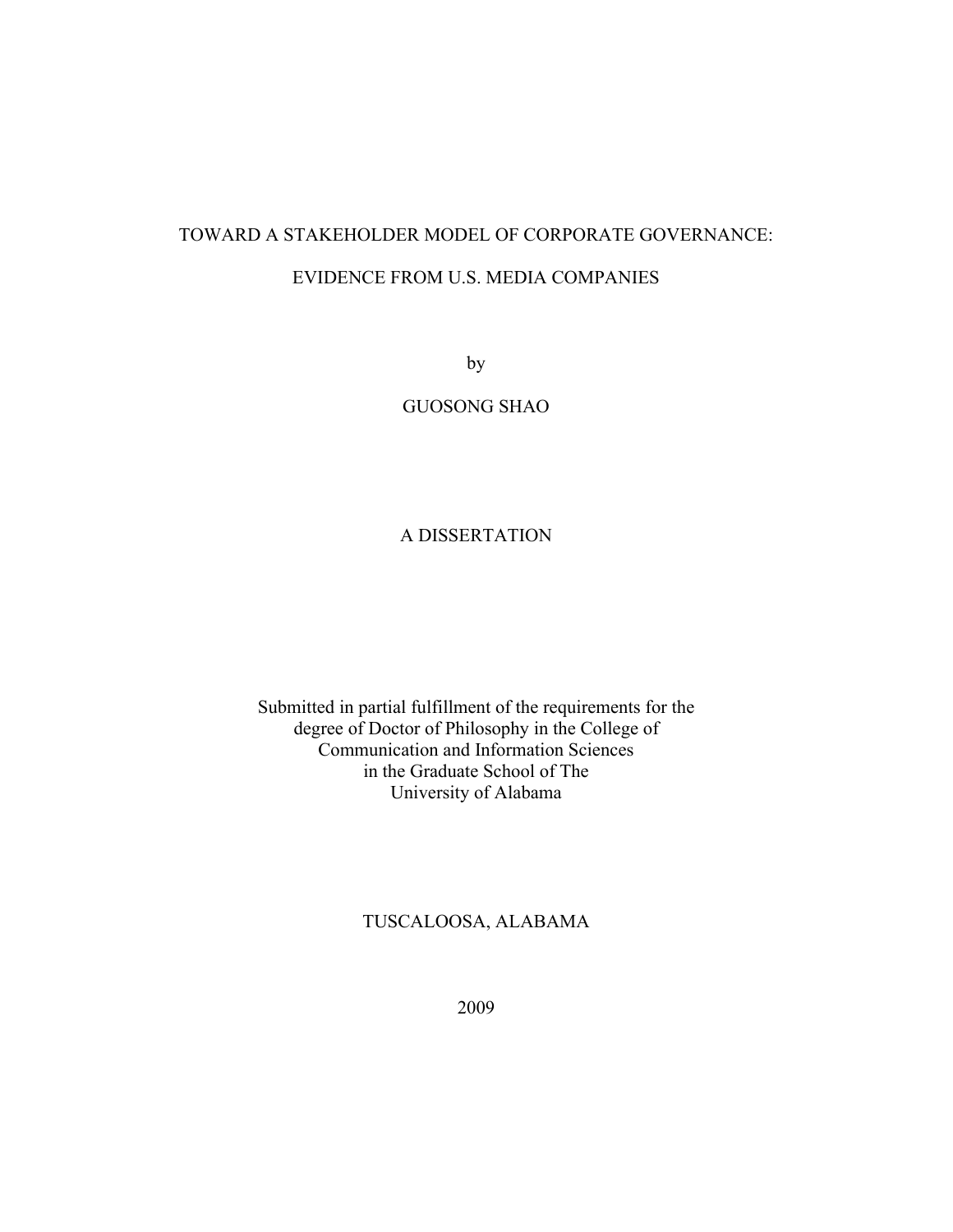# TOWARD A STAKEHOLDER MODEL OF CORPORATE GOVERNANCE: EVIDENCE FROM U.S. MEDIA COMPANIES

by

GUOSONG SHAO

### A DISSERTATION

Submitted in partial fulfillment of the requirements for the degree of Doctor of Philosophy in the College of Communication and Information Sciences in the Graduate School of The University of Alabama

### TUSCALOOSA, ALABAMA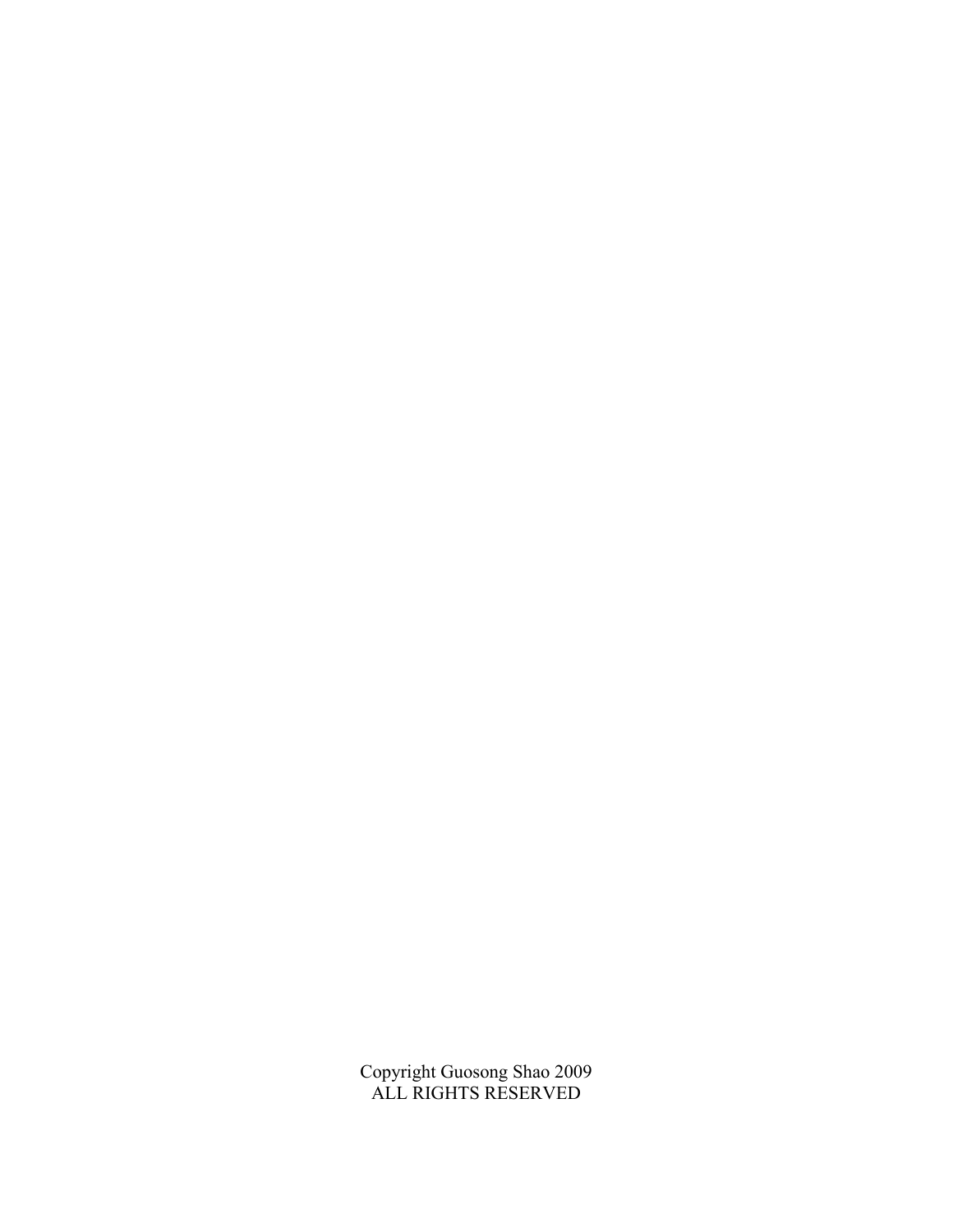Copyright Guosong Shao 2009 ALL RIGHTS RESERVED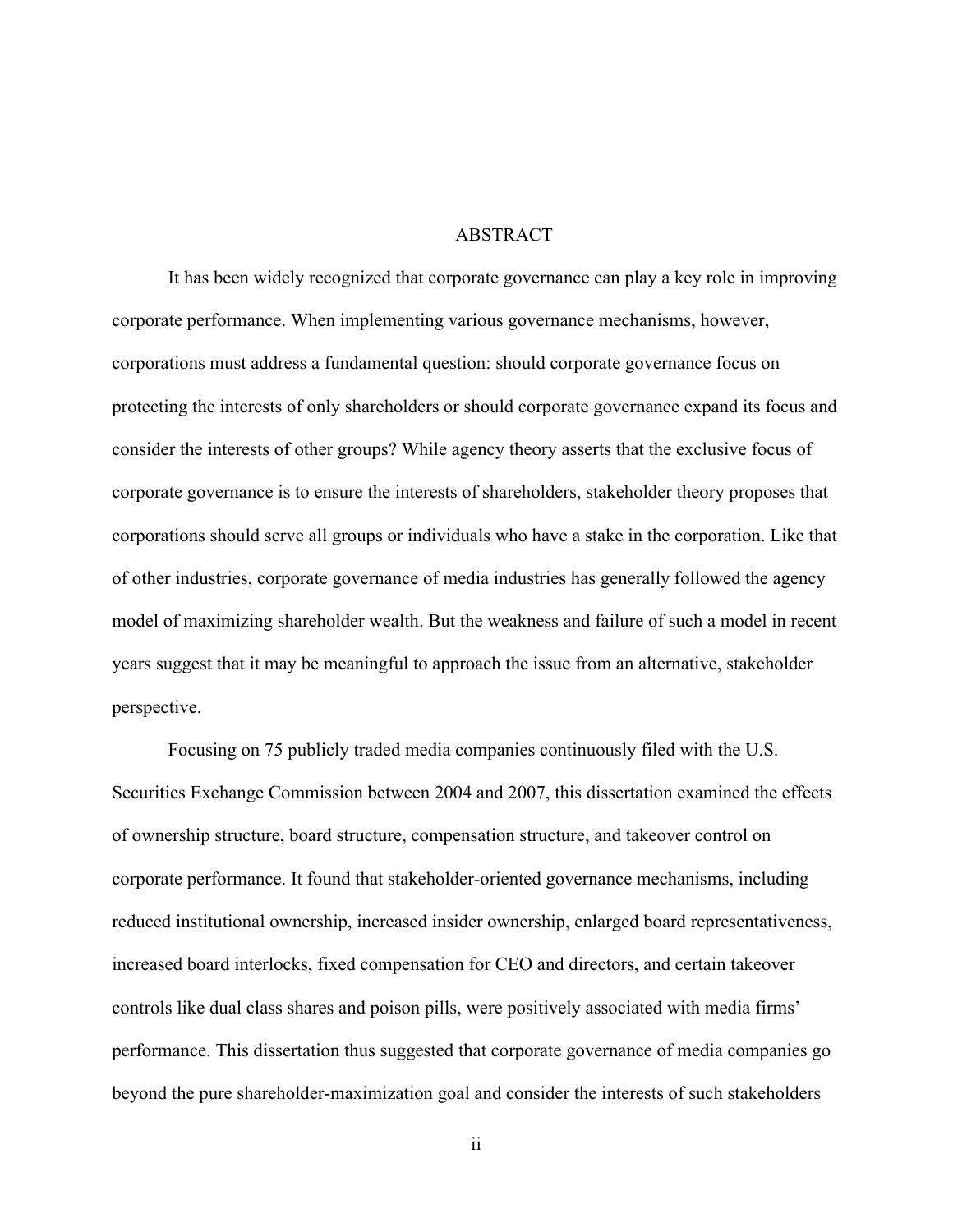#### **ABSTRACT**

It has been widely recognized that corporate governance can play a key role in improving corporate performance. When implementing various governance mechanisms, however, corporations must address a fundamental question: should corporate governance focus on protecting the interests of only shareholders or should corporate governance expand its focus and consider the interests of other groups? While agency theory asserts that the exclusive focus of corporate governance is to ensure the interests of shareholders, stakeholder theory proposes that corporations should serve all groups or individuals who have a stake in the corporation. Like that of other industries, corporate governance of media industries has generally followed the agency model of maximizing shareholder wealth. But the weakness and failure of such a model in recent years suggest that it may be meaningful to approach the issue from an alternative, stakeholder perspective.

Focusing on 75 publicly traded media companies continuously filed with the U.S. Securities Exchange Commission between 2004 and 2007, this dissertation examined the effects of ownership structure, board structure, compensation structure, and takeover control on corporate performance. It found that stakeholder-oriented governance mechanisms, including reduced institutional ownership, increased insider ownership, enlarged board representativeness, increased board interlocks, fixed compensation for CEO and directors, and certain takeover controls like dual class shares and poison pills, were positively associated with media firms' performance. This dissertation thus suggested that corporate governance of media companies go beyond the pure shareholder-maximization goal and consider the interests of such stakeholders

ii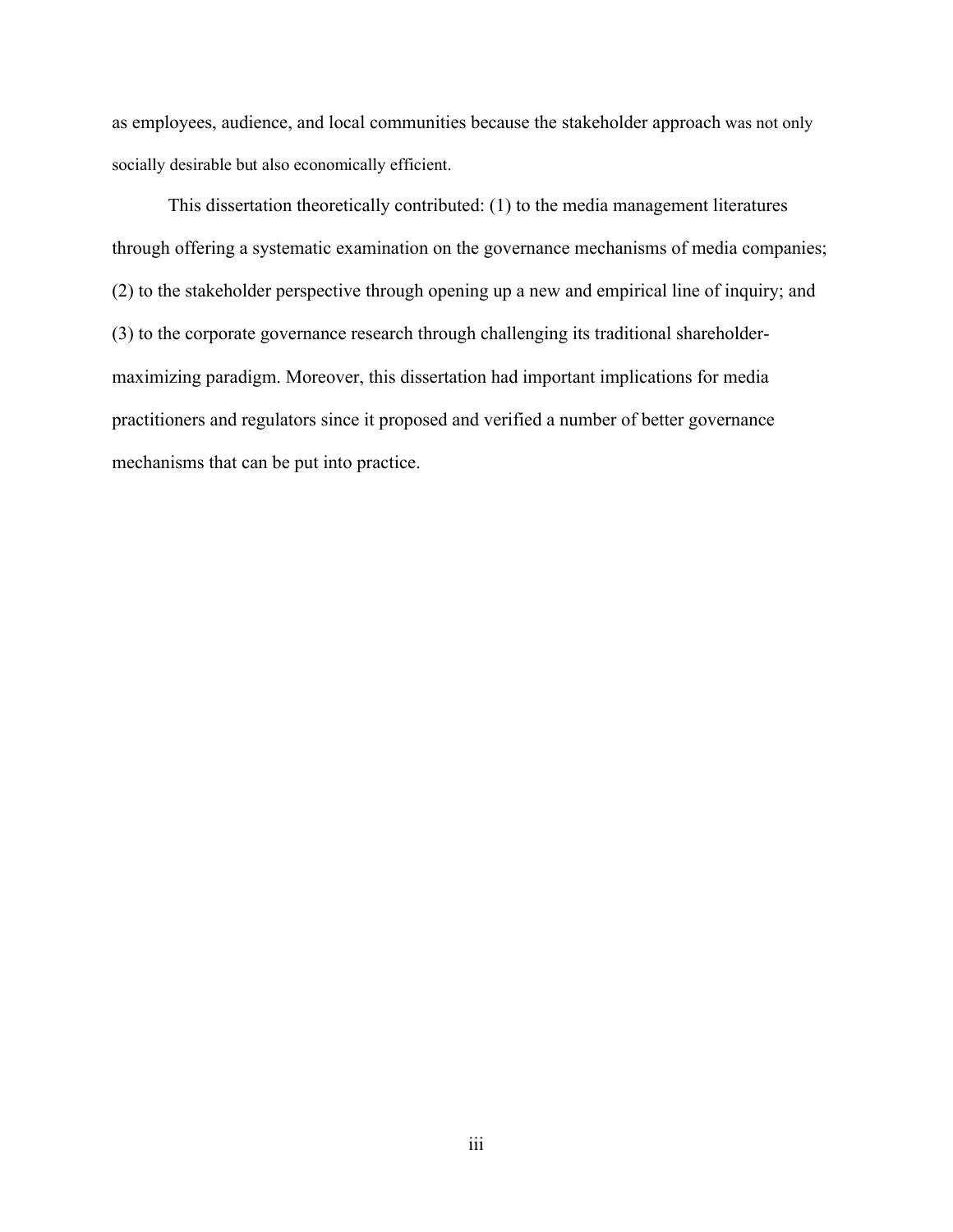as employees, audience, and local communities because the stakeholder approach was not only socially desirable but also economically efficient.

This dissertation theoretically contributed: (1) to the media management literatures through offering a systematic examination on the governance mechanisms of media companies; (2) to the stakeholder perspective through opening up a new and empirical line of inquiry; and (3) to the corporate governance research through challenging its traditional shareholdermaximizing paradigm. Moreover, this dissertation had important implications for media practitioners and regulators since it proposed and verified a number of better governance mechanisms that can be put into practice.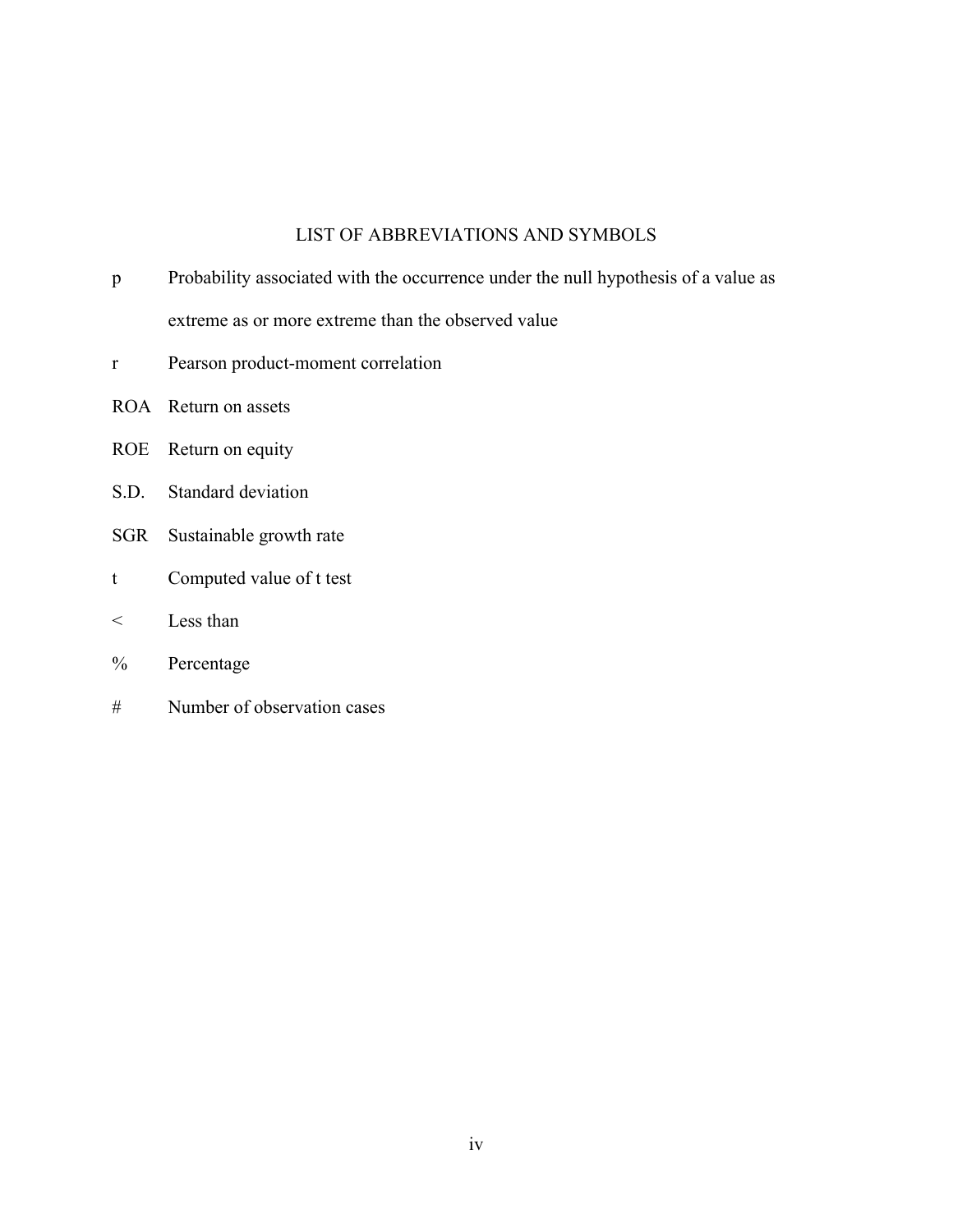# LIST OF ABBREVIATIONS AND SYMBOLS

| Probability associated with the occurrence under the null hypothesis of a value as |
|------------------------------------------------------------------------------------|
| extreme as or more extreme than the observed value                                 |

- r Pearson product-moment correlation
- ROA Return on assets
- ROE Return on equity
- S.D. Standard deviation
- SGR Sustainable growth rate
- t Computed value of t test
- < Less than
- % Percentage
- # Number of observation cases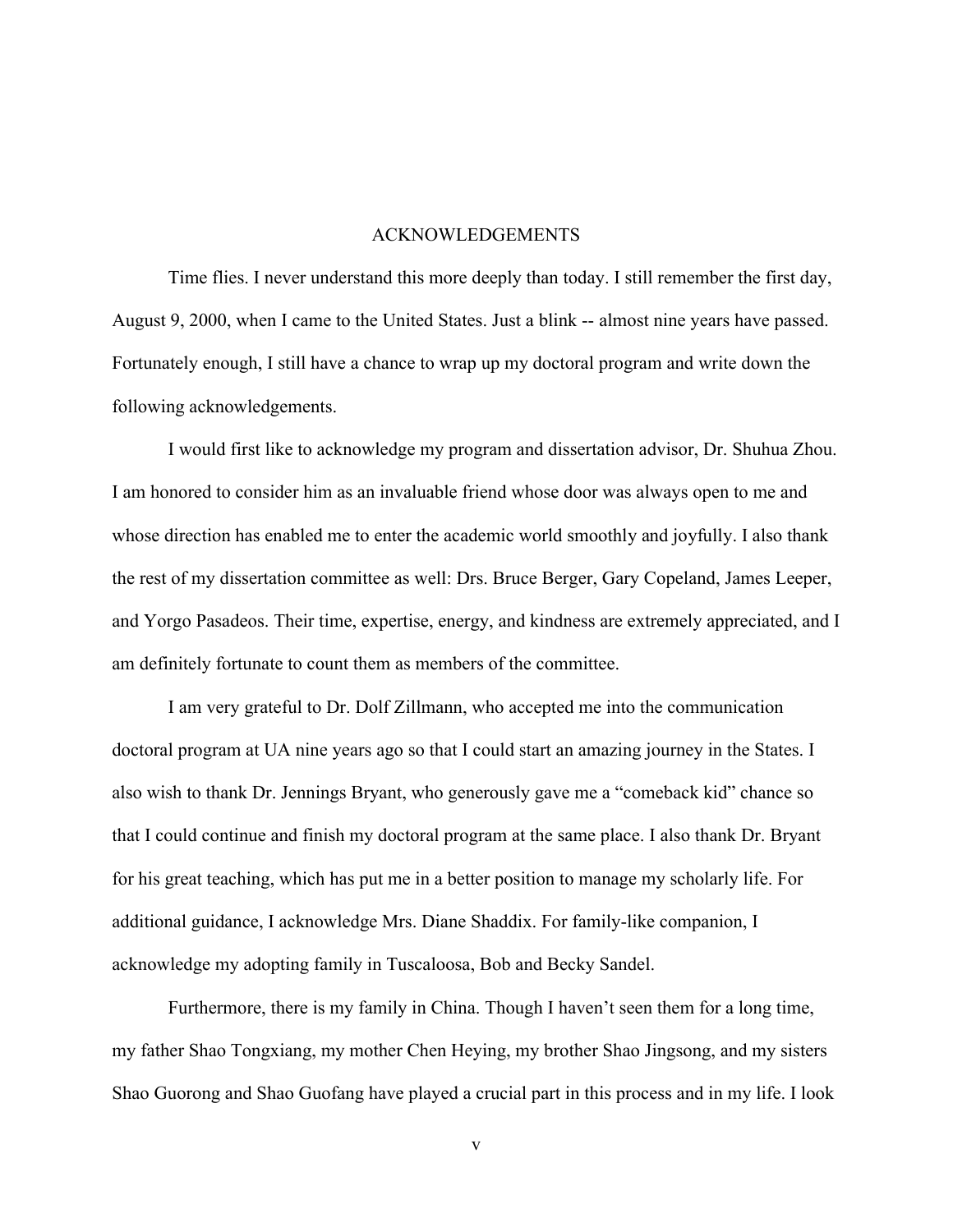#### ACKNOWLEDGEMENTS

Time flies. I never understand this more deeply than today. I still remember the first day, August 9, 2000, when I came to the United States. Just a blink -- almost nine years have passed. Fortunately enough, I still have a chance to wrap up my doctoral program and write down the following acknowledgements.

I would first like to acknowledge my program and dissertation advisor, Dr. Shuhua Zhou. I am honored to consider him as an invaluable friend whose door was always open to me and whose direction has enabled me to enter the academic world smoothly and joyfully. I also thank the rest of my dissertation committee as well: Drs. Bruce Berger, Gary Copeland, James Leeper, and Yorgo Pasadeos. Their time, expertise, energy, and kindness are extremely appreciated, and I am definitely fortunate to count them as members of the committee.

I am very grateful to Dr. Dolf Zillmann, who accepted me into the communication doctoral program at UA nine years ago so that I could start an amazing journey in the States. I also wish to thank Dr. Jennings Bryant, who generously gave me a "comeback kid" chance so that I could continue and finish my doctoral program at the same place. I also thank Dr. Bryant for his great teaching, which has put me in a better position to manage my scholarly life. For additional guidance, I acknowledge Mrs. Diane Shaddix. For family-like companion, I acknowledge my adopting family in Tuscaloosa, Bob and Becky Sandel.

Furthermore, there is my family in China. Though I haven't seen them for a long time, my father Shao Tongxiang, my mother Chen Heying, my brother Shao Jingsong, and my sisters Shao Guorong and Shao Guofang have played a crucial part in this process and in my life. I look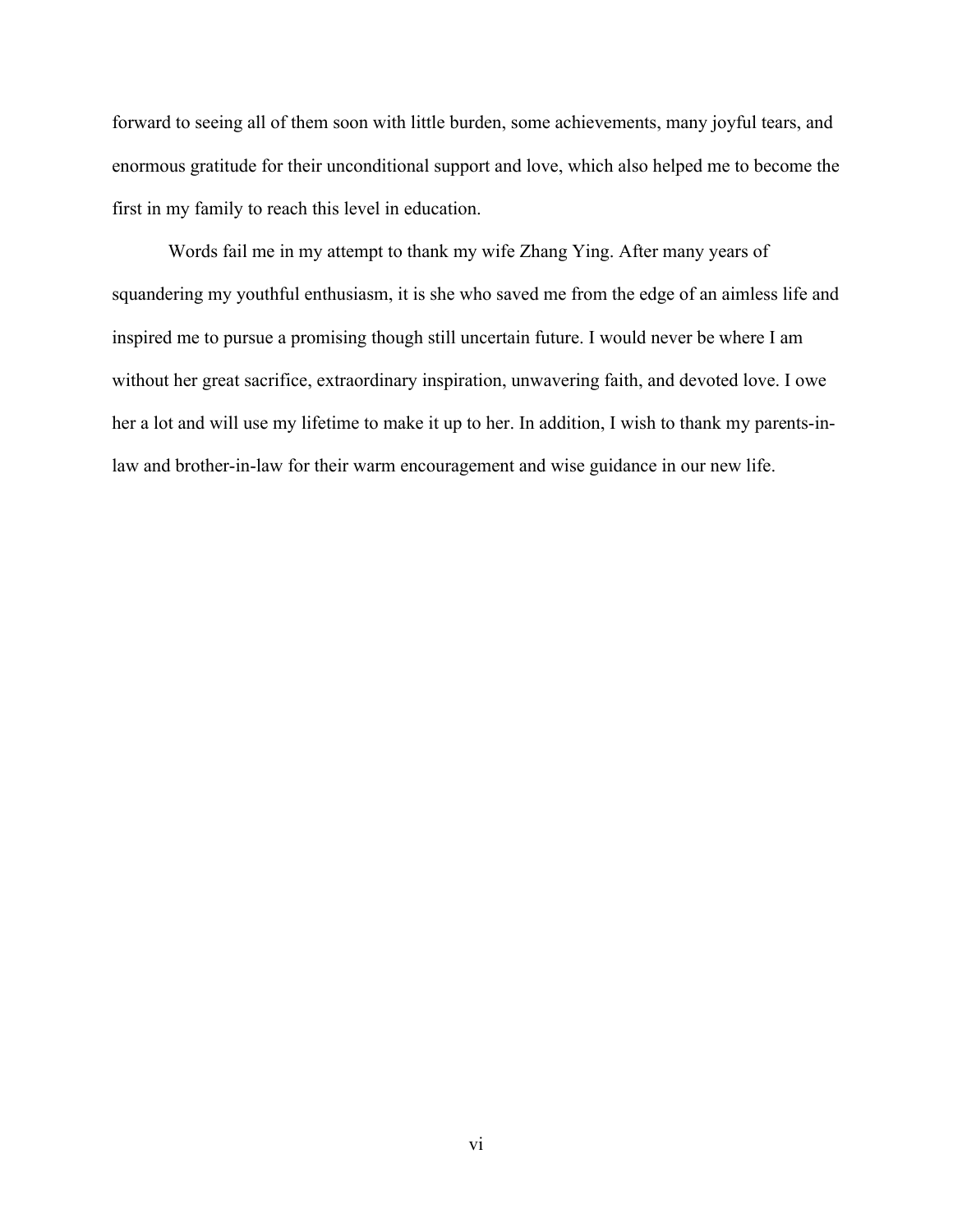forward to seeing all of them soon with little burden, some achievements, many joyful tears, and enormous gratitude for their unconditional support and love, which also helped me to become the first in my family to reach this level in education.

Words fail me in my attempt to thank my wife Zhang Ying. After many years of squandering my youthful enthusiasm, it is she who saved me from the edge of an aimless life and inspired me to pursue a promising though still uncertain future. I would never be where I am without her great sacrifice, extraordinary inspiration, unwavering faith, and devoted love. I owe her a lot and will use my lifetime to make it up to her. In addition, I wish to thank my parents-inlaw and brother-in-law for their warm encouragement and wise guidance in our new life.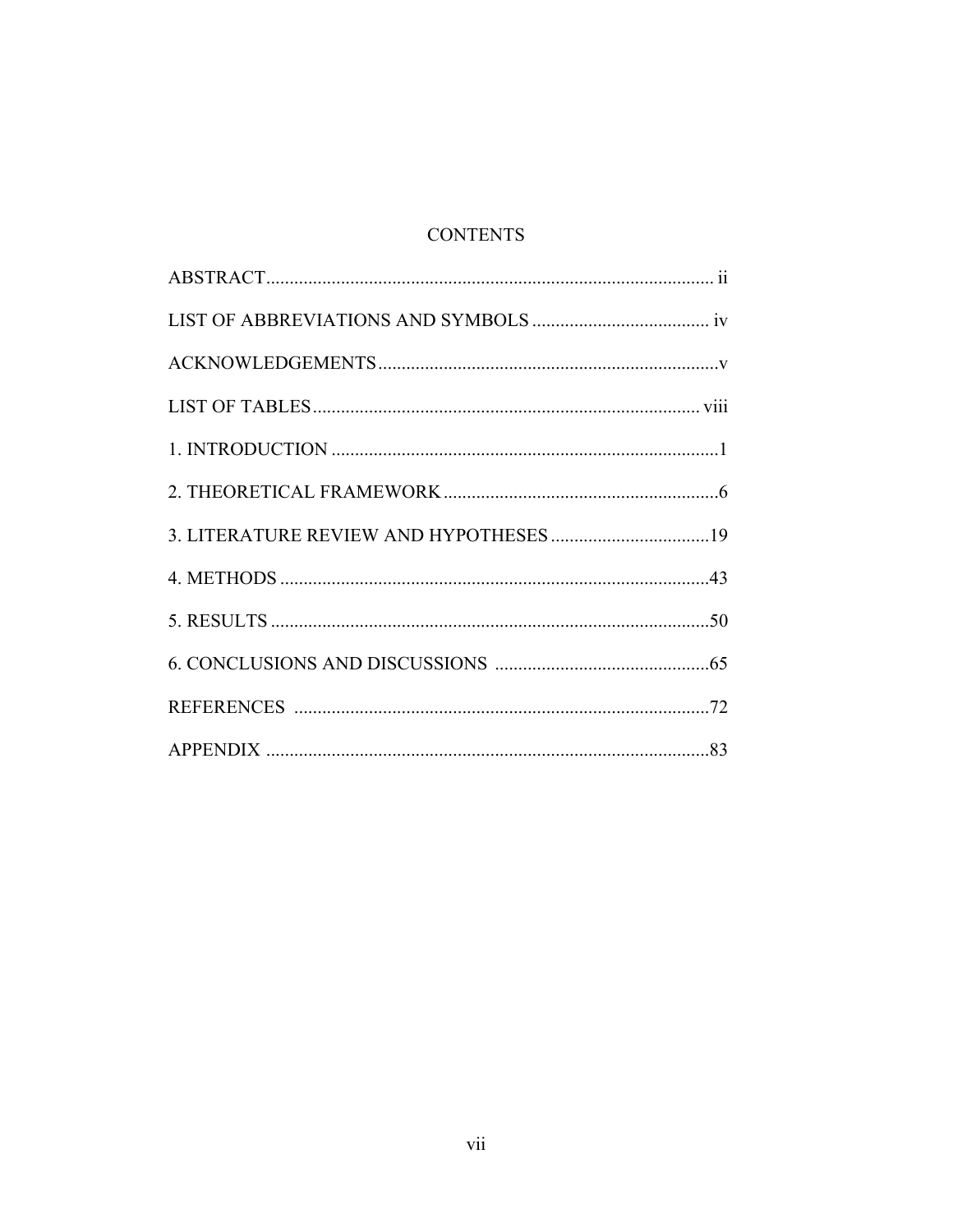# **CONTENTS**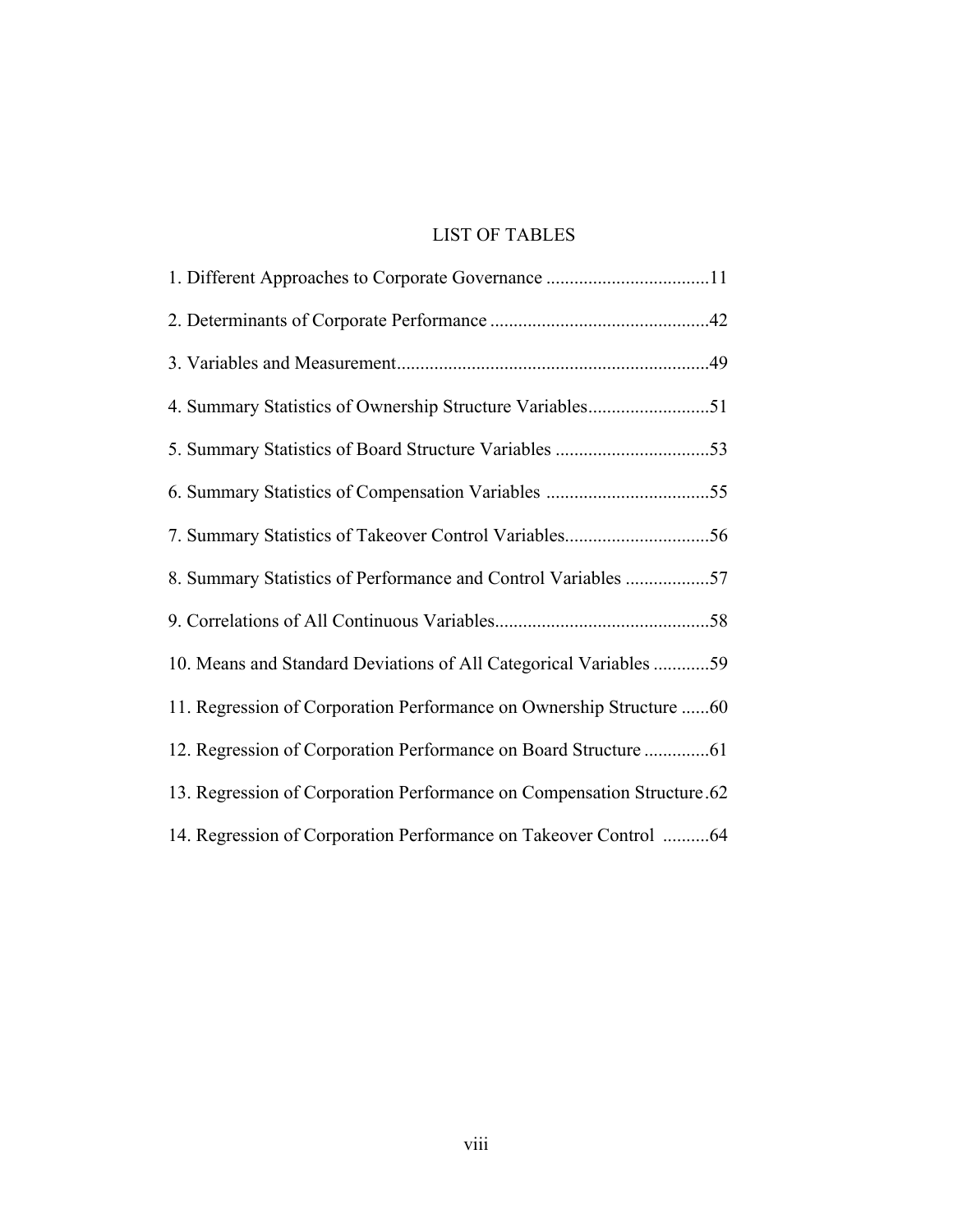# LIST OF TABLES

| 4. Summary Statistics of Ownership Structure Variables51               |
|------------------------------------------------------------------------|
|                                                                        |
|                                                                        |
|                                                                        |
| 8. Summary Statistics of Performance and Control Variables 57          |
|                                                                        |
| 10. Means and Standard Deviations of All Categorical Variables 59      |
| 11. Regression of Corporation Performance on Ownership Structure 60    |
| 12. Regression of Corporation Performance on Board Structure 61        |
| 13. Regression of Corporation Performance on Compensation Structure.62 |
| 14. Regression of Corporation Performance on Takeover Control 64       |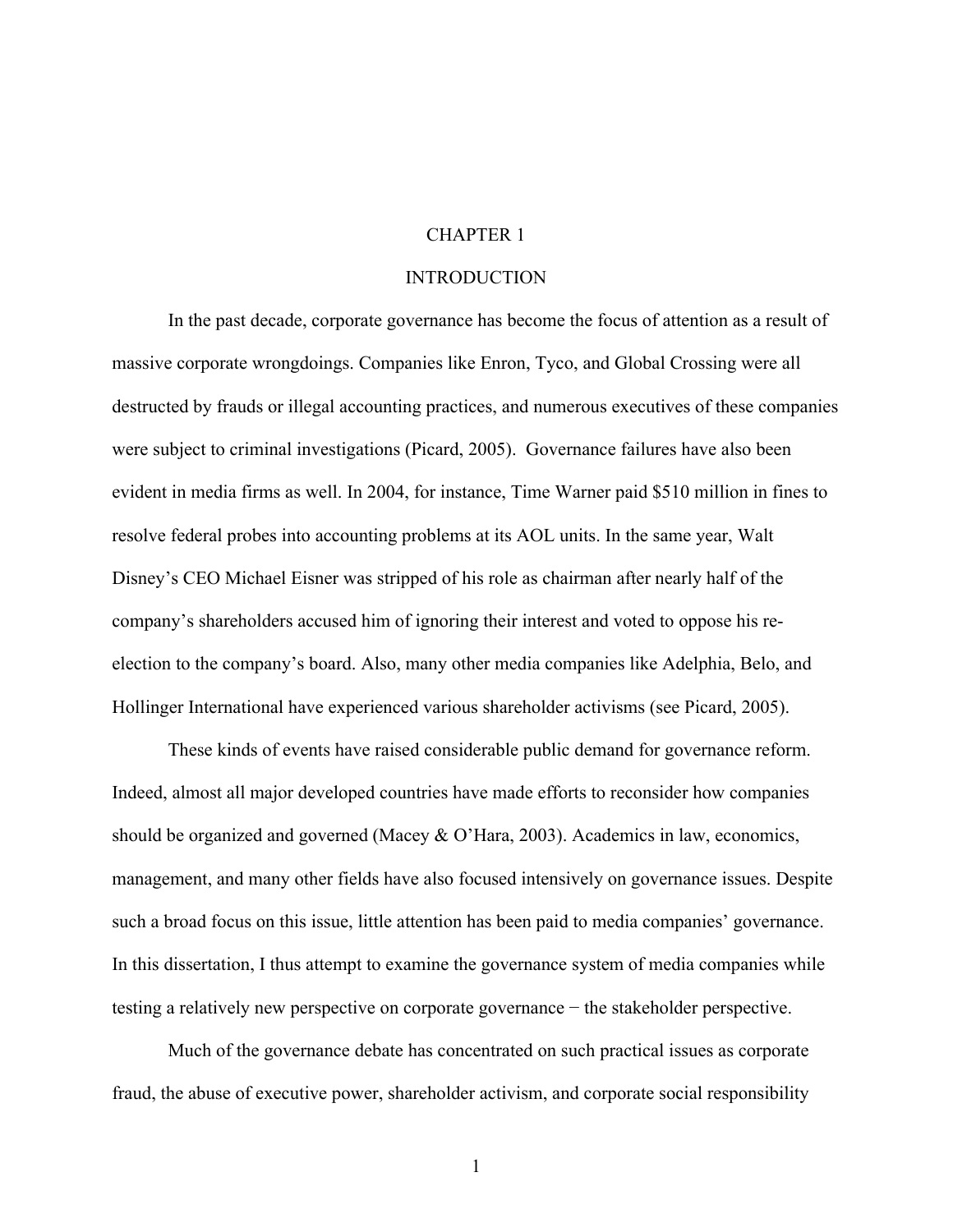#### CHAPTER 1

#### INTRODUCTION

In the past decade, corporate governance has become the focus of attention as a result of massive corporate wrongdoings. Companies like Enron, Tyco, and Global Crossing were all destructed by frauds or illegal accounting practices, and numerous executives of these companies were subject to criminal investigations (Picard, 2005). Governance failures have also been evident in media firms as well. In 2004, for instance, Time Warner paid \$510 million in fines to resolve federal probes into accounting problems at its AOL units. In the same year, Walt Disney's CEO Michael Eisner was stripped of his role as chairman after nearly half of the company's shareholders accused him of ignoring their interest and voted to oppose his reelection to the company's board. Also, many other media companies like Adelphia, Belo, and Hollinger International have experienced various shareholder activisms (see Picard, 2005).

These kinds of events have raised considerable public demand for governance reform. Indeed, almost all major developed countries have made efforts to reconsider how companies should be organized and governed (Macey & O'Hara, 2003). Academics in law, economics, management, and many other fields have also focused intensively on governance issues. Despite such a broad focus on this issue, little attention has been paid to media companies' governance. In this dissertation, I thus attempt to examine the governance system of media companies while testing a relatively new perspective on corporate governance − the stakeholder perspective.

Much of the governance debate has concentrated on such practical issues as corporate fraud, the abuse of executive power, shareholder activism, and corporate social responsibility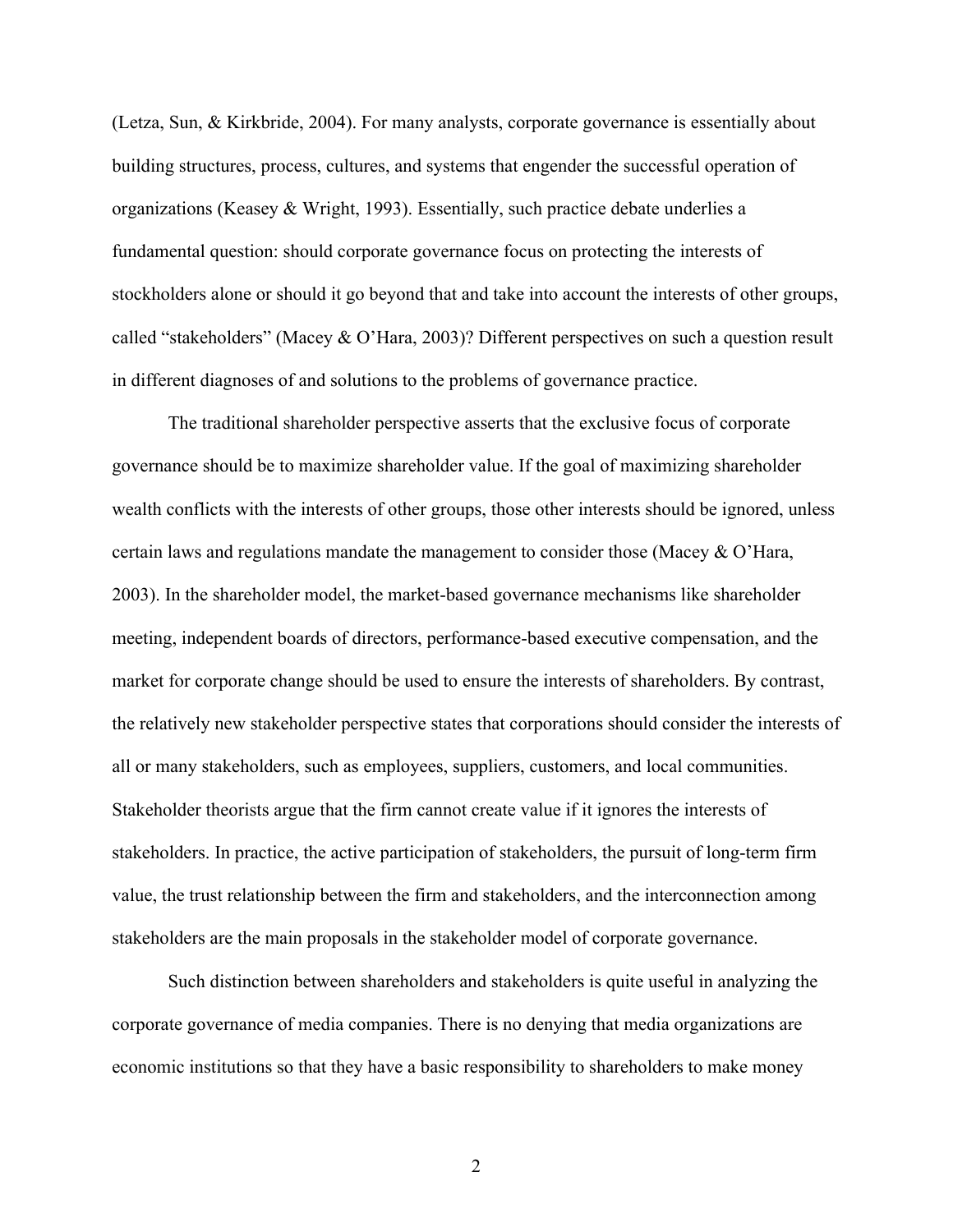(Letza, Sun, & Kirkbride, 2004). For many analysts, corporate governance is essentially about building structures, process, cultures, and systems that engender the successful operation of organizations (Keasey & Wright, 1993). Essentially, such practice debate underlies a fundamental question: should corporate governance focus on protecting the interests of stockholders alone or should it go beyond that and take into account the interests of other groups, called "stakeholders" (Macey & O'Hara, 2003)? Different perspectives on such a question result in different diagnoses of and solutions to the problems of governance practice.

The traditional shareholder perspective asserts that the exclusive focus of corporate governance should be to maximize shareholder value. If the goal of maximizing shareholder wealth conflicts with the interests of other groups, those other interests should be ignored, unless certain laws and regulations mandate the management to consider those (Macey & O'Hara, 2003). In the shareholder model, the market-based governance mechanisms like shareholder meeting, independent boards of directors, performance-based executive compensation, and the market for corporate change should be used to ensure the interests of shareholders. By contrast, the relatively new stakeholder perspective states that corporations should consider the interests of all or many stakeholders, such as employees, suppliers, customers, and local communities. Stakeholder theorists argue that the firm cannot create value if it ignores the interests of stakeholders. In practice, the active participation of stakeholders, the pursuit of long-term firm value, the trust relationship between the firm and stakeholders, and the interconnection among stakeholders are the main proposals in the stakeholder model of corporate governance.

Such distinction between shareholders and stakeholders is quite useful in analyzing the corporate governance of media companies. There is no denying that media organizations are economic institutions so that they have a basic responsibility to shareholders to make money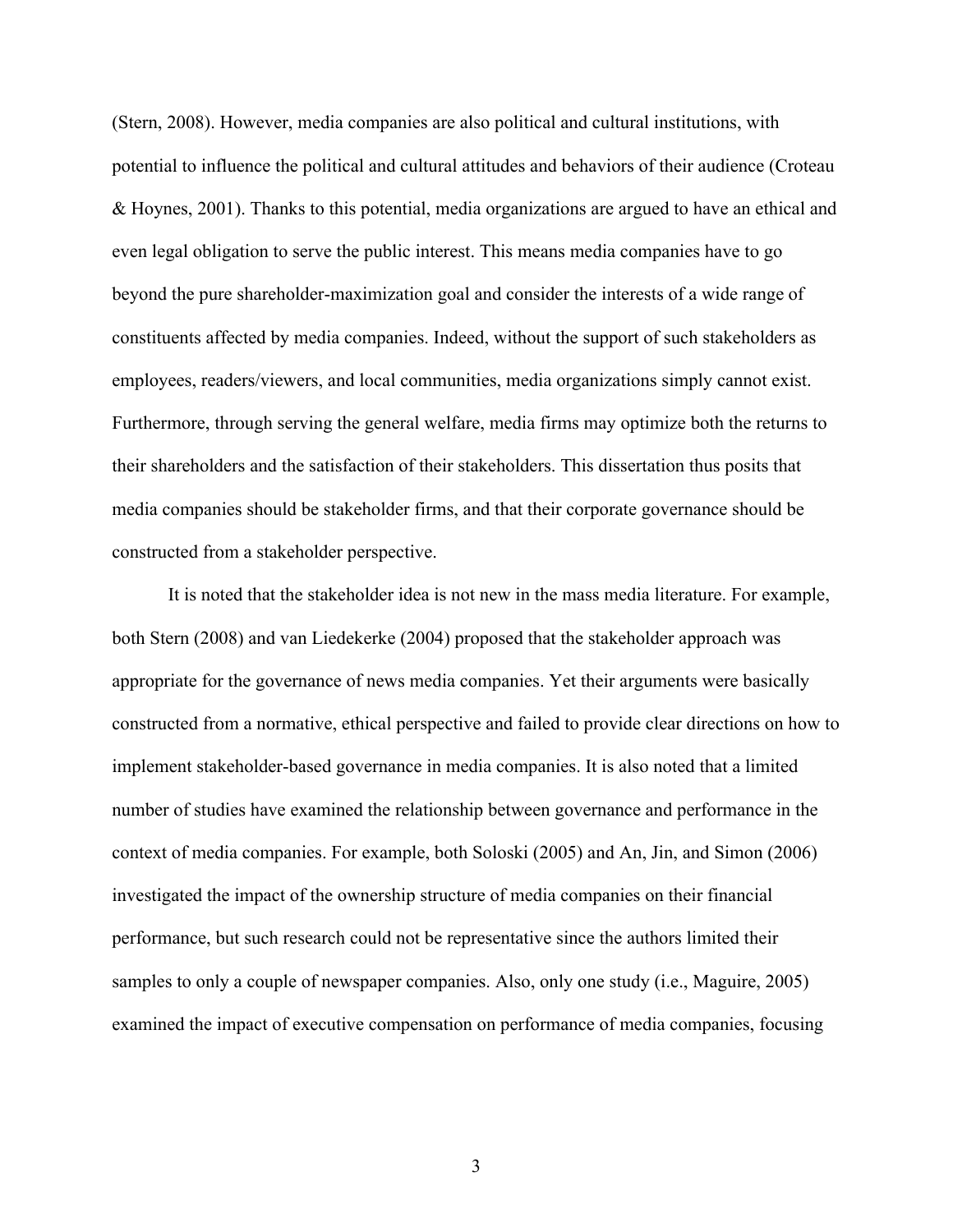(Stern, 2008). However, media companies are also political and cultural institutions, with potential to influence the political and cultural attitudes and behaviors of their audience (Croteau & Hoynes, 2001). Thanks to this potential, media organizations are argued to have an ethical and even legal obligation to serve the public interest. This means media companies have to go beyond the pure shareholder-maximization goal and consider the interests of a wide range of constituents affected by media companies. Indeed, without the support of such stakeholders as employees, readers/viewers, and local communities, media organizations simply cannot exist. Furthermore, through serving the general welfare, media firms may optimize both the returns to their shareholders and the satisfaction of their stakeholders. This dissertation thus posits that media companies should be stakeholder firms, and that their corporate governance should be constructed from a stakeholder perspective.

It is noted that the stakeholder idea is not new in the mass media literature. For example, both Stern (2008) and van Liedekerke (2004) proposed that the stakeholder approach was appropriate for the governance of news media companies. Yet their arguments were basically constructed from a normative, ethical perspective and failed to provide clear directions on how to implement stakeholder-based governance in media companies. It is also noted that a limited number of studies have examined the relationship between governance and performance in the context of media companies. For example, both Soloski (2005) and An, Jin, and Simon (2006) investigated the impact of the ownership structure of media companies on their financial performance, but such research could not be representative since the authors limited their samples to only a couple of newspaper companies. Also, only one study (i.e., Maguire, 2005) examined the impact of executive compensation on performance of media companies, focusing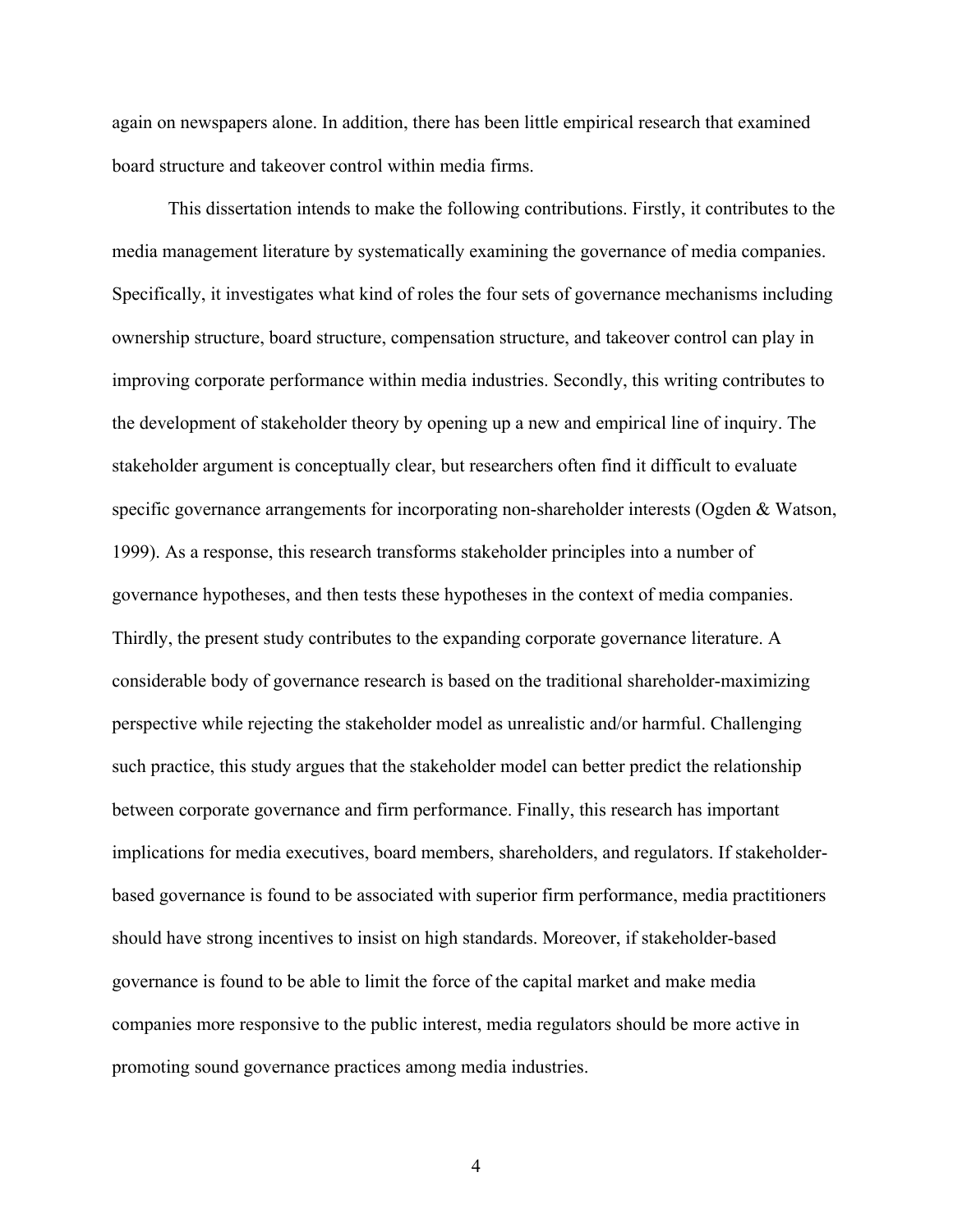again on newspapers alone. In addition, there has been little empirical research that examined board structure and takeover control within media firms.

This dissertation intends to make the following contributions. Firstly, it contributes to the media management literature by systematically examining the governance of media companies. Specifically, it investigates what kind of roles the four sets of governance mechanisms including ownership structure, board structure, compensation structure, and takeover control can play in improving corporate performance within media industries. Secondly, this writing contributes to the development of stakeholder theory by opening up a new and empirical line of inquiry. The stakeholder argument is conceptually clear, but researchers often find it difficult to evaluate specific governance arrangements for incorporating non-shareholder interests (Ogden & Watson, 1999). As a response, this research transforms stakeholder principles into a number of governance hypotheses, and then tests these hypotheses in the context of media companies. Thirdly, the present study contributes to the expanding corporate governance literature. A considerable body of governance research is based on the traditional shareholder-maximizing perspective while rejecting the stakeholder model as unrealistic and/or harmful. Challenging such practice, this study argues that the stakeholder model can better predict the relationship between corporate governance and firm performance. Finally, this research has important implications for media executives, board members, shareholders, and regulators. If stakeholderbased governance is found to be associated with superior firm performance, media practitioners should have strong incentives to insist on high standards. Moreover, if stakeholder-based governance is found to be able to limit the force of the capital market and make media companies more responsive to the public interest, media regulators should be more active in promoting sound governance practices among media industries.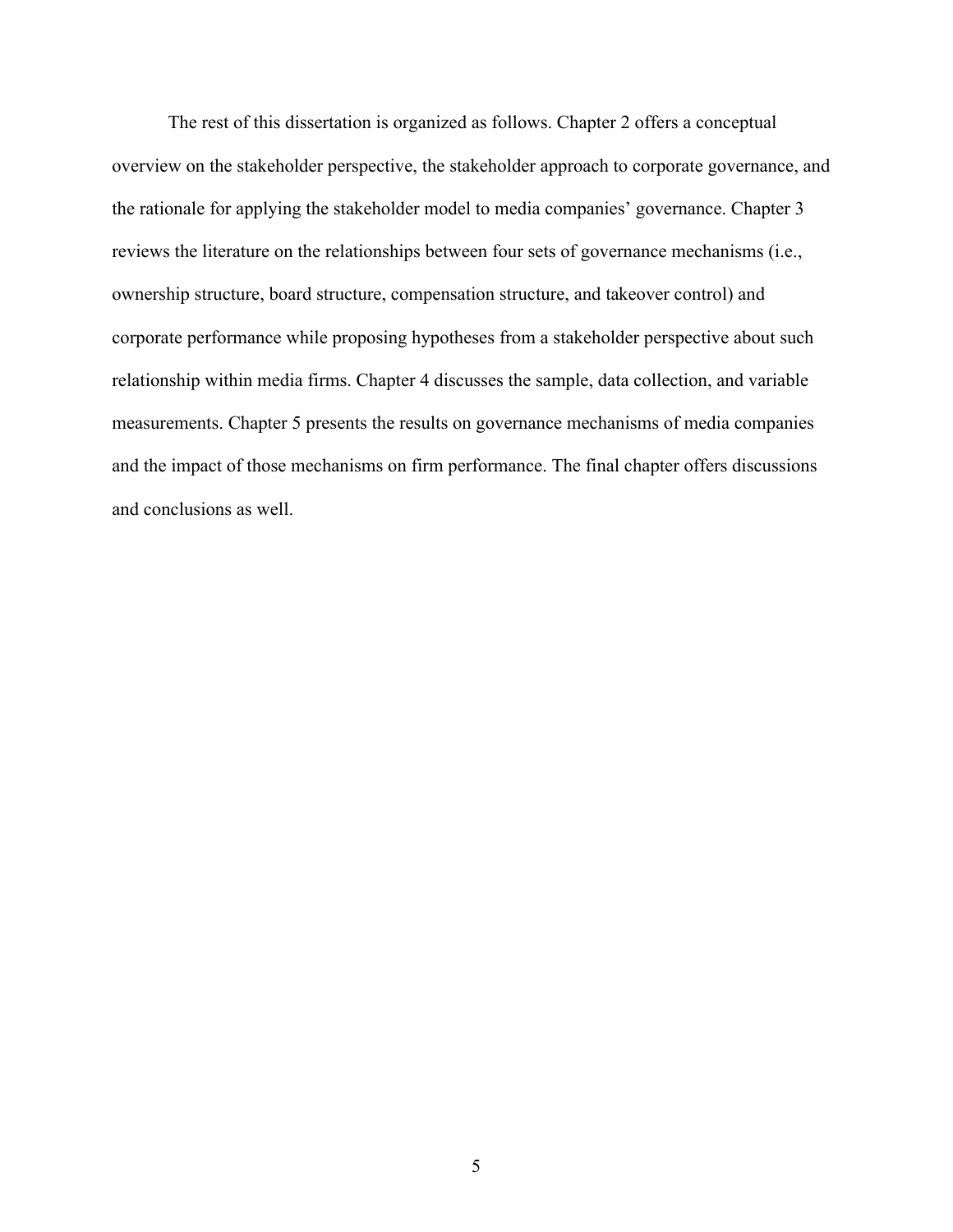The rest of this dissertation is organized as follows. Chapter 2 offers a conceptual overview on the stakeholder perspective, the stakeholder approach to corporate governance, and the rationale for applying the stakeholder model to media companies' governance. Chapter 3 reviews the literature on the relationships between four sets of governance mechanisms (i.e., ownership structure, board structure, compensation structure, and takeover control) and corporate performance while proposing hypotheses from a stakeholder perspective about such relationship within media firms. Chapter 4 discusses the sample, data collection, and variable measurements. Chapter 5 presents the results on governance mechanisms of media companies and the impact of those mechanisms on firm performance. The final chapter offers discussions and conclusions as well.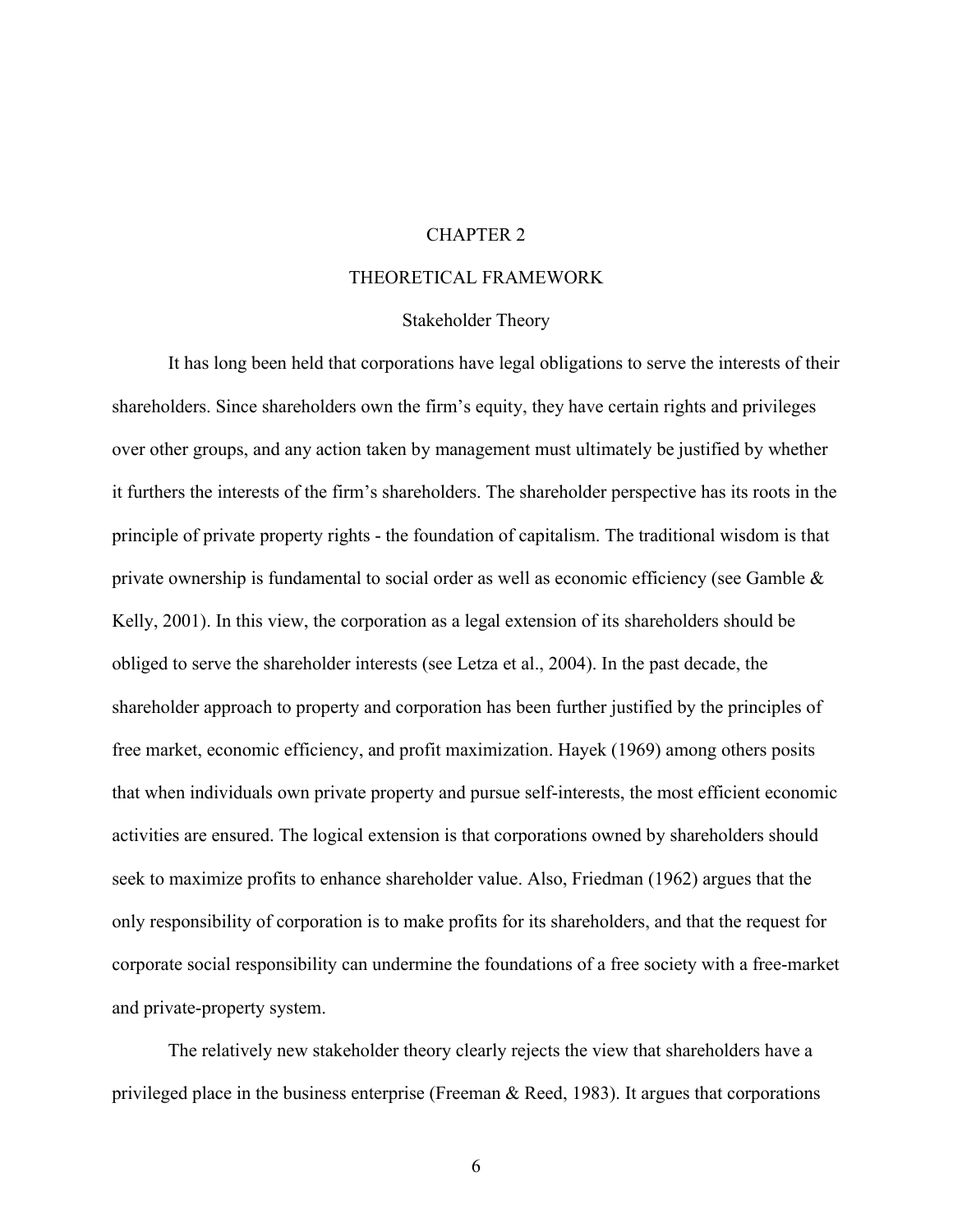### CHAPTER 2

#### THEORETICAL FRAMEWORK

#### Stakeholder Theory

It has long been held that corporations have legal obligations to serve the interests of their shareholders. Since shareholders own the firm's equity, they have certain rights and privileges over other groups, and any action taken by management must ultimately be justified by whether it furthers the interests of the firm's shareholders. The shareholder perspective has its roots in the principle of private property rights - the foundation of capitalism. The traditional wisdom is that private ownership is fundamental to social order as well as economic efficiency (see Gamble  $\&$ Kelly, 2001). In this view, the corporation as a legal extension of its shareholders should be obliged to serve the shareholder interests (see Letza et al., 2004). In the past decade, the shareholder approach to property and corporation has been further justified by the principles of free market, economic efficiency, and profit maximization. Hayek (1969) among others posits that when individuals own private property and pursue self-interests, the most efficient economic activities are ensured. The logical extension is that corporations owned by shareholders should seek to maximize profits to enhance shareholder value. Also, Friedman (1962) argues that the only responsibility of corporation is to make profits for its shareholders, and that the request for corporate social responsibility can undermine the foundations of a free society with a free-market and private-property system.

The relatively new stakeholder theory clearly rejects the view that shareholders have a privileged place in the business enterprise (Freeman  $\&$  Reed, 1983). It argues that corporations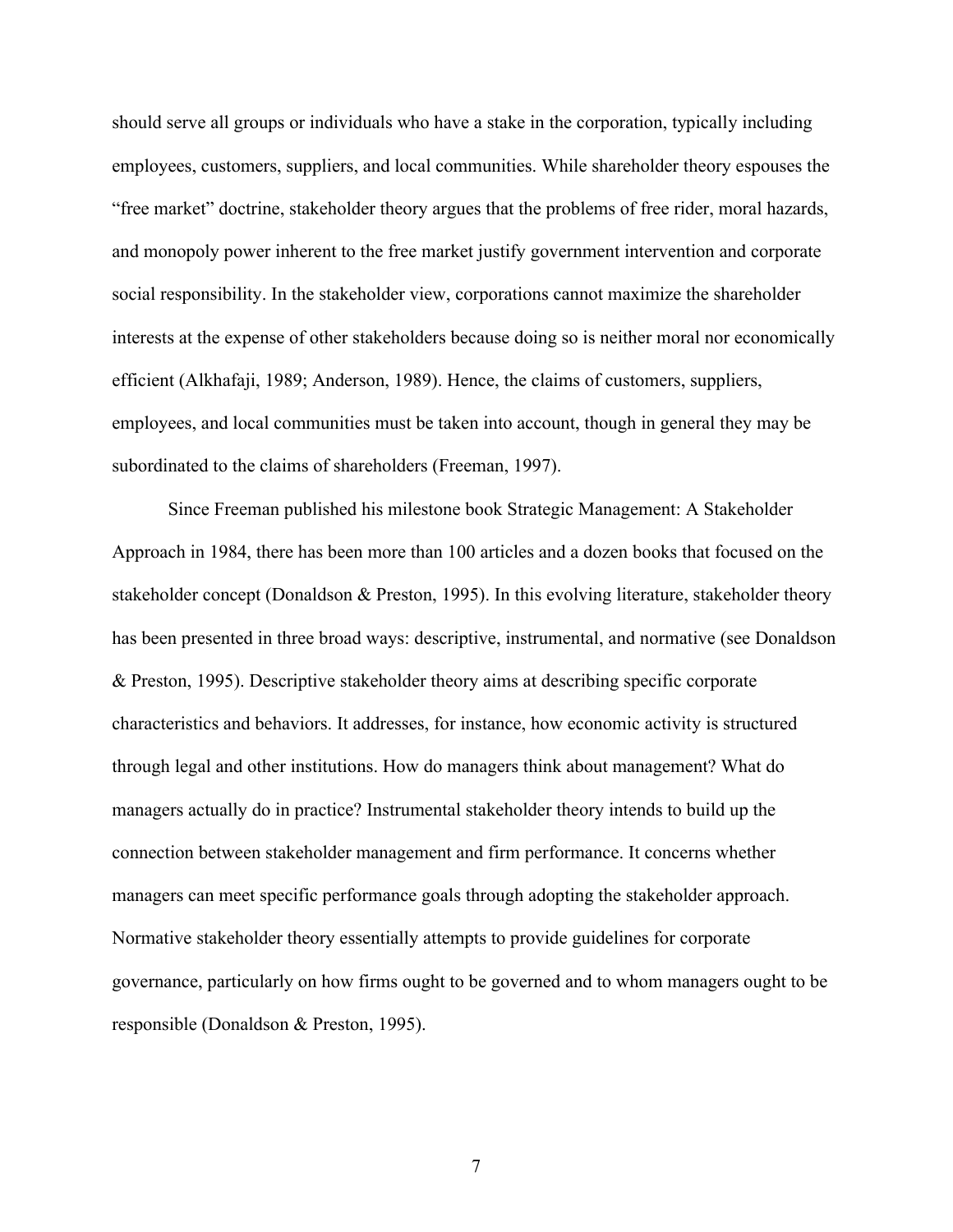should serve all groups or individuals who have a stake in the corporation, typically including employees, customers, suppliers, and local communities. While shareholder theory espouses the "free market" doctrine, stakeholder theory argues that the problems of free rider, moral hazards, and monopoly power inherent to the free market justify government intervention and corporate social responsibility. In the stakeholder view, corporations cannot maximize the shareholder interests at the expense of other stakeholders because doing so is neither moral nor economically efficient (Alkhafaji, 1989; Anderson, 1989). Hence, the claims of customers, suppliers, employees, and local communities must be taken into account, though in general they may be subordinated to the claims of shareholders (Freeman, 1997).

Since Freeman published his milestone book Strategic Management: A Stakeholder Approach in 1984, there has been more than 100 articles and a dozen books that focused on the stakeholder concept (Donaldson & Preston, 1995). In this evolving literature, stakeholder theory has been presented in three broad ways: descriptive, instrumental, and normative (see Donaldson & Preston, 1995). Descriptive stakeholder theory aims at describing specific corporate characteristics and behaviors. It addresses, for instance, how economic activity is structured through legal and other institutions. How do managers think about management? What do managers actually do in practice? Instrumental stakeholder theory intends to build up the connection between stakeholder management and firm performance. It concerns whether managers can meet specific performance goals through adopting the stakeholder approach. Normative stakeholder theory essentially attempts to provide guidelines for corporate governance, particularly on how firms ought to be governed and to whom managers ought to be responsible (Donaldson & Preston, 1995).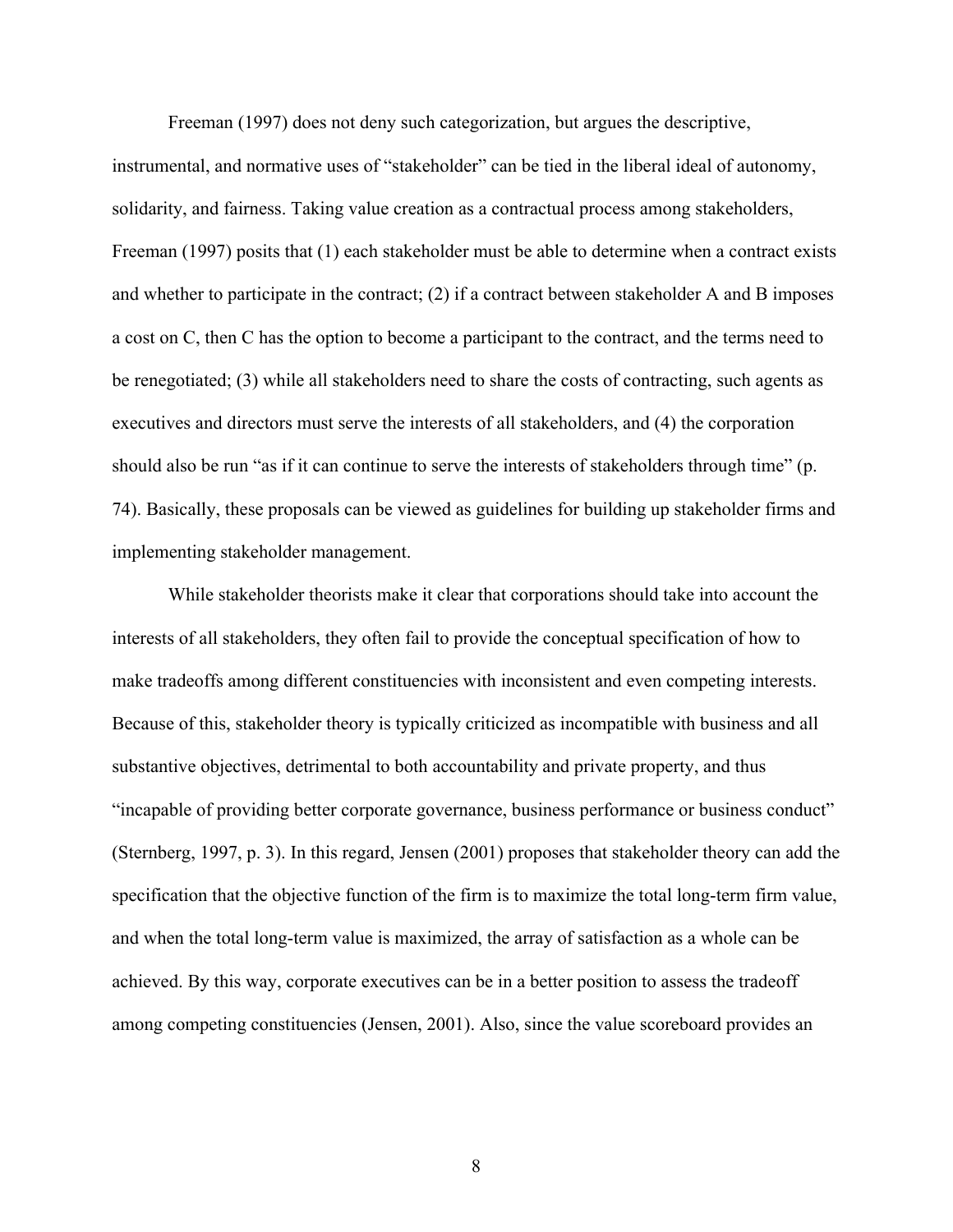Freeman (1997) does not deny such categorization, but argues the descriptive,

instrumental, and normative uses of "stakeholder" can be tied in the liberal ideal of autonomy, solidarity, and fairness. Taking value creation as a contractual process among stakeholders, Freeman (1997) posits that (1) each stakeholder must be able to determine when a contract exists and whether to participate in the contract; (2) if a contract between stakeholder A and B imposes a cost on C, then C has the option to become a participant to the contract, and the terms need to be renegotiated; (3) while all stakeholders need to share the costs of contracting, such agents as executives and directors must serve the interests of all stakeholders, and (4) the corporation should also be run "as if it can continue to serve the interests of stakeholders through time" (p. 74). Basically, these proposals can be viewed as guidelines for building up stakeholder firms and implementing stakeholder management.

While stakeholder theorists make it clear that corporations should take into account the interests of all stakeholders, they often fail to provide the conceptual specification of how to make tradeoffs among different constituencies with inconsistent and even competing interests. Because of this, stakeholder theory is typically criticized as incompatible with business and all substantive objectives, detrimental to both accountability and private property, and thus "incapable of providing better corporate governance, business performance or business conduct" (Sternberg, 1997, p. 3). In this regard, Jensen (2001) proposes that stakeholder theory can add the specification that the objective function of the firm is to maximize the total long-term firm value, and when the total long-term value is maximized, the array of satisfaction as a whole can be achieved. By this way, corporate executives can be in a better position to assess the tradeoff among competing constituencies (Jensen, 2001). Also, since the value scoreboard provides an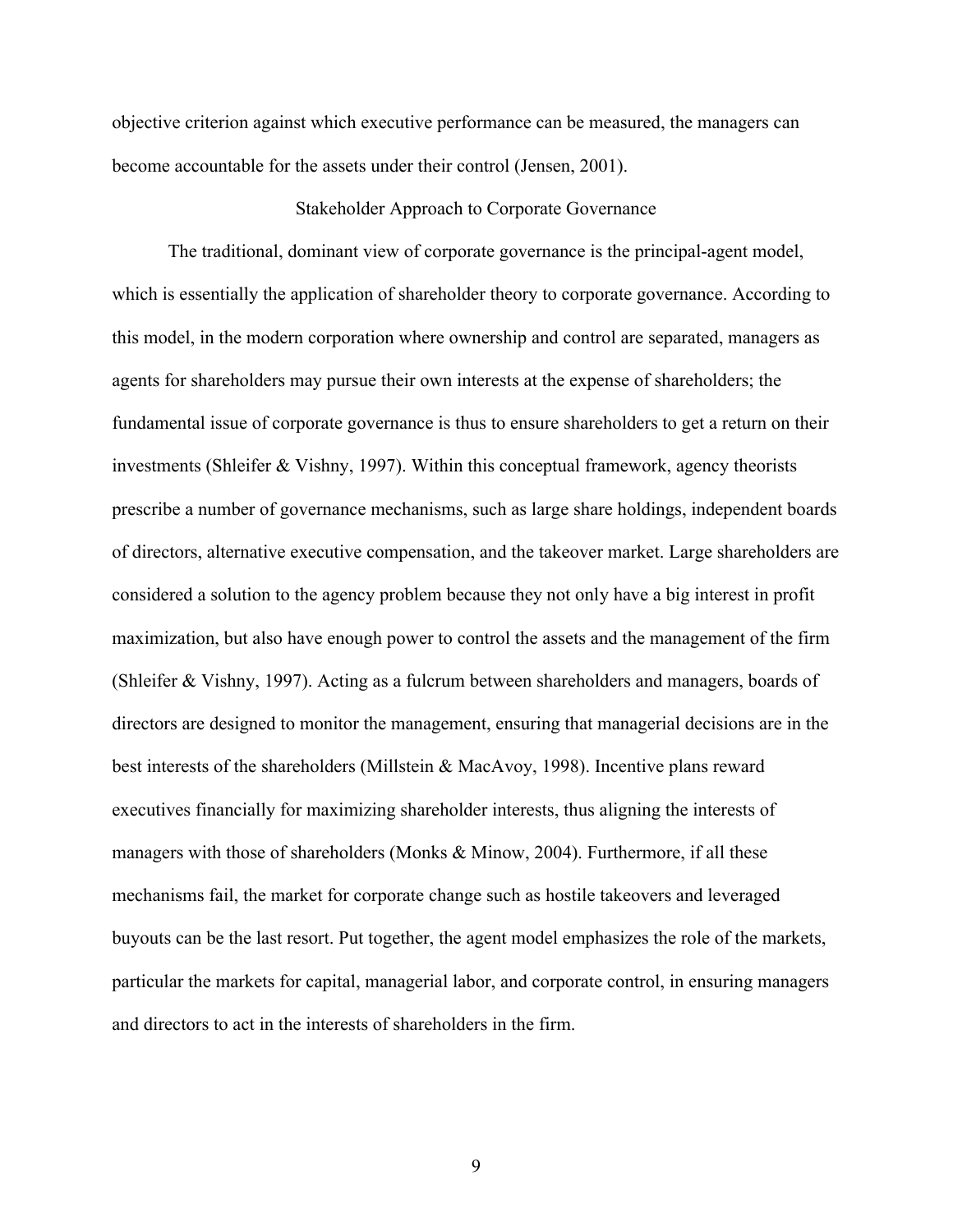objective criterion against which executive performance can be measured, the managers can become accountable for the assets under their control (Jensen, 2001).

#### Stakeholder Approach to Corporate Governance

The traditional, dominant view of corporate governance is the principal-agent model, which is essentially the application of shareholder theory to corporate governance. According to this model, in the modern corporation where ownership and control are separated, managers as agents for shareholders may pursue their own interests at the expense of shareholders; the fundamental issue of corporate governance is thus to ensure shareholders to get a return on their investments (Shleifer & Vishny, 1997). Within this conceptual framework, agency theorists prescribe a number of governance mechanisms, such as large share holdings, independent boards of directors, alternative executive compensation, and the takeover market. Large shareholders are considered a solution to the agency problem because they not only have a big interest in profit maximization, but also have enough power to control the assets and the management of the firm (Shleifer & Vishny, 1997). Acting as a fulcrum between shareholders and managers, boards of directors are designed to monitor the management, ensuring that managerial decisions are in the best interests of the shareholders (Millstein & MacAvoy, 1998). Incentive plans reward executives financially for maximizing shareholder interests, thus aligning the interests of managers with those of shareholders (Monks & Minow, 2004). Furthermore, if all these mechanisms fail, the market for corporate change such as hostile takeovers and leveraged buyouts can be the last resort. Put together, the agent model emphasizes the role of the markets, particular the markets for capital, managerial labor, and corporate control, in ensuring managers and directors to act in the interests of shareholders in the firm.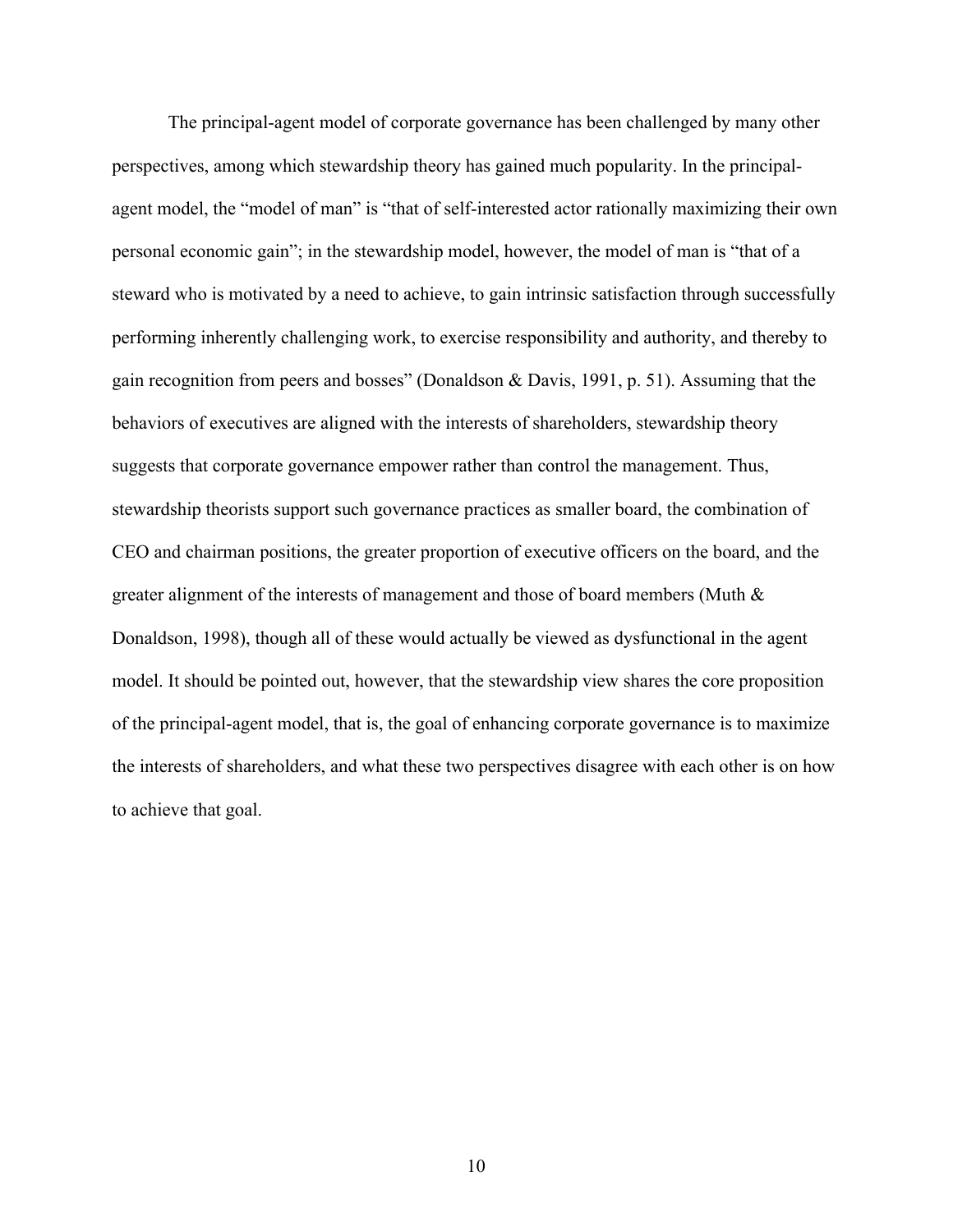The principal-agent model of corporate governance has been challenged by many other perspectives, among which stewardship theory has gained much popularity. In the principalagent model, the "model of man" is "that of self-interested actor rationally maximizing their own personal economic gain"; in the stewardship model, however, the model of man is "that of a steward who is motivated by a need to achieve, to gain intrinsic satisfaction through successfully performing inherently challenging work, to exercise responsibility and authority, and thereby to gain recognition from peers and bosses" (Donaldson & Davis, 1991, p. 51). Assuming that the behaviors of executives are aligned with the interests of shareholders, stewardship theory suggests that corporate governance empower rather than control the management. Thus, stewardship theorists support such governance practices as smaller board, the combination of CEO and chairman positions, the greater proportion of executive officers on the board, and the greater alignment of the interests of management and those of board members (Muth & Donaldson, 1998), though all of these would actually be viewed as dysfunctional in the agent model. It should be pointed out, however, that the stewardship view shares the core proposition of the principal-agent model, that is, the goal of enhancing corporate governance is to maximize the interests of shareholders, and what these two perspectives disagree with each other is on how to achieve that goal.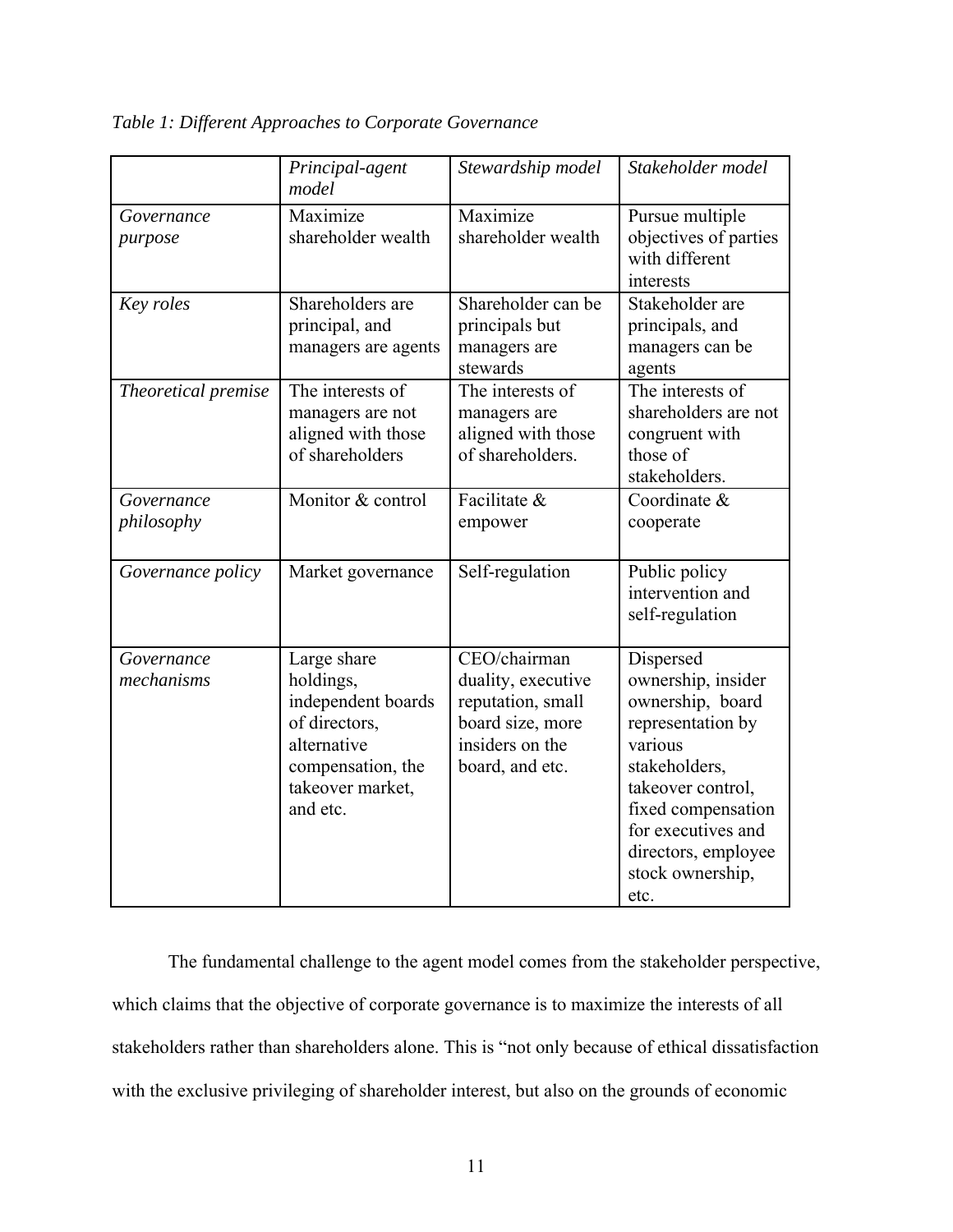*Table 1: Different Approaches to Corporate Governance*

|                          | Principal-agent<br>model                                                                                                            | Stewardship model                                                                                                 | Stakeholder model                                                                                                                                                                                                        |
|--------------------------|-------------------------------------------------------------------------------------------------------------------------------------|-------------------------------------------------------------------------------------------------------------------|--------------------------------------------------------------------------------------------------------------------------------------------------------------------------------------------------------------------------|
| Governance<br>purpose    | Maximize<br>shareholder wealth                                                                                                      | Maximize<br>shareholder wealth                                                                                    | Pursue multiple<br>objectives of parties<br>with different<br>interests                                                                                                                                                  |
| Key roles                | Shareholders are<br>principal, and<br>managers are agents                                                                           | Shareholder can be<br>principals but<br>managers are<br>stewards                                                  | Stakeholder are<br>principals, and<br>managers can be<br>agents                                                                                                                                                          |
| Theoretical premise      | The interests of<br>managers are not<br>aligned with those<br>of shareholders                                                       | The interests of<br>managers are<br>aligned with those<br>of shareholders.                                        | The interests of<br>shareholders are not<br>congruent with<br>those of<br>stakeholders.                                                                                                                                  |
| Governance<br>philosophy | Monitor & control                                                                                                                   | Facilitate &<br>empower                                                                                           | Coordinate &<br>cooperate                                                                                                                                                                                                |
| Governance policy        | Market governance                                                                                                                   | Self-regulation                                                                                                   | Public policy<br>intervention and<br>self-regulation                                                                                                                                                                     |
| Governance<br>mechanisms | Large share<br>holdings,<br>independent boards<br>of directors,<br>alternative<br>compensation, the<br>takeover market,<br>and etc. | CEO/chairman<br>duality, executive<br>reputation, small<br>board size, more<br>insiders on the<br>board, and etc. | Dispersed<br>ownership, insider<br>ownership, board<br>representation by<br>various<br>stakeholders,<br>takeover control,<br>fixed compensation<br>for executives and<br>directors, employee<br>stock ownership,<br>etc. |

The fundamental challenge to the agent model comes from the stakeholder perspective, which claims that the objective of corporate governance is to maximize the interests of all stakeholders rather than shareholders alone. This is "not only because of ethical dissatisfaction with the exclusive privileging of shareholder interest, but also on the grounds of economic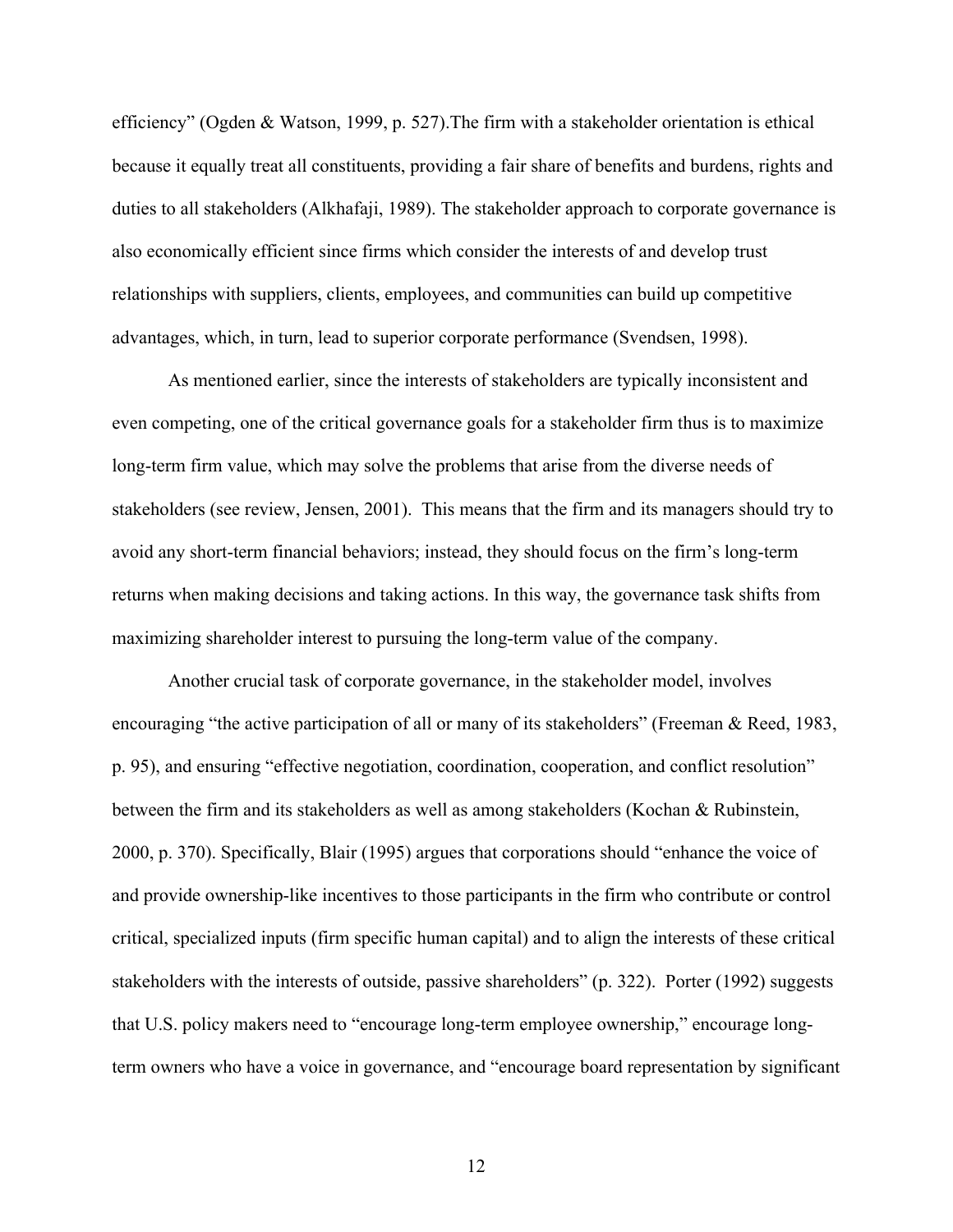efficiency" (Ogden & Watson, 1999, p. 527).The firm with a stakeholder orientation is ethical because it equally treat all constituents, providing a fair share of benefits and burdens, rights and duties to all stakeholders (Alkhafaji, 1989). The stakeholder approach to corporate governance is also economically efficient since firms which consider the interests of and develop trust relationships with suppliers, clients, employees, and communities can build up competitive advantages, which, in turn, lead to superior corporate performance (Svendsen, 1998).

As mentioned earlier, since the interests of stakeholders are typically inconsistent and even competing, one of the critical governance goals for a stakeholder firm thus is to maximize long-term firm value, which may solve the problems that arise from the diverse needs of stakeholders (see review, Jensen, 2001). This means that the firm and its managers should try to avoid any short-term financial behaviors; instead, they should focus on the firm's long-term returns when making decisions and taking actions. In this way, the governance task shifts from maximizing shareholder interest to pursuing the long-term value of the company.

Another crucial task of corporate governance, in the stakeholder model, involves encouraging "the active participation of all or many of its stakeholders" (Freeman & Reed, 1983, p. 95), and ensuring "effective negotiation, coordination, cooperation, and conflict resolution" between the firm and its stakeholders as well as among stakeholders (Kochan  $\&$  Rubinstein, 2000, p. 370). Specifically, Blair (1995) argues that corporations should "enhance the voice of and provide ownership-like incentives to those participants in the firm who contribute or control critical, specialized inputs (firm specific human capital) and to align the interests of these critical stakeholders with the interests of outside, passive shareholders" (p. 322). Porter (1992) suggests that U.S. policy makers need to "encourage long-term employee ownership," encourage longterm owners who have a voice in governance, and "encourage board representation by significant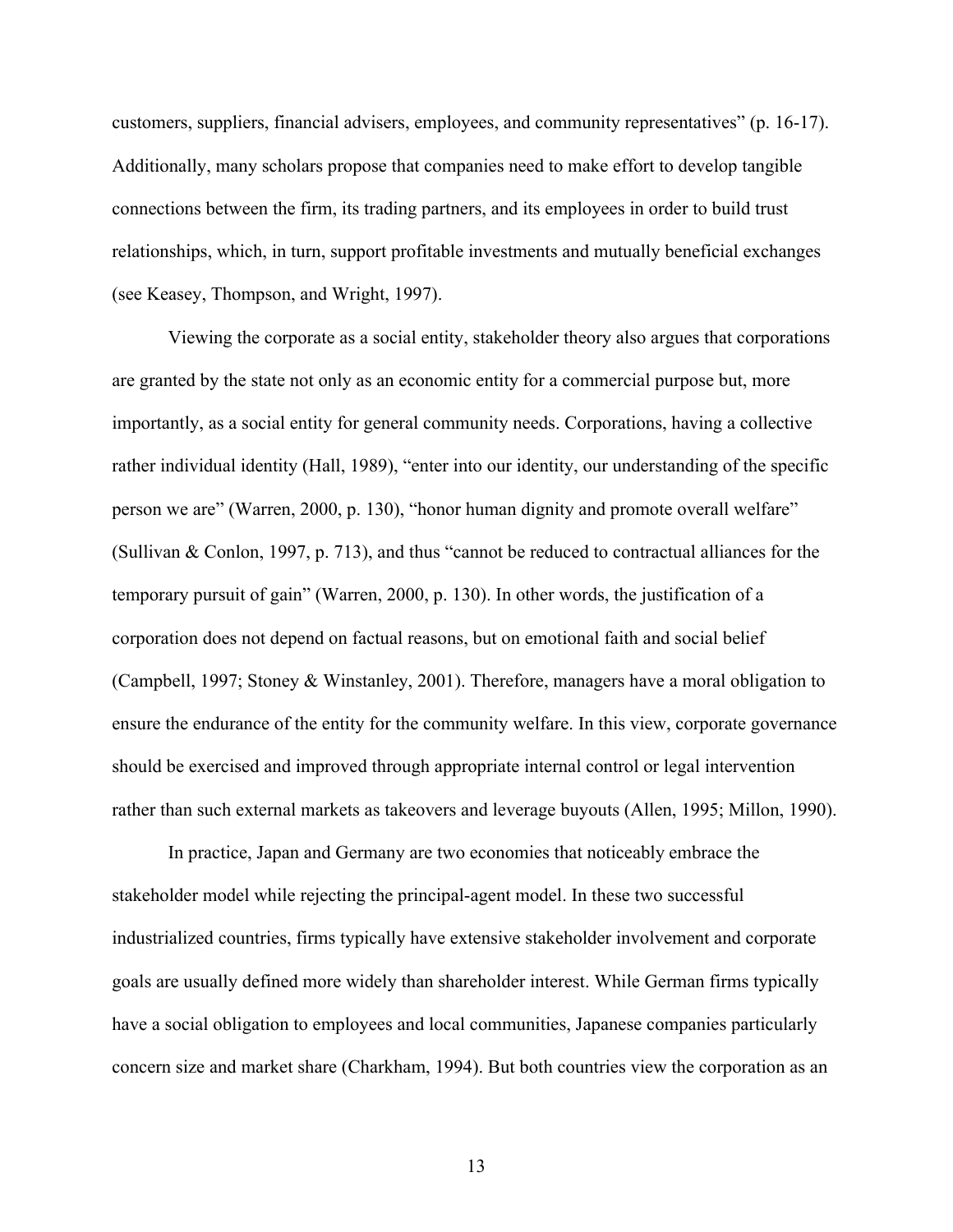customers, suppliers, financial advisers, employees, and community representatives" (p. 16-17). Additionally, many scholars propose that companies need to make effort to develop tangible connections between the firm, its trading partners, and its employees in order to build trust relationships, which, in turn, support profitable investments and mutually beneficial exchanges (see Keasey, Thompson, and Wright, 1997).

Viewing the corporate as a social entity, stakeholder theory also argues that corporations are granted by the state not only as an economic entity for a commercial purpose but, more importantly, as a social entity for general community needs. Corporations, having a collective rather individual identity (Hall, 1989), "enter into our identity, our understanding of the specific person we are" (Warren, 2000, p. 130), "honor human dignity and promote overall welfare" (Sullivan & Conlon, 1997, p. 713), and thus "cannot be reduced to contractual alliances for the temporary pursuit of gain" (Warren, 2000, p. 130). In other words, the justification of a corporation does not depend on factual reasons, but on emotional faith and social belief (Campbell, 1997; Stoney & Winstanley, 2001). Therefore, managers have a moral obligation to ensure the endurance of the entity for the community welfare. In this view, corporate governance should be exercised and improved through appropriate internal control or legal intervention rather than such external markets as takeovers and leverage buyouts (Allen, 1995; Millon, 1990).

In practice, Japan and Germany are two economies that noticeably embrace the stakeholder model while rejecting the principal-agent model. In these two successful industrialized countries, firms typically have extensive stakeholder involvement and corporate goals are usually defined more widely than shareholder interest. While German firms typically have a social obligation to employees and local communities, Japanese companies particularly concern size and market share (Charkham, 1994). But both countries view the corporation as an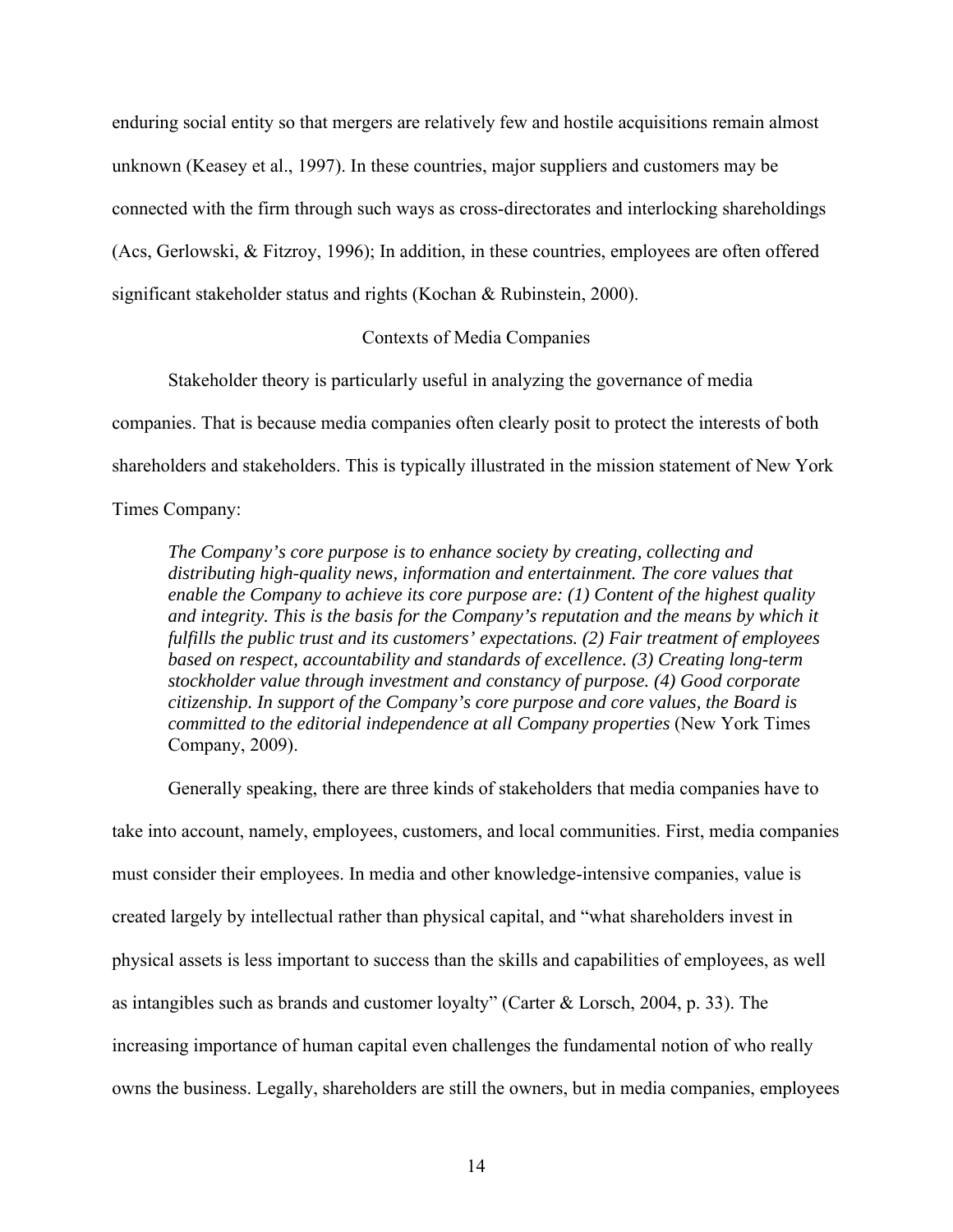enduring social entity so that mergers are relatively few and hostile acquisitions remain almost unknown (Keasey et al., 1997). In these countries, major suppliers and customers may be connected with the firm through such ways as cross-directorates and interlocking shareholdings (Acs, Gerlowski, & Fitzroy, 1996); In addition, in these countries, employees are often offered significant stakeholder status and rights (Kochan & Rubinstein, 2000).

#### Contexts of Media Companies

Stakeholder theory is particularly useful in analyzing the governance of media

companies. That is because media companies often clearly posit to protect the interests of both

shareholders and stakeholders. This is typically illustrated in the mission statement of New York

Times Company:

*The Company's core purpose is to enhance society by creating, collecting and distributing high-quality news, information and entertainment. The core values that enable the Company to achieve its core purpose are: (1) Content of the highest quality and integrity. This is the basis for the Company's reputation and the means by which it fulfills the public trust and its customers' expectations. (2) Fair treatment of employees based on respect, accountability and standards of excellence. (3) Creating long-term stockholder value through investment and constancy of purpose. (4) Good corporate citizenship. In support of the Company's core purpose and core values, the Board is committed to the editorial independence at all Company properties* (New York Times Company, 2009).

Generally speaking, there are three kinds of stakeholders that media companies have to take into account, namely, employees, customers, and local communities. First, media companies must consider their employees. In media and other knowledge-intensive companies, value is created largely by intellectual rather than physical capital, and "what shareholders invest in physical assets is less important to success than the skills and capabilities of employees, as well as intangibles such as brands and customer loyalty" (Carter & Lorsch, 2004, p. 33). The increasing importance of human capital even challenges the fundamental notion of who really owns the business. Legally, shareholders are still the owners, but in media companies, employees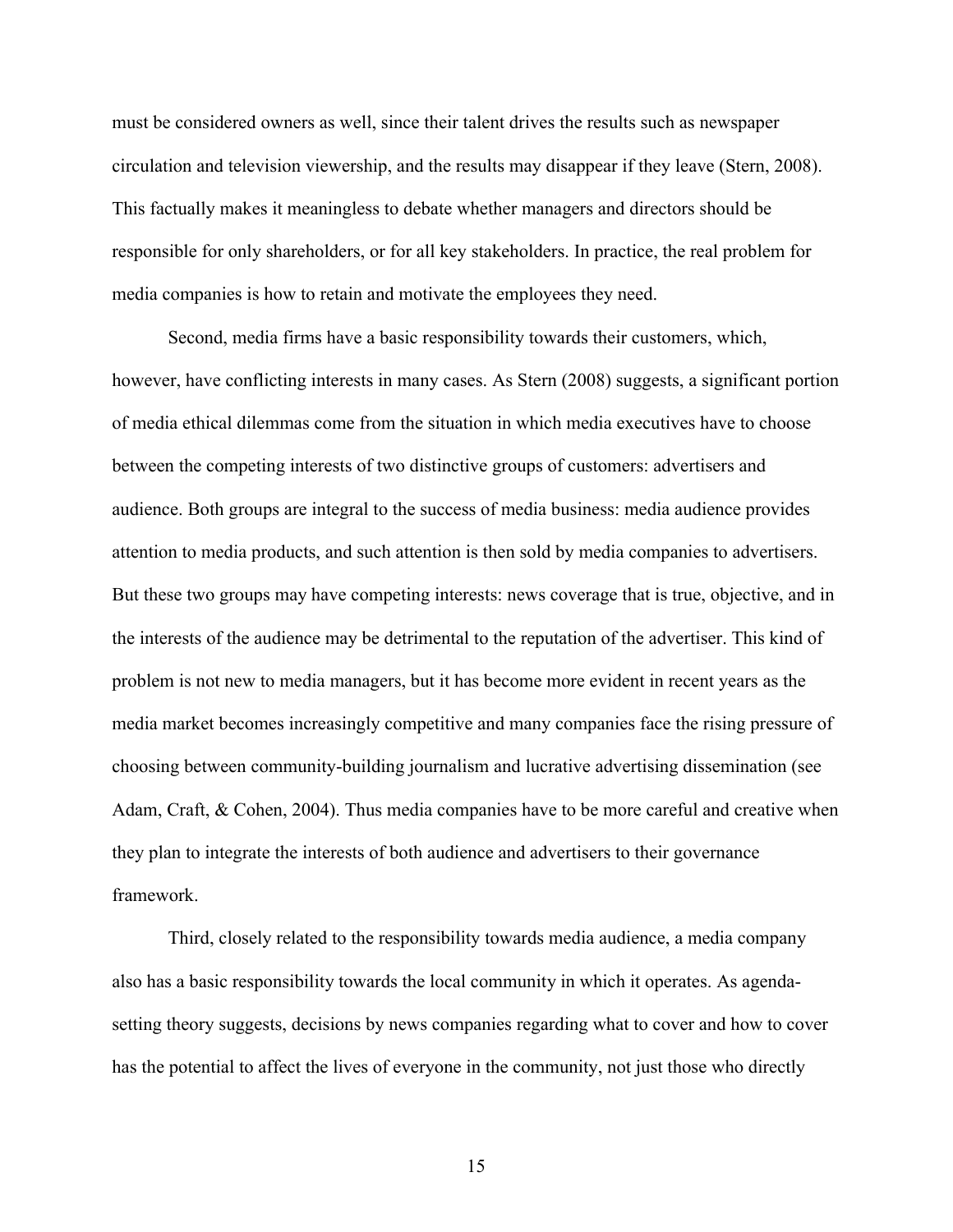must be considered owners as well, since their talent drives the results such as newspaper circulation and television viewership, and the results may disappear if they leave (Stern, 2008). This factually makes it meaningless to debate whether managers and directors should be responsible for only shareholders, or for all key stakeholders. In practice, the real problem for media companies is how to retain and motivate the employees they need.

Second, media firms have a basic responsibility towards their customers, which, however, have conflicting interests in many cases. As Stern (2008) suggests, a significant portion of media ethical dilemmas come from the situation in which media executives have to choose between the competing interests of two distinctive groups of customers: advertisers and audience. Both groups are integral to the success of media business: media audience provides attention to media products, and such attention is then sold by media companies to advertisers. But these two groups may have competing interests: news coverage that is true, objective, and in the interests of the audience may be detrimental to the reputation of the advertiser. This kind of problem is not new to media managers, but it has become more evident in recent years as the media market becomes increasingly competitive and many companies face the rising pressure of choosing between community-building journalism and lucrative advertising dissemination (see Adam, Craft, & Cohen, 2004). Thus media companies have to be more careful and creative when they plan to integrate the interests of both audience and advertisers to their governance framework.

Third, closely related to the responsibility towards media audience, a media company also has a basic responsibility towards the local community in which it operates. As agendasetting theory suggests, decisions by news companies regarding what to cover and how to cover has the potential to affect the lives of everyone in the community, not just those who directly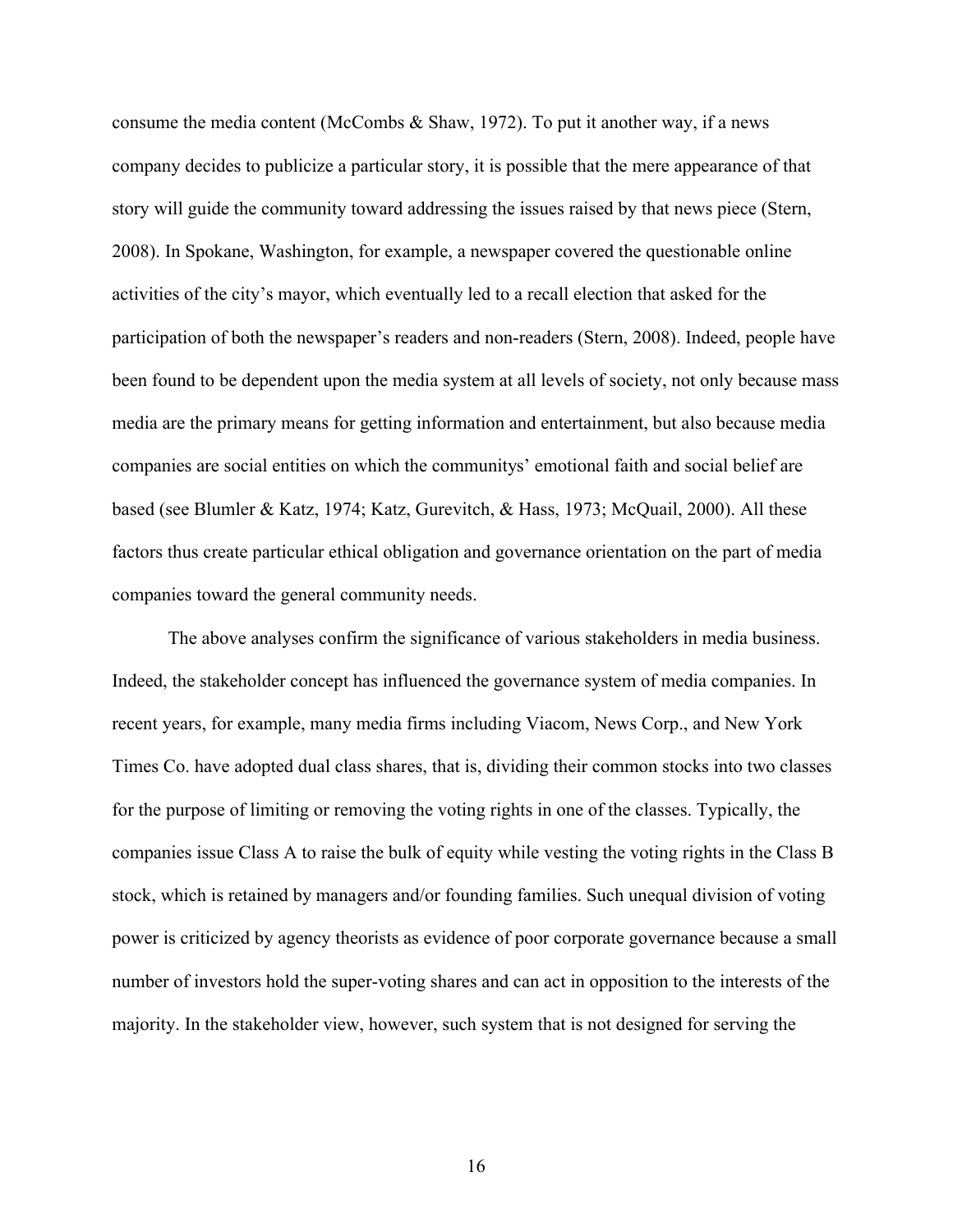consume the media content (McCombs & Shaw, 1972). To put it another way, if a news company decides to publicize a particular story, it is possible that the mere appearance of that story will guide the community toward addressing the issues raised by that news piece (Stern, 2008). In Spokane, Washington, for example, a newspaper covered the questionable online activities of the city's mayor, which eventually led to a recall election that asked for the participation of both the newspaper's readers and non-readers (Stern, 2008). Indeed, people have been found to be dependent upon the media system at all levels of society, not only because mass media are the primary means for getting information and entertainment, but also because media companies are social entities on which the communitys' emotional faith and social belief are based (see Blumler & Katz, 1974; Katz, Gurevitch, & Hass, 1973; McQuail, 2000). All these factors thus create particular ethical obligation and governance orientation on the part of media companies toward the general community needs.

The above analyses confirm the significance of various stakeholders in media business. Indeed, the stakeholder concept has influenced the governance system of media companies. In recent years, for example, many media firms including Viacom, News Corp., and New York Times Co. have adopted dual class shares, that is, dividing their common stocks into two classes for the purpose of limiting or removing the voting rights in one of the classes. Typically, the companies issue Class A to raise the bulk of equity while vesting the voting rights in the Class B stock, which is retained by managers and/or founding families. Such unequal division of voting power is criticized by agency theorists as evidence of poor corporate governance because a small number of investors hold the super-voting shares and can act in opposition to the interests of the majority. In the stakeholder view, however, such system that is not designed for serving the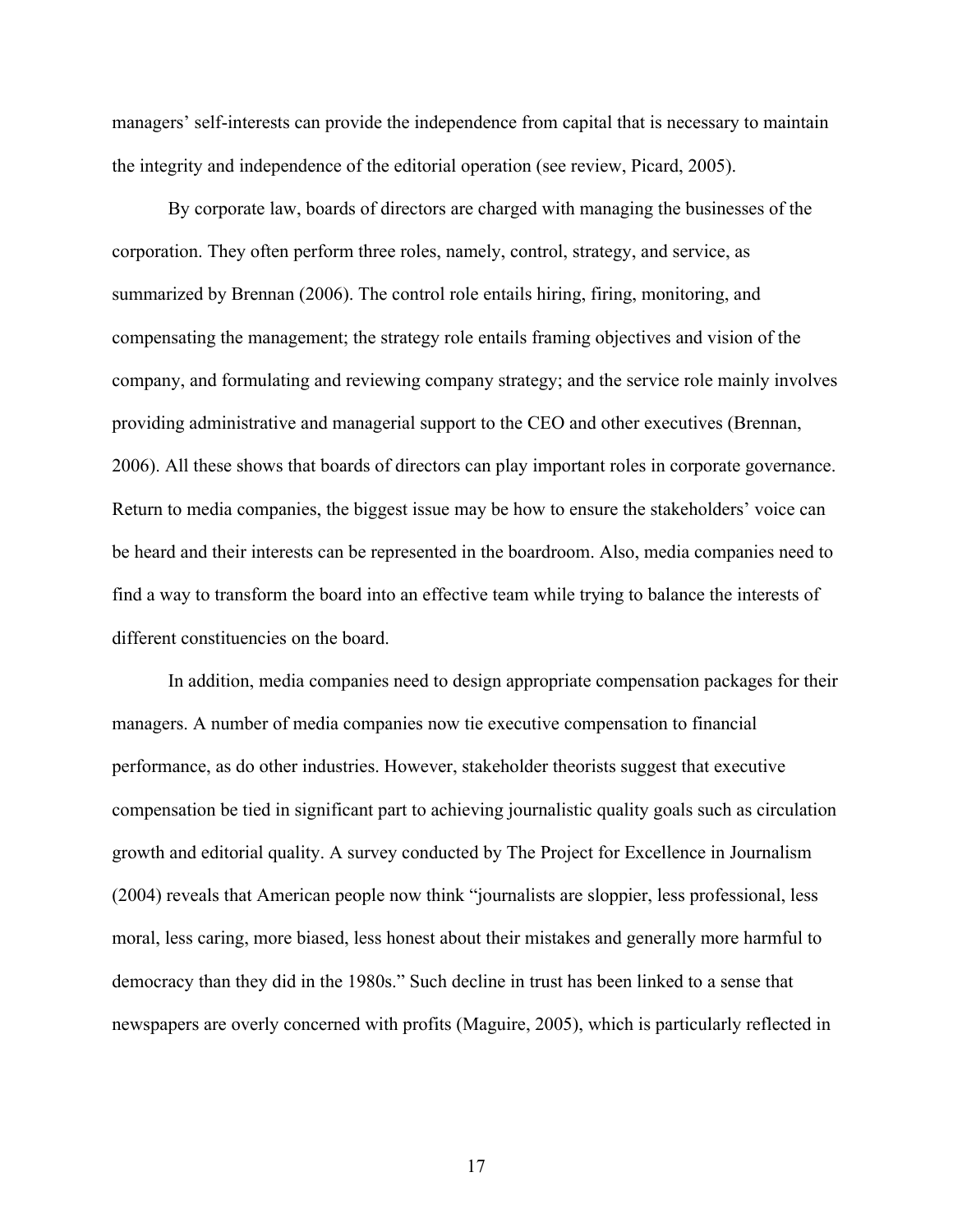managers' self-interests can provide the independence from capital that is necessary to maintain the integrity and independence of the editorial operation (see review, Picard, 2005).

By corporate law, boards of directors are charged with managing the businesses of the corporation. They often perform three roles, namely, control, strategy, and service, as summarized by Brennan (2006). The control role entails hiring, firing, monitoring, and compensating the management; the strategy role entails framing objectives and vision of the company, and formulating and reviewing company strategy; and the service role mainly involves providing administrative and managerial support to the CEO and other executives (Brennan, 2006). All these shows that boards of directors can play important roles in corporate governance. Return to media companies, the biggest issue may be how to ensure the stakeholders' voice can be heard and their interests can be represented in the boardroom. Also, media companies need to find a way to transform the board into an effective team while trying to balance the interests of different constituencies on the board.

In addition, media companies need to design appropriate compensation packages for their managers. A number of media companies now tie executive compensation to financial performance, as do other industries. However, stakeholder theorists suggest that executive compensation be tied in significant part to achieving journalistic quality goals such as circulation growth and editorial quality. A survey conducted by The Project for Excellence in Journalism (2004) reveals that American people now think "journalists are sloppier, less professional, less moral, less caring, more biased, less honest about their mistakes and generally more harmful to democracy than they did in the 1980s." Such decline in trust has been linked to a sense that newspapers are overly concerned with profits (Maguire, 2005), which is particularly reflected in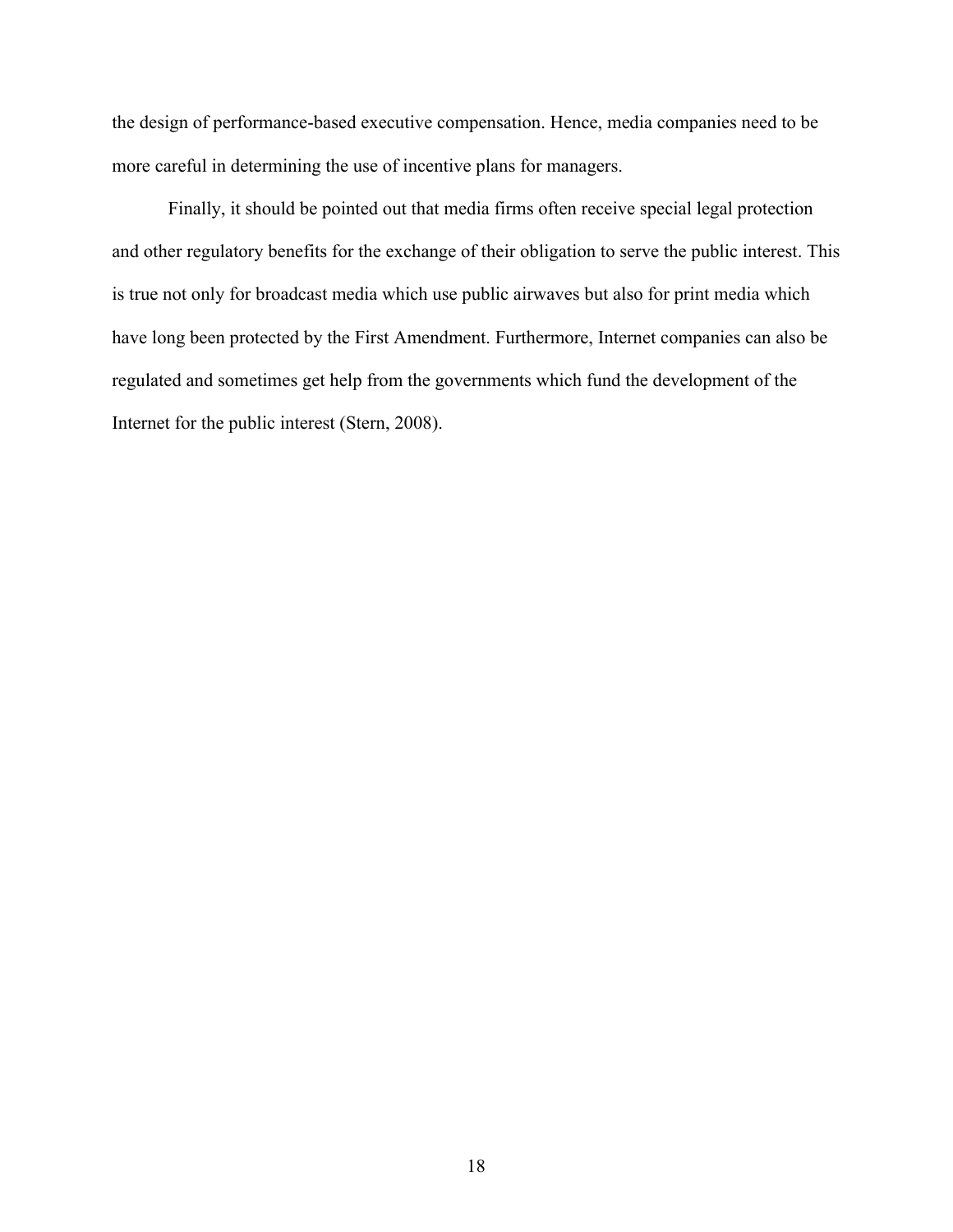the design of performance-based executive compensation. Hence, media companies need to be more careful in determining the use of incentive plans for managers.

Finally, it should be pointed out that media firms often receive special legal protection and other regulatory benefits for the exchange of their obligation to serve the public interest. This is true not only for broadcast media which use public airwaves but also for print media which have long been protected by the First Amendment. Furthermore, Internet companies can also be regulated and sometimes get help from the governments which fund the development of the Internet for the public interest (Stern, 2008).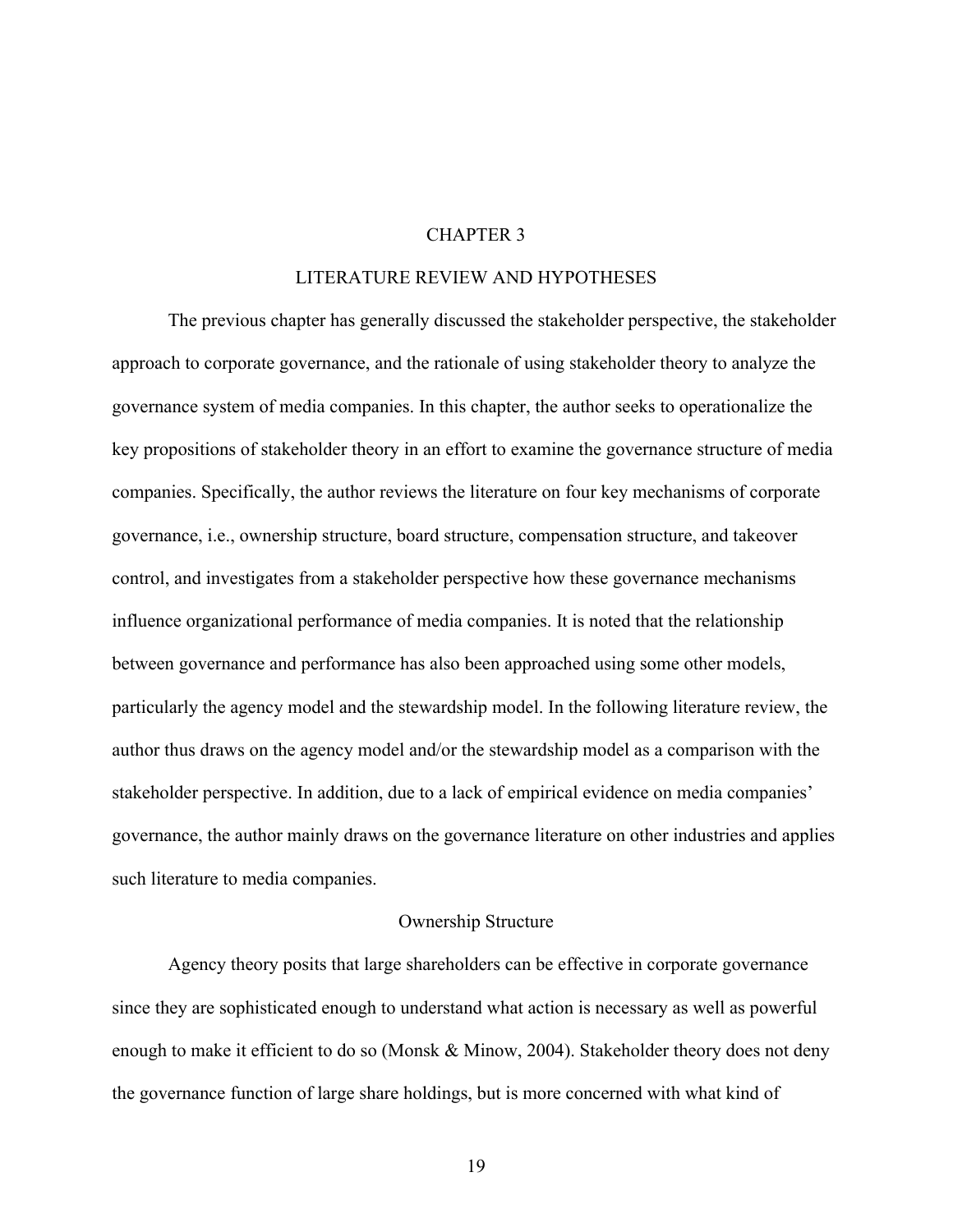#### CHAPTER 3

#### LITERATURE REVIEW AND HYPOTHESES

The previous chapter has generally discussed the stakeholder perspective, the stakeholder approach to corporate governance, and the rationale of using stakeholder theory to analyze the governance system of media companies. In this chapter, the author seeks to operationalize the key propositions of stakeholder theory in an effort to examine the governance structure of media companies. Specifically, the author reviews the literature on four key mechanisms of corporate governance, i.e., ownership structure, board structure, compensation structure, and takeover control, and investigates from a stakeholder perspective how these governance mechanisms influence organizational performance of media companies. It is noted that the relationship between governance and performance has also been approached using some other models, particularly the agency model and the stewardship model. In the following literature review, the author thus draws on the agency model and/or the stewardship model as a comparison with the stakeholder perspective. In addition, due to a lack of empirical evidence on media companies' governance, the author mainly draws on the governance literature on other industries and applies such literature to media companies.

#### Ownership Structure

Agency theory posits that large shareholders can be effective in corporate governance since they are sophisticated enough to understand what action is necessary as well as powerful enough to make it efficient to do so (Monsk & Minow, 2004). Stakeholder theory does not deny the governance function of large share holdings, but is more concerned with what kind of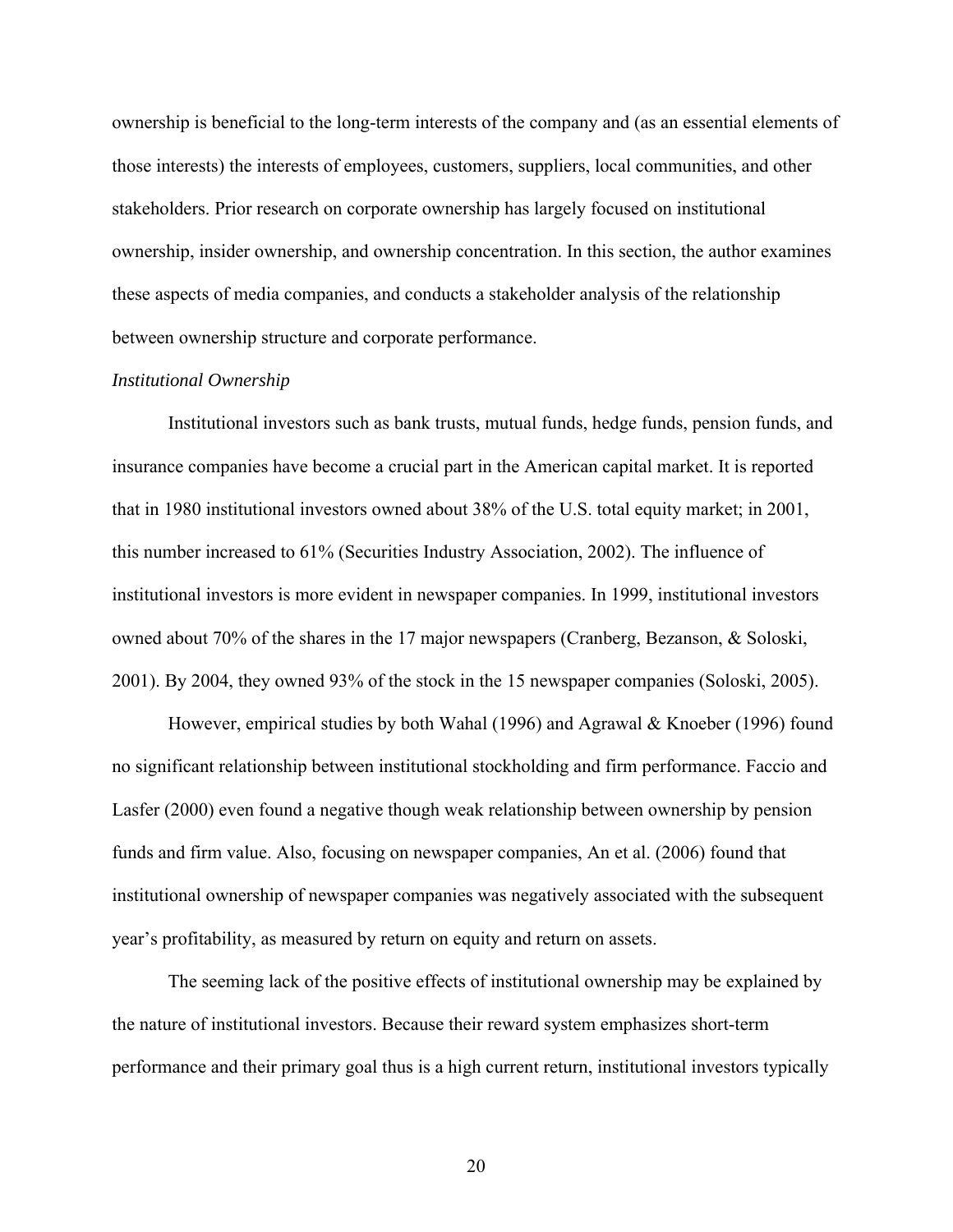ownership is beneficial to the long-term interests of the company and (as an essential elements of those interests) the interests of employees, customers, suppliers, local communities, and other stakeholders. Prior research on corporate ownership has largely focused on institutional ownership, insider ownership, and ownership concentration. In this section, the author examines these aspects of media companies, and conducts a stakeholder analysis of the relationship between ownership structure and corporate performance.

#### *Institutional Ownership*

Institutional investors such as bank trusts, mutual funds, hedge funds, pension funds, and insurance companies have become a crucial part in the American capital market. It is reported that in 1980 institutional investors owned about 38% of the U.S. total equity market; in 2001, this number increased to 61% (Securities Industry Association, 2002). The influence of institutional investors is more evident in newspaper companies. In 1999, institutional investors owned about 70% of the shares in the 17 major newspapers (Cranberg, Bezanson, & Soloski, 2001). By 2004, they owned 93% of the stock in the 15 newspaper companies (Soloski, 2005).

However, empirical studies by both Wahal (1996) and Agrawal & Knoeber (1996) found no significant relationship between institutional stockholding and firm performance. Faccio and Lasfer (2000) even found a negative though weak relationship between ownership by pension funds and firm value. Also, focusing on newspaper companies, An et al. (2006) found that institutional ownership of newspaper companies was negatively associated with the subsequent year's profitability, as measured by return on equity and return on assets.

The seeming lack of the positive effects of institutional ownership may be explained by the nature of institutional investors. Because their reward system emphasizes short-term performance and their primary goal thus is a high current return, institutional investors typically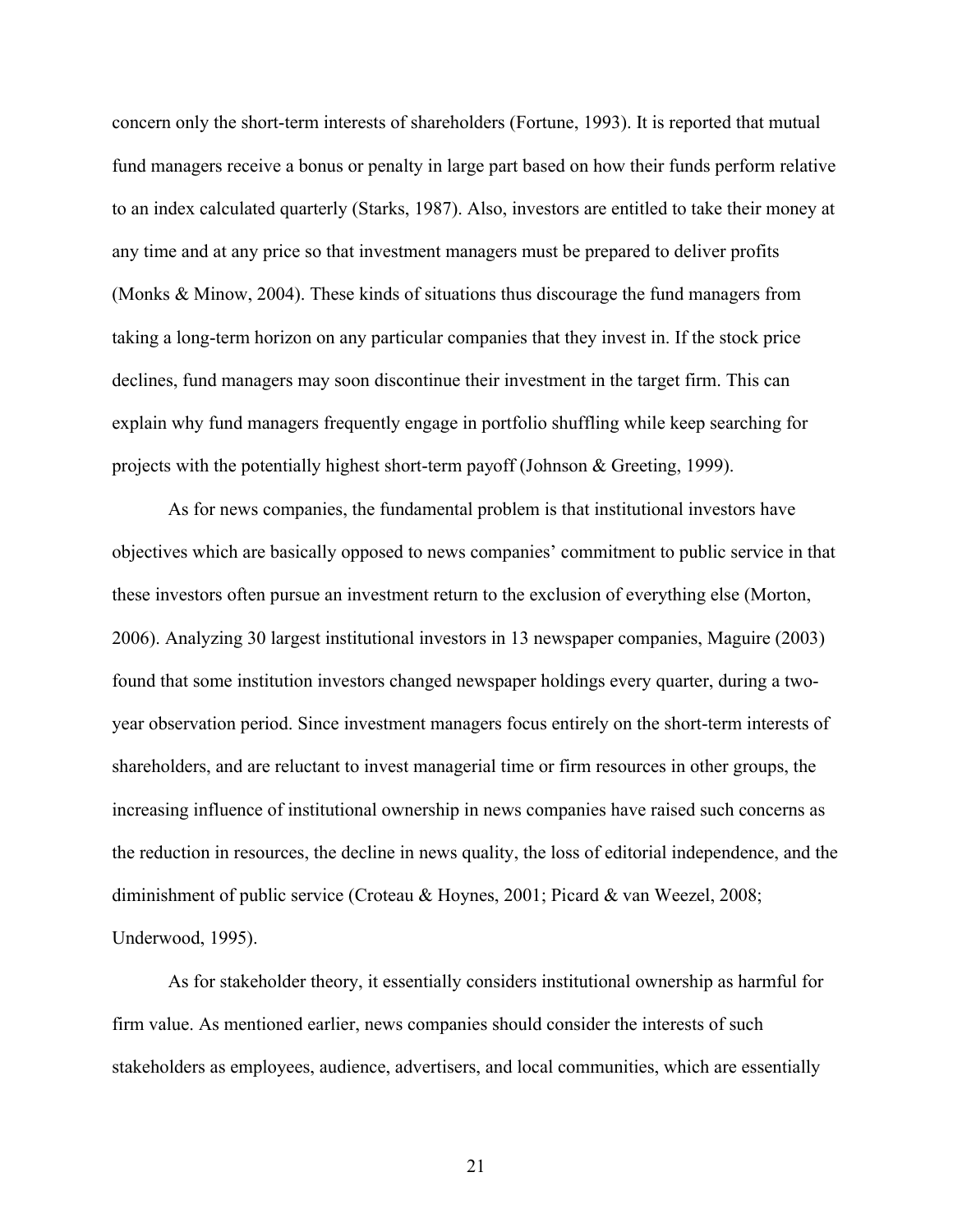concern only the short-term interests of shareholders (Fortune, 1993). It is reported that mutual fund managers receive a bonus or penalty in large part based on how their funds perform relative to an index calculated quarterly (Starks, 1987). Also, investors are entitled to take their money at any time and at any price so that investment managers must be prepared to deliver profits (Monks & Minow, 2004). These kinds of situations thus discourage the fund managers from taking a long-term horizon on any particular companies that they invest in. If the stock price declines, fund managers may soon discontinue their investment in the target firm. This can explain why fund managers frequently engage in portfolio shuffling while keep searching for projects with the potentially highest short-term payoff (Johnson & Greeting, 1999).

As for news companies, the fundamental problem is that institutional investors have objectives which are basically opposed to news companies' commitment to public service in that these investors often pursue an investment return to the exclusion of everything else (Morton, 2006). Analyzing 30 largest institutional investors in 13 newspaper companies, Maguire (2003) found that some institution investors changed newspaper holdings every quarter, during a twoyear observation period. Since investment managers focus entirely on the short-term interests of shareholders, and are reluctant to invest managerial time or firm resources in other groups, the increasing influence of institutional ownership in news companies have raised such concerns as the reduction in resources, the decline in news quality, the loss of editorial independence, and the diminishment of public service (Croteau & Hoynes, 2001; Picard & van Weezel, 2008; Underwood, 1995).

As for stakeholder theory, it essentially considers institutional ownership as harmful for firm value. As mentioned earlier, news companies should consider the interests of such stakeholders as employees, audience, advertisers, and local communities, which are essentially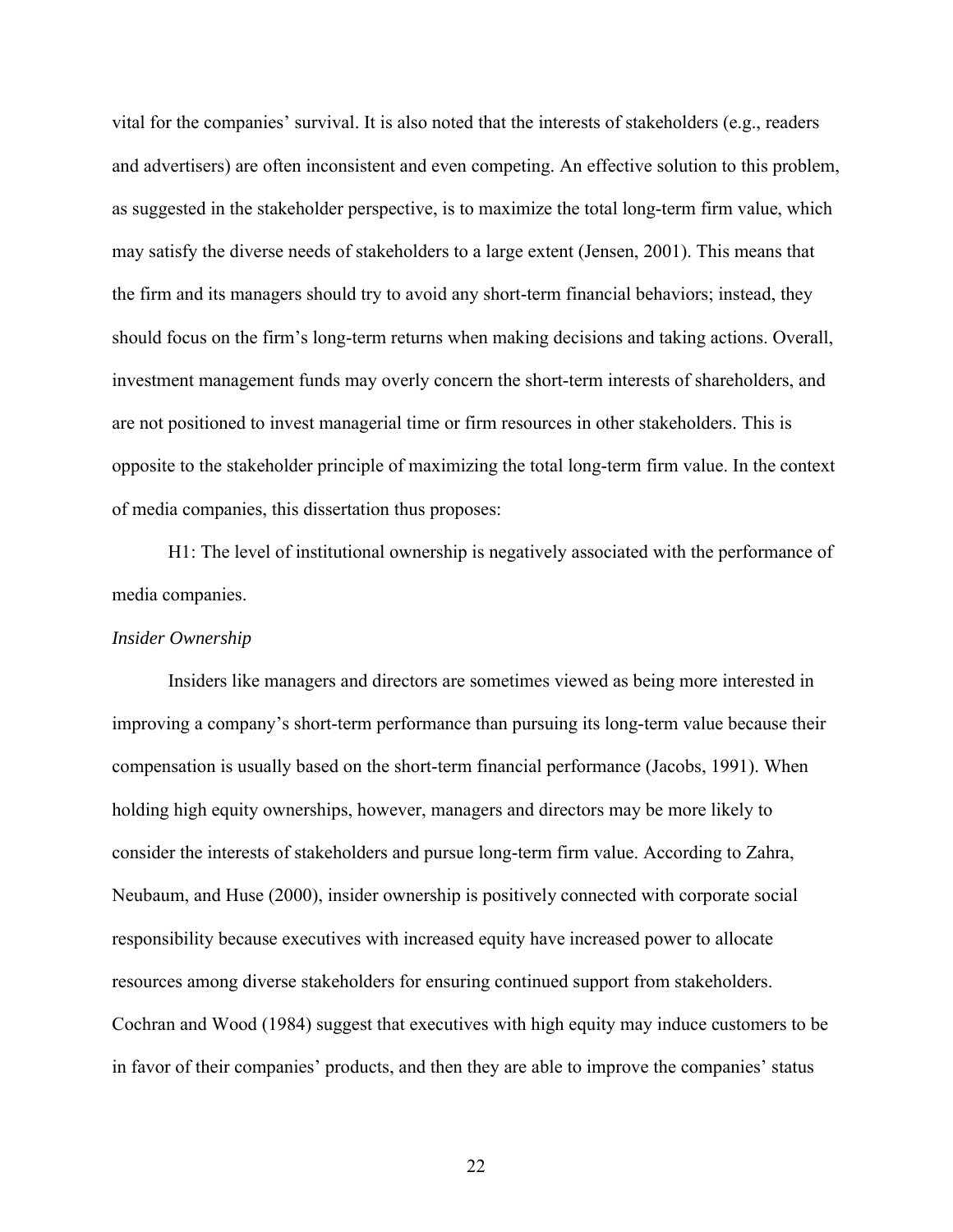vital for the companies' survival. It is also noted that the interests of stakeholders (e.g., readers and advertisers) are often inconsistent and even competing. An effective solution to this problem, as suggested in the stakeholder perspective, is to maximize the total long-term firm value, which may satisfy the diverse needs of stakeholders to a large extent (Jensen, 2001). This means that the firm and its managers should try to avoid any short-term financial behaviors; instead, they should focus on the firm's long-term returns when making decisions and taking actions. Overall, investment management funds may overly concern the short-term interests of shareholders, and are not positioned to invest managerial time or firm resources in other stakeholders. This is opposite to the stakeholder principle of maximizing the total long-term firm value. In the context of media companies, this dissertation thus proposes:

H1: The level of institutional ownership is negatively associated with the performance of media companies.

#### *Insider Ownership*

Insiders like managers and directors are sometimes viewed as being more interested in improving a company's short-term performance than pursuing its long-term value because their compensation is usually based on the short-term financial performance (Jacobs, 1991). When holding high equity ownerships, however, managers and directors may be more likely to consider the interests of stakeholders and pursue long-term firm value. According to Zahra, Neubaum, and Huse (2000), insider ownership is positively connected with corporate social responsibility because executives with increased equity have increased power to allocate resources among diverse stakeholders for ensuring continued support from stakeholders. Cochran and Wood (1984) suggest that executives with high equity may induce customers to be in favor of their companies' products, and then they are able to improve the companies' status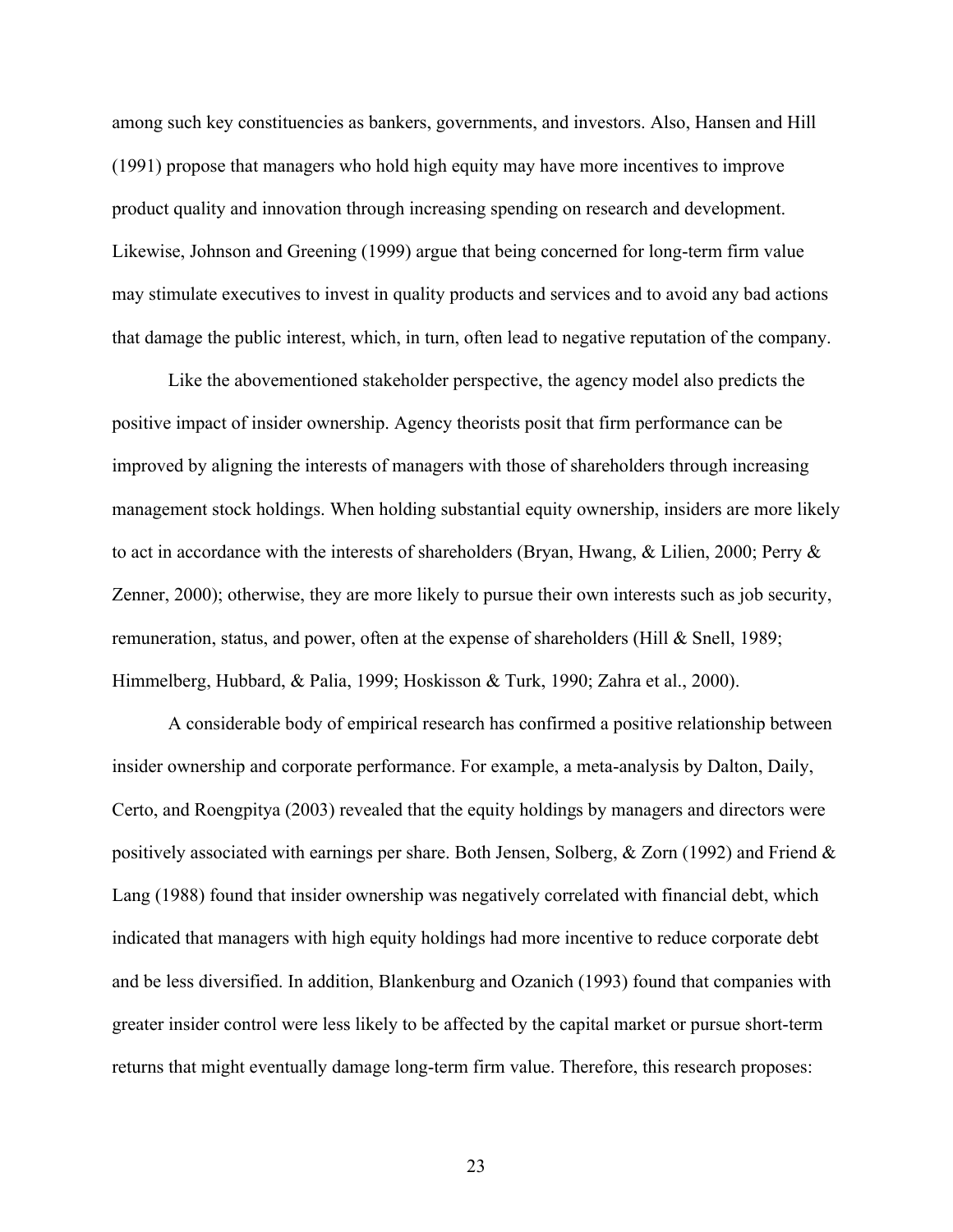among such key constituencies as bankers, governments, and investors. Also, Hansen and Hill (1991) propose that managers who hold high equity may have more incentives to improve product quality and innovation through increasing spending on research and development. Likewise, Johnson and Greening (1999) argue that being concerned for long-term firm value may stimulate executives to invest in quality products and services and to avoid any bad actions that damage the public interest, which, in turn, often lead to negative reputation of the company.

Like the abovementioned stakeholder perspective, the agency model also predicts the positive impact of insider ownership. Agency theorists posit that firm performance can be improved by aligning the interests of managers with those of shareholders through increasing management stock holdings. When holding substantial equity ownership, insiders are more likely to act in accordance with the interests of shareholders (Bryan, Hwang, & Lilien, 2000; Perry & Zenner, 2000); otherwise, they are more likely to pursue their own interests such as job security, remuneration, status, and power, often at the expense of shareholders (Hill & Snell, 1989; Himmelberg, Hubbard, & Palia, 1999; Hoskisson & Turk, 1990; Zahra et al., 2000).

A considerable body of empirical research has confirmed a positive relationship between insider ownership and corporate performance. For example, a meta-analysis by Dalton, Daily, Certo, and Roengpitya (2003) revealed that the equity holdings by managers and directors were positively associated with earnings per share. Both Jensen, Solberg, & Zorn (1992) and Friend & Lang (1988) found that insider ownership was negatively correlated with financial debt, which indicated that managers with high equity holdings had more incentive to reduce corporate debt and be less diversified. In addition, Blankenburg and Ozanich (1993) found that companies with greater insider control were less likely to be affected by the capital market or pursue short-term returns that might eventually damage long-term firm value. Therefore, this research proposes: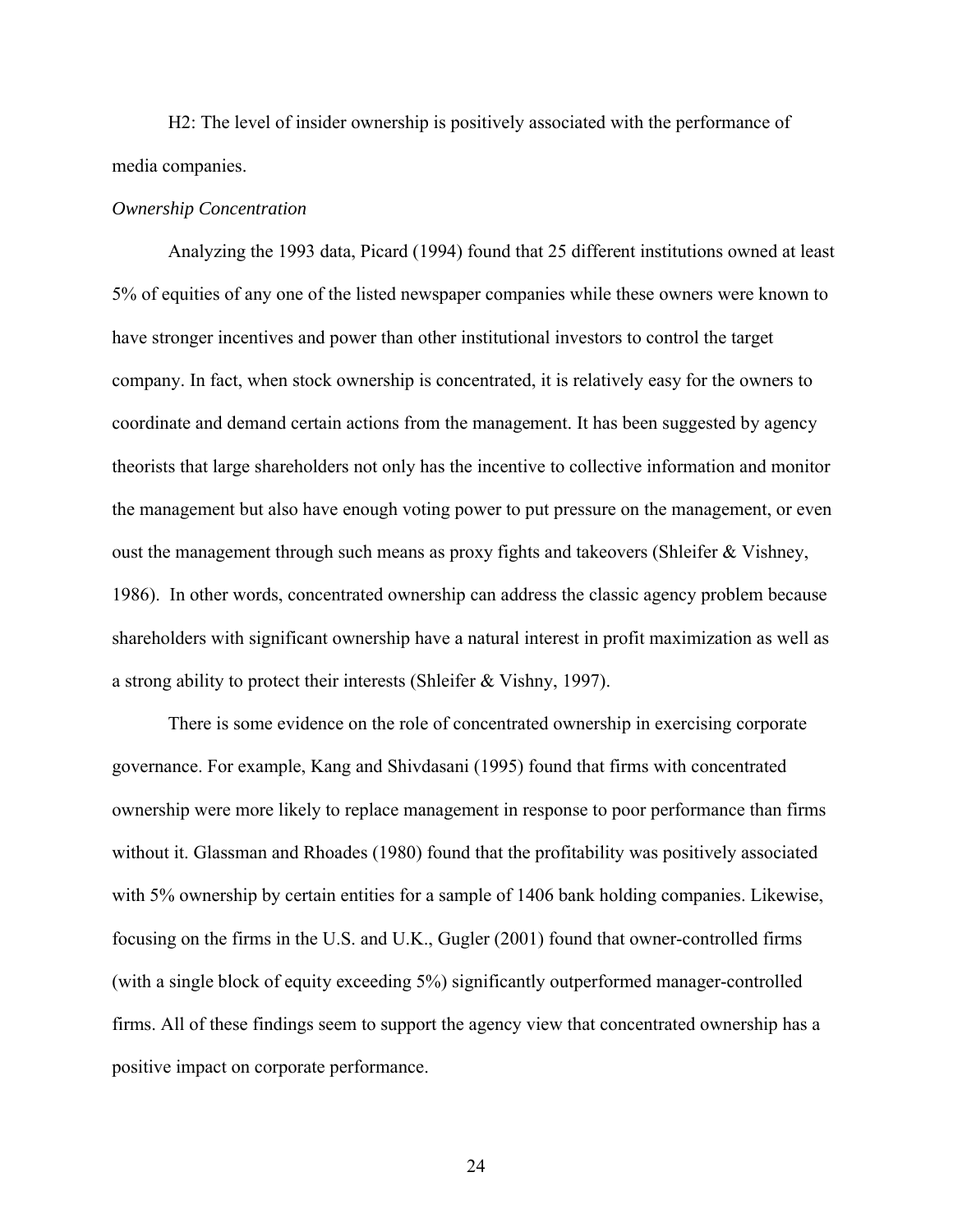H2: The level of insider ownership is positively associated with the performance of media companies.

#### *Ownership Concentration*

Analyzing the 1993 data, Picard (1994) found that 25 different institutions owned at least 5% of equities of any one of the listed newspaper companies while these owners were known to have stronger incentives and power than other institutional investors to control the target company. In fact, when stock ownership is concentrated, it is relatively easy for the owners to coordinate and demand certain actions from the management. It has been suggested by agency theorists that large shareholders not only has the incentive to collective information and monitor the management but also have enough voting power to put pressure on the management, or even oust the management through such means as proxy fights and takeovers (Shleifer & Vishney, 1986). In other words, concentrated ownership can address the classic agency problem because shareholders with significant ownership have a natural interest in profit maximization as well as a strong ability to protect their interests (Shleifer & Vishny, 1997).

There is some evidence on the role of concentrated ownership in exercising corporate governance. For example, Kang and Shivdasani (1995) found that firms with concentrated ownership were more likely to replace management in response to poor performance than firms without it. Glassman and Rhoades (1980) found that the profitability was positively associated with 5% ownership by certain entities for a sample of 1406 bank holding companies. Likewise, focusing on the firms in the U.S. and U.K., Gugler (2001) found that owner-controlled firms (with a single block of equity exceeding 5%) significantly outperformed manager-controlled firms. All of these findings seem to support the agency view that concentrated ownership has a positive impact on corporate performance.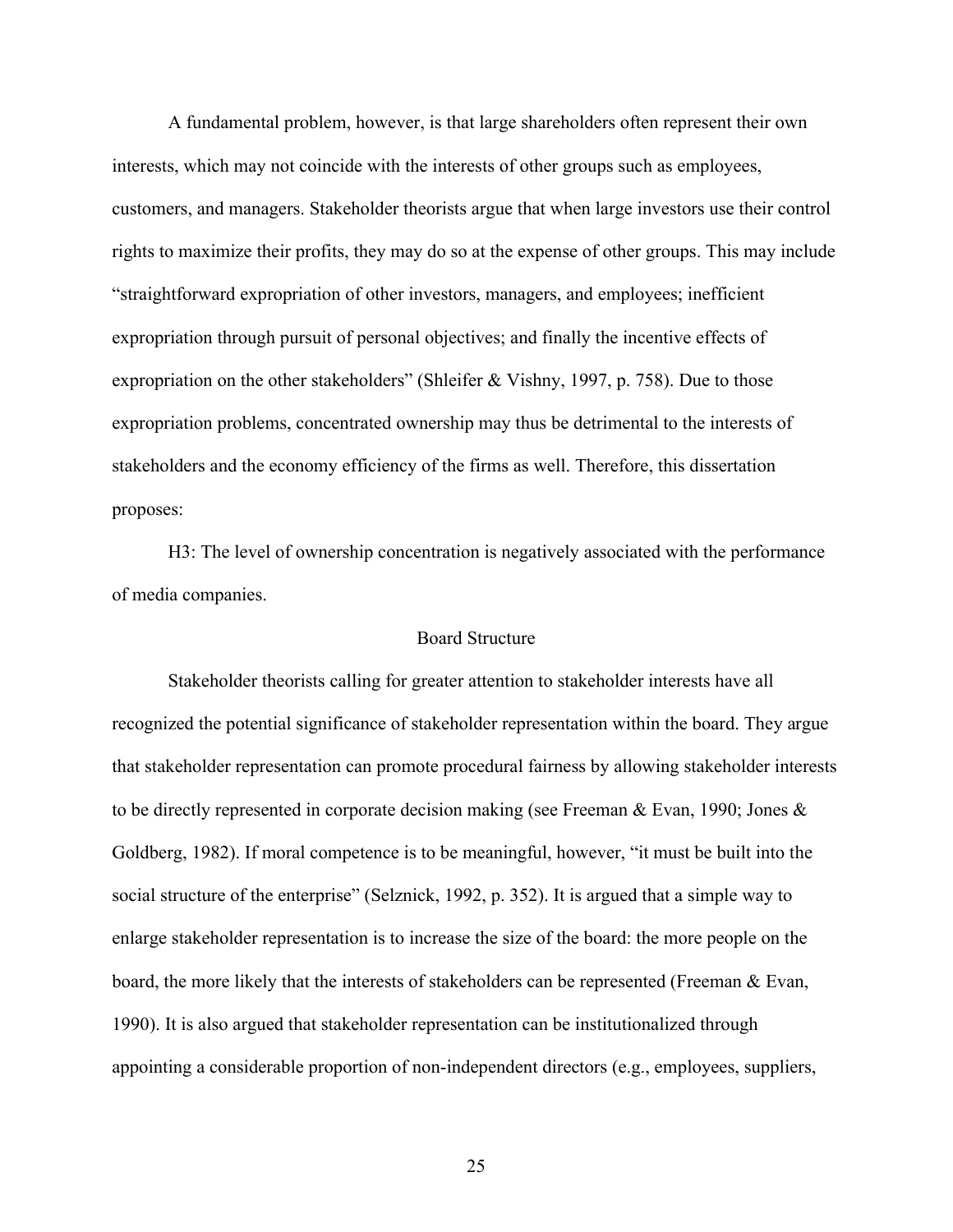A fundamental problem, however, is that large shareholders often represent their own interests, which may not coincide with the interests of other groups such as employees, customers, and managers. Stakeholder theorists argue that when large investors use their control rights to maximize their profits, they may do so at the expense of other groups. This may include "straightforward expropriation of other investors, managers, and employees; inefficient expropriation through pursuit of personal objectives; and finally the incentive effects of expropriation on the other stakeholders" (Shleifer & Vishny, 1997, p. 758). Due to those expropriation problems, concentrated ownership may thus be detrimental to the interests of stakeholders and the economy efficiency of the firms as well. Therefore, this dissertation proposes:

H3: The level of ownership concentration is negatively associated with the performance of media companies.

#### Board Structure

Stakeholder theorists calling for greater attention to stakeholder interests have all recognized the potential significance of stakeholder representation within the board. They argue that stakeholder representation can promote procedural fairness by allowing stakeholder interests to be directly represented in corporate decision making (see Freeman & Evan, 1990; Jones & Goldberg, 1982). If moral competence is to be meaningful, however, "it must be built into the social structure of the enterprise" (Selznick, 1992, p. 352). It is argued that a simple way to enlarge stakeholder representation is to increase the size of the board: the more people on the board, the more likely that the interests of stakeholders can be represented (Freeman  $\&$  Evan, 1990). It is also argued that stakeholder representation can be institutionalized through appointing a considerable proportion of non-independent directors (e.g., employees, suppliers,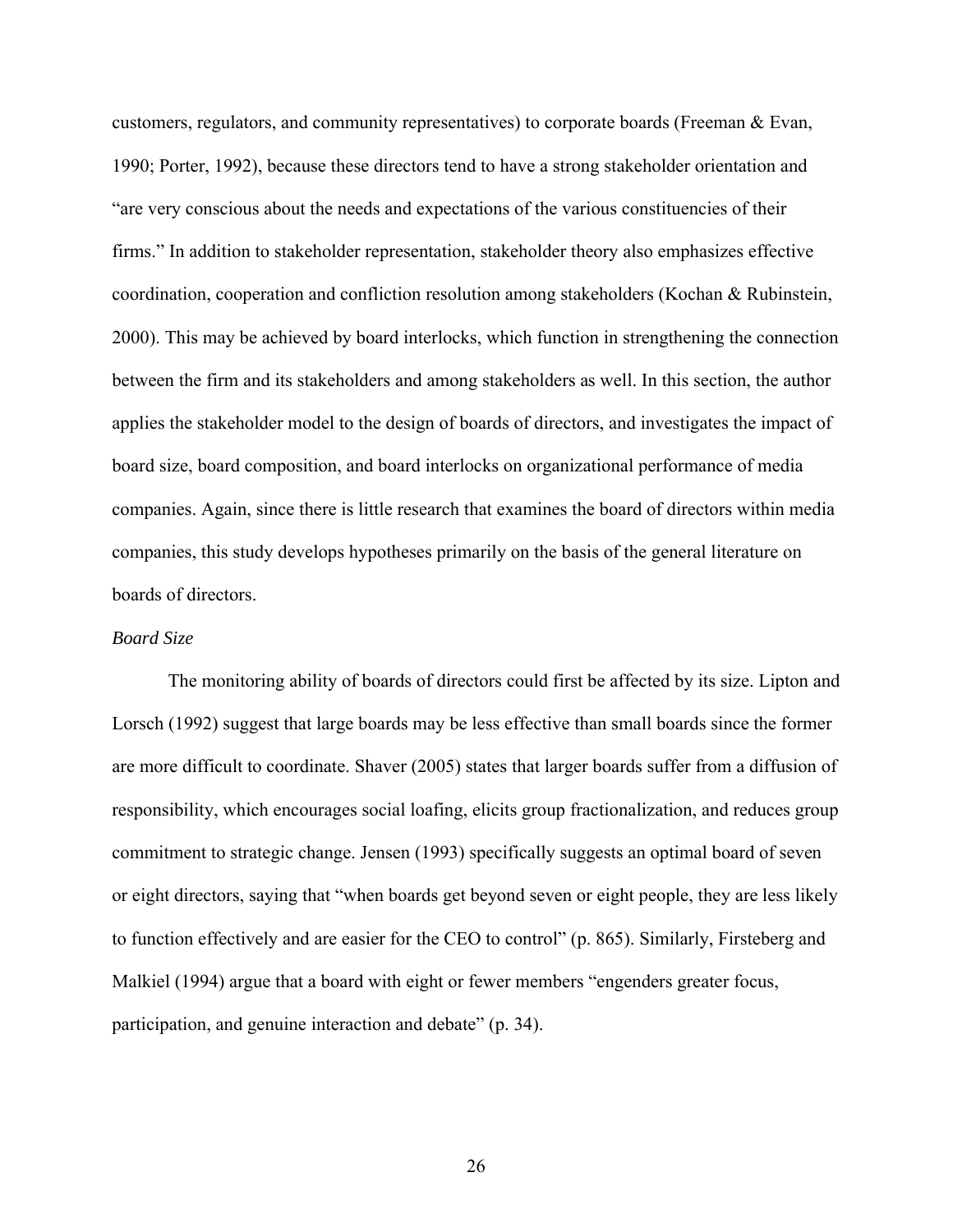customers, regulators, and community representatives) to corporate boards (Freeman & Evan, 1990; Porter, 1992), because these directors tend to have a strong stakeholder orientation and "are very conscious about the needs and expectations of the various constituencies of their firms." In addition to stakeholder representation, stakeholder theory also emphasizes effective coordination, cooperation and confliction resolution among stakeholders (Kochan  $\&$  Rubinstein, 2000). This may be achieved by board interlocks, which function in strengthening the connection between the firm and its stakeholders and among stakeholders as well. In this section, the author applies the stakeholder model to the design of boards of directors, and investigates the impact of board size, board composition, and board interlocks on organizational performance of media companies. Again, since there is little research that examines the board of directors within media companies, this study develops hypotheses primarily on the basis of the general literature on boards of directors.

#### *Board Size*

The monitoring ability of boards of directors could first be affected by its size. Lipton and Lorsch (1992) suggest that large boards may be less effective than small boards since the former are more difficult to coordinate. Shaver (2005) states that larger boards suffer from a diffusion of responsibility, which encourages social loafing, elicits group fractionalization, and reduces group commitment to strategic change. Jensen (1993) specifically suggests an optimal board of seven or eight directors, saying that "when boards get beyond seven or eight people, they are less likely to function effectively and are easier for the CEO to control" (p. 865). Similarly, Firsteberg and Malkiel (1994) argue that a board with eight or fewer members "engenders greater focus, participation, and genuine interaction and debate" (p. 34).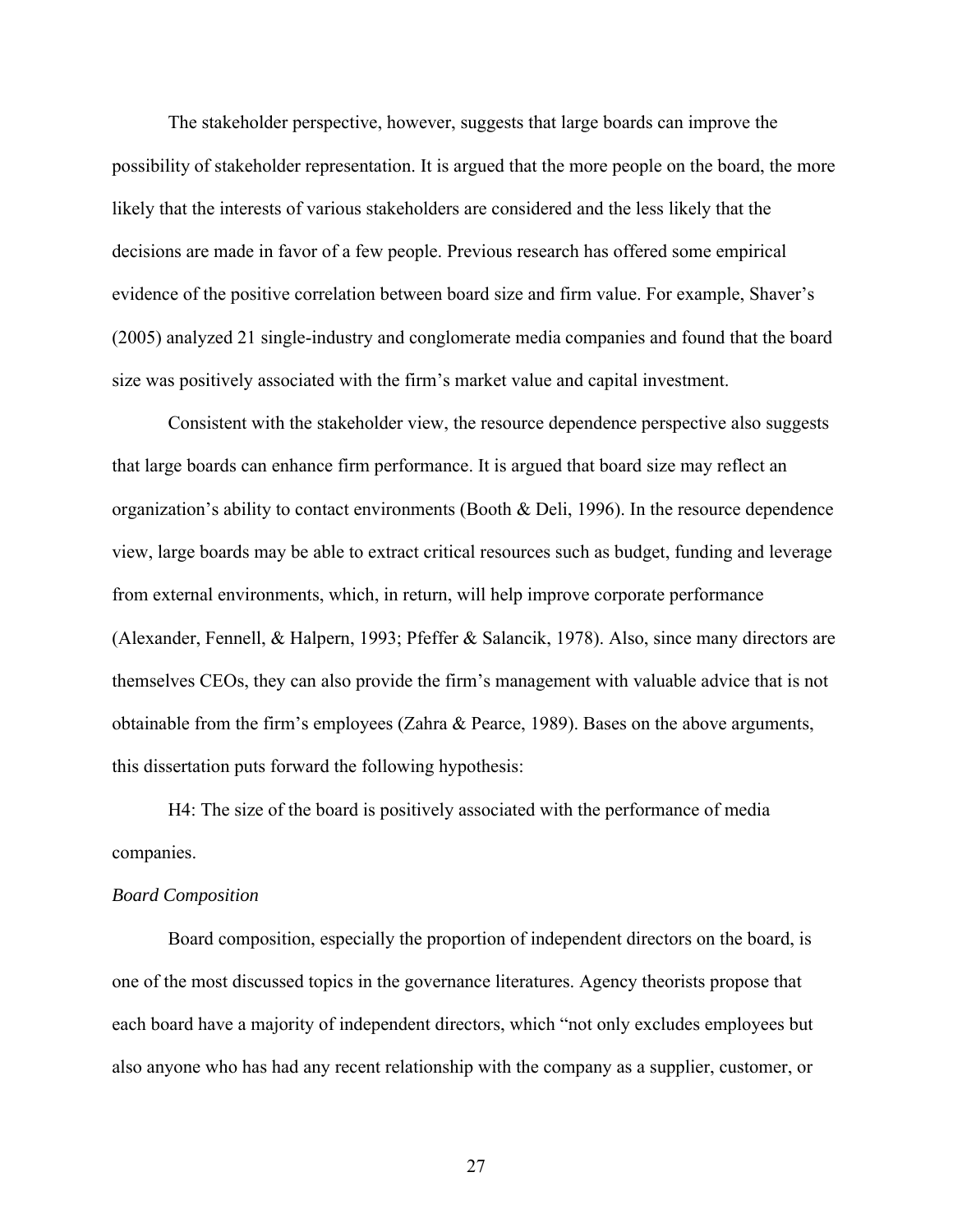The stakeholder perspective, however, suggests that large boards can improve the possibility of stakeholder representation. It is argued that the more people on the board, the more likely that the interests of various stakeholders are considered and the less likely that the decisions are made in favor of a few people. Previous research has offered some empirical evidence of the positive correlation between board size and firm value. For example, Shaver's (2005) analyzed 21 single-industry and conglomerate media companies and found that the board size was positively associated with the firm's market value and capital investment.

Consistent with the stakeholder view, the resource dependence perspective also suggests that large boards can enhance firm performance. It is argued that board size may reflect an organization's ability to contact environments (Booth & Deli, 1996). In the resource dependence view, large boards may be able to extract critical resources such as budget, funding and leverage from external environments, which, in return, will help improve corporate performance (Alexander, Fennell, & Halpern, 1993; Pfeffer & Salancik, 1978). Also, since many directors are themselves CEOs, they can also provide the firm's management with valuable advice that is not obtainable from the firm's employees (Zahra & Pearce, 1989). Bases on the above arguments, this dissertation puts forward the following hypothesis:

H4: The size of the board is positively associated with the performance of media companies.

#### *Board Composition*

Board composition, especially the proportion of independent directors on the board, is one of the most discussed topics in the governance literatures. Agency theorists propose that each board have a majority of independent directors, which "not only excludes employees but also anyone who has had any recent relationship with the company as a supplier, customer, or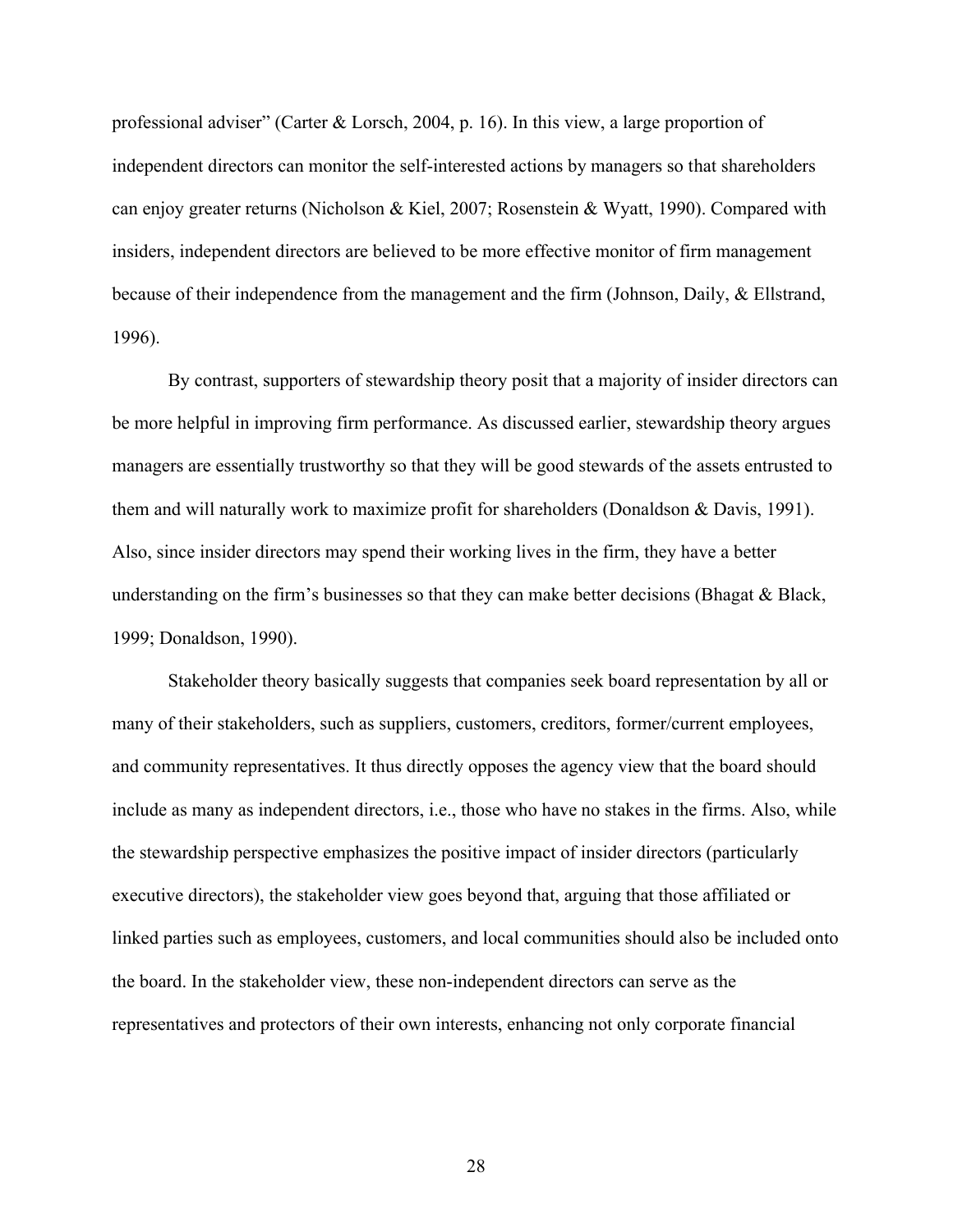professional adviser" (Carter & Lorsch, 2004, p. 16). In this view, a large proportion of independent directors can monitor the self-interested actions by managers so that shareholders can enjoy greater returns (Nicholson & Kiel, 2007; Rosenstein & Wyatt, 1990). Compared with insiders, independent directors are believed to be more effective monitor of firm management because of their independence from the management and the firm (Johnson, Daily, & Ellstrand, 1996).

By contrast, supporters of stewardship theory posit that a majority of insider directors can be more helpful in improving firm performance. As discussed earlier, stewardship theory argues managers are essentially trustworthy so that they will be good stewards of the assets entrusted to them and will naturally work to maximize profit for shareholders (Donaldson  $\&$  Davis, 1991). Also, since insider directors may spend their working lives in the firm, they have a better understanding on the firm's businesses so that they can make better decisions (Bhagat & Black, 1999; Donaldson, 1990).

Stakeholder theory basically suggests that companies seek board representation by all or many of their stakeholders, such as suppliers, customers, creditors, former/current employees, and community representatives. It thus directly opposes the agency view that the board should include as many as independent directors, i.e., those who have no stakes in the firms. Also, while the stewardship perspective emphasizes the positive impact of insider directors (particularly executive directors), the stakeholder view goes beyond that, arguing that those affiliated or linked parties such as employees, customers, and local communities should also be included onto the board. In the stakeholder view, these non-independent directors can serve as the representatives and protectors of their own interests, enhancing not only corporate financial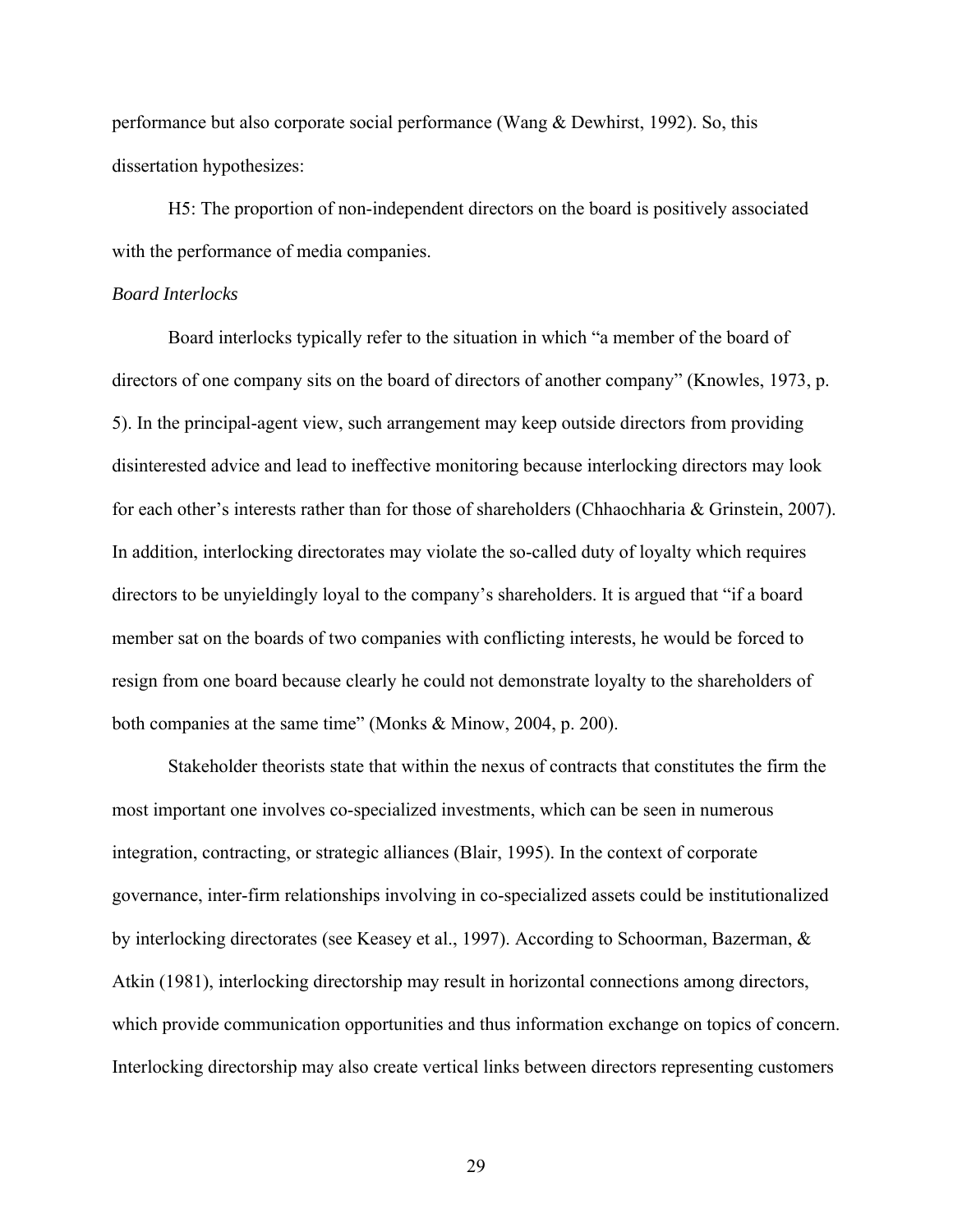performance but also corporate social performance (Wang & Dewhirst, 1992). So, this dissertation hypothesizes:

H5: The proportion of non-independent directors on the board is positively associated with the performance of media companies.

# *Board Interlocks*

Board interlocks typically refer to the situation in which "a member of the board of directors of one company sits on the board of directors of another company" (Knowles, 1973, p. 5). In the principal-agent view, such arrangement may keep outside directors from providing disinterested advice and lead to ineffective monitoring because interlocking directors may look for each other's interests rather than for those of shareholders (Chhaochharia & Grinstein, 2007). In addition, interlocking directorates may violate the so-called duty of loyalty which requires directors to be unyieldingly loyal to the company's shareholders. It is argued that "if a board member sat on the boards of two companies with conflicting interests, he would be forced to resign from one board because clearly he could not demonstrate loyalty to the shareholders of both companies at the same time" (Monks & Minow, 2004, p. 200).

Stakeholder theorists state that within the nexus of contracts that constitutes the firm the most important one involves co-specialized investments, which can be seen in numerous integration, contracting, or strategic alliances (Blair, 1995). In the context of corporate governance, inter-firm relationships involving in co-specialized assets could be institutionalized by interlocking directorates (see Keasey et al., 1997). According to Schoorman, Bazerman, & Atkin (1981), interlocking directorship may result in horizontal connections among directors, which provide communication opportunities and thus information exchange on topics of concern. Interlocking directorship may also create vertical links between directors representing customers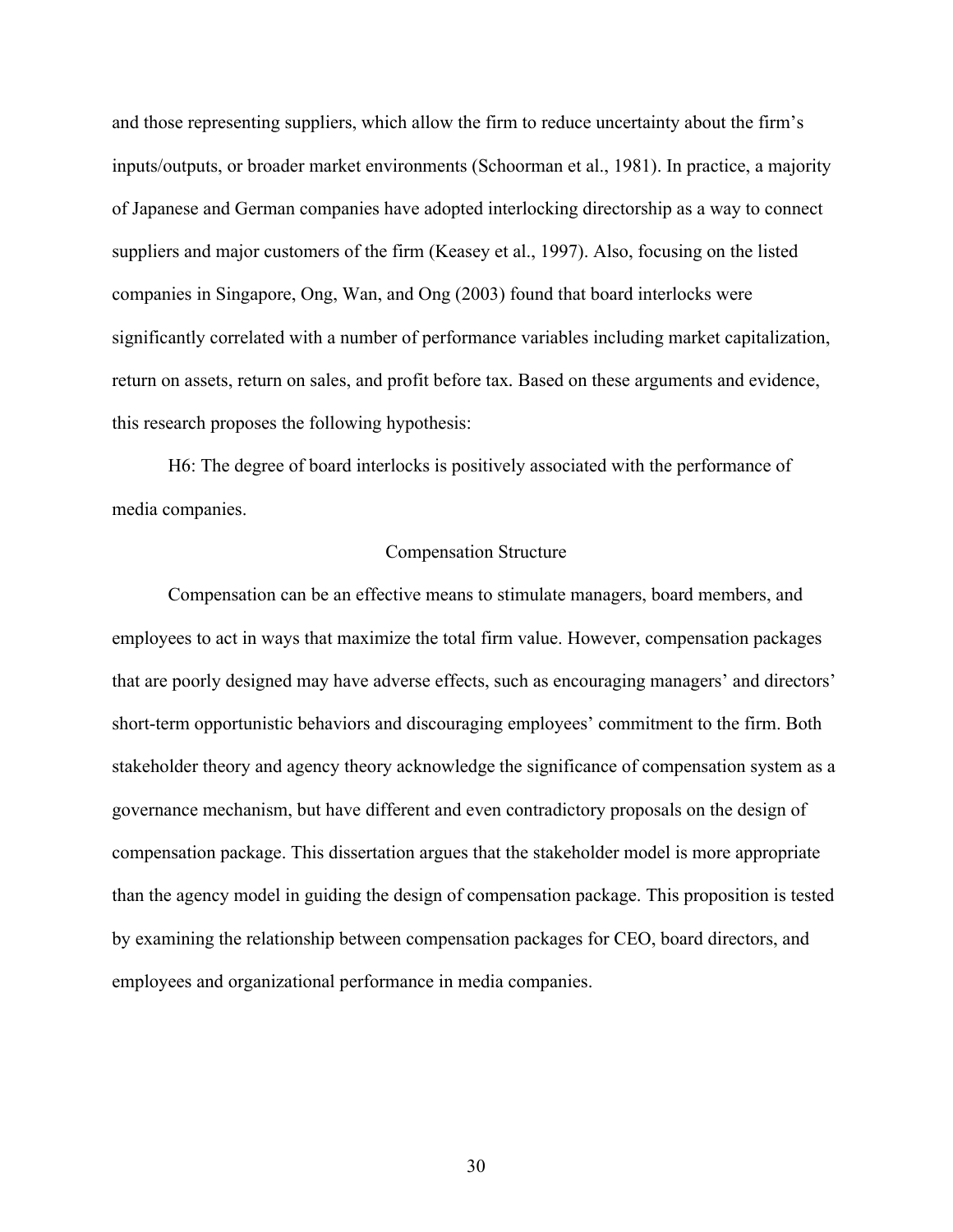and those representing suppliers, which allow the firm to reduce uncertainty about the firm's inputs/outputs, or broader market environments (Schoorman et al., 1981). In practice, a majority of Japanese and German companies have adopted interlocking directorship as a way to connect suppliers and major customers of the firm (Keasey et al., 1997). Also, focusing on the listed companies in Singapore, Ong, Wan, and Ong (2003) found that board interlocks were significantly correlated with a number of performance variables including market capitalization, return on assets, return on sales, and profit before tax*.* Based on these arguments and evidence, this research proposes the following hypothesis:

H6: The degree of board interlocks is positively associated with the performance of media companies.

# Compensation Structure

Compensation can be an effective means to stimulate managers, board members, and employees to act in ways that maximize the total firm value. However, compensation packages that are poorly designed may have adverse effects, such as encouraging managers' and directors' short-term opportunistic behaviors and discouraging employees' commitment to the firm. Both stakeholder theory and agency theory acknowledge the significance of compensation system as a governance mechanism, but have different and even contradictory proposals on the design of compensation package. This dissertation argues that the stakeholder model is more appropriate than the agency model in guiding the design of compensation package. This proposition is tested by examining the relationship between compensation packages for CEO, board directors, and employees and organizational performance in media companies.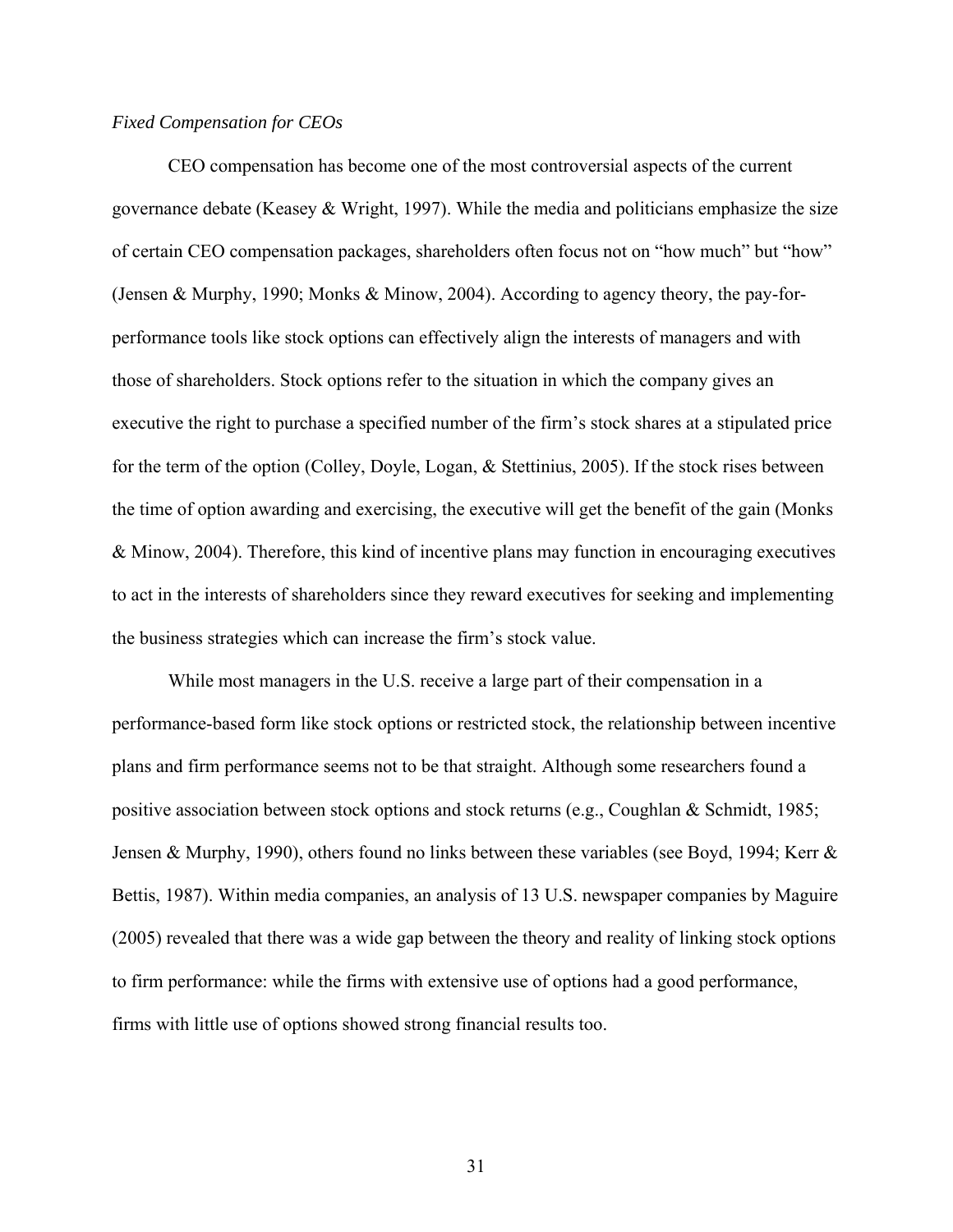# *Fixed Compensation for CEOs*

CEO compensation has become one of the most controversial aspects of the current governance debate (Keasey & Wright, 1997). While the media and politicians emphasize the size of certain CEO compensation packages, shareholders often focus not on "how much" but "how" (Jensen & Murphy, 1990; Monks & Minow, 2004). According to agency theory, the pay-forperformance tools like stock options can effectively align the interests of managers and with those of shareholders. Stock options refer to the situation in which the company gives an executive the right to purchase a specified number of the firm's stock shares at a stipulated price for the term of the option (Colley, Doyle, Logan, & Stettinius, 2005). If the stock rises between the time of option awarding and exercising, the executive will get the benefit of the gain (Monks & Minow, 2004). Therefore, this kind of incentive plans may function in encouraging executives to act in the interests of shareholders since they reward executives for seeking and implementing the business strategies which can increase the firm's stock value.

While most managers in the U.S. receive a large part of their compensation in a performance-based form like stock options or restricted stock, the relationship between incentive plans and firm performance seems not to be that straight. Although some researchers found a positive association between stock options and stock returns (e.g., Coughlan & Schmidt, 1985; Jensen & Murphy, 1990), others found no links between these variables (see Boyd, 1994; Kerr & Bettis, 1987). Within media companies, an analysis of 13 U.S. newspaper companies by Maguire (2005) revealed that there was a wide gap between the theory and reality of linking stock options to firm performance: while the firms with extensive use of options had a good performance, firms with little use of options showed strong financial results too.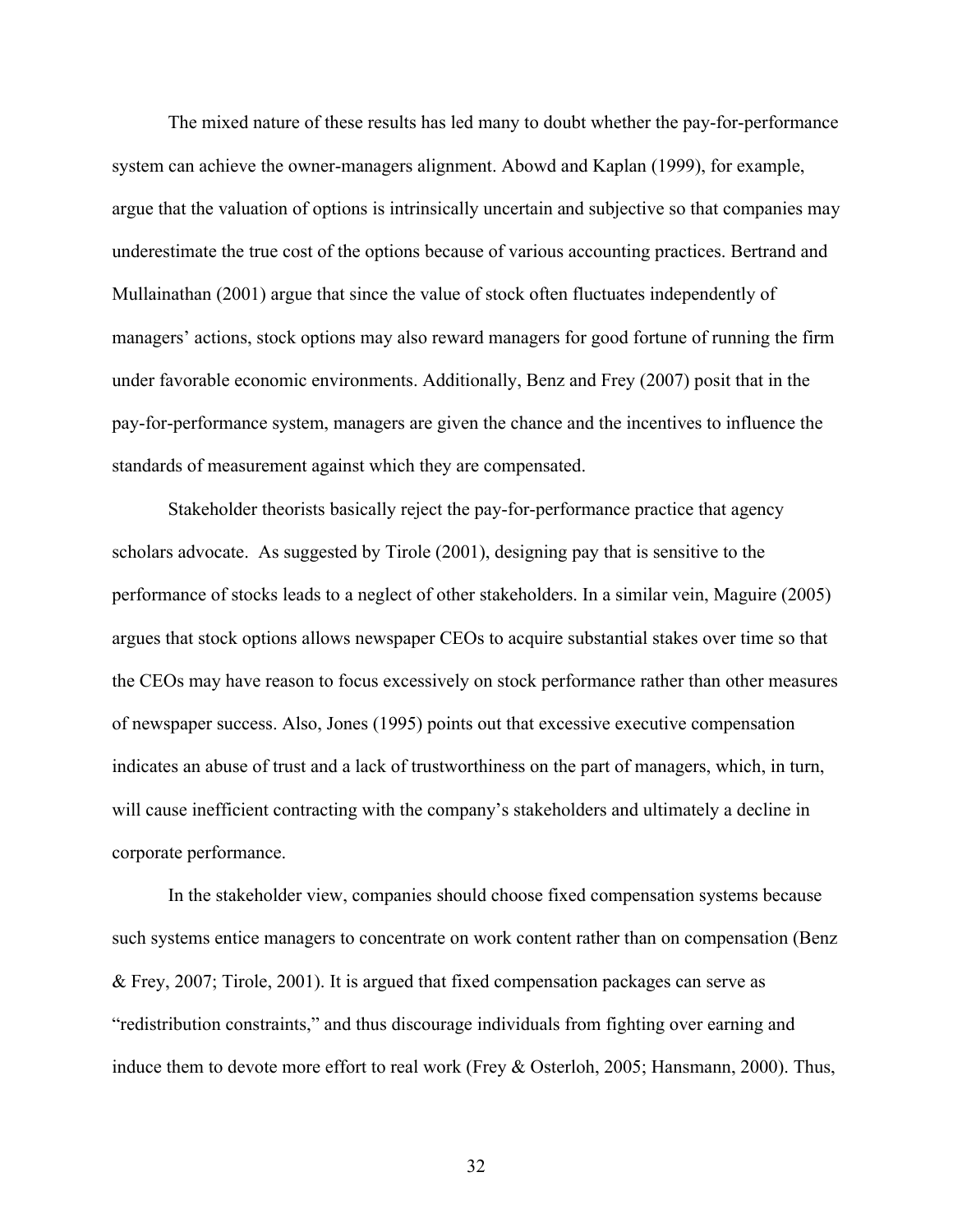The mixed nature of these results has led many to doubt whether the pay-for-performance system can achieve the owner-managers alignment. Abowd and Kaplan (1999), for example, argue that the valuation of options is intrinsically uncertain and subjective so that companies may underestimate the true cost of the options because of various accounting practices. Bertrand and Mullainathan (2001) argue that since the value of stock often fluctuates independently of managers' actions, stock options may also reward managers for good fortune of running the firm under favorable economic environments. Additionally, Benz and Frey (2007) posit that in the pay-for-performance system, managers are given the chance and the incentives to influence the standards of measurement against which they are compensated.

Stakeholder theorists basically reject the pay-for-performance practice that agency scholars advocate. As suggested by Tirole (2001), designing pay that is sensitive to the performance of stocks leads to a neglect of other stakeholders. In a similar vein, Maguire (2005) argues that stock options allows newspaper CEOs to acquire substantial stakes over time so that the CEOs may have reason to focus excessively on stock performance rather than other measures of newspaper success. Also, Jones (1995) points out that excessive executive compensation indicates an abuse of trust and a lack of trustworthiness on the part of managers, which, in turn, will cause inefficient contracting with the company's stakeholders and ultimately a decline in corporate performance.

In the stakeholder view, companies should choose fixed compensation systems because such systems entice managers to concentrate on work content rather than on compensation (Benz & Frey, 2007; Tirole, 2001). It is argued that fixed compensation packages can serve as "redistribution constraints," and thus discourage individuals from fighting over earning and induce them to devote more effort to real work (Frey & Osterloh, 2005; Hansmann, 2000). Thus,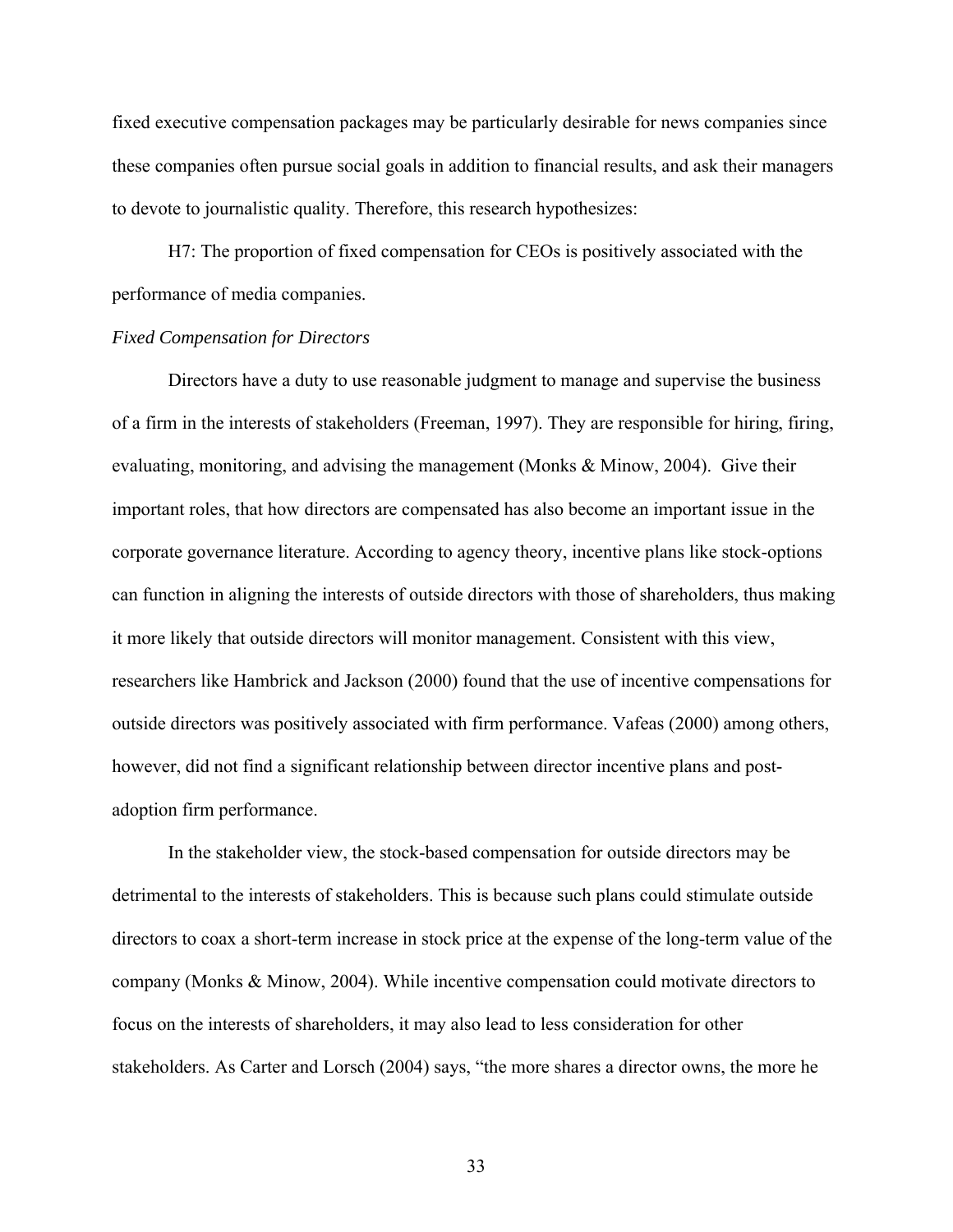fixed executive compensation packages may be particularly desirable for news companies since these companies often pursue social goals in addition to financial results, and ask their managers to devote to journalistic quality. Therefore, this research hypothesizes:

H7: The proportion of fixed compensation for CEOs is positively associated with the performance of media companies.

# *Fixed Compensation for Directors*

Directors have a duty to use reasonable judgment to manage and supervise the business of a firm in the interests of stakeholders (Freeman, 1997). They are responsible for hiring, firing, evaluating, monitoring, and advising the management (Monks & Minow, 2004). Give their important roles, that how directors are compensated has also become an important issue in the corporate governance literature. According to agency theory, incentive plans like stock-options can function in aligning the interests of outside directors with those of shareholders, thus making it more likely that outside directors will monitor management. Consistent with this view, researchers like Hambrick and Jackson (2000) found that the use of incentive compensations for outside directors was positively associated with firm performance. Vafeas (2000) among others, however, did not find a significant relationship between director incentive plans and postadoption firm performance.

In the stakeholder view, the stock-based compensation for outside directors may be detrimental to the interests of stakeholders. This is because such plans could stimulate outside directors to coax a short-term increase in stock price at the expense of the long-term value of the company (Monks & Minow, 2004). While incentive compensation could motivate directors to focus on the interests of shareholders, it may also lead to less consideration for other stakeholders. As Carter and Lorsch (2004) says, "the more shares a director owns, the more he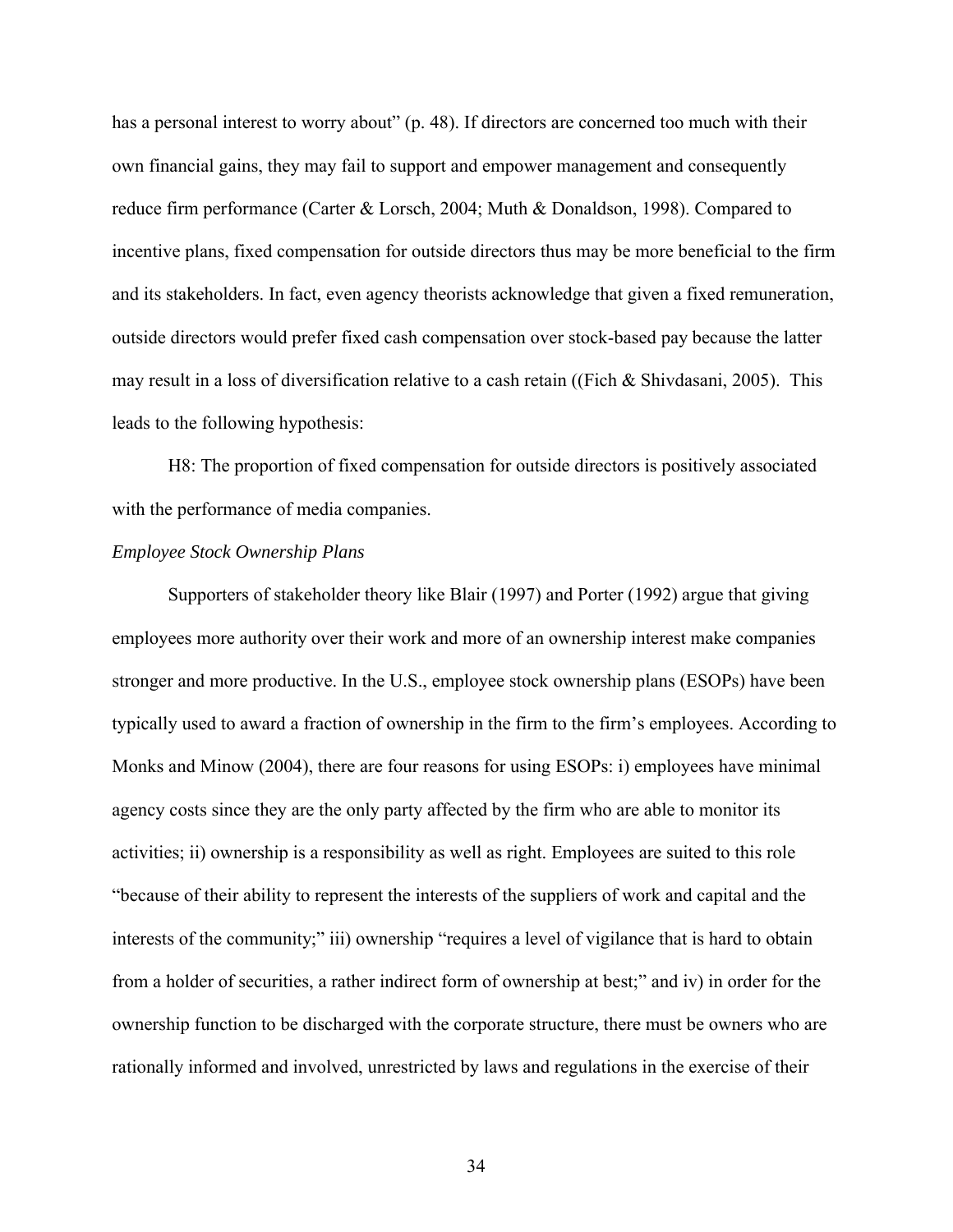has a personal interest to worry about" (p. 48). If directors are concerned too much with their own financial gains, they may fail to support and empower management and consequently reduce firm performance (Carter & Lorsch, 2004; Muth & Donaldson, 1998). Compared to incentive plans, fixed compensation for outside directors thus may be more beneficial to the firm and its stakeholders. In fact, even agency theorists acknowledge that given a fixed remuneration, outside directors would prefer fixed cash compensation over stock-based pay because the latter may result in a loss of diversification relative to a cash retain ((Fich & Shivdasani, 2005). This leads to the following hypothesis:

H8: The proportion of fixed compensation for outside directors is positively associated with the performance of media companies.

### *Employee Stock Ownership Plans*

Supporters of stakeholder theory like Blair (1997) and Porter (1992) argue that giving employees more authority over their work and more of an ownership interest make companies stronger and more productive. In the U.S., employee stock ownership plans (ESOPs) have been typically used to award a fraction of ownership in the firm to the firm's employees. According to Monks and Minow (2004), there are four reasons for using ESOPs: i) employees have minimal agency costs since they are the only party affected by the firm who are able to monitor its activities; ii) ownership is a responsibility as well as right. Employees are suited to this role "because of their ability to represent the interests of the suppliers of work and capital and the interests of the community;" iii) ownership "requires a level of vigilance that is hard to obtain from a holder of securities, a rather indirect form of ownership at best;" and iv) in order for the ownership function to be discharged with the corporate structure, there must be owners who are rationally informed and involved, unrestricted by laws and regulations in the exercise of their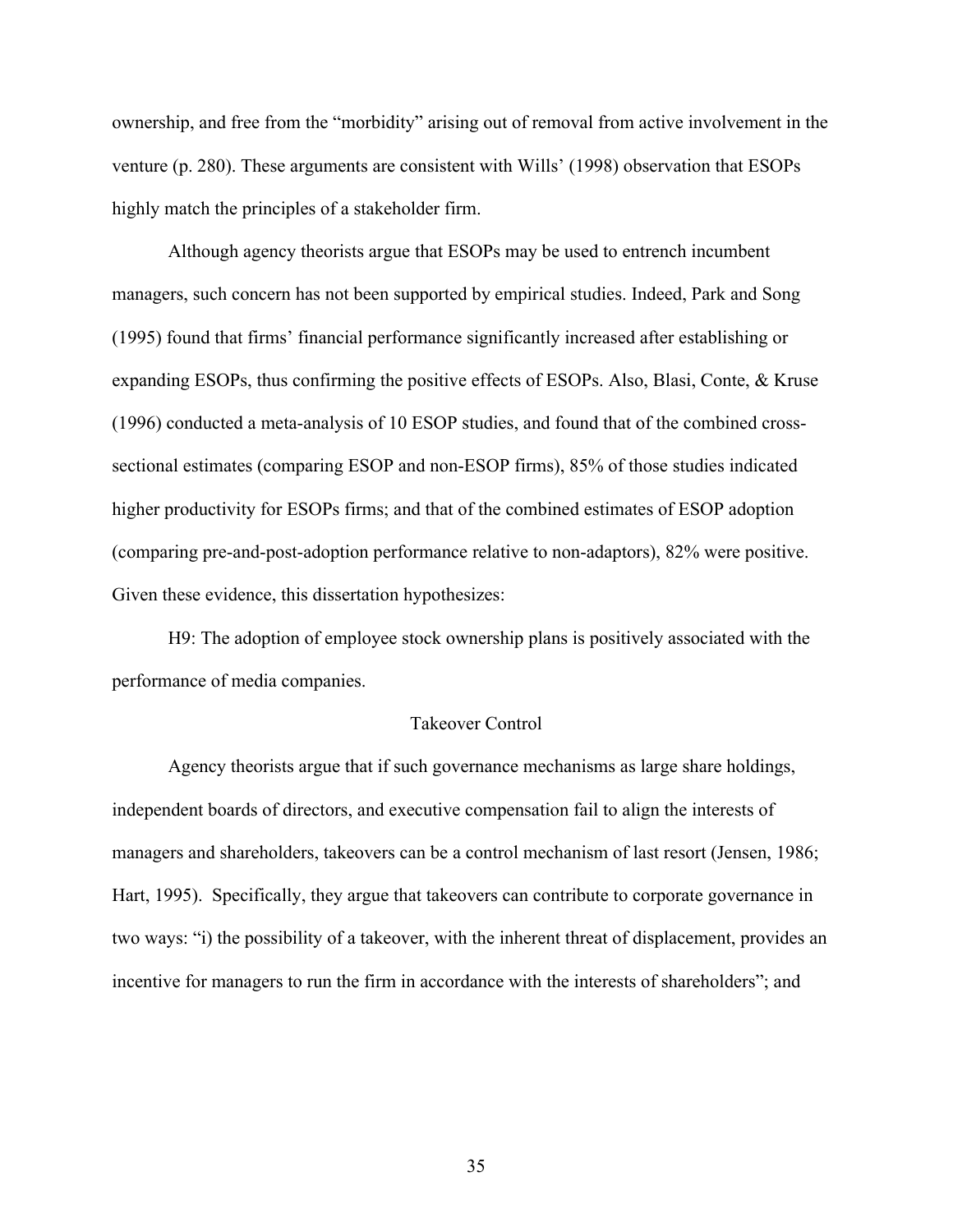ownership, and free from the "morbidity" arising out of removal from active involvement in the venture (p. 280). These arguments are consistent with Wills' (1998) observation that ESOPs highly match the principles of a stakeholder firm.

Although agency theorists argue that ESOPs may be used to entrench incumbent managers, such concern has not been supported by empirical studies. Indeed, Park and Song (1995) found that firms' financial performance significantly increased after establishing or expanding ESOPs, thus confirming the positive effects of ESOPs. Also, Blasi, Conte, & Kruse (1996) conducted a meta-analysis of 10 ESOP studies, and found that of the combined crosssectional estimates (comparing ESOP and non-ESOP firms), 85% of those studies indicated higher productivity for ESOPs firms; and that of the combined estimates of ESOP adoption (comparing pre-and-post-adoption performance relative to non-adaptors), 82% were positive. Given these evidence, this dissertation hypothesizes:

H9: The adoption of employee stock ownership plans is positively associated with the performance of media companies.

#### Takeover Control

Agency theorists argue that if such governance mechanisms as large share holdings, independent boards of directors, and executive compensation fail to align the interests of managers and shareholders, takeovers can be a control mechanism of last resort (Jensen, 1986; Hart, 1995). Specifically, they argue that takeovers can contribute to corporate governance in two ways: "i) the possibility of a takeover, with the inherent threat of displacement, provides an incentive for managers to run the firm in accordance with the interests of shareholders"; and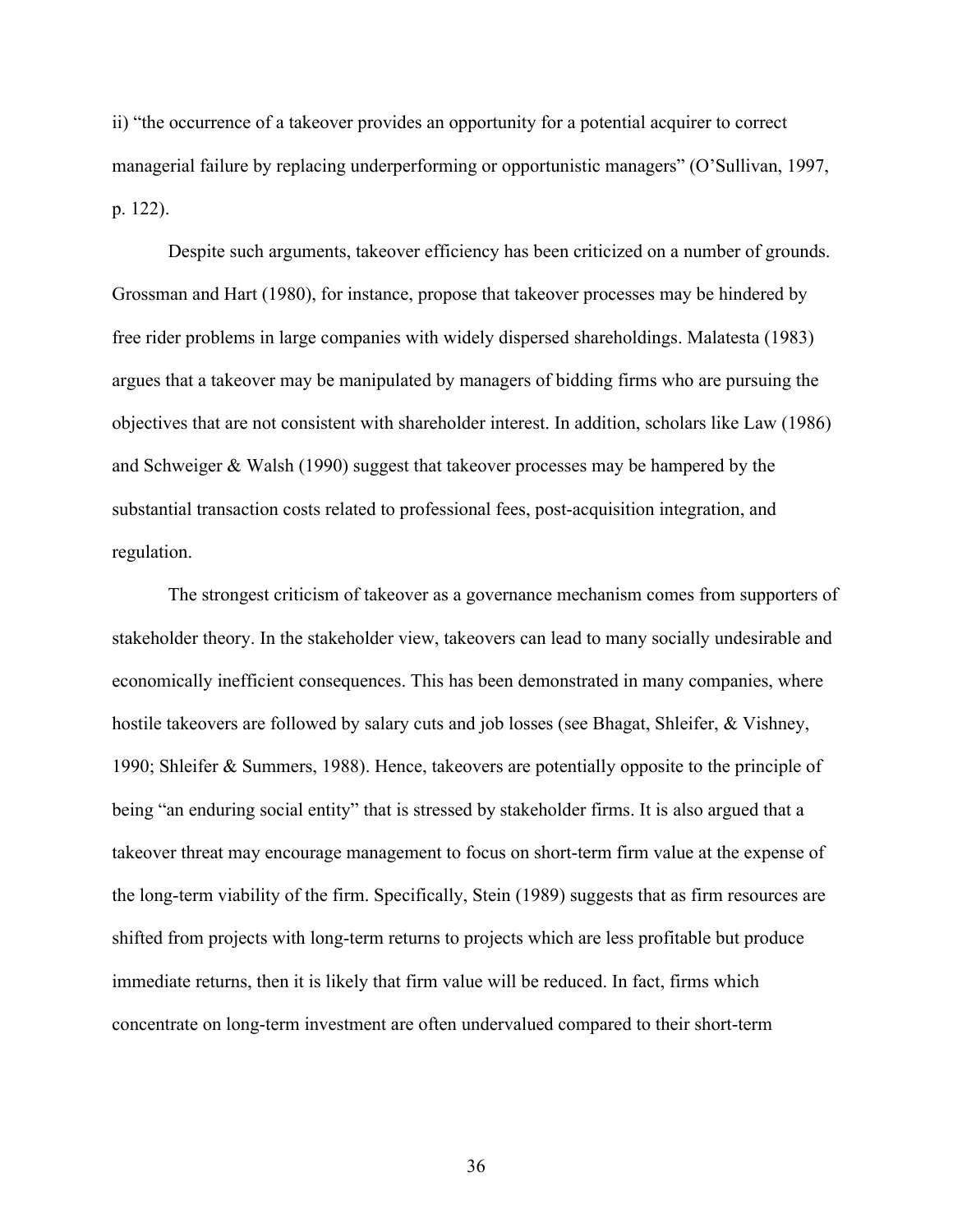ii) "the occurrence of a takeover provides an opportunity for a potential acquirer to correct managerial failure by replacing underperforming or opportunistic managers" (O'Sullivan, 1997, p. 122).

Despite such arguments, takeover efficiency has been criticized on a number of grounds. Grossman and Hart (1980), for instance, propose that takeover processes may be hindered by free rider problems in large companies with widely dispersed shareholdings. Malatesta (1983) argues that a takeover may be manipulated by managers of bidding firms who are pursuing the objectives that are not consistent with shareholder interest. In addition, scholars like Law (1986) and Schweiger & Walsh (1990) suggest that takeover processes may be hampered by the substantial transaction costs related to professional fees, post-acquisition integration, and regulation.

The strongest criticism of takeover as a governance mechanism comes from supporters of stakeholder theory. In the stakeholder view, takeovers can lead to many socially undesirable and economically inefficient consequences. This has been demonstrated in many companies, where hostile takeovers are followed by salary cuts and job losses (see Bhagat, Shleifer, & Vishney, 1990; Shleifer & Summers, 1988). Hence, takeovers are potentially opposite to the principle of being "an enduring social entity" that is stressed by stakeholder firms. It is also argued that a takeover threat may encourage management to focus on short-term firm value at the expense of the long-term viability of the firm. Specifically, Stein (1989) suggests that as firm resources are shifted from projects with long-term returns to projects which are less profitable but produce immediate returns, then it is likely that firm value will be reduced. In fact, firms which concentrate on long-term investment are often undervalued compared to their short-term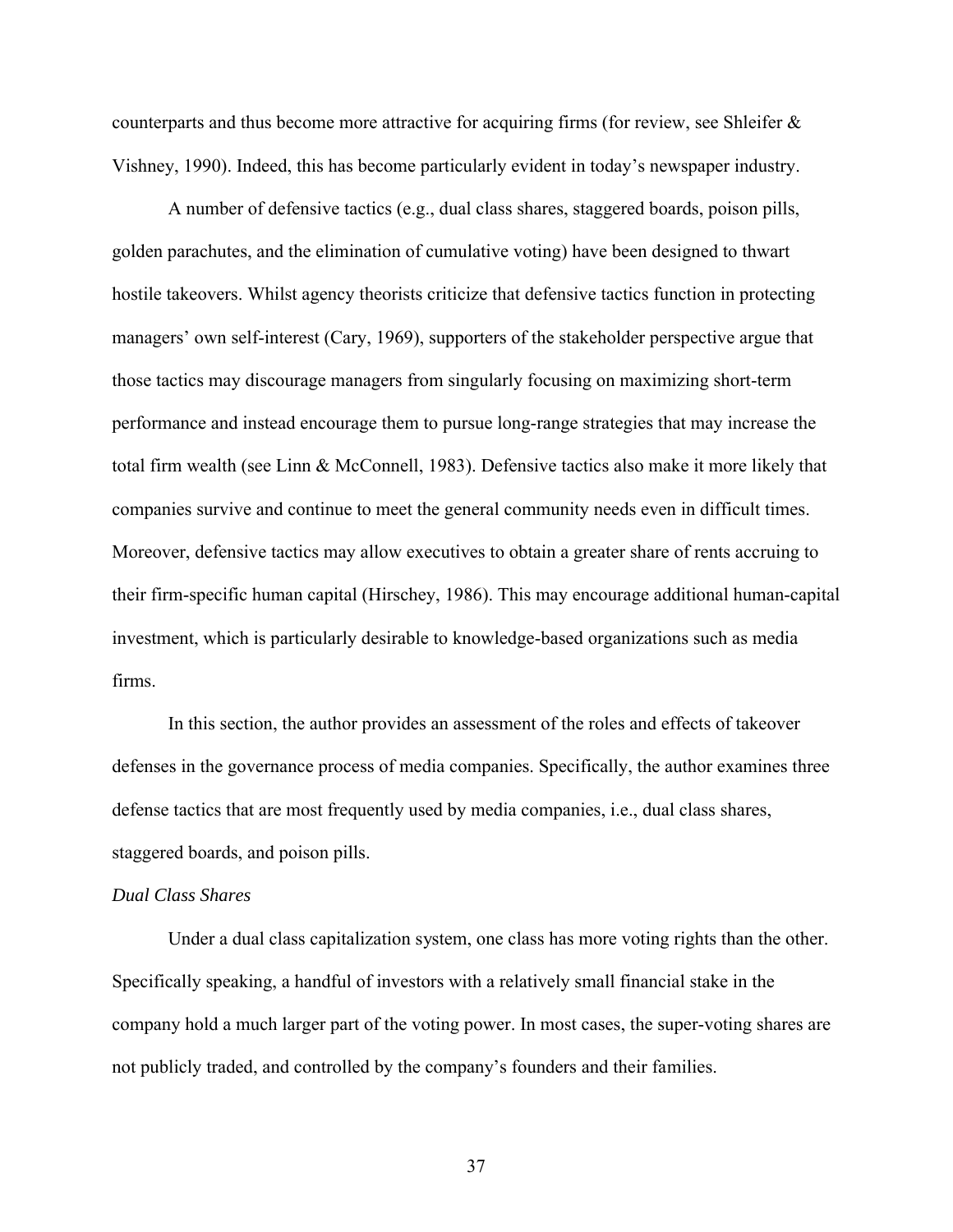counterparts and thus become more attractive for acquiring firms (for review, see Shleifer & Vishney, 1990). Indeed, this has become particularly evident in today's newspaper industry.

A number of defensive tactics (e.g., dual class shares, staggered boards, poison pills, golden parachutes, and the elimination of cumulative voting) have been designed to thwart hostile takeovers. Whilst agency theorists criticize that defensive tactics function in protecting managers' own self-interest (Cary, 1969), supporters of the stakeholder perspective argue that those tactics may discourage managers from singularly focusing on maximizing short-term performance and instead encourage them to pursue long-range strategies that may increase the total firm wealth (see Linn & McConnell, 1983). Defensive tactics also make it more likely that companies survive and continue to meet the general community needs even in difficult times. Moreover, defensive tactics may allow executives to obtain a greater share of rents accruing to their firm-specific human capital (Hirschey, 1986). This may encourage additional human-capital investment, which is particularly desirable to knowledge-based organizations such as media firms.

In this section, the author provides an assessment of the roles and effects of takeover defenses in the governance process of media companies. Specifically, the author examines three defense tactics that are most frequently used by media companies, i.e., dual class shares, staggered boards, and poison pills.

### *Dual Class Shares*

Under a dual class capitalization system, one class has more voting rights than the other. Specifically speaking, a handful of investors with a relatively small financial stake in the company hold a much larger part of the voting power. In most cases, the super-voting shares are not publicly traded, and controlled by the company's founders and their families.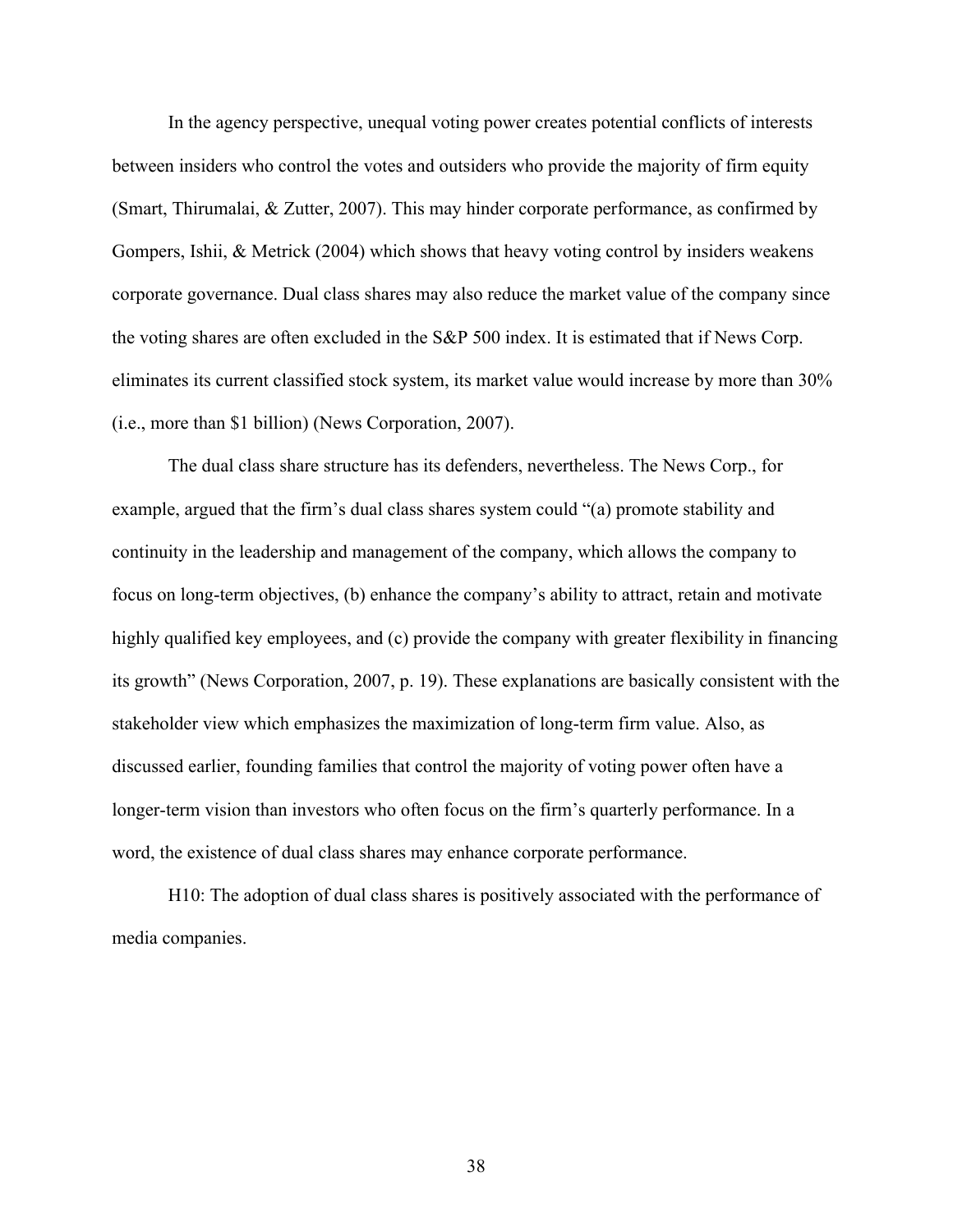In the agency perspective, unequal voting power creates potential conflicts of interests between insiders who control the votes and outsiders who provide the majority of firm equity (Smart, Thirumalai, & Zutter, 2007). This may hinder corporate performance, as confirmed by Gompers, Ishii, & Metrick (2004) which shows that heavy voting control by insiders weakens corporate governance. Dual class shares may also reduce the market value of the company since the voting shares are often excluded in the S&P 500 index. It is estimated that if News Corp. eliminates its current classified stock system, its market value would increase by more than 30% (i.e., more than \$1 billion) (News Corporation, 2007).

The dual class share structure has its defenders, nevertheless. The News Corp., for example, argued that the firm's dual class shares system could "(a) promote stability and continuity in the leadership and management of the company, which allows the company to focus on long-term objectives, (b) enhance the company's ability to attract, retain and motivate highly qualified key employees, and (c) provide the company with greater flexibility in financing its growth" (News Corporation, 2007, p. 19). These explanations are basically consistent with the stakeholder view which emphasizes the maximization of long-term firm value. Also, as discussed earlier, founding families that control the majority of voting power often have a longer-term vision than investors who often focus on the firm's quarterly performance. In a word, the existence of dual class shares may enhance corporate performance.

H10: The adoption of dual class shares is positively associated with the performance of media companies.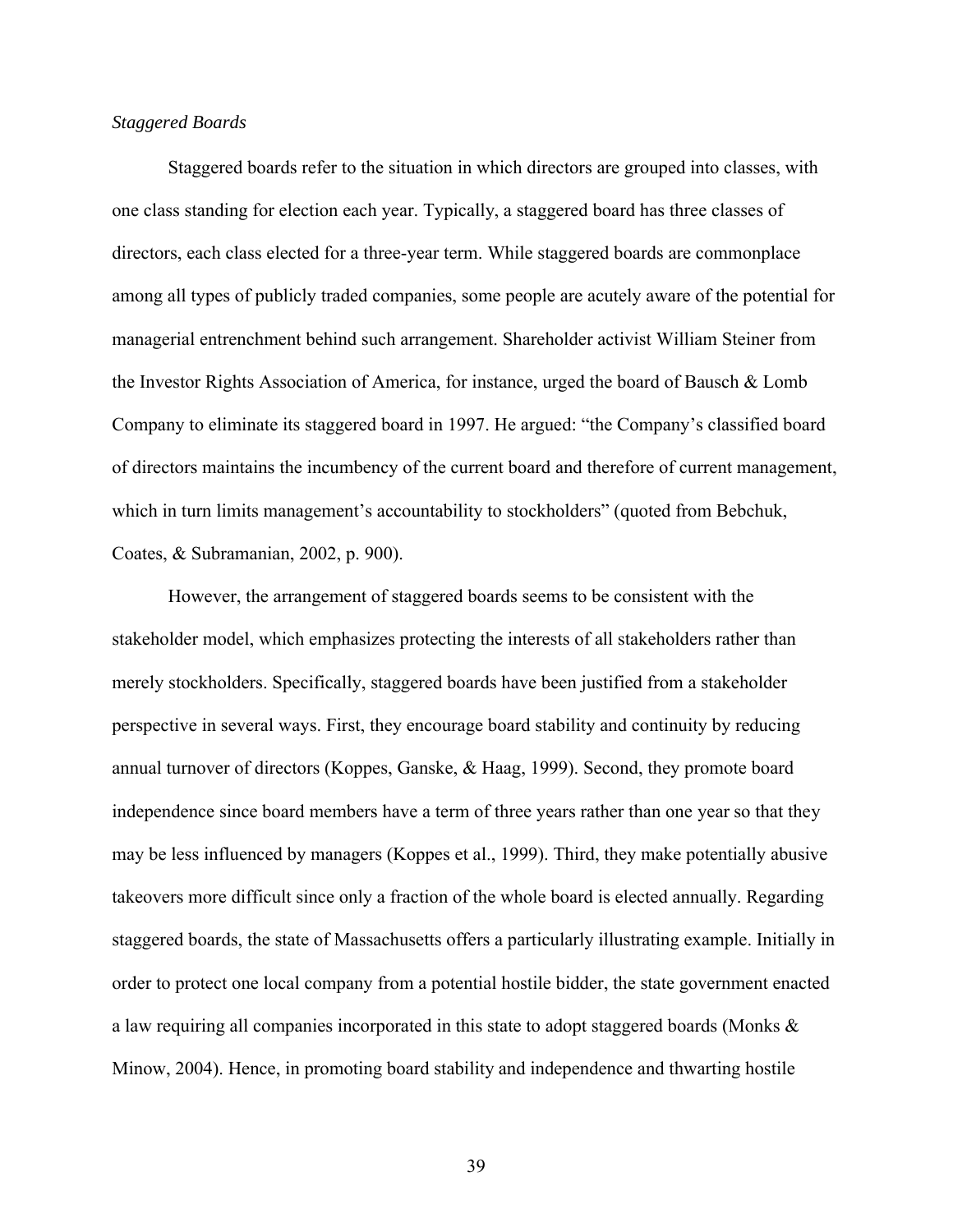# *Staggered Boards*

Staggered boards refer to the situation in which directors are grouped into classes, with one class standing for election each year. Typically, a staggered board has three classes of directors, each class elected for a three-year term. While staggered boards are commonplace among all types of publicly traded companies, some people are acutely aware of the potential for managerial entrenchment behind such arrangement. Shareholder activist William Steiner from the Investor Rights Association of America, for instance, urged the board of Bausch & Lomb Company to eliminate its staggered board in 1997. He argued: "the Company's classified board of directors maintains the incumbency of the current board and therefore of current management, which in turn limits management's accountability to stockholders" (quoted from Bebchuk, Coates, & Subramanian, 2002, p. 900).

However, the arrangement of staggered boards seems to be consistent with the stakeholder model, which emphasizes protecting the interests of all stakeholders rather than merely stockholders. Specifically, staggered boards have been justified from a stakeholder perspective in several ways. First, they encourage board stability and continuity by reducing annual turnover of directors (Koppes, Ganske, & Haag, 1999). Second, they promote board independence since board members have a term of three years rather than one year so that they may be less influenced by managers (Koppes et al., 1999). Third, they make potentially abusive takeovers more difficult since only a fraction of the whole board is elected annually. Regarding staggered boards, the state of Massachusetts offers a particularly illustrating example. Initially in order to protect one local company from a potential hostile bidder, the state government enacted a law requiring all companies incorporated in this state to adopt staggered boards (Monks & Minow, 2004). Hence, in promoting board stability and independence and thwarting hostile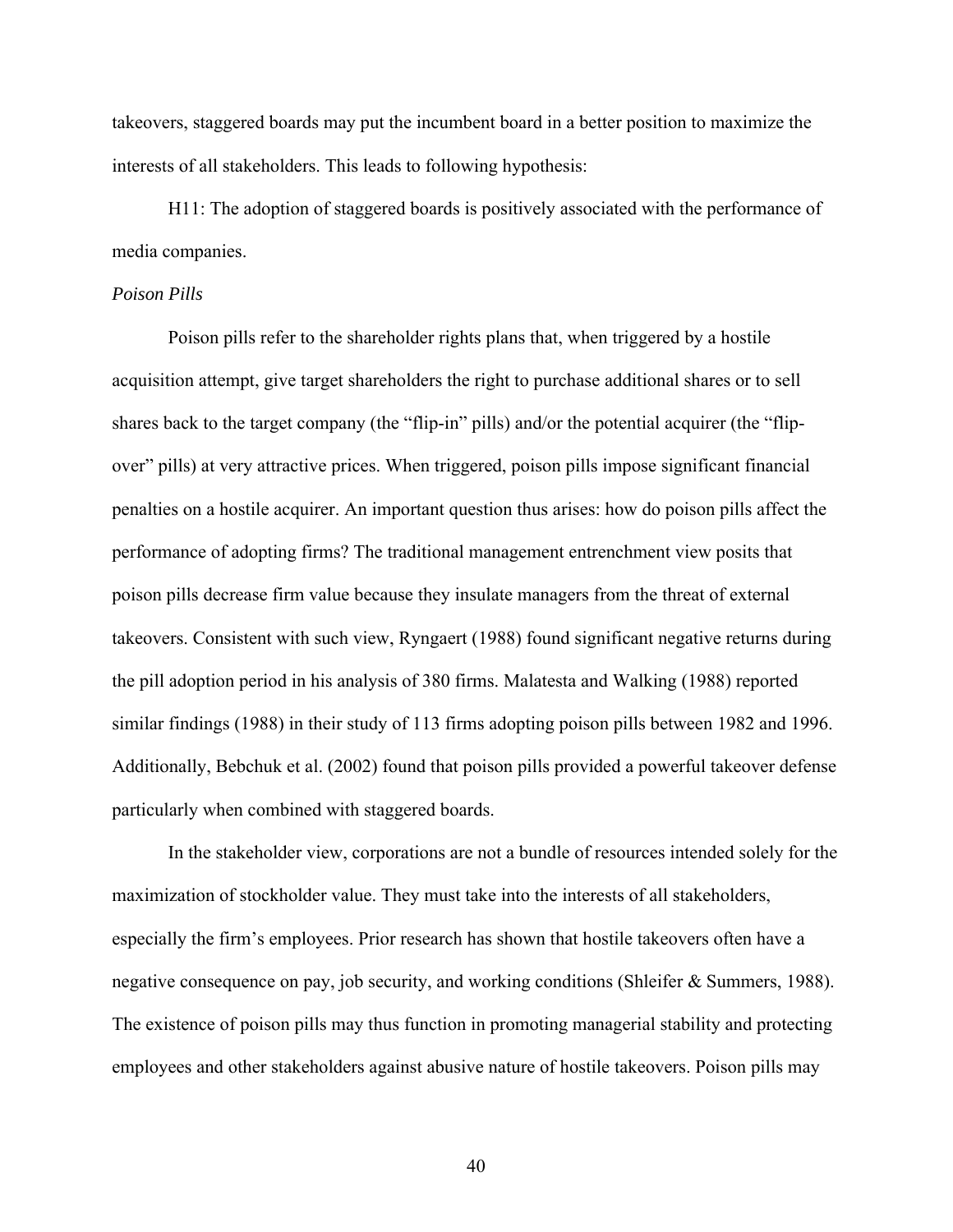takeovers, staggered boards may put the incumbent board in a better position to maximize the interests of all stakeholders. This leads to following hypothesis:

H11: The adoption of staggered boards is positively associated with the performance of media companies.

### *Poison Pills*

Poison pills refer to the shareholder rights plans that, when triggered by a hostile acquisition attempt, give target shareholders the right to purchase additional shares or to sell shares back to the target company (the "flip-in" pills) and/or the potential acquirer (the "flipover" pills) at very attractive prices. When triggered, poison pills impose significant financial penalties on a hostile acquirer. An important question thus arises: how do poison pills affect the performance of adopting firms? The traditional management entrenchment view posits that poison pills decrease firm value because they insulate managers from the threat of external takeovers. Consistent with such view, Ryngaert (1988) found significant negative returns during the pill adoption period in his analysis of 380 firms. Malatesta and Walking (1988) reported similar findings (1988) in their study of 113 firms adopting poison pills between 1982 and 1996. Additionally, Bebchuk et al. (2002) found that poison pills provided a powerful takeover defense particularly when combined with staggered boards.

In the stakeholder view, corporations are not a bundle of resources intended solely for the maximization of stockholder value. They must take into the interests of all stakeholders, especially the firm's employees. Prior research has shown that hostile takeovers often have a negative consequence on pay, job security, and working conditions (Shleifer & Summers, 1988). The existence of poison pills may thus function in promoting managerial stability and protecting employees and other stakeholders against abusive nature of hostile takeovers. Poison pills may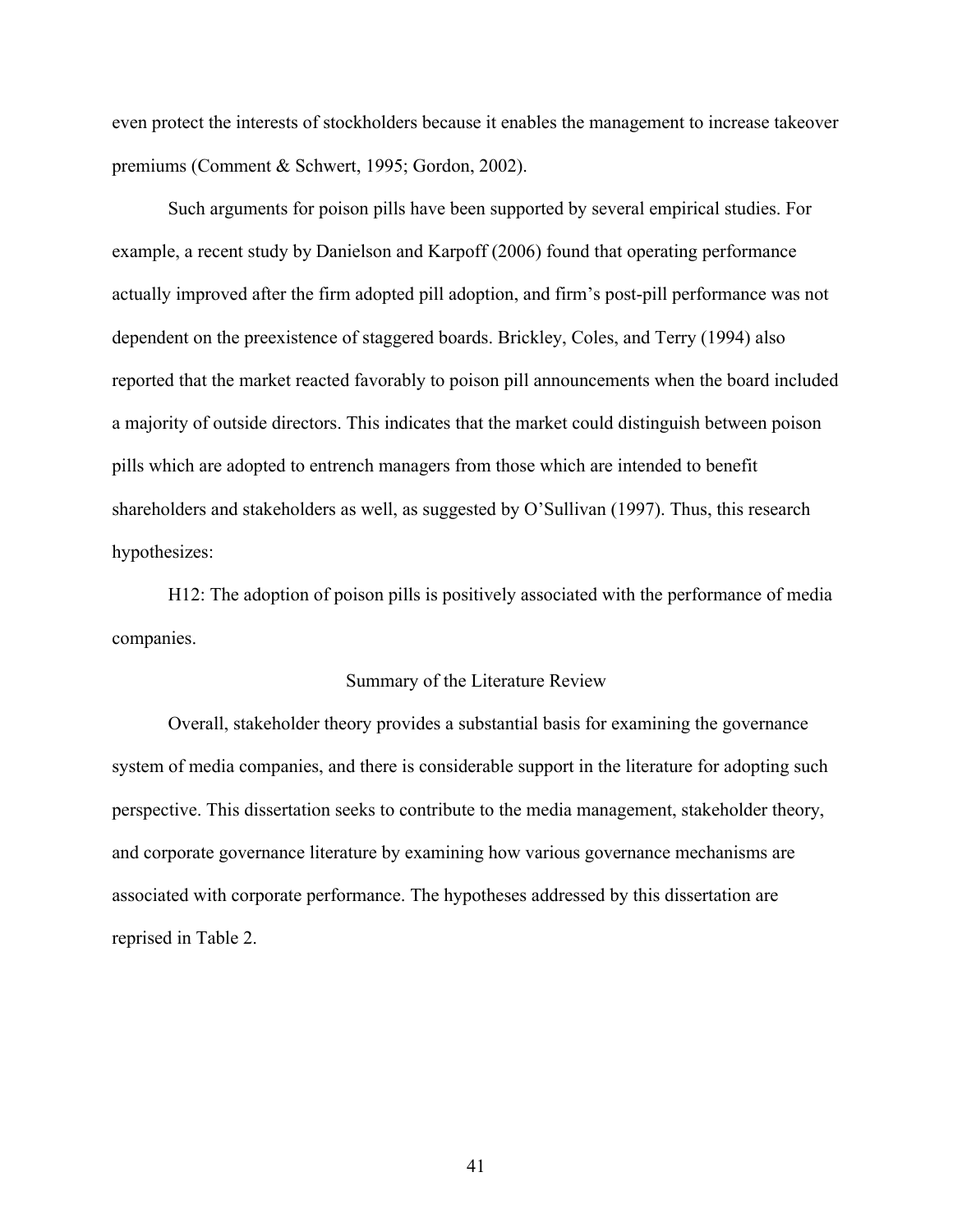even protect the interests of stockholders because it enables the management to increase takeover premiums (Comment & Schwert, 1995; Gordon, 2002).

Such arguments for poison pills have been supported by several empirical studies. For example, a recent study by Danielson and Karpoff (2006) found that operating performance actually improved after the firm adopted pill adoption, and firm's post-pill performance was not dependent on the preexistence of staggered boards. Brickley, Coles, and Terry (1994) also reported that the market reacted favorably to poison pill announcements when the board included a majority of outside directors. This indicates that the market could distinguish between poison pills which are adopted to entrench managers from those which are intended to benefit shareholders and stakeholders as well, as suggested by O'Sullivan (1997). Thus, this research hypothesizes:

H12: The adoption of poison pills is positively associated with the performance of media companies.

# Summary of the Literature Review

Overall, stakeholder theory provides a substantial basis for examining the governance system of media companies, and there is considerable support in the literature for adopting such perspective. This dissertation seeks to contribute to the media management, stakeholder theory, and corporate governance literature by examining how various governance mechanisms are associated with corporate performance. The hypotheses addressed by this dissertation are reprised in Table 2.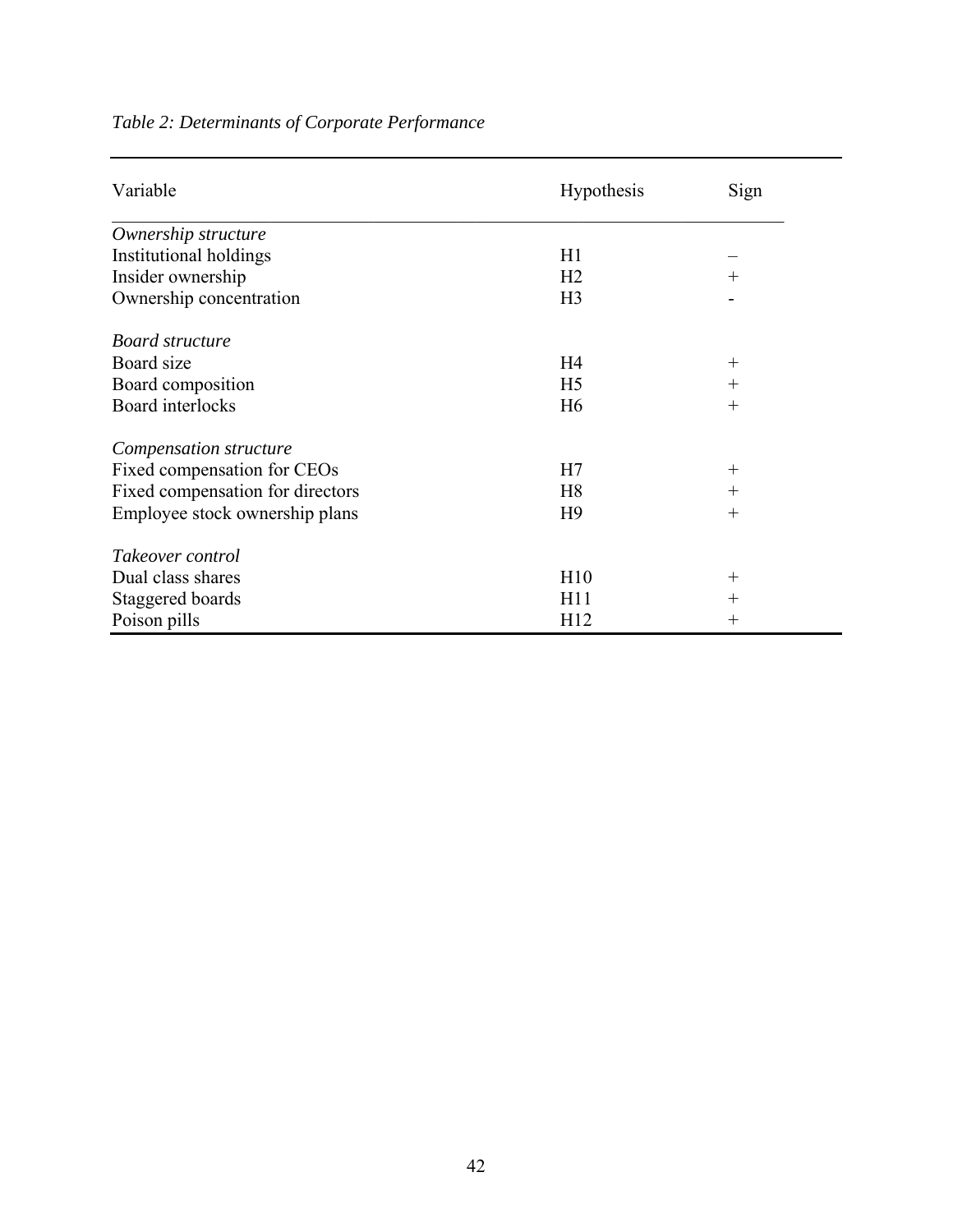| Variable                         | <b>Hypothesis</b> | Sign               |
|----------------------------------|-------------------|--------------------|
| Ownership structure              |                   |                    |
| Institutional holdings           | H1                |                    |
| Insider ownership                | H <sub>2</sub>    | $^{+}$             |
| Ownership concentration          | H <sub>3</sub>    |                    |
| Board structure                  |                   |                    |
| Board size                       | H <sub>4</sub>    | $^{+}$             |
| Board composition                | H <sub>5</sub>    | $^{+}$             |
| Board interlocks                 | H <sub>6</sub>    | $^{+}$             |
| Compensation structure           |                   |                    |
| Fixed compensation for CEOs      | H7                | $^{+}$             |
| Fixed compensation for directors | H <sub>8</sub>    | $^{+}$             |
| Employee stock ownership plans   | H <sub>9</sub>    | $^{+}$             |
| Takeover control                 |                   |                    |
| Dual class shares                | H10               | $^{+}$             |
| Staggered boards                 | H11               | $\hspace{0.1mm} +$ |
| Poison pills                     | H12               | $\hspace{0.1mm} +$ |

# *Table 2: Determinants of Corporate Performance*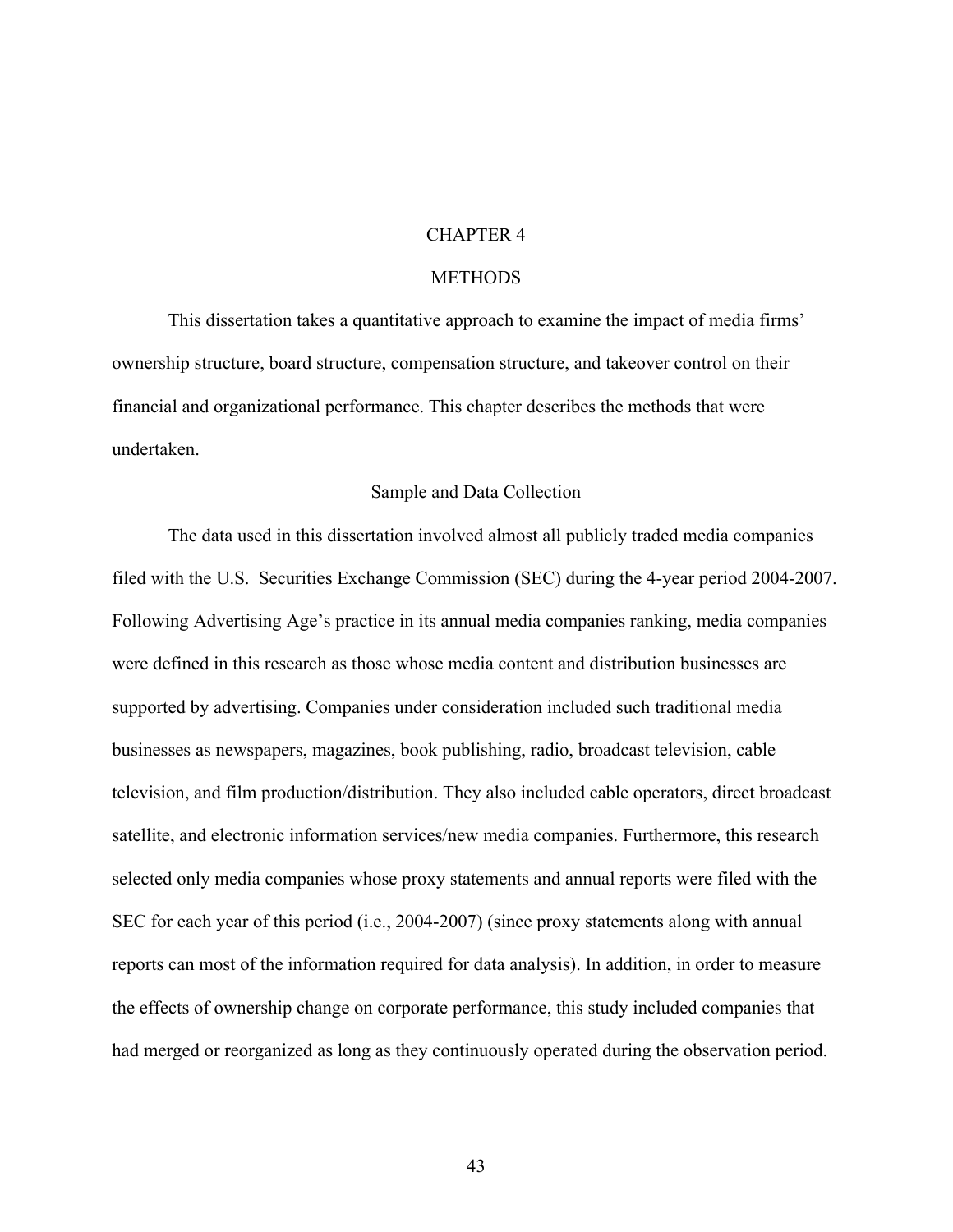# CHAPTER 4

# **METHODS**

This dissertation takes a quantitative approach to examine the impact of media firms' ownership structure, board structure, compensation structure, and takeover control on their financial and organizational performance. This chapter describes the methods that were undertaken.

#### Sample and Data Collection

The data used in this dissertation involved almost all publicly traded media companies filed with the U.S. Securities Exchange Commission (SEC) during the 4-year period 2004-2007. Following Advertising Age's practice in its annual media companies ranking, media companies were defined in this research as those whose media content and distribution businesses are supported by advertising. Companies under consideration included such traditional media businesses as newspapers, magazines, book publishing, radio, broadcast television, cable television, and film production/distribution. They also included cable operators, direct broadcast satellite, and electronic information services/new media companies. Furthermore, this research selected only media companies whose proxy statements and annual reports were filed with the SEC for each year of this period (i.e., 2004-2007) (since proxy statements along with annual reports can most of the information required for data analysis). In addition, in order to measure the effects of ownership change on corporate performance, this study included companies that had merged or reorganized as long as they continuously operated during the observation period.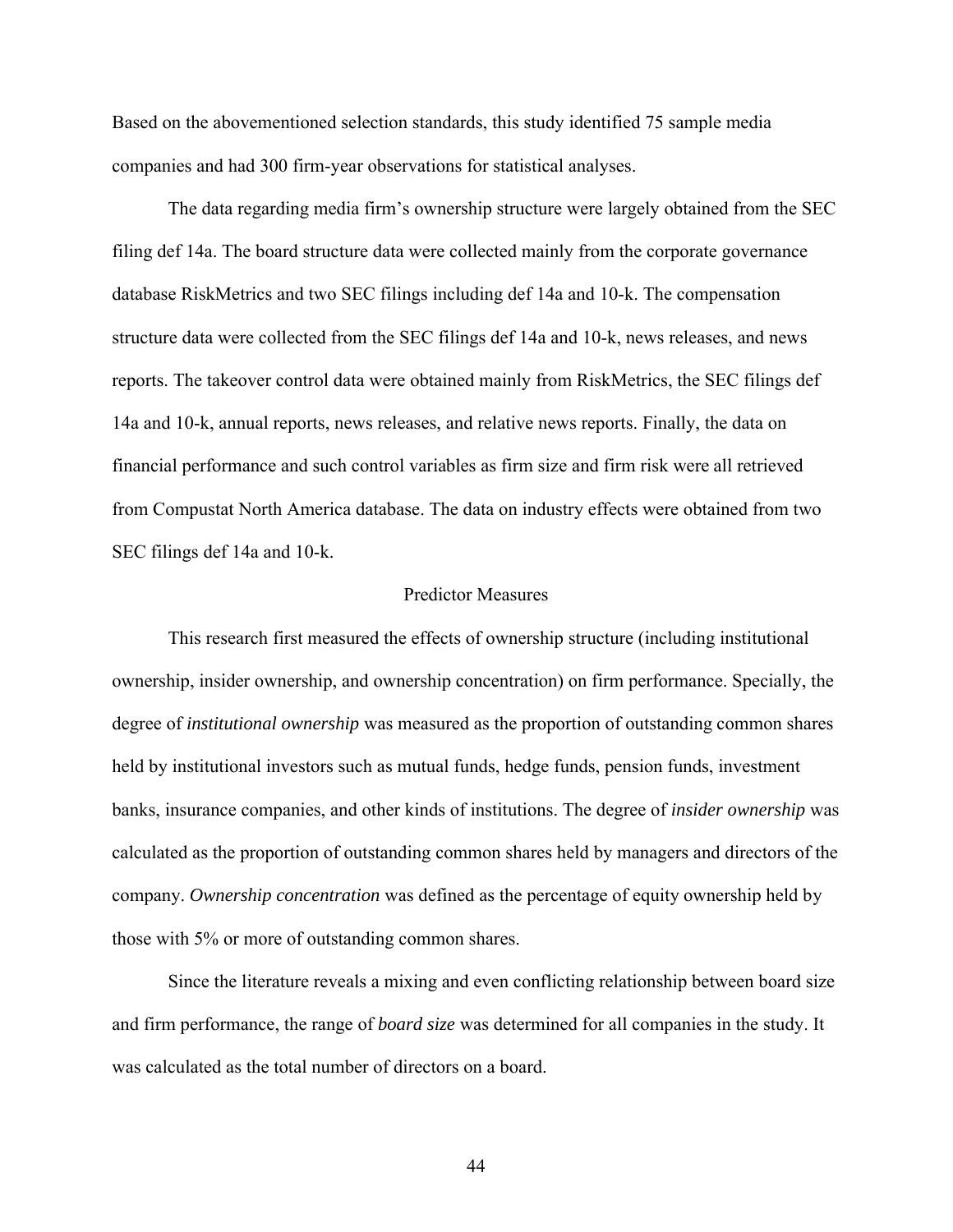Based on the abovementioned selection standards, this study identified 75 sample media companies and had 300 firm-year observations for statistical analyses.

The data regarding media firm's ownership structure were largely obtained from the SEC filing def 14a. The board structure data were collected mainly from the corporate governance database RiskMetrics and two SEC filings including def 14a and 10-k. The compensation structure data were collected from the SEC filings def 14a and 10-k, news releases, and news reports. The takeover control data were obtained mainly from RiskMetrics, the SEC filings def 14a and 10-k, annual reports, news releases, and relative news reports. Finally, the data on financial performance and such control variables as firm size and firm risk were all retrieved from Compustat North America database. The data on industry effects were obtained from two SEC filings def 14a and 10-k.

# Predictor Measures

This research first measured the effects of ownership structure (including institutional ownership, insider ownership, and ownership concentration) on firm performance. Specially, the degree of *institutional ownership* was measured as the proportion of outstanding common shares held by institutional investors such as mutual funds, hedge funds, pension funds, investment banks, insurance companies, and other kinds of institutions. The degree of *insider ownership* was calculated as the proportion of outstanding common shares held by managers and directors of the company. *Ownership concentration* was defined as the percentage of equity ownership held by those with 5% or more of outstanding common shares.

Since the literature reveals a mixing and even conflicting relationship between board size and firm performance, the range of *board size* was determined for all companies in the study. It was calculated as the total number of directors on a board.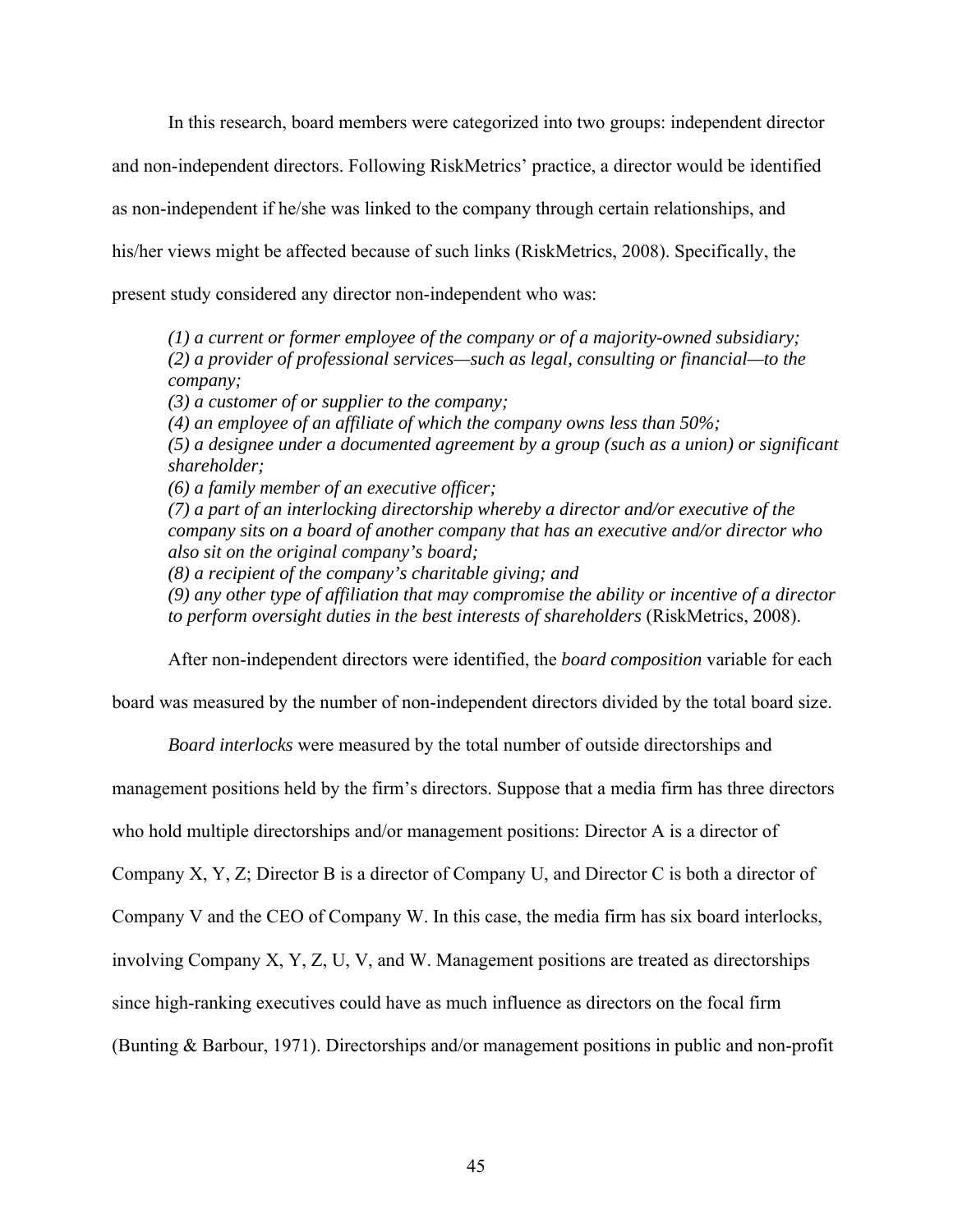In this research, board members were categorized into two groups: independent director and non-independent directors. Following RiskMetrics' practice, a director would be identified as non-independent if he/she was linked to the company through certain relationships, and his/her views might be affected because of such links (RiskMetrics, 2008). Specifically, the present study considered any director non-independent who was:

*(1) a current or former employee of the company or of a majority-owned subsidiary; (2) a provider of professional services—such as legal, consulting or financial—to the company; (3) a customer of or supplier to the company; (4) an employee of an affiliate of which the company owns less than 50%; (5) a designee under a documented agreement by a group (such as a union) or significant shareholder; (6) a family member of an executive officer; (7) a part of an interlocking directorship whereby a director and/or executive of the company sits on a board of another company that has an executive and/or director who also sit on the original company's board; (8) a recipient of the company's charitable giving; and (9) any other type of affiliation that may compromise the ability or incentive of a director to perform oversight duties in the best interests of shareholders* (RiskMetrics, 2008).

After non-independent directors were identified, the *board composition* variable for each

board was measured by the number of non-independent directors divided by the total board size.

*Board interlocks* were measured by the total number of outside directorships and

management positions held by the firm's directors. Suppose that a media firm has three directors

who hold multiple directorships and/or management positions: Director A is a director of

Company X, Y, Z; Director B is a director of Company U, and Director C is both a director of

Company V and the CEO of Company W. In this case, the media firm has six board interlocks,

involving Company X, Y, Z, U, V, and W. Management positions are treated as directorships

since high-ranking executives could have as much influence as directors on the focal firm

(Bunting & Barbour, 1971). Directorships and/or management positions in public and non-profit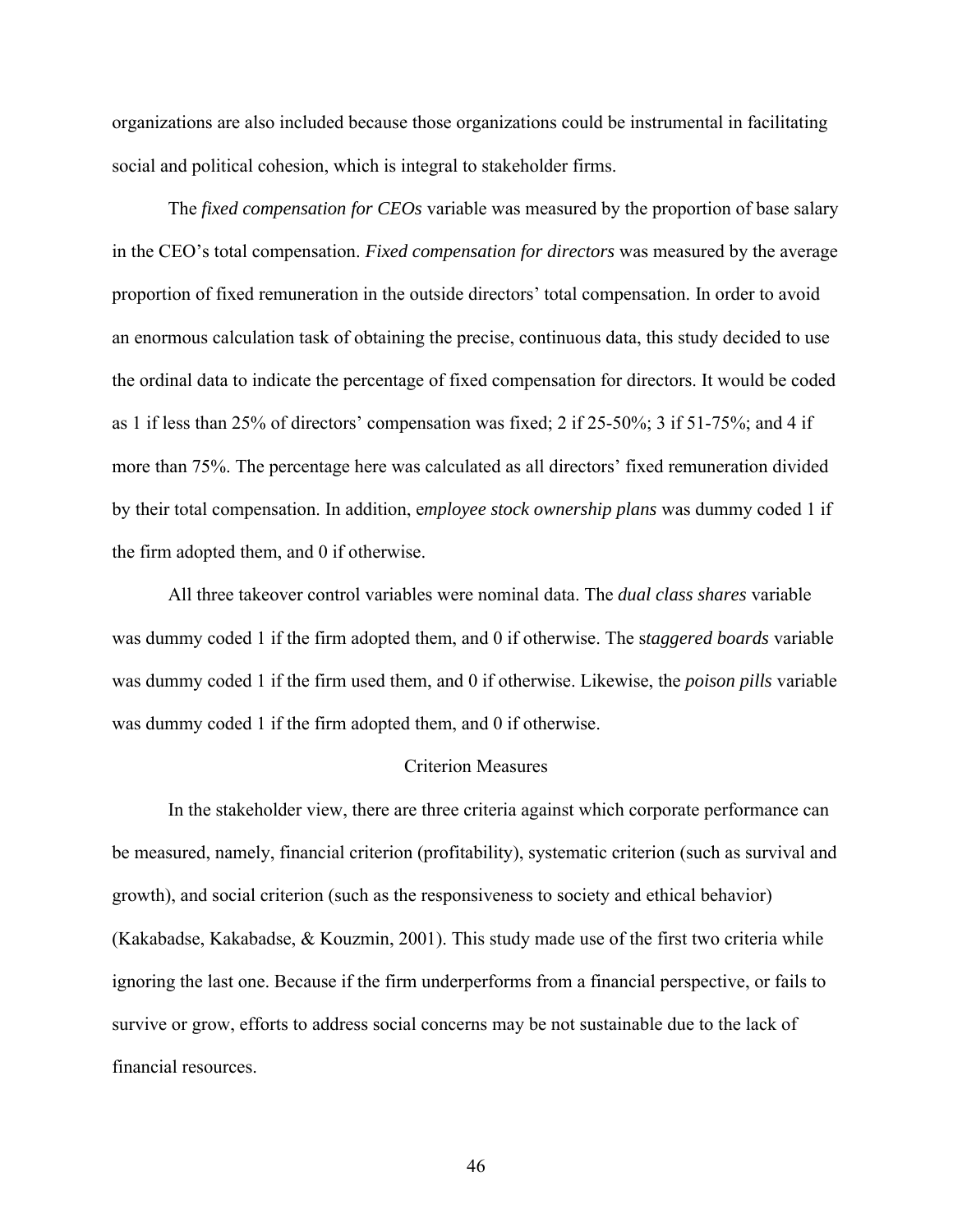organizations are also included because those organizations could be instrumental in facilitating social and political cohesion, which is integral to stakeholder firms.

The *fixed compensation for CEOs* variable was measured by the proportion of base salary in the CEO's total compensation. *Fixed compensation for directors* was measured by the average proportion of fixed remuneration in the outside directors' total compensation. In order to avoid an enormous calculation task of obtaining the precise, continuous data, this study decided to use the ordinal data to indicate the percentage of fixed compensation for directors. It would be coded as 1 if less than 25% of directors' compensation was fixed; 2 if 25-50%; 3 if 51-75%; and 4 if more than 75%. The percentage here was calculated as all directors' fixed remuneration divided by their total compensation. In addition, e*mployee stock ownership plans* was dummy coded 1 if the firm adopted them, and 0 if otherwise.

All three takeover control variables were nominal data. The *dual class shares* variable was dummy coded 1 if the firm adopted them, and 0 if otherwise. The s*taggered boards* variable was dummy coded 1 if the firm used them, and 0 if otherwise. Likewise, the *poison pills* variable was dummy coded 1 if the firm adopted them, and 0 if otherwise.

# Criterion Measures

In the stakeholder view, there are three criteria against which corporate performance can be measured, namely, financial criterion (profitability), systematic criterion (such as survival and growth), and social criterion (such as the responsiveness to society and ethical behavior) (Kakabadse, Kakabadse,  $\&$  Kouzmin, 2001). This study made use of the first two criteria while ignoring the last one. Because if the firm underperforms from a financial perspective, or fails to survive or grow, efforts to address social concerns may be not sustainable due to the lack of financial resources.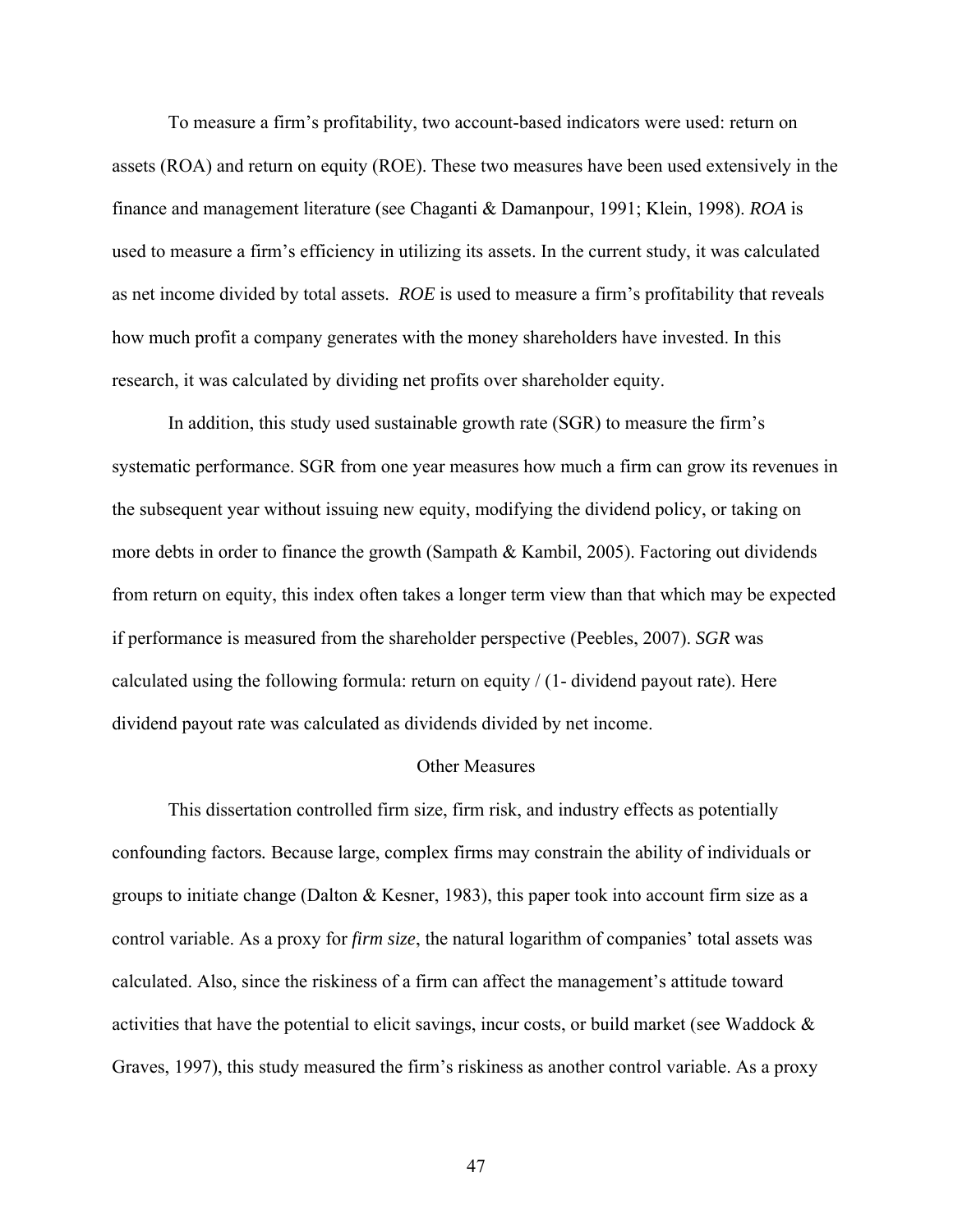To measure a firm's profitability, two account-based indicators were used: return on assets (ROA) and return on equity (ROE). These two measures have been used extensively in the finance and management literature (see Chaganti & Damanpour, 1991; Klein, 1998). *ROA* is used to measure a firm's efficiency in utilizing its assets. In the current study, it was calculated as net income divided by total assets. *ROE* is used to measure a firm's profitability that reveals how much profit a company generates with the money shareholders have invested. In this research, it was calculated by dividing net profits over shareholder equity.

In addition, this study used sustainable growth rate (SGR) to measure the firm's systematic performance. SGR from one year measures how much a firm can grow its revenues in the subsequent year without issuing new equity, modifying the dividend policy, or taking on more debts in order to finance the growth (Sampath & Kambil, 2005). Factoring out dividends from return on equity, this index often takes a longer term view than that which may be expected if performance is measured from the shareholder perspective (Peebles, 2007). *SGR* was calculated using the following formula: return on equity / (1- dividend payout rate). Here dividend payout rate was calculated as dividends divided by net income.

### Other Measures

This dissertation controlled firm size, firm risk, and industry effects as potentially confounding factors*.* Because large, complex firms may constrain the ability of individuals or groups to initiate change (Dalton & Kesner, 1983), this paper took into account firm size as a control variable. As a proxy for *firm size*, the natural logarithm of companies' total assets was calculated. Also, since the riskiness of a firm can affect the management's attitude toward activities that have the potential to elicit savings, incur costs, or build market (see Waddock & Graves, 1997), this study measured the firm's riskiness as another control variable. As a proxy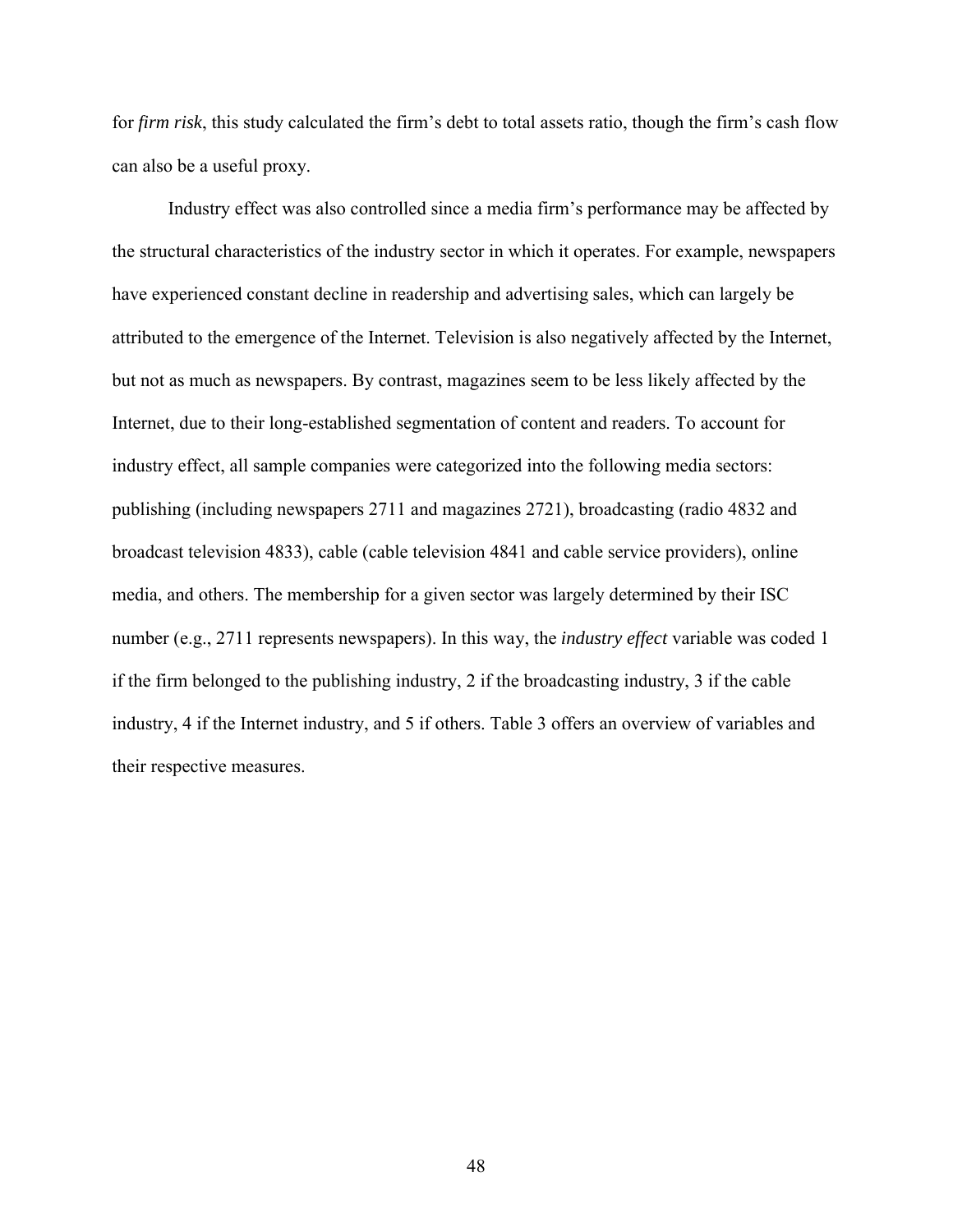for *firm risk*, this study calculated the firm's debt to total assets ratio, though the firm's cash flow can also be a useful proxy.

Industry effect was also controlled since a media firm's performance may be affected by the structural characteristics of the industry sector in which it operates. For example, newspapers have experienced constant decline in readership and advertising sales, which can largely be attributed to the emergence of the Internet. Television is also negatively affected by the Internet, but not as much as newspapers. By contrast, magazines seem to be less likely affected by the Internet, due to their long-established segmentation of content and readers. To account for industry effect, all sample companies were categorized into the following media sectors: publishing (including newspapers 2711 and magazines 2721), broadcasting (radio 4832 and broadcast television 4833), cable (cable television 4841 and cable service providers), online media, and others. The membership for a given sector was largely determined by their ISC number (e.g., 2711 represents newspapers). In this way, the *industry effect* variable was coded 1 if the firm belonged to the publishing industry, 2 if the broadcasting industry, 3 if the cable industry, 4 if the Internet industry, and 5 if others. Table 3 offers an overview of variables and their respective measures.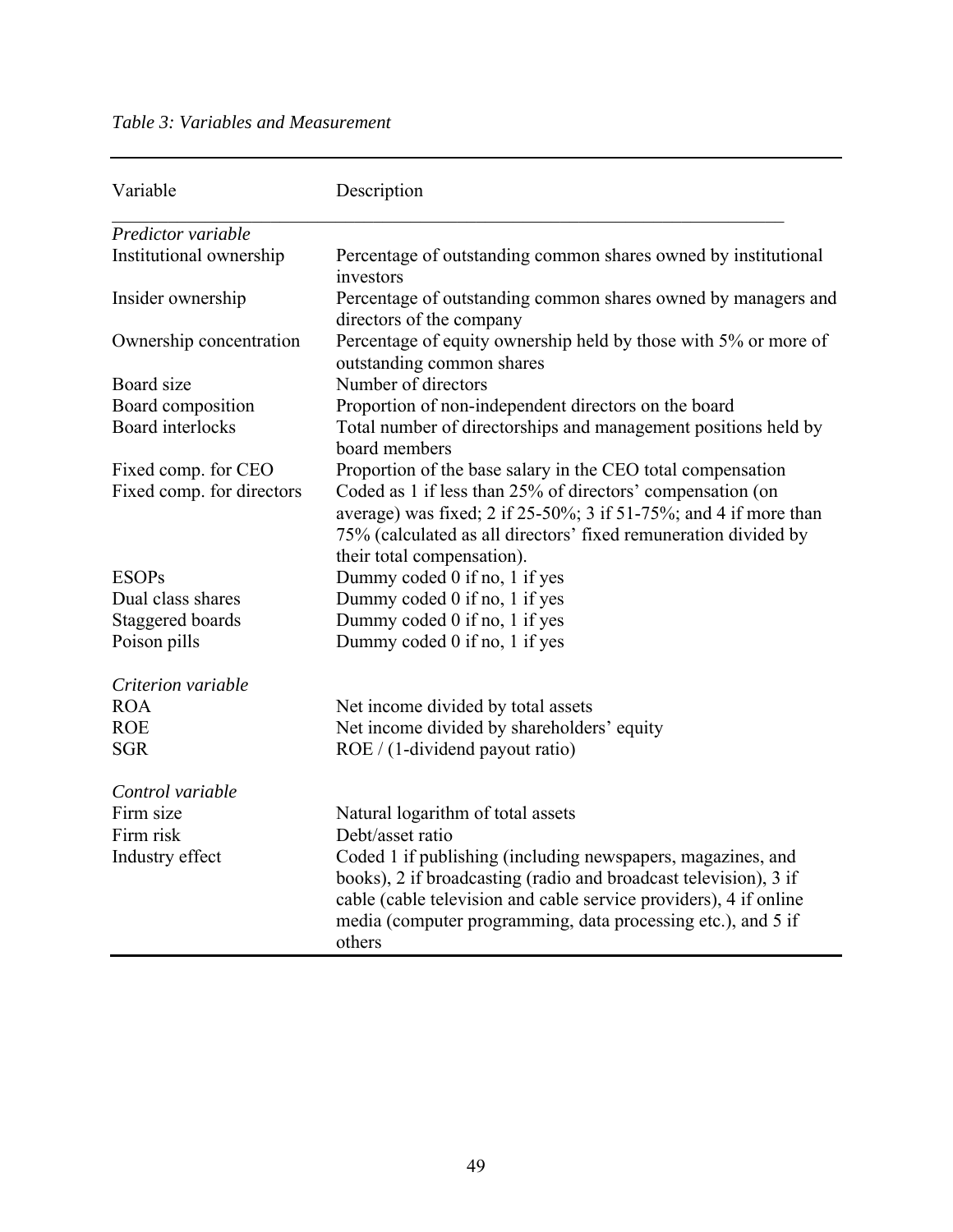# *Table 3: Variables and Measurement*

| Variable                  | Description                                                                                                                                                                                                                                                                    |
|---------------------------|--------------------------------------------------------------------------------------------------------------------------------------------------------------------------------------------------------------------------------------------------------------------------------|
| Predictor variable        |                                                                                                                                                                                                                                                                                |
| Institutional ownership   | Percentage of outstanding common shares owned by institutional<br>investors                                                                                                                                                                                                    |
| Insider ownership         | Percentage of outstanding common shares owned by managers and<br>directors of the company                                                                                                                                                                                      |
| Ownership concentration   | Percentage of equity ownership held by those with 5% or more of<br>outstanding common shares                                                                                                                                                                                   |
| Board size                | Number of directors                                                                                                                                                                                                                                                            |
| Board composition         | Proportion of non-independent directors on the board                                                                                                                                                                                                                           |
| <b>Board</b> interlocks   | Total number of directorships and management positions held by<br>board members                                                                                                                                                                                                |
| Fixed comp. for CEO       | Proportion of the base salary in the CEO total compensation                                                                                                                                                                                                                    |
| Fixed comp. for directors | Coded as 1 if less than 25% of directors' compensation (on                                                                                                                                                                                                                     |
|                           | average) was fixed; 2 if $25-50\%$ ; 3 if $51-75\%$ ; and 4 if more than                                                                                                                                                                                                       |
|                           | 75% (calculated as all directors' fixed remuneration divided by                                                                                                                                                                                                                |
|                           | their total compensation).                                                                                                                                                                                                                                                     |
| <b>ESOPs</b>              | Dummy coded 0 if no, 1 if yes                                                                                                                                                                                                                                                  |
| Dual class shares         | Dummy coded 0 if no, 1 if yes                                                                                                                                                                                                                                                  |
| Staggered boards          | Dummy coded 0 if no, 1 if yes                                                                                                                                                                                                                                                  |
| Poison pills              | Dummy coded 0 if no, 1 if yes                                                                                                                                                                                                                                                  |
| Criterion variable        |                                                                                                                                                                                                                                                                                |
| <b>ROA</b>                | Net income divided by total assets                                                                                                                                                                                                                                             |
| <b>ROE</b>                | Net income divided by shareholders' equity                                                                                                                                                                                                                                     |
| <b>SGR</b>                | ROE / (1-dividend payout ratio)                                                                                                                                                                                                                                                |
| Control variable          |                                                                                                                                                                                                                                                                                |
| Firm size                 | Natural logarithm of total assets                                                                                                                                                                                                                                              |
| Firm risk                 | Debt/asset ratio                                                                                                                                                                                                                                                               |
| Industry effect           | Coded 1 if publishing (including newspapers, magazines, and<br>books), 2 if broadcasting (radio and broadcast television), 3 if<br>cable (cable television and cable service providers), 4 if online<br>media (computer programming, data processing etc.), and 5 if<br>others |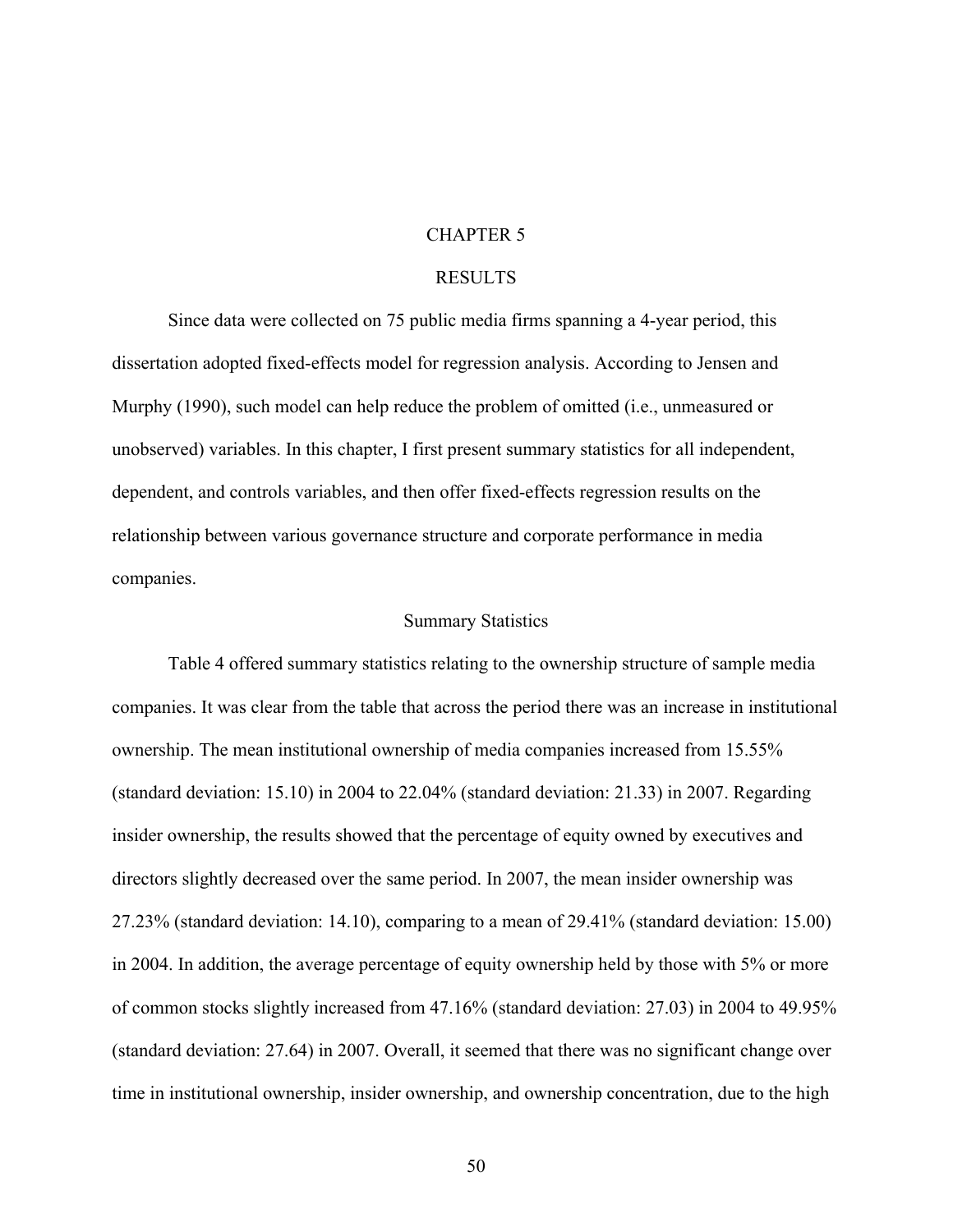# CHAPTER 5

# RESULTS

Since data were collected on 75 public media firms spanning a 4-year period, this dissertation adopted fixed-effects model for regression analysis. According to Jensen and Murphy (1990), such model can help reduce the problem of omitted (i.e., unmeasured or unobserved) variables. In this chapter, I first present summary statistics for all independent, dependent, and controls variables, and then offer fixed-effects regression results on the relationship between various governance structure and corporate performance in media companies.

# Summary Statistics

Table 4 offered summary statistics relating to the ownership structure of sample media companies. It was clear from the table that across the period there was an increase in institutional ownership. The mean institutional ownership of media companies increased from 15.55% (standard deviation: 15.10) in 2004 to 22.04% (standard deviation: 21.33) in 2007. Regarding insider ownership, the results showed that the percentage of equity owned by executives and directors slightly decreased over the same period. In 2007, the mean insider ownership was 27.23% (standard deviation: 14.10), comparing to a mean of 29.41% (standard deviation: 15.00) in 2004. In addition, the average percentage of equity ownership held by those with 5% or more of common stocks slightly increased from 47.16% (standard deviation: 27.03) in 2004 to 49.95% (standard deviation: 27.64) in 2007. Overall, it seemed that there was no significant change over time in institutional ownership, insider ownership, and ownership concentration, due to the high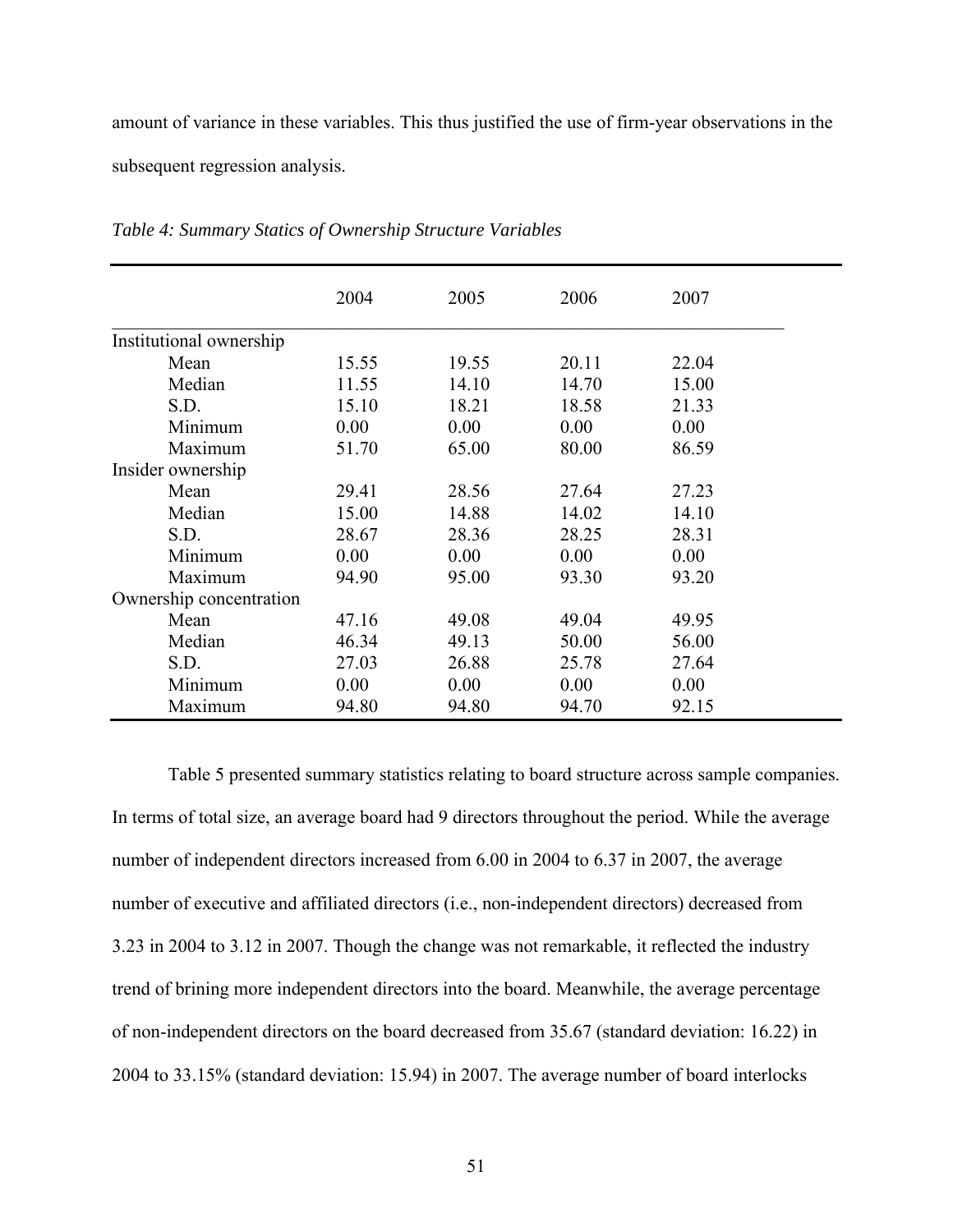amount of variance in these variables. This thus justified the use of firm-year observations in the subsequent regression analysis.

|                         | 2004  | 2005  | 2006  | 2007  |
|-------------------------|-------|-------|-------|-------|
| Institutional ownership |       |       |       |       |
| Mean                    | 15.55 | 19.55 | 20.11 | 22.04 |
| Median                  | 11.55 | 14.10 | 14.70 | 15.00 |
| S.D.                    | 15.10 | 18.21 | 18.58 | 21.33 |
| Minimum                 | 0.00  | 0.00  | 0.00  | 0.00  |
| Maximum                 | 51.70 | 65.00 | 80.00 | 86.59 |
| Insider ownership       |       |       |       |       |
| Mean                    | 29.41 | 28.56 | 27.64 | 27.23 |
| Median                  | 15.00 | 14.88 | 14.02 | 14.10 |
| S.D.                    | 28.67 | 28.36 | 28.25 | 28.31 |
| Minimum                 | 0.00  | 0.00  | 0.00  | 0.00  |
| Maximum                 | 94.90 | 95.00 | 93.30 | 93.20 |
| Ownership concentration |       |       |       |       |
| Mean                    | 47.16 | 49.08 | 49.04 | 49.95 |
| Median                  | 46.34 | 49.13 | 50.00 | 56.00 |
| S.D.                    | 27.03 | 26.88 | 25.78 | 27.64 |
| Minimum                 | 0.00  | 0.00  | 0.00  | 0.00  |
| Maximum                 | 94.80 | 94.80 | 94.70 | 92.15 |

*Table 4: Summary Statics of Ownership Structure Variables*

Table 5 presented summary statistics relating to board structure across sample companies. In terms of total size, an average board had 9 directors throughout the period. While the average number of independent directors increased from 6.00 in 2004 to 6.37 in 2007, the average number of executive and affiliated directors (i.e., non-independent directors) decreased from 3.23 in 2004 to 3.12 in 2007. Though the change was not remarkable, it reflected the industry trend of brining more independent directors into the board. Meanwhile, the average percentage of non-independent directors on the board decreased from 35.67 (standard deviation: 16.22) in 2004 to 33.15% (standard deviation: 15.94) in 2007. The average number of board interlocks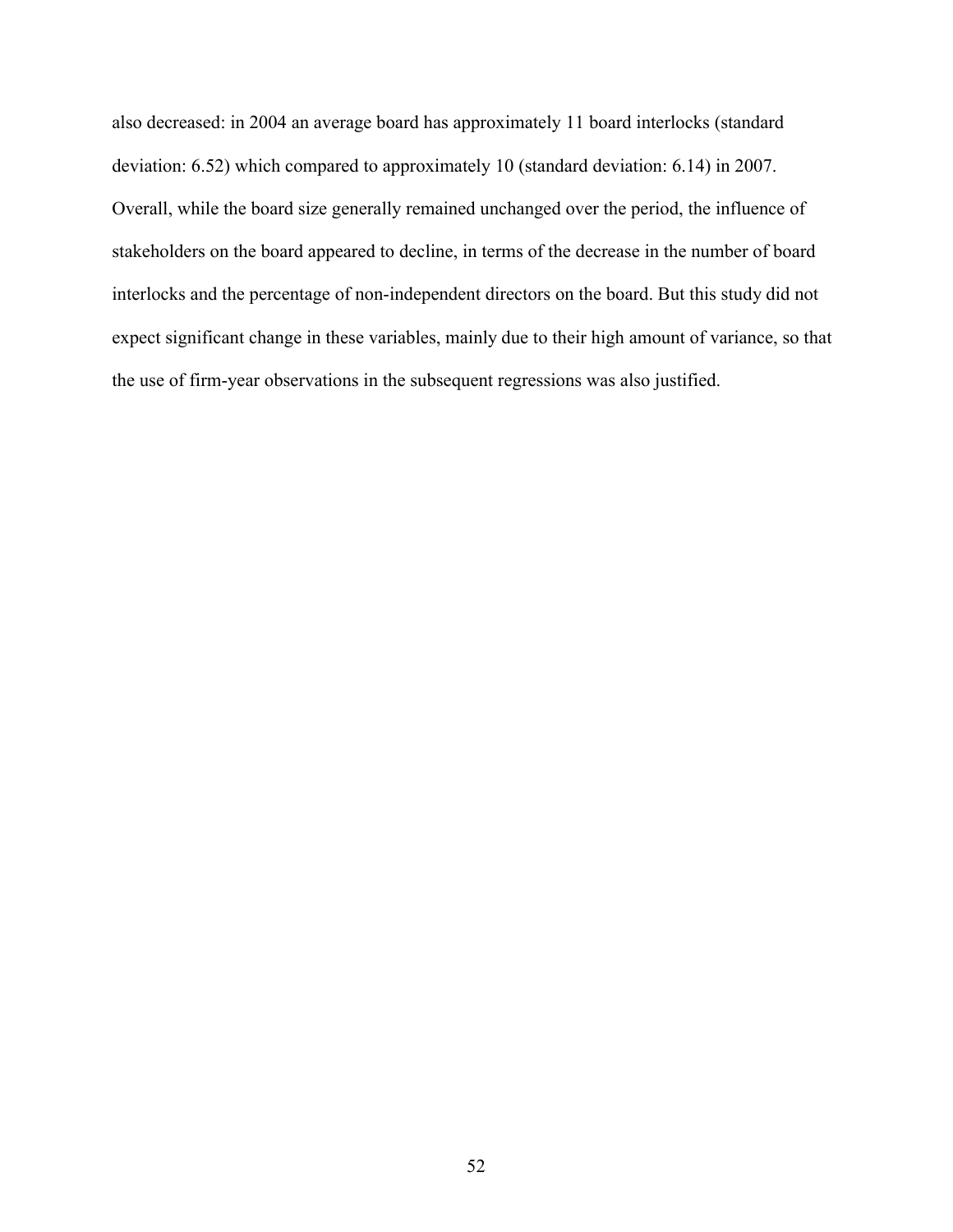also decreased: in 2004 an average board has approximately 11 board interlocks (standard deviation: 6.52) which compared to approximately 10 (standard deviation: 6.14) in 2007. Overall, while the board size generally remained unchanged over the period, the influence of stakeholders on the board appeared to decline, in terms of the decrease in the number of board interlocks and the percentage of non-independent directors on the board. But this study did not expect significant change in these variables, mainly due to their high amount of variance, so that the use of firm-year observations in the subsequent regressions was also justified.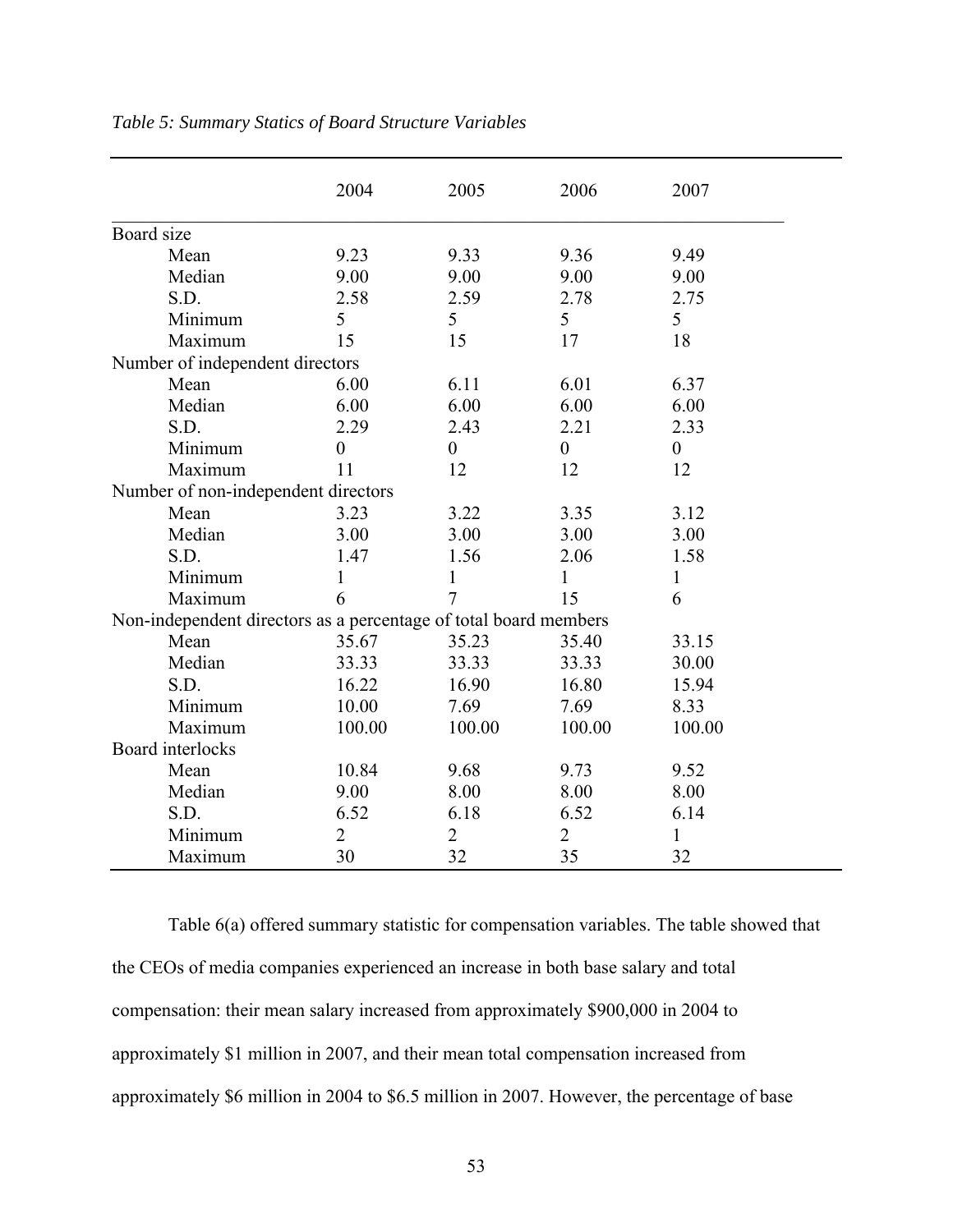|                                                                  | 2004             | 2005           | 2006             | 2007             |
|------------------------------------------------------------------|------------------|----------------|------------------|------------------|
| Board size                                                       |                  |                |                  |                  |
| Mean                                                             | 9.23             | 9.33           | 9.36             | 9.49             |
| Median                                                           | 9.00             | 9.00           | 9.00             | 9.00             |
| S.D.                                                             | 2.58             | 2.59           | 2.78             | 2.75             |
| Minimum                                                          | 5                | 5              | 5                | 5                |
| Maximum                                                          | 15               | 15             | 17               | 18               |
| Number of independent directors                                  |                  |                |                  |                  |
| Mean                                                             | 6.00             | 6.11           | 6.01             | 6.37             |
| Median                                                           | 6.00             | 6.00           | 6.00             | 6.00             |
| S.D.                                                             | 2.29             | 2.43           | 2.21             | 2.33             |
| Minimum                                                          | $\boldsymbol{0}$ | $\overline{0}$ | $\boldsymbol{0}$ | $\boldsymbol{0}$ |
| Maximum                                                          | 11               | 12             | 12               | 12               |
| Number of non-independent directors                              |                  |                |                  |                  |
| Mean                                                             | 3.23             | 3.22           | 3.35             | 3.12             |
| Median                                                           | 3.00             | 3.00           | 3.00             | 3.00             |
| S.D.                                                             | 1.47             | 1.56           | 2.06             | 1.58             |
| Minimum                                                          | 1                | 1              | $\mathbf{1}$     | $\mathbf{1}$     |
| Maximum                                                          | 6                | 7              | 15               | 6                |
| Non-independent directors as a percentage of total board members |                  |                |                  |                  |
| Mean                                                             | 35.67            | 35.23          | 35.40            | 33.15            |
| Median                                                           | 33.33            | 33.33          | 33.33            | 30.00            |
| S.D.                                                             | 16.22            | 16.90          | 16.80            | 15.94            |
| Minimum                                                          | 10.00            | 7.69           | 7.69             | 8.33             |
| Maximum                                                          | 100.00           | 100.00         | 100.00           | 100.00           |
| Board interlocks                                                 |                  |                |                  |                  |
| Mean                                                             | 10.84            | 9.68           | 9.73             | 9.52             |
| Median                                                           | 9.00             | 8.00           | 8.00             | 8.00             |
| S.D.                                                             | 6.52             | 6.18           | 6.52             | 6.14             |
| Minimum                                                          | $\overline{2}$   | $\overline{2}$ | $\overline{2}$   | 1                |
| Maximum                                                          | 30               | 32             | 35               | 32               |

# *Table 5: Summary Statics of Board Structure Variables*

Table 6(a) offered summary statistic for compensation variables. The table showed that the CEOs of media companies experienced an increase in both base salary and total compensation: their mean salary increased from approximately \$900,000 in 2004 to approximately \$1 million in 2007, and their mean total compensation increased from approximately \$6 million in 2004 to \$6.5 million in 2007. However, the percentage of base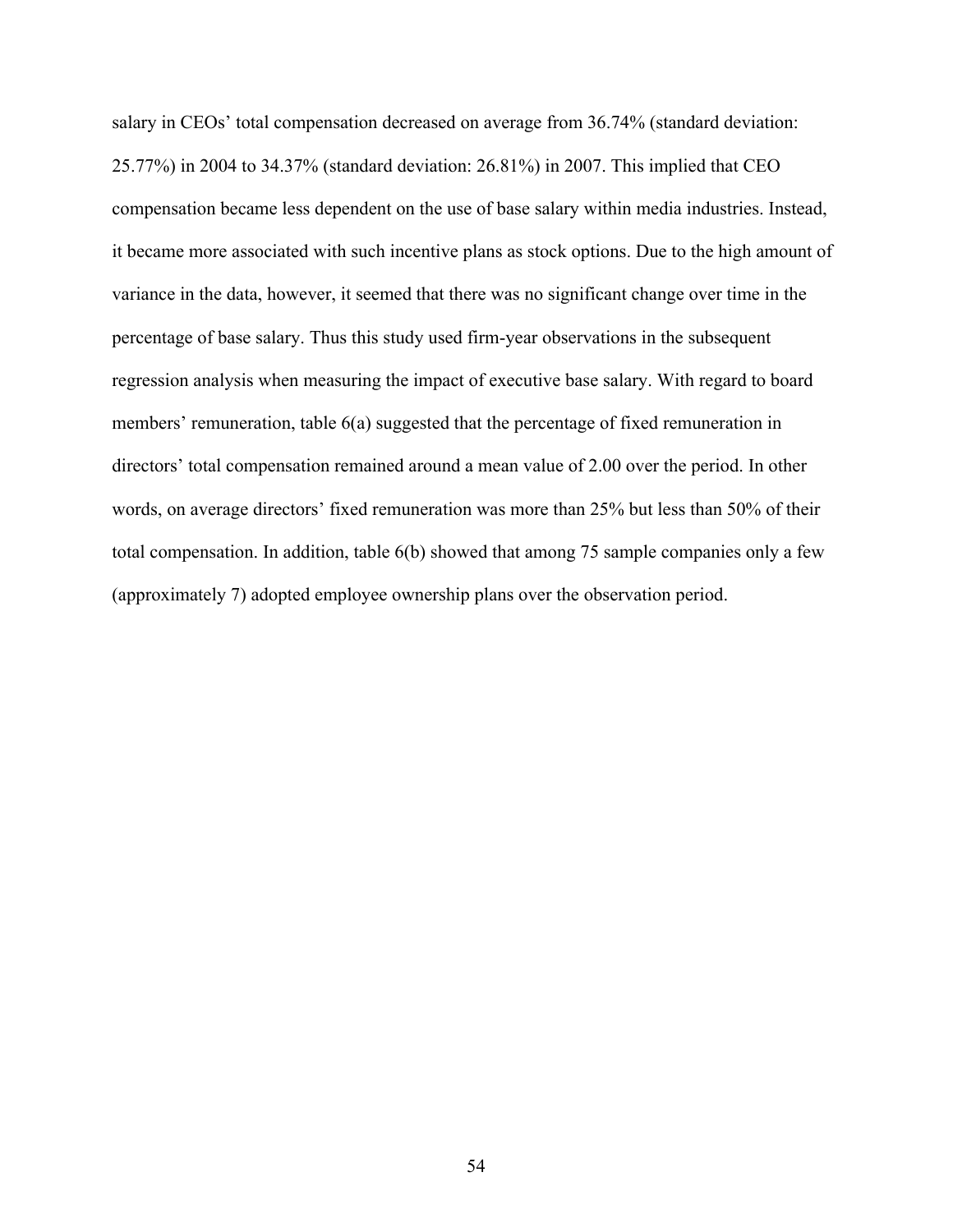salary in CEOs' total compensation decreased on average from 36.74% (standard deviation: 25.77%) in 2004 to 34.37% (standard deviation: 26.81%) in 2007. This implied that CEO compensation became less dependent on the use of base salary within media industries. Instead, it became more associated with such incentive plans as stock options. Due to the high amount of variance in the data, however, it seemed that there was no significant change over time in the percentage of base salary. Thus this study used firm-year observations in the subsequent regression analysis when measuring the impact of executive base salary. With regard to board members' remuneration, table 6(a) suggested that the percentage of fixed remuneration in directors' total compensation remained around a mean value of 2.00 over the period. In other words, on average directors' fixed remuneration was more than 25% but less than 50% of their total compensation. In addition, table 6(b) showed that among 75 sample companies only a few (approximately 7) adopted employee ownership plans over the observation period.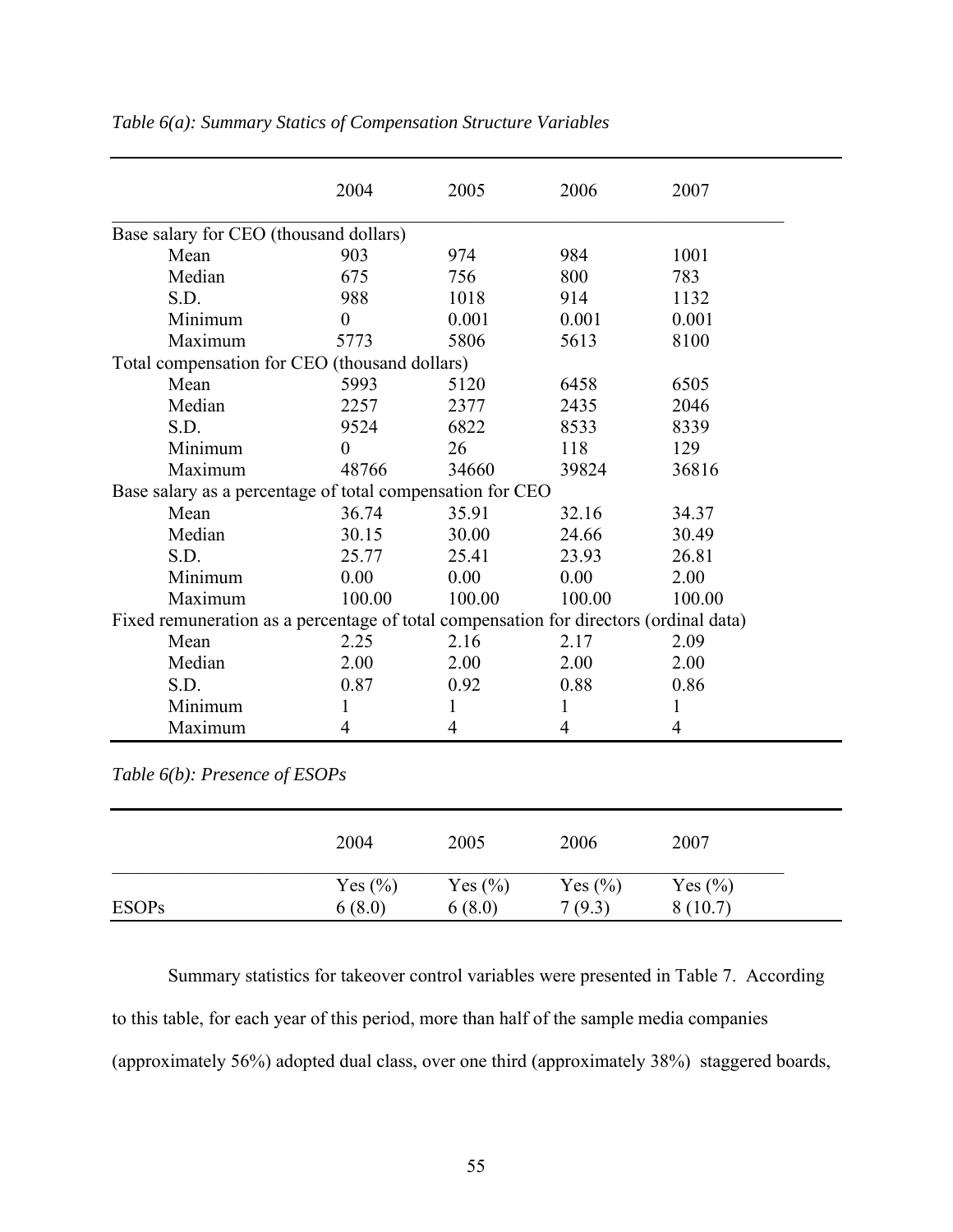|                                                                                       | 2004     | 2005   | 2006   | 2007   |
|---------------------------------------------------------------------------------------|----------|--------|--------|--------|
| Base salary for CEO (thousand dollars)                                                |          |        |        |        |
| Mean                                                                                  | 903      | 974    | 984    | 1001   |
| Median                                                                                | 675      | 756    | 800    | 783    |
| S.D.                                                                                  | 988      | 1018   | 914    | 1132   |
| Minimum                                                                               | $\theta$ | 0.001  | 0.001  | 0.001  |
| Maximum                                                                               | 5773     | 5806   | 5613   | 8100   |
| Total compensation for CEO (thousand dollars)                                         |          |        |        |        |
| Mean                                                                                  | 5993     | 5120   | 6458   | 6505   |
| Median                                                                                | 2257     | 2377   | 2435   | 2046   |
| S.D.                                                                                  | 9524     | 6822   | 8533   | 8339   |
| Minimum                                                                               | $\theta$ | 26     | 118    | 129    |
| Maximum                                                                               | 48766    | 34660  | 39824  | 36816  |
| Base salary as a percentage of total compensation for CEO                             |          |        |        |        |
| Mean                                                                                  | 36.74    | 35.91  | 32.16  | 34.37  |
| Median                                                                                | 30.15    | 30.00  | 24.66  | 30.49  |
| S.D.                                                                                  | 25.77    | 25.41  | 23.93  | 26.81  |
| Minimum                                                                               | 0.00     | 0.00   | 0.00   | 2.00   |
| Maximum                                                                               | 100.00   | 100.00 | 100.00 | 100.00 |
| Fixed remuneration as a percentage of total compensation for directors (ordinal data) |          |        |        |        |
| Mean                                                                                  | 2.25     | 2.16   | 2.17   | 2.09   |
| Median                                                                                | 2.00     | 2.00   | 2.00   | 2.00   |
| S.D.                                                                                  | 0.87     | 0.92   | 0.88   | 0.86   |
| Minimum                                                                               | 1        | 1      | 1      | 1      |
| Maximum                                                                               | 4        | 4      | 4      | 4      |

*Table 6(a): Summary Statics of Compensation Structure Variables*

*Table 6(b): Presence of ESOPs*

|              | 2004        | 2005        | 2006        | 2007        |
|--------------|-------------|-------------|-------------|-------------|
| <b>ESOPs</b> | Yes $(\% )$ | Yes $(\% )$ | Yes $(\% )$ | Yes $(\% )$ |
|              | 6(8.0)      | 6(8.0)      | 7(9.3)      | 8(10.7)     |

Summary statistics for takeover control variables were presented in Table 7. According

to this table, for each year of this period, more than half of the sample media companies

(approximately 56%) adopted dual class, over one third (approximately 38%) staggered boards,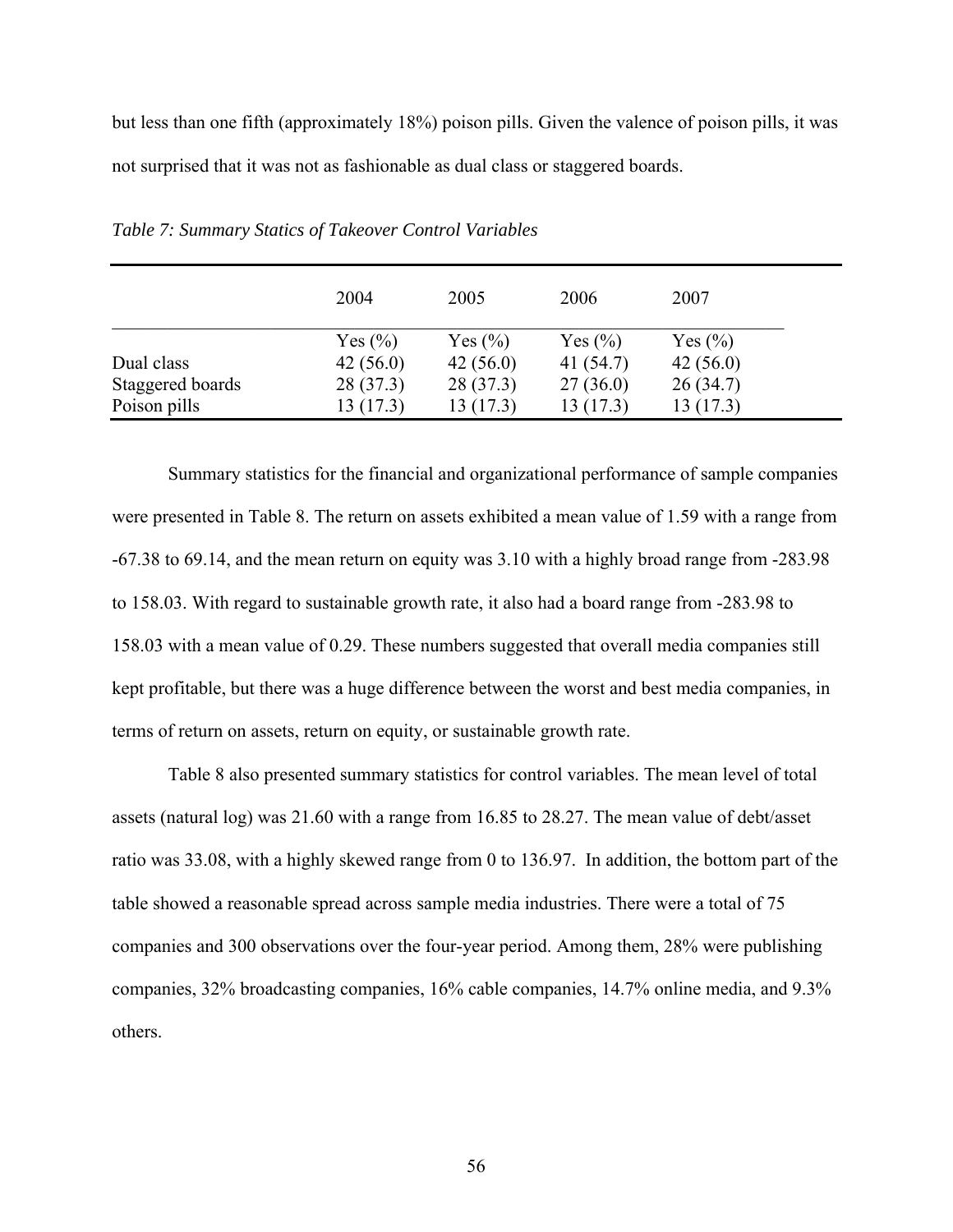but less than one fifth (approximately 18%) poison pills. Given the valence of poison pills, it was not surprised that it was not as fashionable as dual class or staggered boards.

|                  | 2004        | 2005        | 2006        | 2007        |
|------------------|-------------|-------------|-------------|-------------|
|                  | Yes $(\% )$ | Yes $(\% )$ | Yes $(\% )$ | Yes $(\% )$ |
| Dual class       | 42(56.0)    | 42(56.0)    | 41 (54.7)   | 42(56.0)    |
| Staggered boards | 28(37.3)    | 28(37.3)    | 27(36.0)    | 26(34.7)    |
| Poison pills     | 13 (17.3)   | 13(17.3)    | 13 (17.3)   | 13 (17.3)   |

*Table 7: Summary Statics of Takeover Control Variables*

Summary statistics for the financial and organizational performance of sample companies were presented in Table 8. The return on assets exhibited a mean value of 1.59 with a range from -67.38 to 69.14, and the mean return on equity was 3.10 with a highly broad range from -283.98 to 158.03. With regard to sustainable growth rate, it also had a board range from -283.98 to 158.03 with a mean value of 0.29. These numbers suggested that overall media companies still kept profitable, but there was a huge difference between the worst and best media companies, in terms of return on assets, return on equity, or sustainable growth rate.

Table 8 also presented summary statistics for control variables. The mean level of total assets (natural log) was 21.60 with a range from 16.85 to 28.27. The mean value of debt/asset ratio was 33.08, with a highly skewed range from 0 to 136.97. In addition, the bottom part of the table showed a reasonable spread across sample media industries. There were a total of 75 companies and 300 observations over the four-year period. Among them, 28% were publishing companies, 32% broadcasting companies, 16% cable companies, 14.7% online media, and 9.3% others.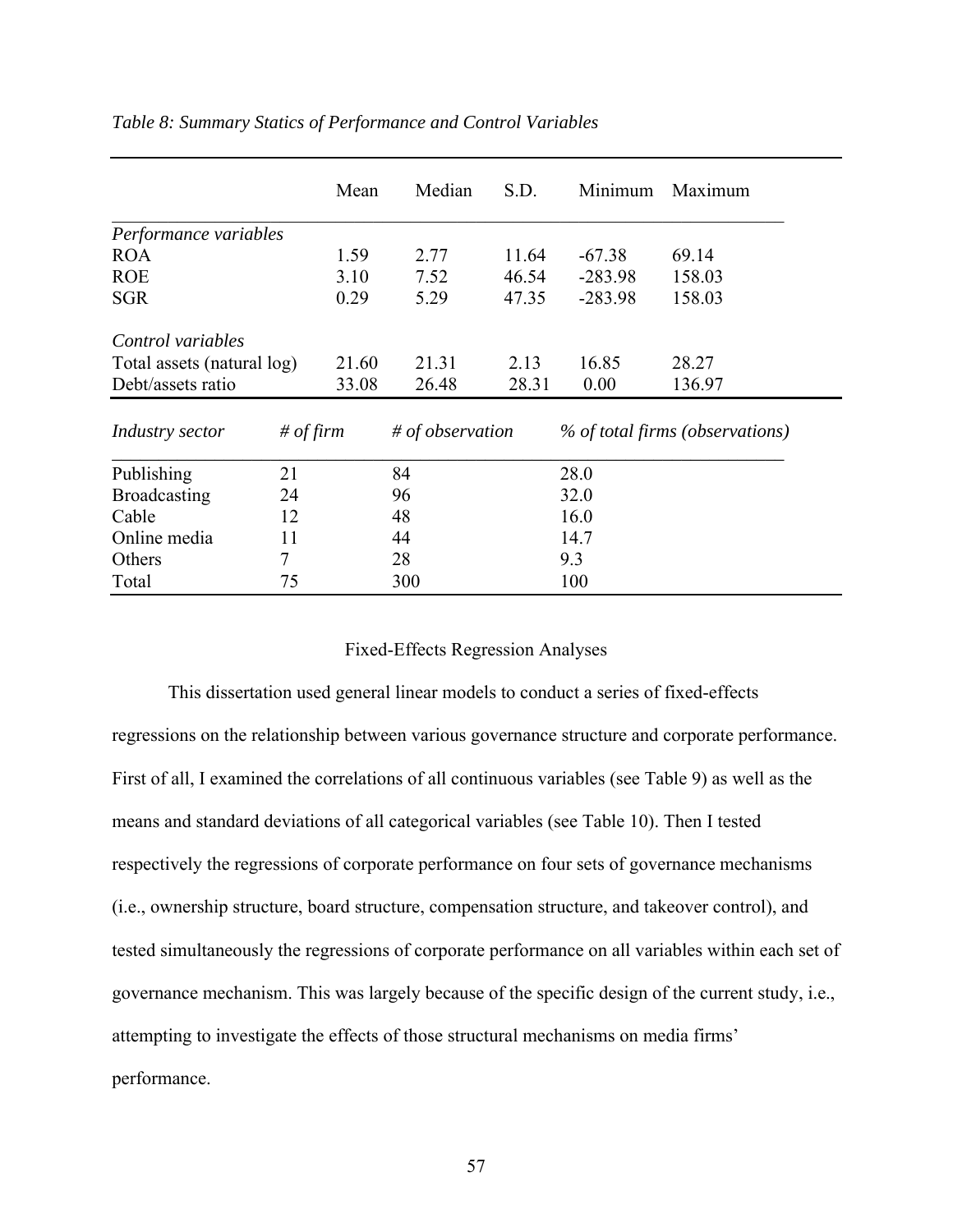|                            |           | Mean  | Median           | S.D.  | Minimum   | Maximum                         |
|----------------------------|-----------|-------|------------------|-------|-----------|---------------------------------|
| Performance variables      |           |       |                  |       |           |                                 |
| <b>ROA</b>                 |           | 1.59  | 2.77             | 11.64 | $-67.38$  | 69.14                           |
| <b>ROE</b>                 |           | 3.10  | 7.52             | 46.54 | $-283.98$ | 158.03                          |
| <b>SGR</b>                 |           | 0.29  | 5.29             | 47.35 | $-283.98$ | 158.03                          |
| Control variables          |           |       |                  |       |           |                                 |
| Total assets (natural log) |           | 21.60 | 21.31            | 2.13  | 16.85     | 28.27                           |
| Debt/assets ratio          |           | 33.08 | 26.48            | 28.31 | 0.00      | 136.97                          |
| Industry sector            | # of firm |       | # of observation |       |           | % of total firms (observations) |
| Publishing                 | 21        |       | 84               |       | 28.0      |                                 |
| <b>Broadcasting</b>        | 24        |       | 96               |       | 32.0      |                                 |
| Cable                      | 12        |       | 48               |       | 16.0      |                                 |
| Online media               | 11        |       | 44               |       | 14.7      |                                 |
| Others                     | 7         |       | 28               |       | 9.3       |                                 |
| Total                      | 75        |       | 300              |       | 100       |                                 |

# *Table 8: Summary Statics of Performance and Control Variables*

#### Fixed-Effects Regression Analyses

This dissertation used general linear models to conduct a series of fixed-effects regressions on the relationship between various governance structure and corporate performance. First of all, I examined the correlations of all continuous variables (see Table 9) as well as the means and standard deviations of all categorical variables (see Table 10). Then I tested respectively the regressions of corporate performance on four sets of governance mechanisms (i.e., ownership structure, board structure, compensation structure, and takeover control), and tested simultaneously the regressions of corporate performance on all variables within each set of governance mechanism. This was largely because of the specific design of the current study, i.e., attempting to investigate the effects of those structural mechanisms on media firms' performance.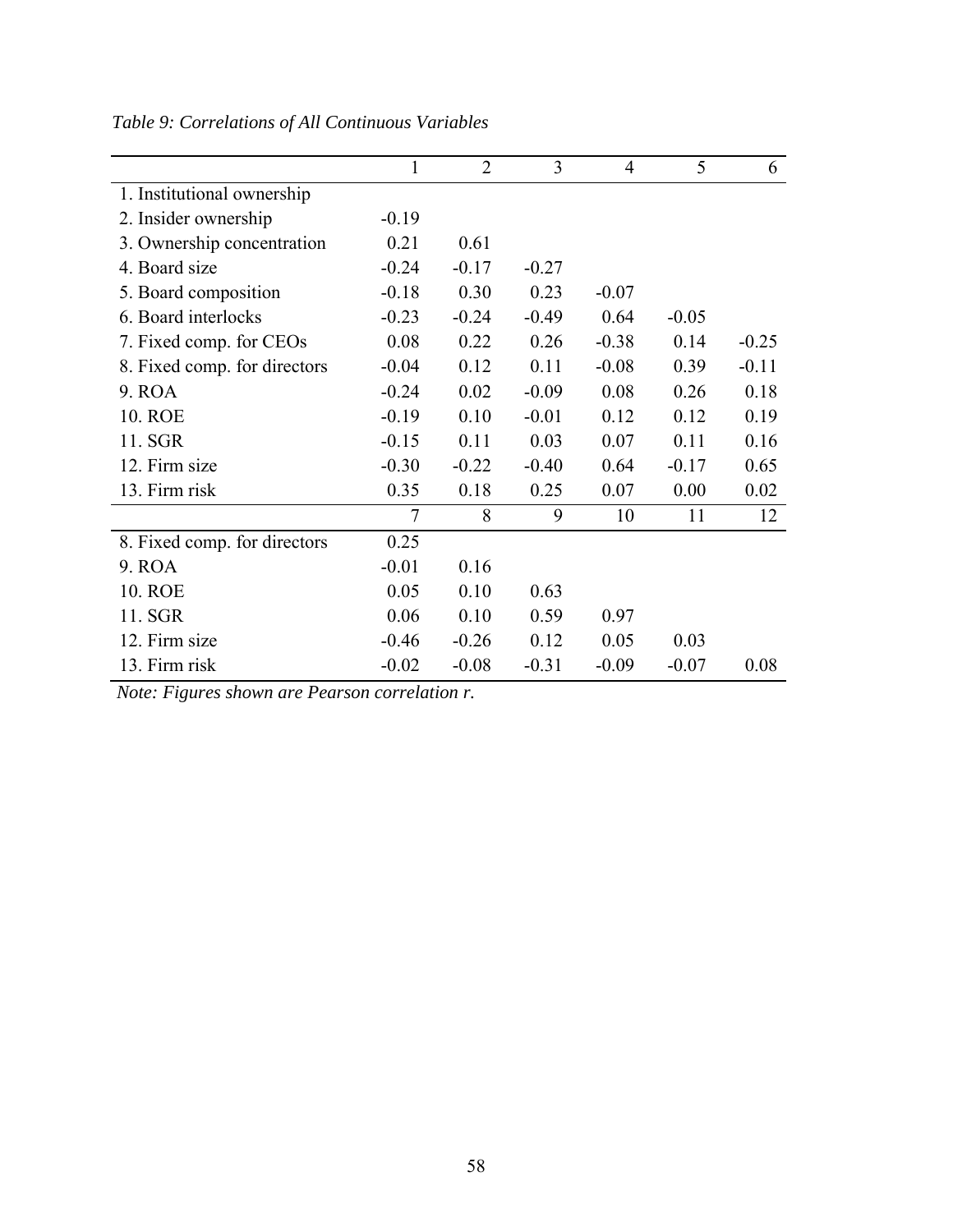|                              | 1              | $\overline{2}$ | 3       | $\overline{4}$ | 5       | 6       |
|------------------------------|----------------|----------------|---------|----------------|---------|---------|
| 1. Institutional ownership   |                |                |         |                |         |         |
| 2. Insider ownership         | $-0.19$        |                |         |                |         |         |
| 3. Ownership concentration   | 0.21           | 0.61           |         |                |         |         |
| 4. Board size                | $-0.24$        | $-0.17$        | $-0.27$ |                |         |         |
| 5. Board composition         | $-0.18$        | 0.30           | 0.23    | $-0.07$        |         |         |
| 6. Board interlocks          | $-0.23$        | $-0.24$        | $-0.49$ | 0.64           | $-0.05$ |         |
| 7. Fixed comp. for CEOs      | 0.08           | 0.22           | 0.26    | $-0.38$        | 0.14    | $-0.25$ |
| 8. Fixed comp. for directors | $-0.04$        | 0.12           | 0.11    | $-0.08$        | 0.39    | $-0.11$ |
| 9. ROA                       | $-0.24$        | 0.02           | $-0.09$ | 0.08           | 0.26    | 0.18    |
| <b>10. ROE</b>               | $-0.19$        | 0.10           | $-0.01$ | 0.12           | 0.12    | 0.19    |
| 11. SGR                      | $-0.15$        | 0.11           | 0.03    | 0.07           | 0.11    | 0.16    |
| 12. Firm size                | $-0.30$        | $-0.22$        | $-0.40$ | 0.64           | $-0.17$ | 0.65    |
| 13. Firm risk                | 0.35           | 0.18           | 0.25    | 0.07           | 0.00    | 0.02    |
|                              | $\overline{7}$ | 8              | 9       | 10             | 11      | 12      |
| 8. Fixed comp. for directors | 0.25           |                |         |                |         |         |
| 9. ROA                       | $-0.01$        | 0.16           |         |                |         |         |
| 10. ROE                      | 0.05           | 0.10           | 0.63    |                |         |         |
| 11. SGR                      | 0.06           | 0.10           | 0.59    | 0.97           |         |         |
| 12. Firm size                | $-0.46$        | $-0.26$        | 0.12    | 0.05           | 0.03    |         |
| 13. Firm risk                | $-0.02$        | $-0.08$        | $-0.31$ | $-0.09$        | $-0.07$ | 0.08    |

*Table 9: Correlations of All Continuous Variables* 

*Note: Figures shown are Pearson correlation r.*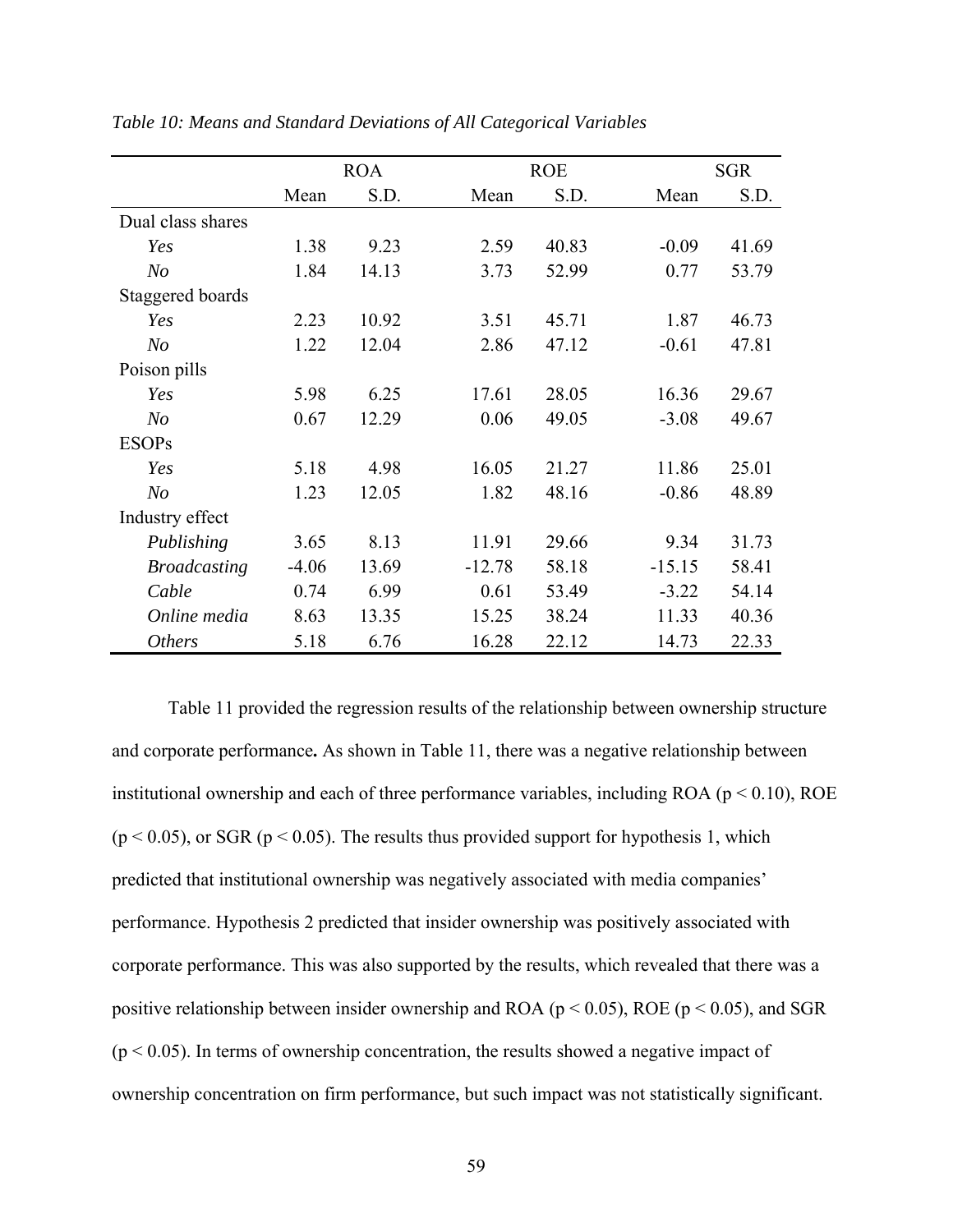|                     | <b>ROA</b> |       |          | <b>ROE</b> |          | <b>SGR</b> |
|---------------------|------------|-------|----------|------------|----------|------------|
|                     | Mean       | S.D.  | Mean     | S.D.       | Mean     | S.D.       |
| Dual class shares   |            |       |          |            |          |            |
| Yes                 | 1.38       | 9.23  | 2.59     | 40.83      | $-0.09$  | 41.69      |
| N <sub>O</sub>      | 1.84       | 14.13 | 3.73     | 52.99      | 0.77     | 53.79      |
| Staggered boards    |            |       |          |            |          |            |
| Yes                 | 2.23       | 10.92 | 3.51     | 45.71      | 1.87     | 46.73      |
| N <sub>O</sub>      | 1.22       | 12.04 | 2.86     | 47.12      | $-0.61$  | 47.81      |
| Poison pills        |            |       |          |            |          |            |
| Yes                 | 5.98       | 6.25  | 17.61    | 28.05      | 16.36    | 29.67      |
| N <sub>O</sub>      | 0.67       | 12.29 | 0.06     | 49.05      | $-3.08$  | 49.67      |
| <b>ESOPs</b>        |            |       |          |            |          |            |
| Yes                 | 5.18       | 4.98  | 16.05    | 21.27      | 11.86    | 25.01      |
| N <sub>O</sub>      | 1.23       | 12.05 | 1.82     | 48.16      | $-0.86$  | 48.89      |
| Industry effect     |            |       |          |            |          |            |
| Publishing          | 3.65       | 8.13  | 11.91    | 29.66      | 9.34     | 31.73      |
| <b>Broadcasting</b> | $-4.06$    | 13.69 | $-12.78$ | 58.18      | $-15.15$ | 58.41      |
| Cable               | 0.74       | 6.99  | 0.61     | 53.49      | $-3.22$  | 54.14      |
| Online media        | 8.63       | 13.35 | 15.25    | 38.24      | 11.33    | 40.36      |
| <b>Others</b>       | 5.18       | 6.76  | 16.28    | 22.12      | 14.73    | 22.33      |

*Table 10: Means and Standard Deviations of All Categorical Variables*

Table 11 provided the regression results of the relationship between ownership structure and corporate performance**.** As shown in Table 11, there was a negative relationship between institutional ownership and each of three performance variables, including ROA ( $p < 0.10$ ), ROE  $(p < 0.05)$ , or SGR  $(p < 0.05)$ . The results thus provided support for hypothesis 1, which predicted that institutional ownership was negatively associated with media companies' performance. Hypothesis 2 predicted that insider ownership was positively associated with corporate performance. This was also supported by the results, which revealed that there was a positive relationship between insider ownership and ROA ( $p < 0.05$ ), ROE ( $p < 0.05$ ), and SGR  $(p < 0.05)$ . In terms of ownership concentration, the results showed a negative impact of ownership concentration on firm performance, but such impact was not statistically significant.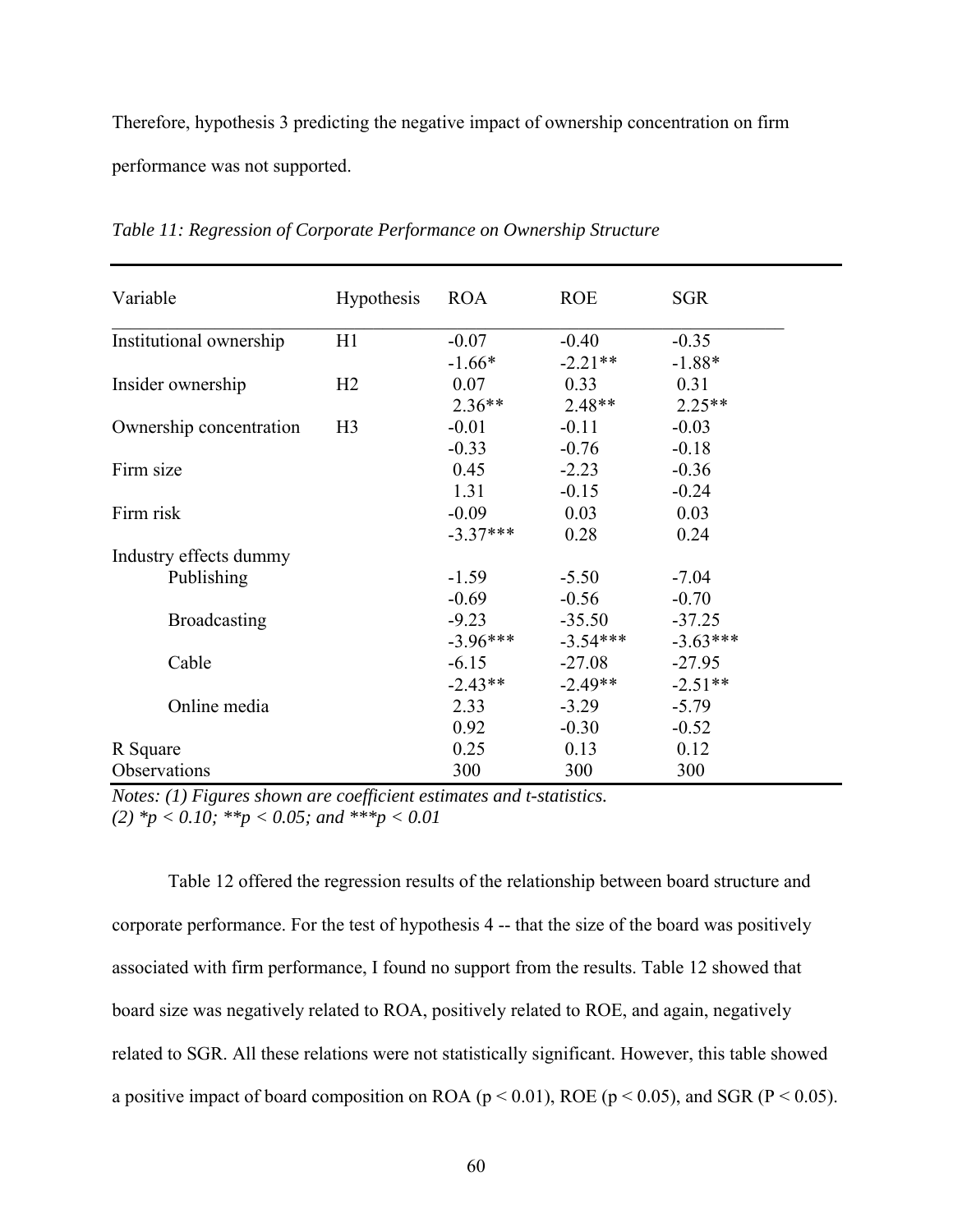Therefore, hypothesis 3 predicting the negative impact of ownership concentration on firm performance was not supported.

| Variable                | <b>Hypothesis</b> | <b>ROA</b> | <b>ROE</b> | <b>SGR</b> |
|-------------------------|-------------------|------------|------------|------------|
| Institutional ownership | H1                | $-0.07$    | $-0.40$    | $-0.35$    |
|                         |                   | $-1.66*$   | $-2.21**$  | $-1.88*$   |
| Insider ownership       | H2                | 0.07       | 0.33       | 0.31       |
|                         |                   | $2.36**$   | $2.48**$   | $2.25**$   |
| Ownership concentration | H <sub>3</sub>    | $-0.01$    | $-0.11$    | $-0.03$    |
|                         |                   | $-0.33$    | $-0.76$    | $-0.18$    |
| Firm size               |                   | 0.45       | $-2.23$    | $-0.36$    |
|                         |                   | 1.31       | $-0.15$    | $-0.24$    |
| Firm risk               |                   | $-0.09$    | 0.03       | 0.03       |
|                         |                   | $-3.37***$ | 0.28       | 0.24       |
| Industry effects dummy  |                   |            |            |            |
| Publishing              |                   | $-1.59$    | $-5.50$    | $-7.04$    |
|                         |                   | $-0.69$    | $-0.56$    | $-0.70$    |
| <b>Broadcasting</b>     |                   | $-9.23$    | $-35.50$   | $-37.25$   |
|                         |                   | $-3.96***$ | $-3.54***$ | $-3.63***$ |
| Cable                   |                   | $-6.15$    | $-27.08$   | $-27.95$   |
|                         |                   | $-2.43**$  | $-2.49**$  | $-2.51**$  |
| Online media            |                   | 2.33       | $-3.29$    | $-5.79$    |
|                         |                   | 0.92       | $-0.30$    | $-0.52$    |
| R Square                |                   | 0.25       | 0.13       | 0.12       |
| Observations            |                   | 300        | 300        | 300        |

*Table 11: Regression of Corporate Performance on Ownership Structure* 

*Notes: (1) Figures shown are coefficient estimates and t-statistics. (2) \*p < 0.10; \*\*p < 0.05; and \*\*\*p < 0.01*

Table 12 offered the regression results of the relationship between board structure and corporate performance. For the test of hypothesis 4 -- that the size of the board was positively associated with firm performance, I found no support from the results. Table 12 showed that board size was negatively related to ROA, positively related to ROE, and again, negatively related to SGR. All these relations were not statistically significant. However, this table showed a positive impact of board composition on ROA ( $p < 0.01$ ), ROE ( $p < 0.05$ ), and SGR ( $P < 0.05$ ).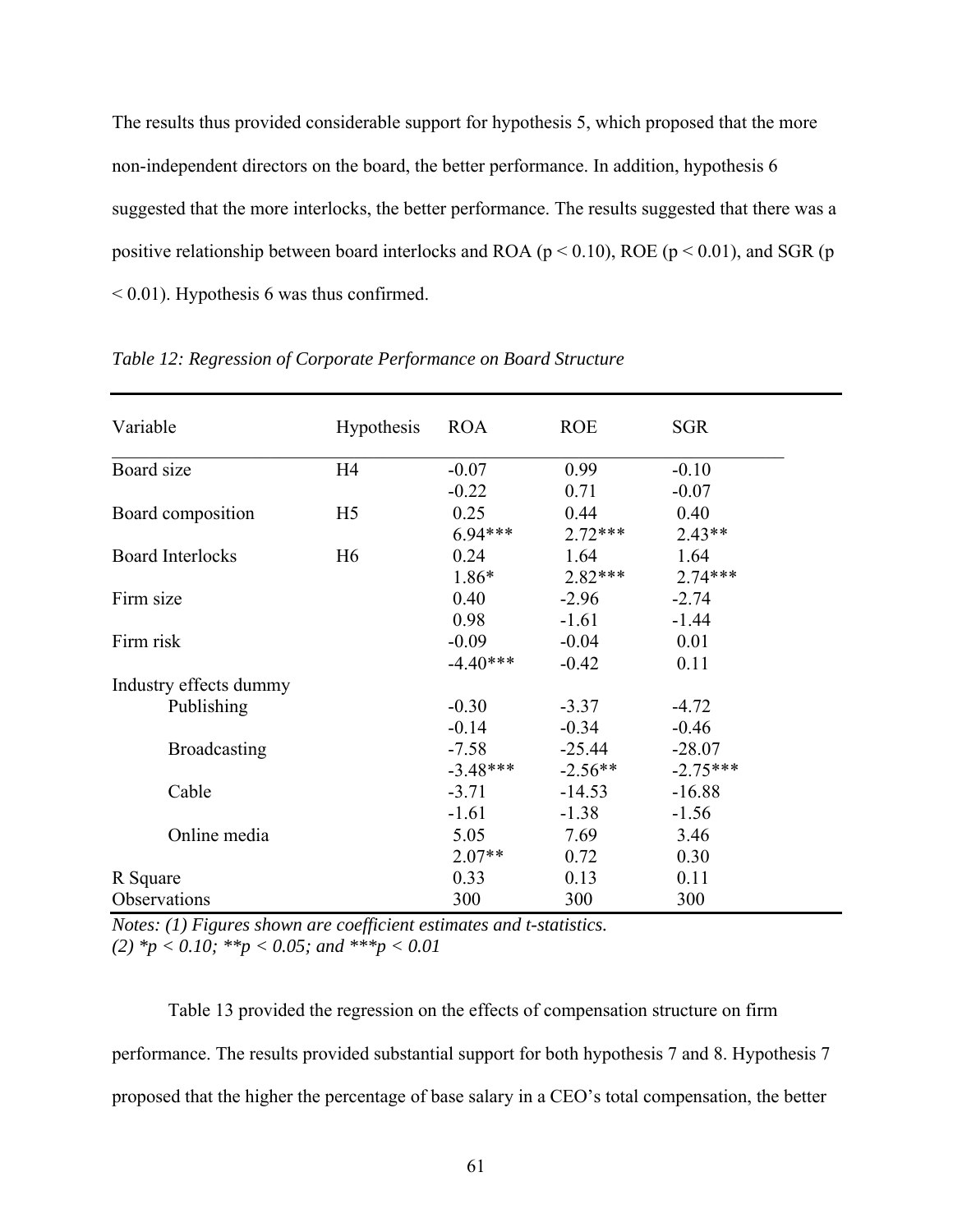The results thus provided considerable support for hypothesis 5, which proposed that the more non-independent directors on the board, the better performance. In addition, hypothesis 6 suggested that the more interlocks, the better performance. The results suggested that there was a positive relationship between board interlocks and ROA ( $p < 0.10$ ), ROE ( $p < 0.01$ ), and SGR ( $p$ ) < 0.01). Hypothesis 6 was thus confirmed.

| Variable                | <b>Hypothesis</b> | <b>ROA</b> | <b>ROE</b> | <b>SGR</b> |
|-------------------------|-------------------|------------|------------|------------|
|                         |                   |            |            |            |
| Board size              | H4                | $-0.07$    | 0.99       | $-0.10$    |
|                         |                   | $-0.22$    | 0.71       | $-0.07$    |
| Board composition       | H <sub>5</sub>    | 0.25       | 0.44       | 0.40       |
|                         |                   | $6.94***$  | $2.72***$  | $2.43**$   |
| <b>Board Interlocks</b> | H <sub>6</sub>    | 0.24       | 1.64       | 1.64       |
|                         |                   | $1.86*$    | $2.82***$  | $2.74***$  |
| Firm size               |                   | 0.40       | $-2.96$    | $-2.74$    |
|                         |                   | 0.98       | $-1.61$    | $-1.44$    |
| Firm risk               |                   | $-0.09$    | $-0.04$    | 0.01       |
|                         |                   | $-4.40***$ | $-0.42$    | 0.11       |
| Industry effects dummy  |                   |            |            |            |
| Publishing              |                   | $-0.30$    | $-3.37$    | $-4.72$    |
|                         |                   | $-0.14$    | $-0.34$    | $-0.46$    |
| <b>Broadcasting</b>     |                   | $-7.58$    | $-25.44$   | $-28.07$   |
|                         |                   | $-3.48***$ | $-2.56**$  | $-2.75***$ |
| Cable                   |                   | $-3.71$    | $-14.53$   | $-16.88$   |
|                         |                   | $-1.61$    | $-1.38$    | $-1.56$    |
| Online media            |                   | 5.05       | 7.69       | 3.46       |
|                         |                   | $2.07**$   | 0.72       | 0.30       |
| R Square                |                   | 0.33       | 0.13       | 0.11       |
| Observations            |                   | 300        | 300        | 300        |

*Table 12: Regression of Corporate Performance on Board Structure* 

*Notes: (1) Figures shown are coefficient estimates and t-statistics. (2) \*p < 0.10; \*\*p < 0.05; and \*\*\*p < 0.01* 

Table 13 provided the regression on the effects of compensation structure on firm performance. The results provided substantial support for both hypothesis 7 and 8. Hypothesis 7 proposed that the higher the percentage of base salary in a CEO's total compensation, the better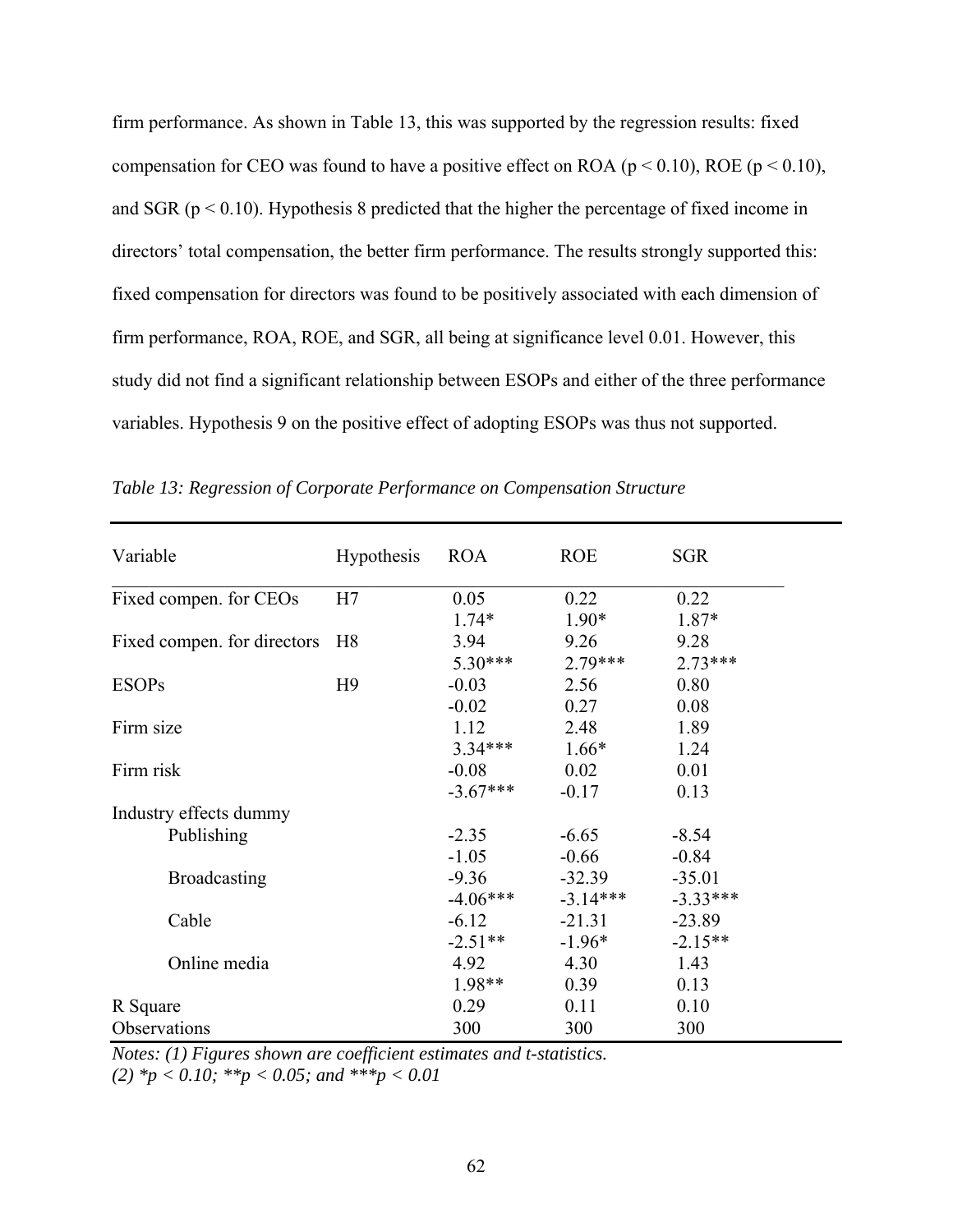firm performance. As shown in Table 13, this was supported by the regression results: fixed compensation for CEO was found to have a positive effect on ROA ( $p < 0.10$ ), ROE ( $p < 0.10$ ), and SGR ( $p < 0.10$ ). Hypothesis 8 predicted that the higher the percentage of fixed income in directors' total compensation, the better firm performance. The results strongly supported this: fixed compensation for directors was found to be positively associated with each dimension of firm performance, ROA, ROE, and SGR, all being at significance level 0.01. However, this study did not find a significant relationship between ESOPs and either of the three performance variables. Hypothesis 9 on the positive effect of adopting ESOPs was thus not supported.

| Variable                    | <b>Hypothesis</b> | <b>ROA</b> | <b>ROE</b> | <b>SGR</b> |
|-----------------------------|-------------------|------------|------------|------------|
| Fixed compen. for CEOs      | H7                | 0.05       | 0.22       | 0.22       |
|                             |                   | $1.74*$    | $1.90*$    | $1.87*$    |
| Fixed compen. for directors | H <sub>8</sub>    | 3.94       | 9.26       | 9.28       |
|                             |                   | $5.30***$  | $2.79***$  | $2.73***$  |
| <b>ESOPs</b>                | H <sub>9</sub>    | $-0.03$    | 2.56       | 0.80       |
|                             |                   | $-0.02$    | 0.27       | 0.08       |
| Firm size                   |                   | 1.12       | 2.48       | 1.89       |
|                             |                   | $3.34***$  | $1.66*$    | 1.24       |
| Firm risk                   |                   | $-0.08$    | 0.02       | 0.01       |
|                             |                   | $-3.67***$ | $-0.17$    | 0.13       |
| Industry effects dummy      |                   |            |            |            |
| Publishing                  |                   | $-2.35$    | $-6.65$    | $-8.54$    |
|                             |                   | $-1.05$    | $-0.66$    | $-0.84$    |
| <b>Broadcasting</b>         |                   | $-9.36$    | $-32.39$   | $-35.01$   |
|                             |                   | $-4.06***$ | $-3.14***$ | $-3.33***$ |
| Cable                       |                   | $-6.12$    | $-21.31$   | $-23.89$   |
|                             |                   | $-2.51**$  | $-1.96*$   | $-2.15**$  |
| Online media                |                   | 4.92       | 4.30       | 1.43       |
|                             |                   | 1.98**     | 0.39       | 0.13       |
| R Square                    |                   | 0.29       | 0.11       | 0.10       |
| Observations                |                   | 300        | 300        | 300        |

*Table 13: Regression of Corporate Performance on Compensation Structure* 

*Notes: (1) Figures shown are coefficient estimates and t-statistics.*

*(2) \*p < 0.10; \*\*p < 0.05; and \*\*\*p < 0.01*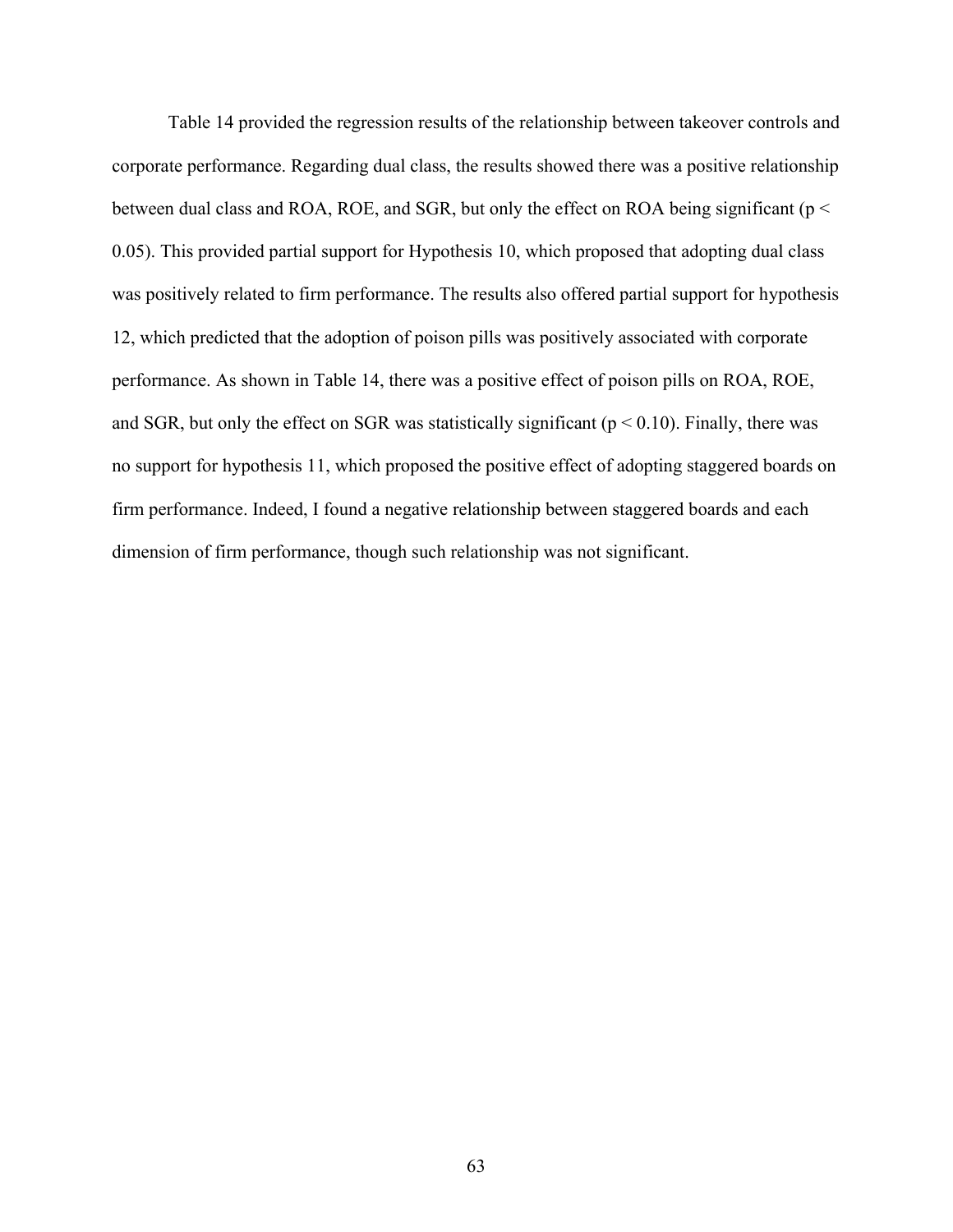Table 14 provided the regression results of the relationship between takeover controls and corporate performance. Regarding dual class, the results showed there was a positive relationship between dual class and ROA, ROE, and SGR, but only the effect on ROA being significant ( $p <$ 0.05). This provided partial support for Hypothesis 10, which proposed that adopting dual class was positively related to firm performance. The results also offered partial support for hypothesis 12, which predicted that the adoption of poison pills was positively associated with corporate performance. As shown in Table 14, there was a positive effect of poison pills on ROA, ROE, and SGR, but only the effect on SGR was statistically significant ( $p < 0.10$ ). Finally, there was no support for hypothesis 11, which proposed the positive effect of adopting staggered boards on firm performance. Indeed, I found a negative relationship between staggered boards and each dimension of firm performance, though such relationship was not significant.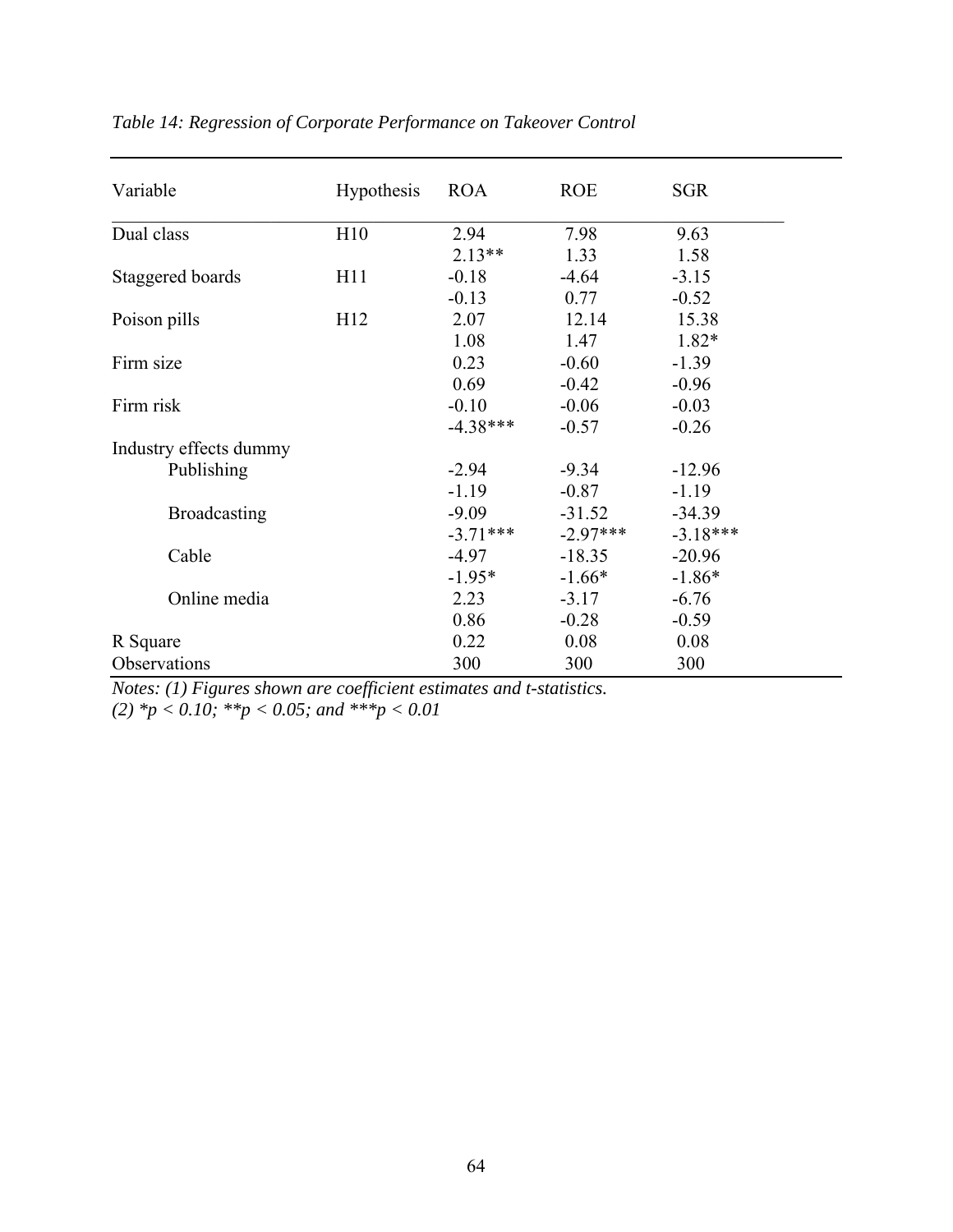| Variable               | <b>Hypothesis</b> | <b>ROA</b> | <b>ROE</b> | <b>SGR</b> |
|------------------------|-------------------|------------|------------|------------|
| Dual class             | H10               | 2.94       | 7.98       | 9.63       |
|                        |                   | $2.13**$   | 1.33       | 1.58       |
| Staggered boards       | H11               | $-0.18$    | $-4.64$    | $-3.15$    |
|                        |                   | $-0.13$    | 0.77       | $-0.52$    |
| Poison pills           | H12               | 2.07       | 12.14      | 15.38      |
|                        |                   | 1.08       | 1.47       | 1.82*      |
| Firm size              |                   | 0.23       | $-0.60$    | $-1.39$    |
|                        |                   | 0.69       | $-0.42$    | $-0.96$    |
| Firm risk              |                   | $-0.10$    | $-0.06$    | $-0.03$    |
|                        |                   | $-4.38***$ | $-0.57$    | $-0.26$    |
| Industry effects dummy |                   |            |            |            |
| Publishing             |                   | $-2.94$    | $-9.34$    | $-12.96$   |
|                        |                   | $-1.19$    | $-0.87$    | $-1.19$    |
| <b>Broadcasting</b>    |                   | $-9.09$    | $-31.52$   | $-34.39$   |
|                        |                   | $-3.71***$ | $-2.97***$ | $-3.18***$ |
| Cable                  |                   | $-4.97$    | $-18.35$   | $-20.96$   |
|                        |                   | $-1.95*$   | $-1.66*$   | $-1.86*$   |
| Online media           |                   | 2.23       | $-3.17$    | $-6.76$    |
|                        |                   | 0.86       | $-0.28$    | $-0.59$    |
| R Square               |                   | 0.22       | 0.08       | 0.08       |
| Observations           |                   | 300        | 300        | 300        |

| Table 14: Regression of Corporate Performance on Takeover Control |  |  |  |
|-------------------------------------------------------------------|--|--|--|
|-------------------------------------------------------------------|--|--|--|

*Notes: (1) Figures shown are coefficient estimates and t-statistics.*

*(2) \*p < 0.10; \*\*p < 0.05; and \*\*\*p < 0.01*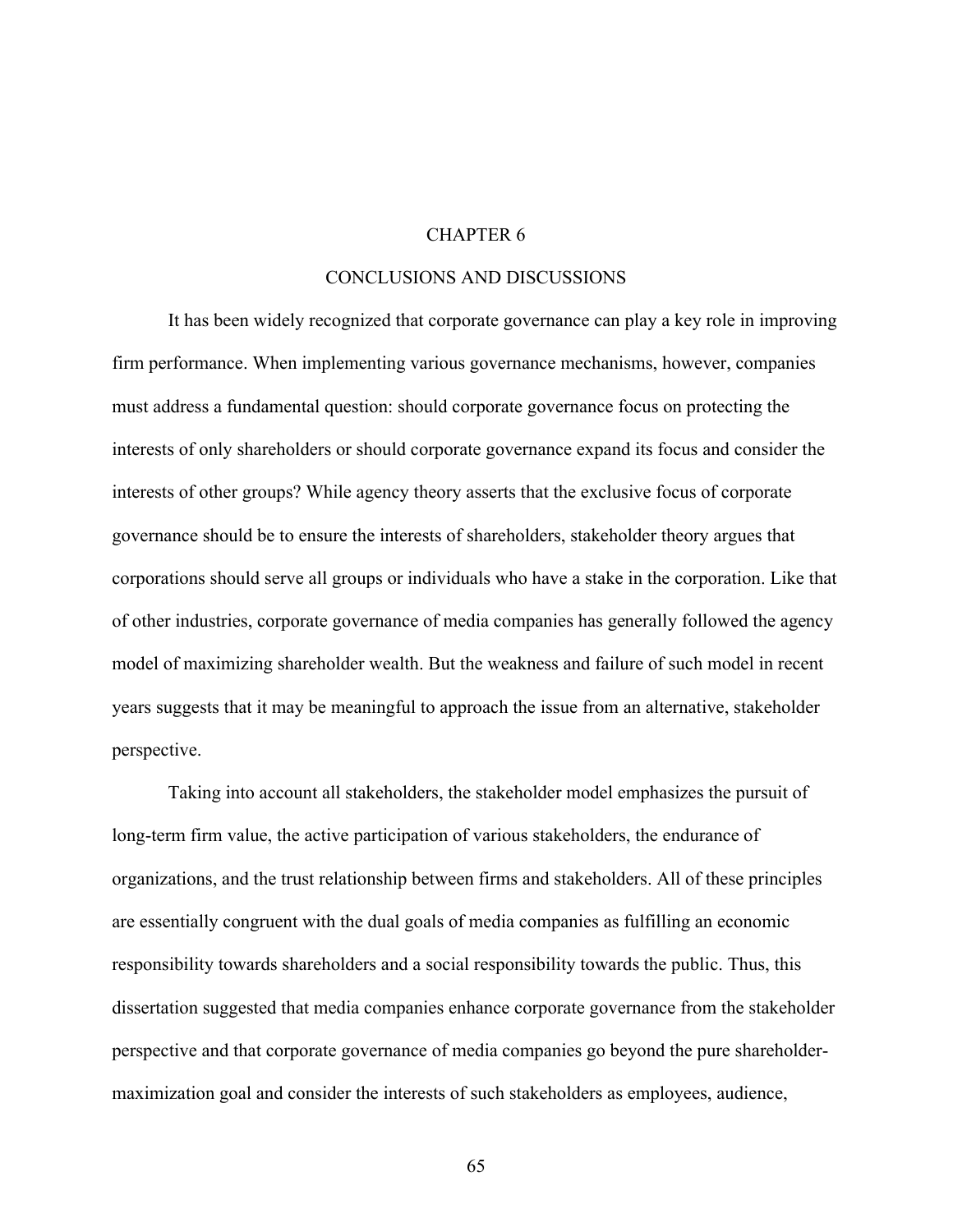### CHAPTER 6

#### CONCLUSIONS AND DISCUSSIONS

It has been widely recognized that corporate governance can play a key role in improving firm performance. When implementing various governance mechanisms, however, companies must address a fundamental question: should corporate governance focus on protecting the interests of only shareholders or should corporate governance expand its focus and consider the interests of other groups? While agency theory asserts that the exclusive focus of corporate governance should be to ensure the interests of shareholders, stakeholder theory argues that corporations should serve all groups or individuals who have a stake in the corporation. Like that of other industries, corporate governance of media companies has generally followed the agency model of maximizing shareholder wealth. But the weakness and failure of such model in recent years suggests that it may be meaningful to approach the issue from an alternative, stakeholder perspective.

Taking into account all stakeholders, the stakeholder model emphasizes the pursuit of long-term firm value, the active participation of various stakeholders, the endurance of organizations, and the trust relationship between firms and stakeholders. All of these principles are essentially congruent with the dual goals of media companies as fulfilling an economic responsibility towards shareholders and a social responsibility towards the public. Thus, this dissertation suggested that media companies enhance corporate governance from the stakeholder perspective and that corporate governance of media companies go beyond the pure shareholdermaximization goal and consider the interests of such stakeholders as employees, audience,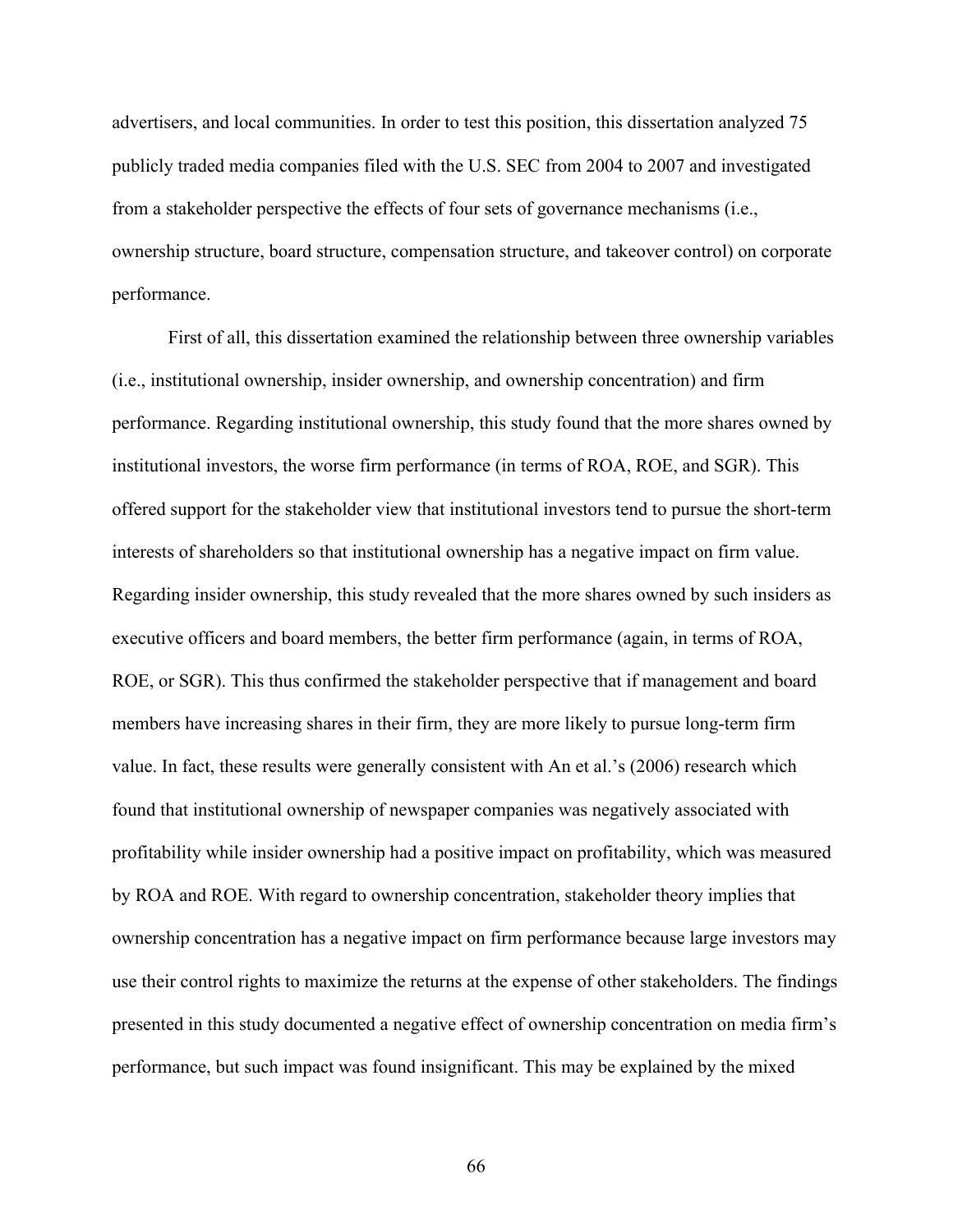advertisers, and local communities. In order to test this position, this dissertation analyzed 75 publicly traded media companies filed with the U.S. SEC from 2004 to 2007 and investigated from a stakeholder perspective the effects of four sets of governance mechanisms (i.e., ownership structure, board structure, compensation structure, and takeover control) on corporate performance.

First of all, this dissertation examined the relationship between three ownership variables (i.e., institutional ownership, insider ownership, and ownership concentration) and firm performance. Regarding institutional ownership, this study found that the more shares owned by institutional investors, the worse firm performance (in terms of ROA, ROE, and SGR). This offered support for the stakeholder view that institutional investors tend to pursue the short-term interests of shareholders so that institutional ownership has a negative impact on firm value. Regarding insider ownership, this study revealed that the more shares owned by such insiders as executive officers and board members, the better firm performance (again, in terms of ROA, ROE, or SGR). This thus confirmed the stakeholder perspective that if management and board members have increasing shares in their firm, they are more likely to pursue long-term firm value. In fact, these results were generally consistent with An et al.'s (2006) research which found that institutional ownership of newspaper companies was negatively associated with profitability while insider ownership had a positive impact on profitability, which was measured by ROA and ROE. With regard to ownership concentration, stakeholder theory implies that ownership concentration has a negative impact on firm performance because large investors may use their control rights to maximize the returns at the expense of other stakeholders. The findings presented in this study documented a negative effect of ownership concentration on media firm's performance, but such impact was found insignificant. This may be explained by the mixed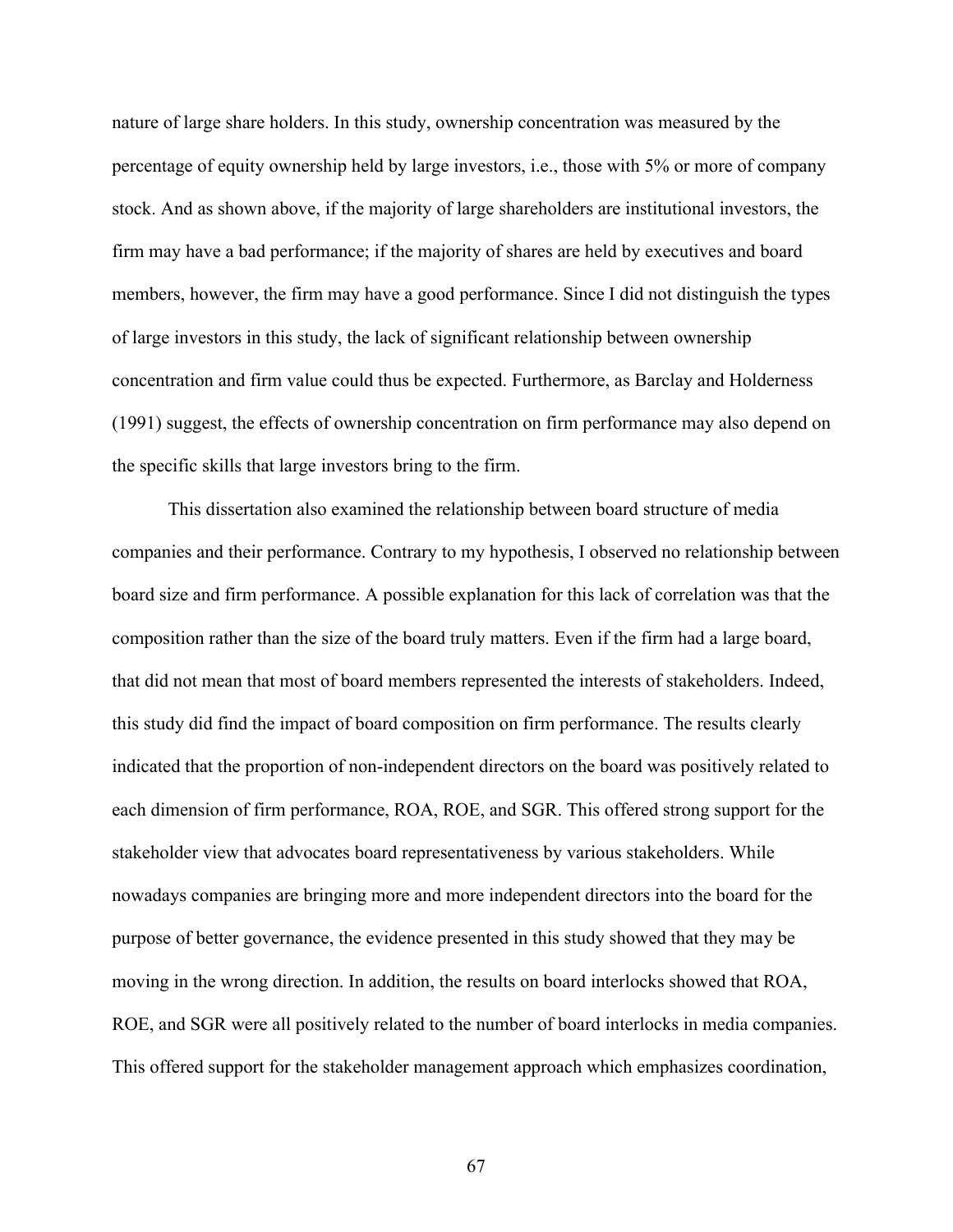nature of large share holders. In this study, ownership concentration was measured by the percentage of equity ownership held by large investors, i.e., those with 5% or more of company stock. And as shown above, if the majority of large shareholders are institutional investors, the firm may have a bad performance; if the majority of shares are held by executives and board members, however, the firm may have a good performance. Since I did not distinguish the types of large investors in this study, the lack of significant relationship between ownership concentration and firm value could thus be expected. Furthermore, as Barclay and Holderness (1991) suggest, the effects of ownership concentration on firm performance may also depend on the specific skills that large investors bring to the firm.

This dissertation also examined the relationship between board structure of media companies and their performance. Contrary to my hypothesis, I observed no relationship between board size and firm performance. A possible explanation for this lack of correlation was that the composition rather than the size of the board truly matters. Even if the firm had a large board, that did not mean that most of board members represented the interests of stakeholders. Indeed, this study did find the impact of board composition on firm performance. The results clearly indicated that the proportion of non-independent directors on the board was positively related to each dimension of firm performance, ROA, ROE, and SGR. This offered strong support for the stakeholder view that advocates board representativeness by various stakeholders. While nowadays companies are bringing more and more independent directors into the board for the purpose of better governance, the evidence presented in this study showed that they may be moving in the wrong direction. In addition, the results on board interlocks showed that ROA, ROE, and SGR were all positively related to the number of board interlocks in media companies. This offered support for the stakeholder management approach which emphasizes coordination,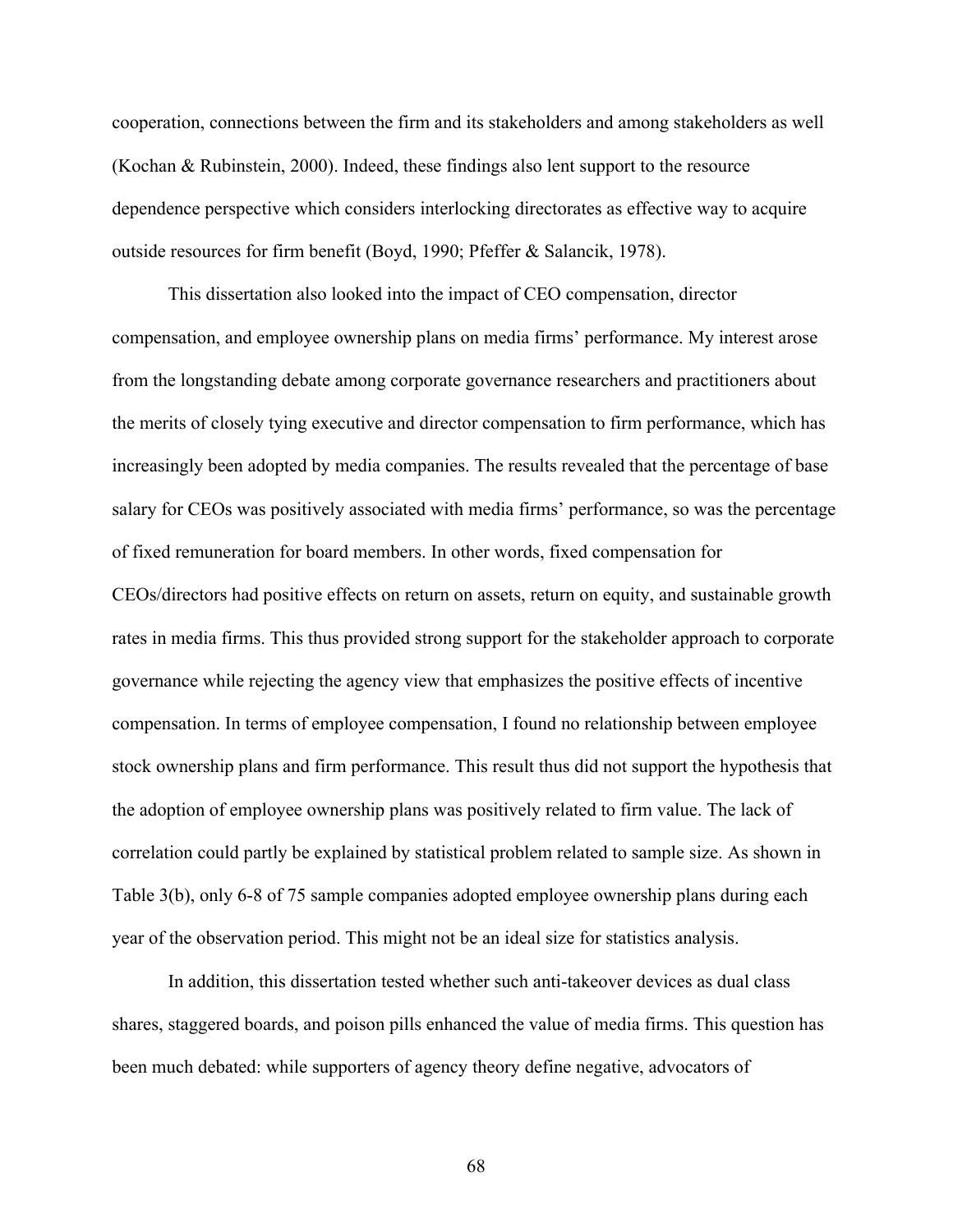cooperation, connections between the firm and its stakeholders and among stakeholders as well (Kochan & Rubinstein, 2000). Indeed, these findings also lent support to the resource dependence perspective which considers interlocking directorates as effective way to acquire outside resources for firm benefit (Boyd, 1990; Pfeffer & Salancik, 1978).

This dissertation also looked into the impact of CEO compensation, director compensation, and employee ownership plans on media firms' performance. My interest arose from the longstanding debate among corporate governance researchers and practitioners about the merits of closely tying executive and director compensation to firm performance, which has increasingly been adopted by media companies. The results revealed that the percentage of base salary for CEOs was positively associated with media firms' performance, so was the percentage of fixed remuneration for board members. In other words, fixed compensation for CEOs/directors had positive effects on return on assets, return on equity, and sustainable growth rates in media firms. This thus provided strong support for the stakeholder approach to corporate governance while rejecting the agency view that emphasizes the positive effects of incentive compensation. In terms of employee compensation, I found no relationship between employee stock ownership plans and firm performance. This result thus did not support the hypothesis that the adoption of employee ownership plans was positively related to firm value. The lack of correlation could partly be explained by statistical problem related to sample size. As shown in Table 3(b), only 6-8 of 75 sample companies adopted employee ownership plans during each year of the observation period. This might not be an ideal size for statistics analysis.

In addition, this dissertation tested whether such anti-takeover devices as dual class shares, staggered boards, and poison pills enhanced the value of media firms. This question has been much debated: while supporters of agency theory define negative, advocators of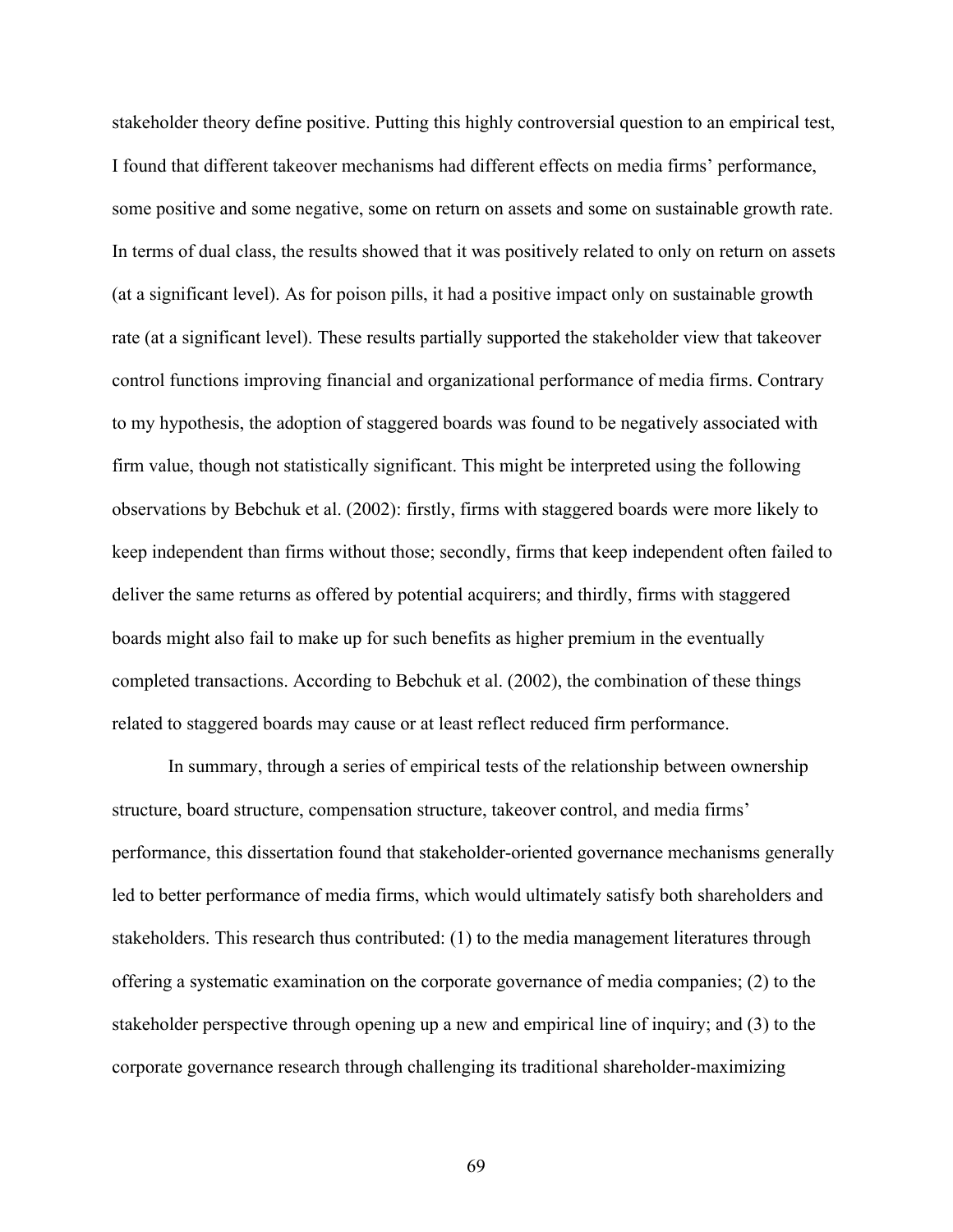stakeholder theory define positive. Putting this highly controversial question to an empirical test, I found that different takeover mechanisms had different effects on media firms' performance, some positive and some negative, some on return on assets and some on sustainable growth rate. In terms of dual class, the results showed that it was positively related to only on return on assets (at a significant level). As for poison pills, it had a positive impact only on sustainable growth rate (at a significant level). These results partially supported the stakeholder view that takeover control functions improving financial and organizational performance of media firms. Contrary to my hypothesis, the adoption of staggered boards was found to be negatively associated with firm value, though not statistically significant. This might be interpreted using the following observations by Bebchuk et al. (2002): firstly, firms with staggered boards were more likely to keep independent than firms without those; secondly, firms that keep independent often failed to deliver the same returns as offered by potential acquirers; and thirdly, firms with staggered boards might also fail to make up for such benefits as higher premium in the eventually completed transactions. According to Bebchuk et al. (2002), the combination of these things related to staggered boards may cause or at least reflect reduced firm performance.

In summary, through a series of empirical tests of the relationship between ownership structure, board structure, compensation structure, takeover control, and media firms' performance, this dissertation found that stakeholder-oriented governance mechanisms generally led to better performance of media firms, which would ultimately satisfy both shareholders and stakeholders. This research thus contributed: (1) to the media management literatures through offering a systematic examination on the corporate governance of media companies; (2) to the stakeholder perspective through opening up a new and empirical line of inquiry; and (3) to the corporate governance research through challenging its traditional shareholder-maximizing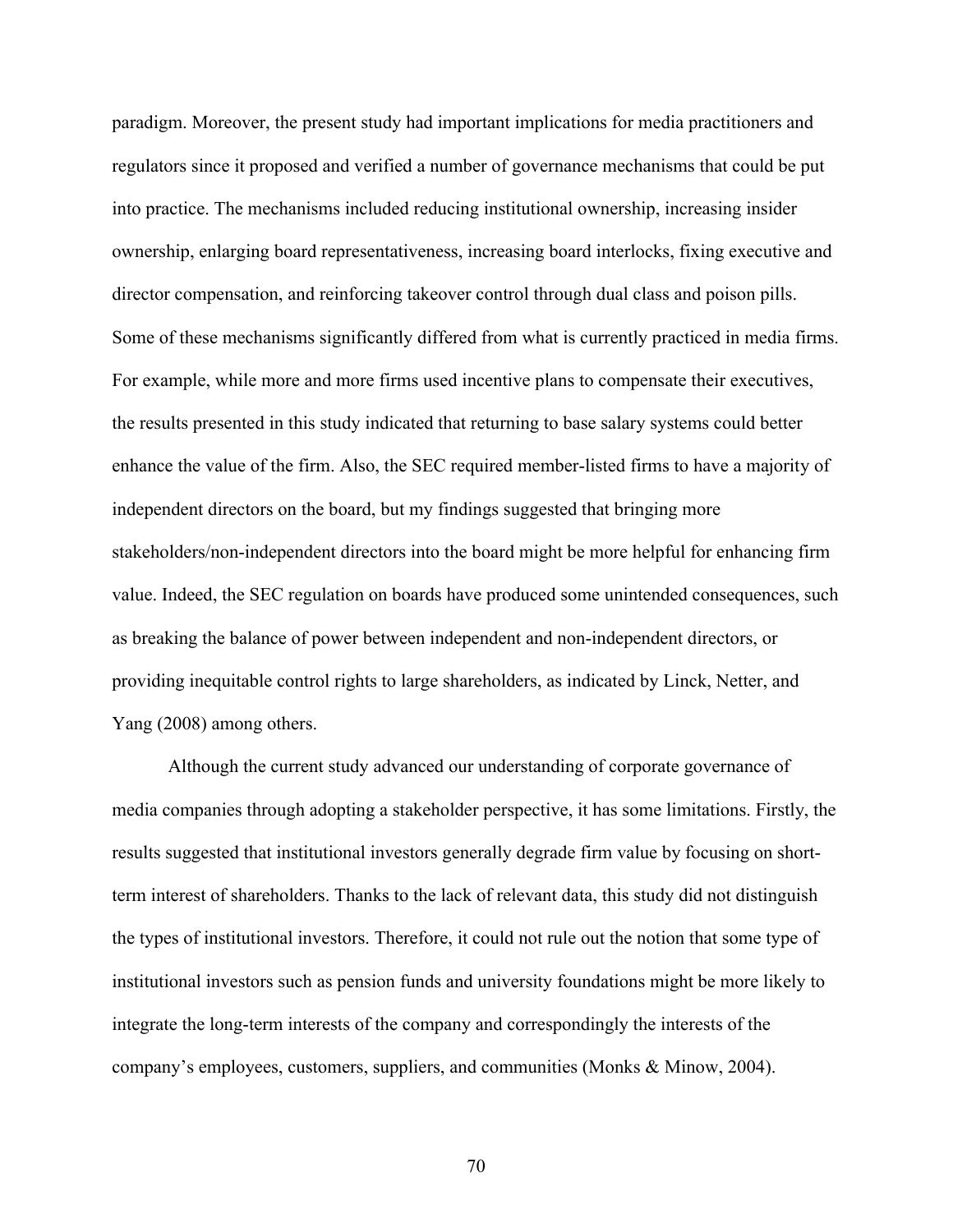paradigm. Moreover, the present study had important implications for media practitioners and regulators since it proposed and verified a number of governance mechanisms that could be put into practice. The mechanisms included reducing institutional ownership, increasing insider ownership, enlarging board representativeness, increasing board interlocks, fixing executive and director compensation, and reinforcing takeover control through dual class and poison pills. Some of these mechanisms significantly differed from what is currently practiced in media firms. For example, while more and more firms used incentive plans to compensate their executives, the results presented in this study indicated that returning to base salary systems could better enhance the value of the firm. Also, the SEC required member-listed firms to have a majority of independent directors on the board, but my findings suggested that bringing more stakeholders/non-independent directors into the board might be more helpful for enhancing firm value. Indeed, the SEC regulation on boards have produced some unintended consequences, such as breaking the balance of power between independent and non-independent directors, or providing inequitable control rights to large shareholders, as indicated by Linck, Netter, and Yang (2008) among others.

Although the current study advanced our understanding of corporate governance of media companies through adopting a stakeholder perspective, it has some limitations. Firstly, the results suggested that institutional investors generally degrade firm value by focusing on shortterm interest of shareholders. Thanks to the lack of relevant data, this study did not distinguish the types of institutional investors. Therefore, it could not rule out the notion that some type of institutional investors such as pension funds and university foundations might be more likely to integrate the long-term interests of the company and correspondingly the interests of the company's employees, customers, suppliers, and communities (Monks & Minow, 2004).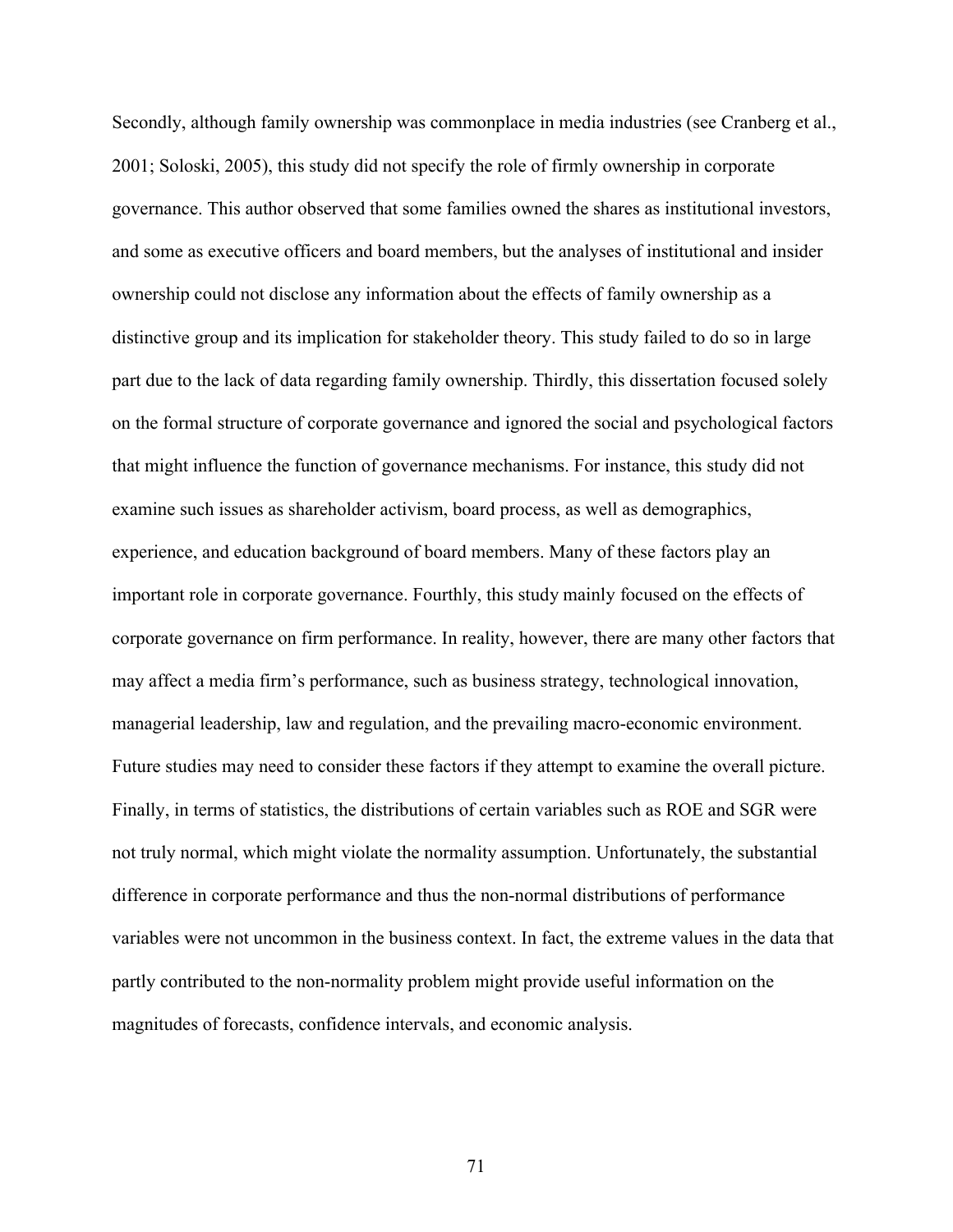Secondly, although family ownership was commonplace in media industries (see Cranberg et al., 2001; Soloski, 2005), this study did not specify the role of firmly ownership in corporate governance. This author observed that some families owned the shares as institutional investors, and some as executive officers and board members, but the analyses of institutional and insider ownership could not disclose any information about the effects of family ownership as a distinctive group and its implication for stakeholder theory. This study failed to do so in large part due to the lack of data regarding family ownership. Thirdly, this dissertation focused solely on the formal structure of corporate governance and ignored the social and psychological factors that might influence the function of governance mechanisms. For instance, this study did not examine such issues as shareholder activism, board process, as well as demographics, experience, and education background of board members. Many of these factors play an important role in corporate governance. Fourthly, this study mainly focused on the effects of corporate governance on firm performance. In reality, however, there are many other factors that may affect a media firm's performance, such as business strategy, technological innovation, managerial leadership, law and regulation, and the prevailing macro-economic environment. Future studies may need to consider these factors if they attempt to examine the overall picture. Finally, in terms of statistics, the distributions of certain variables such as ROE and SGR were not truly normal, which might violate the normality assumption. Unfortunately, the substantial difference in corporate performance and thus the non-normal distributions of performance variables were not uncommon in the business context. In fact, the extreme values in the data that partly contributed to the non-normality problem might provide useful information on the magnitudes of forecasts, confidence intervals, and economic analysis.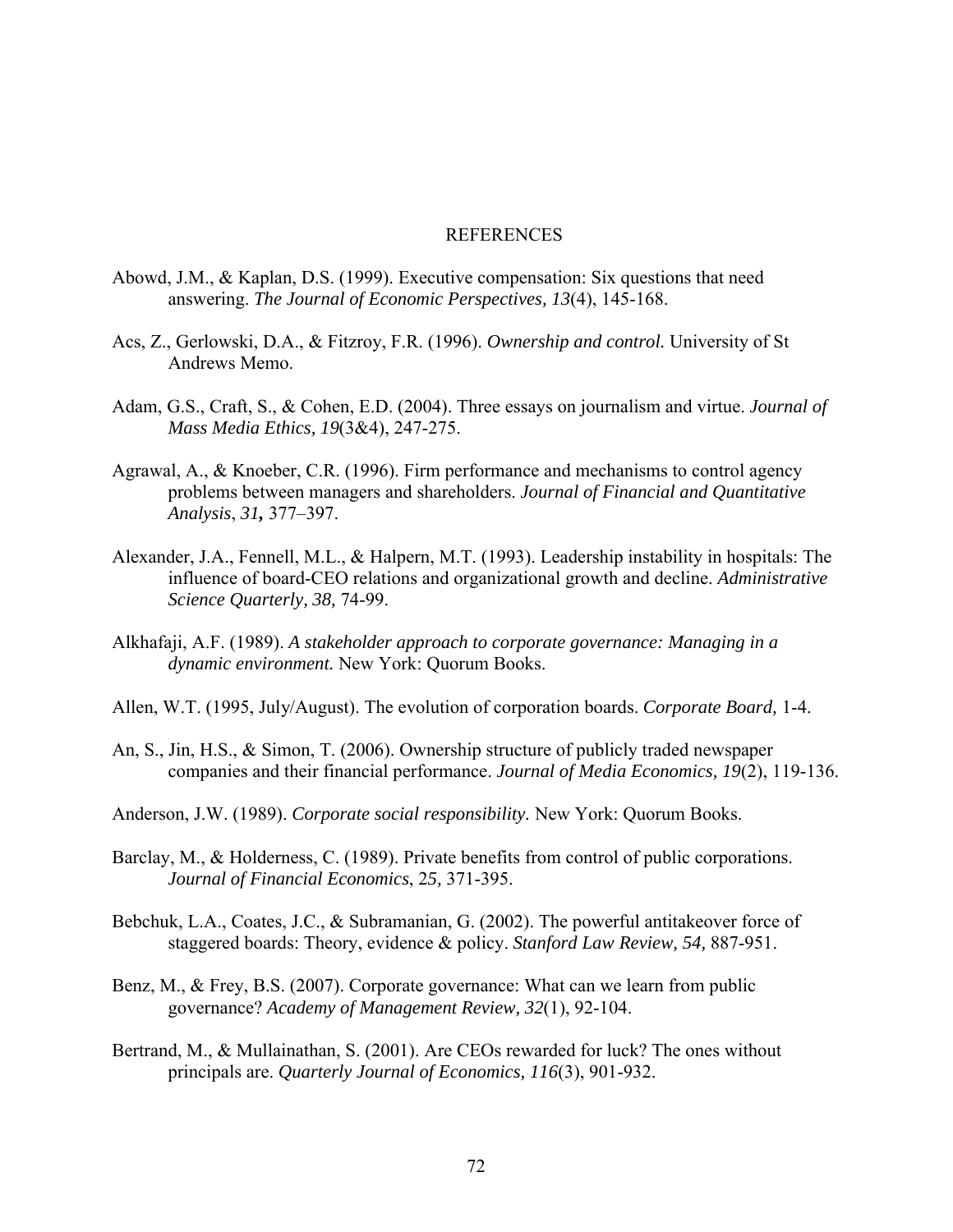#### **REFERENCES**

- Abowd, J.M., & Kaplan, D.S. (1999). Executive compensation: Six questions that need answering. *The Journal of Economic Perspectives, 13*(4), 145-168.
- Acs, Z., Gerlowski, D.A., & Fitzroy, F.R. (1996). *Ownership and control.* University of St Andrews Memo.
- Adam, G.S., Craft, S., & Cohen, E.D. (2004). Three essays on journalism and virtue. *Journal of Mass Media Ethics, 19*(3&4), 247-275.
- Agrawal, A., & Knoeber, C.R. (1996). Firm performance and mechanisms to control agency problems between managers and shareholders. *Journal of Financial and Quantitative Analysis*, *31,* 377–397.
- Alexander, J.A., Fennell, M.L., & Halpern, M.T. (1993). Leadership instability in hospitals: The influence of board-CEO relations and organizational growth and decline. *Administrative Science Quarterly, 38,* 74-99.
- Alkhafaji, A.F. (1989). *A stakeholder approach to corporate governance: Managing in a dynamic environment.* New York: Quorum Books.
- Allen, W.T. (1995, July/August). The evolution of corporation boards. *Corporate Board,* 1-4.
- An, S., Jin, H.S., & Simon, T. (2006). Ownership structure of publicly traded newspaper companies and their financial performance. *Journal of Media Economics, 19*(2), 119-136.
- Anderson, J.W. (1989). *Corporate social responsibility.* New York: Quorum Books.
- Barclay, M., & Holderness, C. (1989). Private benefits from control of public corporations. *Journal of Financial Economics*, 2*5,* 371-395.
- Bebchuk, L.A., Coates, J.C., & Subramanian, G. (2002). The powerful antitakeover force of staggered boards: Theory, evidence & policy. *Stanford Law Review, 54,* 887-951.
- Benz, M., & Frey, B.S. (2007). Corporate governance: What can we learn from public governance? *Academy of Management Review, 32*(1), 92-104.
- Bertrand, M., & Mullainathan, S. (2001). Are CEOs rewarded for luck? The ones without principals are. *Quarterly Journal of Economics, 116*(3), 901-932.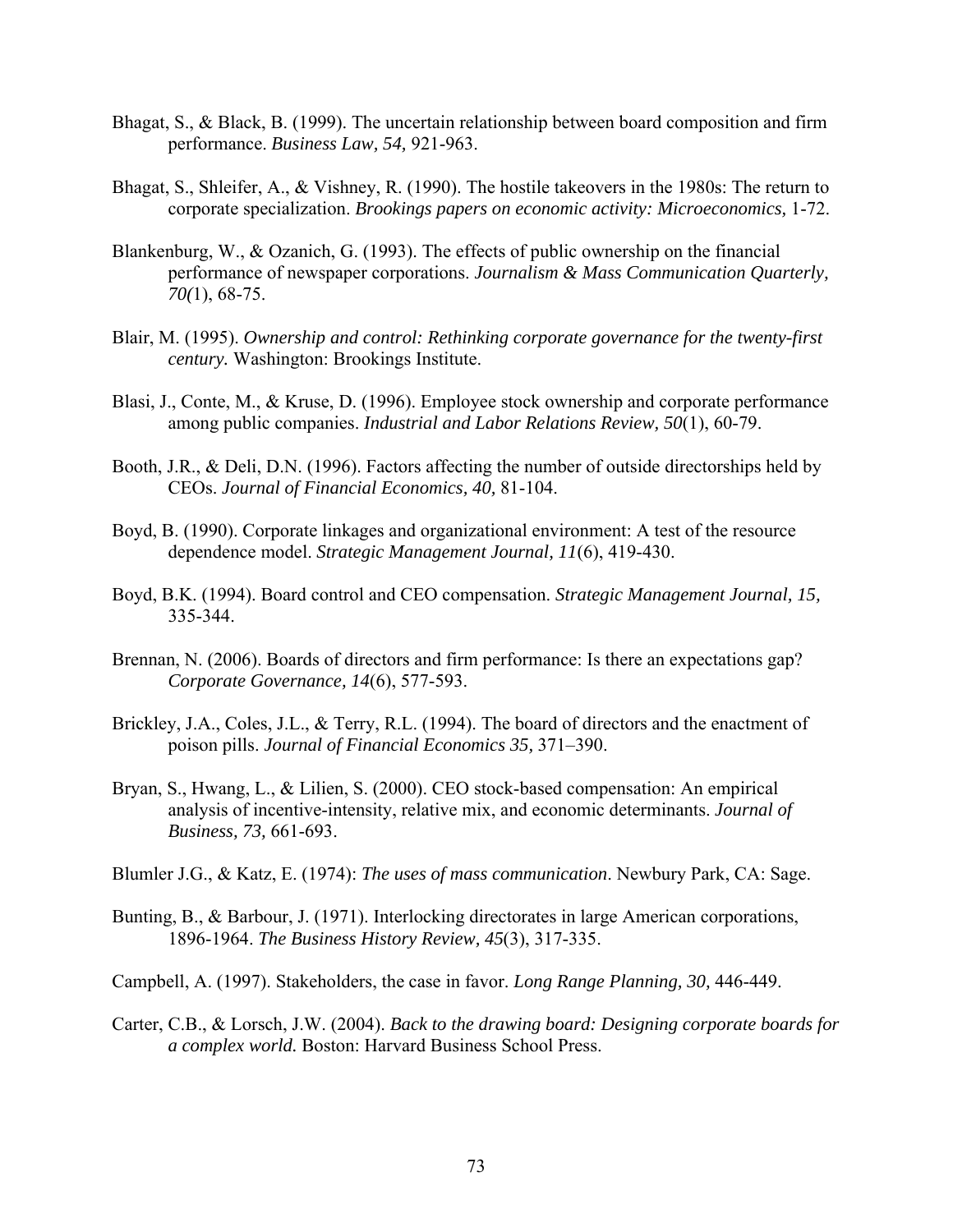- Bhagat, S., & Black, B. (1999). The uncertain relationship between board composition and firm performance. *Business Law, 54,* 921-963.
- Bhagat, S., Shleifer, A., & Vishney, R. (1990). The hostile takeovers in the 1980s: The return to corporate specialization. *Brookings papers on economic activity: Microeconomics,* 1-72.
- Blankenburg, W., & Ozanich, G. (1993). The effects of public ownership on the financial performance of newspaper corporations. *Journalism & Mass Communication Quarterly, 70(*1), 68-75.
- Blair, M. (1995). *Ownership and control: Rethinking corporate governance for the twenty-first century.* Washington: Brookings Institute.
- Blasi, J., Conte, M., & Kruse, D. (1996). Employee stock ownership and corporate performance among public companies. *Industrial and Labor Relations Review, 50*(1), 60-79.
- Booth, J.R., & Deli, D.N. (1996). Factors affecting the number of outside directorships held by CEOs. *Journal of Financial Economics, 40,* 81-104.
- Boyd, B. (1990). Corporate linkages and organizational environment: A test of the resource dependence model. *Strategic Management Journal, 11*(6), 419-430.
- Boyd, B.K. (1994). Board control and CEO compensation. *Strategic Management Journal, 15,* 335-344.
- Brennan, N. (2006). Boards of directors and firm performance: Is there an expectations gap? *Corporate Governance, 14*(6), 577-593.
- Brickley, J.A., Coles, J.L., & Terry, R.L. (1994). The board of directors and the enactment of poison pills. *Journal of Financial Economics 35,* 371–390.
- Bryan, S., Hwang, L., & Lilien, S. (2000). CEO stock-based compensation: An empirical analysis of incentive-intensity, relative mix, and economic determinants. *Journal of Business, 73,* 661-693.
- Blumler J.G., & Katz, E. (1974): *The uses of mass communication*. Newbury Park, CA: Sage.
- Bunting, B., & Barbour, J. (1971). Interlocking directorates in large American corporations, 1896-1964. *The Business History Review, 45*(3), 317-335.
- Campbell, A. (1997). Stakeholders, the case in favor. *Long Range Planning, 30,* 446-449.
- Carter, C.B., & Lorsch, J.W. (2004). *Back to the drawing board: Designing corporate boards for a complex world.* Boston: Harvard Business School Press.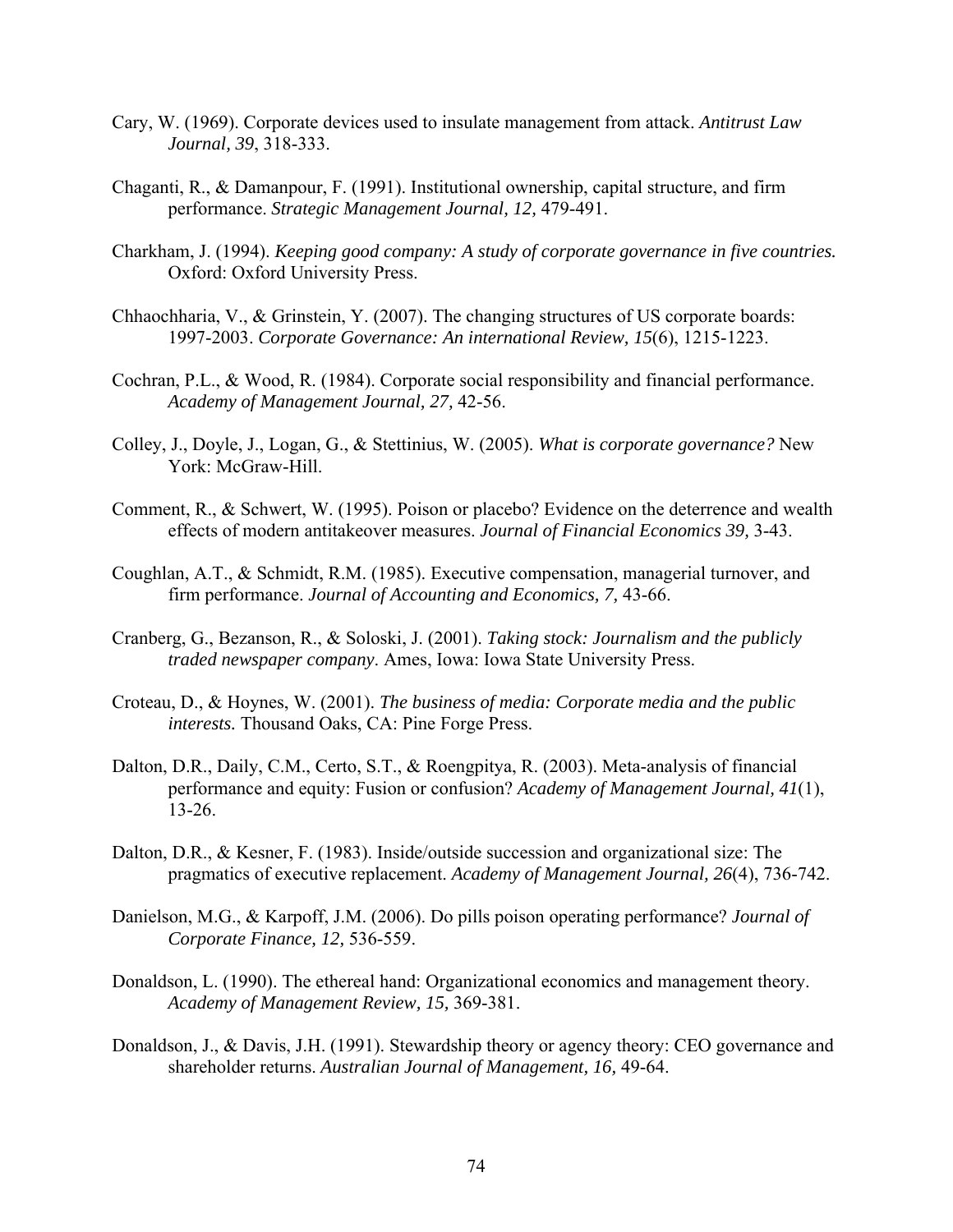- Cary, W. (1969). Corporate devices used to insulate management from attack. *Antitrust Law Journal, 39*, 318-333.
- Chaganti, R., & Damanpour, F. (1991). Institutional ownership, capital structure, and firm performance. *Strategic Management Journal, 12,* 479-491.
- Charkham, J. (1994). *Keeping good company: A study of corporate governance in five countries.*  Oxford: Oxford University Press.
- Chhaochharia, V., & Grinstein, Y. (2007). The changing structures of US corporate boards: 1997-2003. *Corporate Governance: An international Review, 15*(6), 1215-1223.
- Cochran, P.L., & Wood, R. (1984). Corporate social responsibility and financial performance. *Academy of Management Journal, 27,* 42-56.
- Colley, J., Doyle, J., Logan, G., & Stettinius, W. (2005). *What is corporate governance?* New York: McGraw-Hill.
- Comment, R., & Schwert, W. (1995). Poison or placebo? Evidence on the deterrence and wealth effects of modern antitakeover measures. *Journal of Financial Economics 39,* 3-43.
- Coughlan, A.T., & Schmidt, R.M. (1985). Executive compensation, managerial turnover, and firm performance. *Journal of Accounting and Economics, 7,* 43-66.
- Cranberg, G., Bezanson, R., & Soloski, J. (2001). *Taking stock: Journalism and the publicly traded newspaper company*. Ames, Iowa: Iowa State University Press.
- Croteau, D., & Hoynes, W. (2001). *The business of media: Corporate media and the public interests.* Thousand Oaks, CA: Pine Forge Press.
- Dalton, D.R., Daily, C.M., Certo, S.T., & Roengpitya, R. (2003). Meta-analysis of financial performance and equity: Fusion or confusion? *Academy of Management Journal, 41*(1), 13-26.
- Dalton, D.R., & Kesner, F. (1983). Inside/outside succession and organizational size: The pragmatics of executive replacement. *Academy of Management Journal, 26*(4), 736-742.
- Danielson, M.G., & Karpoff, J.M. (2006). Do pills poison operating performance? *Journal of Corporate Finance, 12,* 536-559.
- Donaldson, L. (1990). The ethereal hand: Organizational economics and management theory. *Academy of Management Review, 15,* 369-381.
- Donaldson, J., & Davis, J.H. (1991). Stewardship theory or agency theory: CEO governance and shareholder returns. *Australian Journal of Management, 16,* 49-64.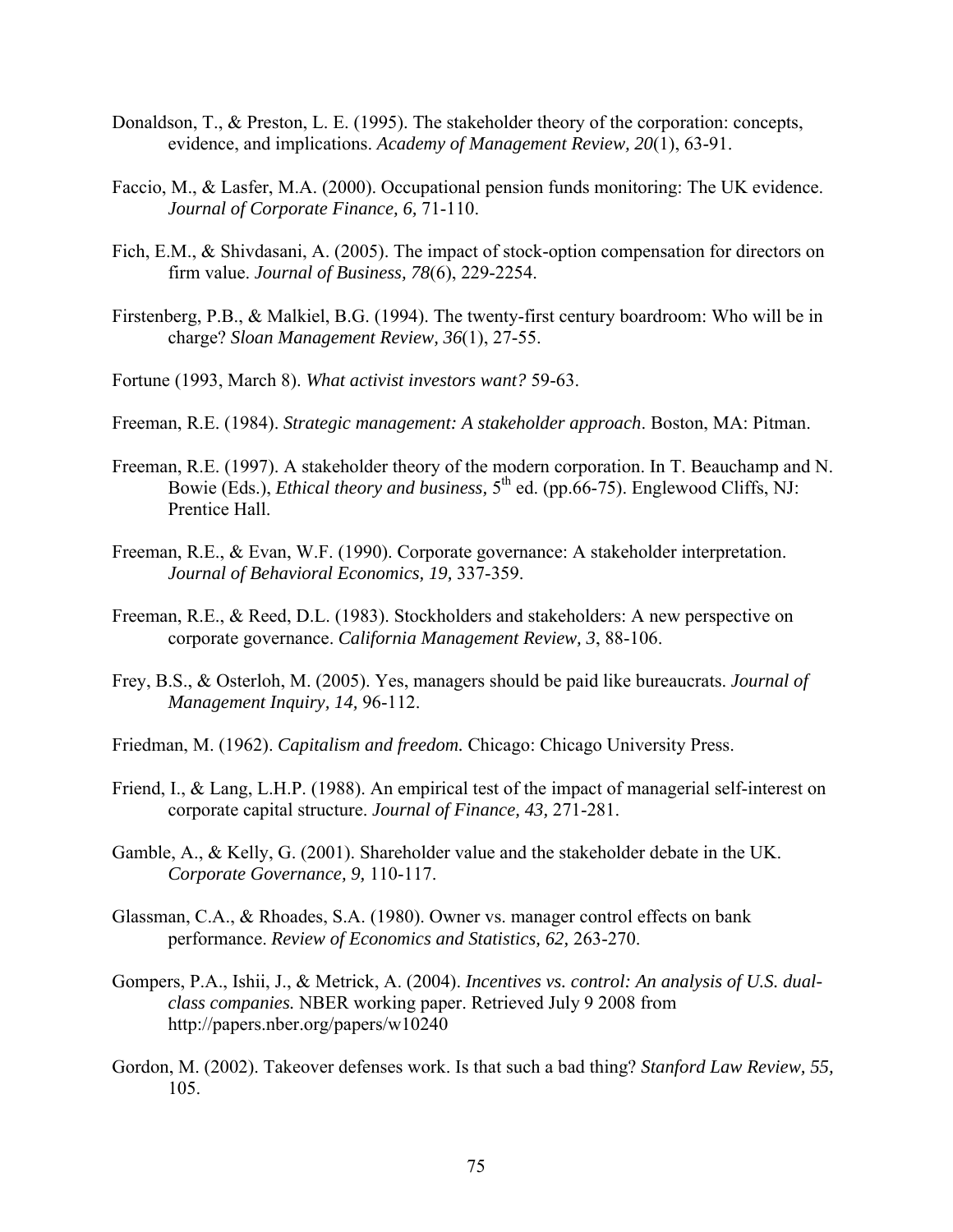- Donaldson, T., & Preston, L. E. (1995). The stakeholder theory of the corporation: concepts, evidence, and implications. *Academy of Management Review, 20*(1), 63-91.
- Faccio, M., & Lasfer, M.A. (2000). Occupational pension funds monitoring: The UK evidence. *Journal of Corporate Finance, 6,* 71-110.
- Fich, E.M., & Shivdasani, A. (2005). The impact of stock-option compensation for directors on firm value. *Journal of Business, 78*(6), 229-2254.
- Firstenberg, P.B., & Malkiel, B.G. (1994). The twenty-first century boardroom: Who will be in charge? *Sloan Management Review, 36*(1), 27-55.
- Fortune (1993, March 8). *What activist investors want?* 59-63.
- Freeman, R.E. (1984). *Strategic management: A stakeholder approach*. Boston, MA: Pitman.
- Freeman, R.E. (1997). A stakeholder theory of the modern corporation. In T. Beauchamp and N. Bowie (Eds.), *Ethical theory and business*, 5<sup>th</sup> ed. (pp.66-75). Englewood Cliffs, NJ: Prentice Hall.
- Freeman, R.E., & Evan, W.F. (1990). Corporate governance: A stakeholder interpretation. *Journal of Behavioral Economics, 19,* 337-359.
- Freeman, R.E., & Reed, D.L. (1983). Stockholders and stakeholders: A new perspective on corporate governance. *California Management Review, 3*, 88-106.
- Frey, B.S., & Osterloh, M. (2005). Yes, managers should be paid like bureaucrats. *Journal of Management Inquiry, 14,* 96-112.
- Friedman, M. (1962). *Capitalism and freedom.* Chicago: Chicago University Press.
- Friend, I., & Lang, L.H.P. (1988). An empirical test of the impact of managerial self-interest on corporate capital structure. *Journal of Finance, 43,* 271-281.
- Gamble, A., & Kelly, G. (2001). Shareholder value and the stakeholder debate in the UK. *Corporate Governance, 9,* 110-117.
- Glassman, C.A., & Rhoades, S.A. (1980). Owner vs. manager control effects on bank performance. *Review of Economics and Statistics, 62,* 263-270.
- Gompers, P.A., Ishii, J., & Metrick, A. (2004). *Incentives vs. control: An analysis of U.S. dualclass companies.* NBER working paper. Retrieved July 9 2008 from http://papers.nber.org/papers/w10240
- Gordon, M. (2002). Takeover defenses work. Is that such a bad thing? *Stanford Law Review, 55,*  105.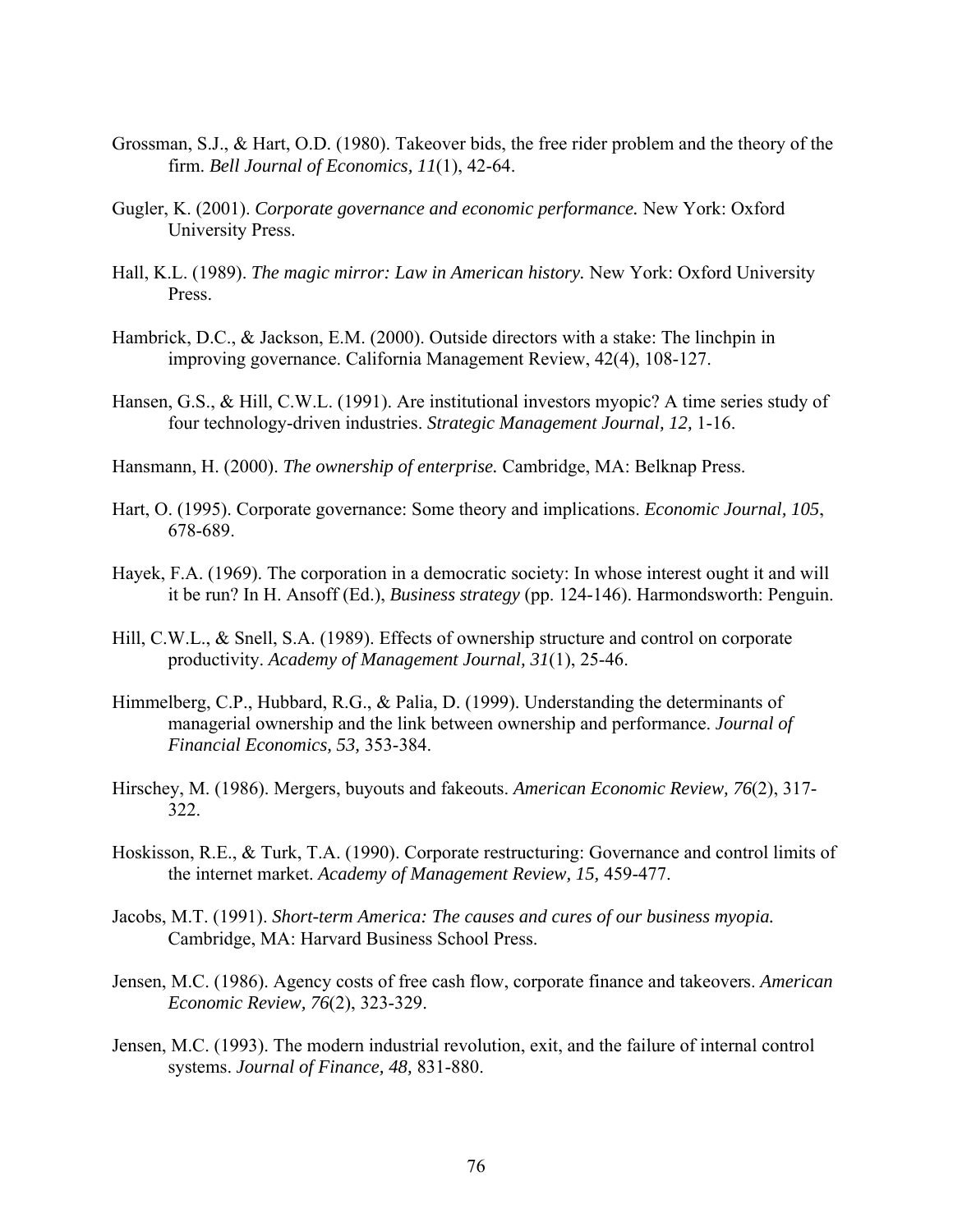- Grossman, S.J., & Hart, O.D. (1980). Takeover bids, the free rider problem and the theory of the firm. *Bell Journal of Economics, 11*(1), 42-64.
- Gugler, K. (2001). *Corporate governance and economic performance.* New York: Oxford University Press.
- Hall, K.L. (1989). *The magic mirror: Law in American history.* New York: Oxford University Press.
- Hambrick, D.C., & Jackson, E.M. (2000). Outside directors with a stake: The linchpin in improving governance. California Management Review, 42(4), 108-127.
- Hansen, G.S., & Hill, C.W.L. (1991). Are institutional investors myopic? A time series study of four technology-driven industries. *Strategic Management Journal, 12,* 1-16.
- Hansmann, H. (2000). *The ownership of enterprise.* Cambridge, MA: Belknap Press.
- Hart, O. (1995). Corporate governance: Some theory and implications. *Economic Journal, 105*, 678-689.
- Hayek, F.A. (1969). The corporation in a democratic society: In whose interest ought it and will it be run? In H. Ansoff (Ed.), *Business strategy* (pp. 124-146). Harmondsworth: Penguin.
- Hill, C.W.L., & Snell, S.A. (1989). Effects of ownership structure and control on corporate productivity. *Academy of Management Journal, 31*(1), 25-46.
- Himmelberg, C.P., Hubbard, R.G., & Palia, D. (1999). Understanding the determinants of managerial ownership and the link between ownership and performance. *Journal of Financial Economics, 53,* 353-384.
- Hirschey, M. (1986). Mergers, buyouts and fakeouts. *American Economic Review, 76*(2), 317- 322.
- Hoskisson, R.E., & Turk, T.A. (1990). Corporate restructuring: Governance and control limits of the internet market. *Academy of Management Review, 15,* 459-477.
- Jacobs, M.T. (1991). *Short-term America: The causes and cures of our business myopia.* Cambridge, MA: Harvard Business School Press.
- Jensen, M.C. (1986). Agency costs of free cash flow, corporate finance and takeovers. *American Economic Review, 76*(2), 323-329.
- Jensen, M.C. (1993). The modern industrial revolution, exit, and the failure of internal control systems. *Journal of Finance, 48,* 831-880.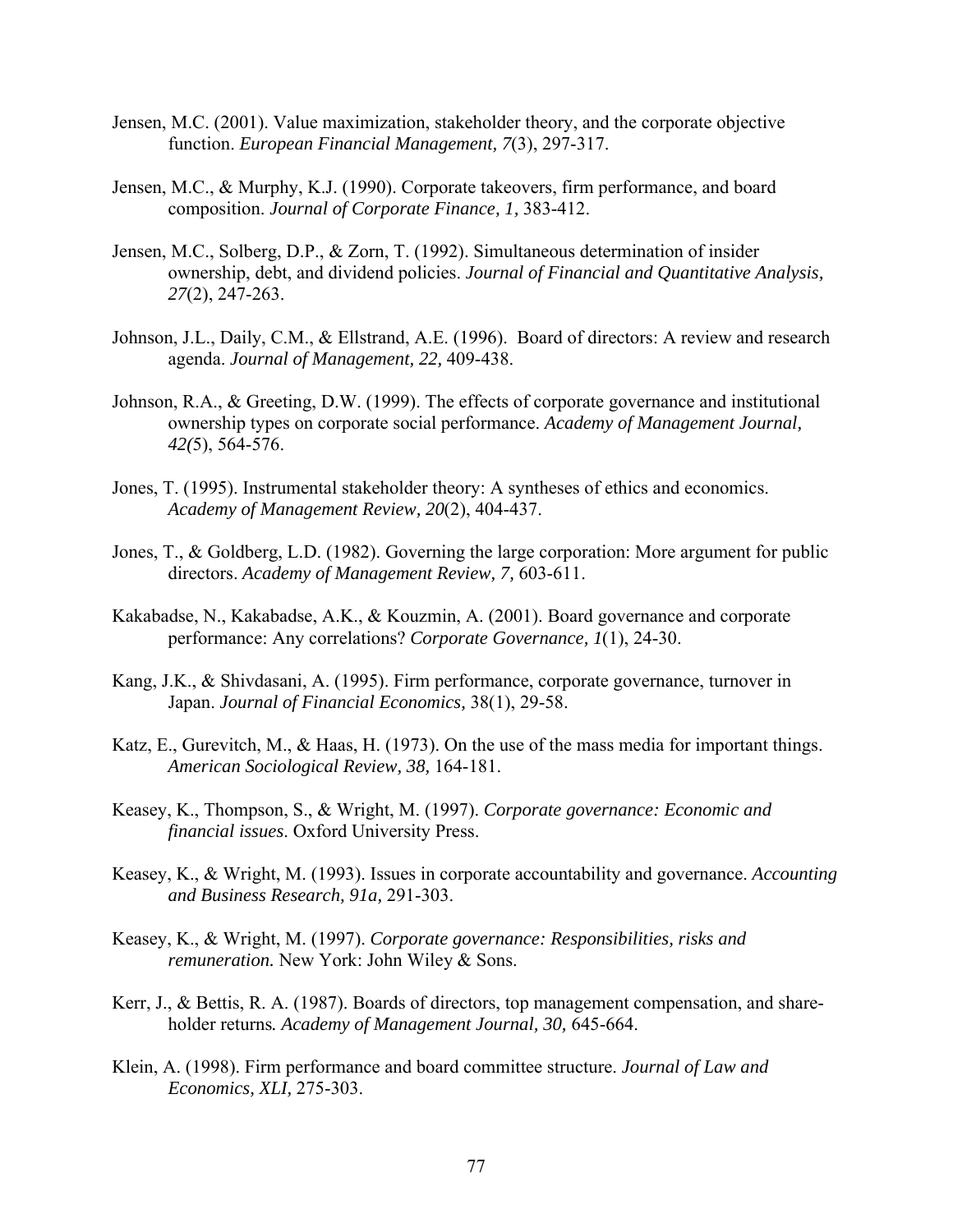- Jensen, M.C. (2001). Value maximization, stakeholder theory, and the corporate objective function. *European Financial Management, 7*(3), 297-317.
- Jensen, M.C., & Murphy, K.J. (1990). Corporate takeovers, firm performance, and board composition. *Journal of Corporate Finance, 1,* 383-412.
- Jensen, M.C., Solberg, D.P., & Zorn, T. (1992). Simultaneous determination of insider ownership, debt, and dividend policies. *Journal of Financial and Quantitative Analysis, 27*(2), 247-263.
- Johnson, J.L., Daily, C.M., & Ellstrand, A.E. (1996). Board of directors: A review and research agenda. *Journal of Management, 22,* 409-438.
- Johnson, R.A., & Greeting, D.W. (1999). The effects of corporate governance and institutional ownership types on corporate social performance. *Academy of Management Journal, 42(*5), 564-576.
- Jones, T. (1995). Instrumental stakeholder theory: A syntheses of ethics and economics. *Academy of Management Review, 20*(2), 404-437.
- Jones, T., & Goldberg, L.D. (1982). Governing the large corporation: More argument for public directors. *Academy of Management Review, 7,* 603-611.
- Kakabadse, N., Kakabadse, A.K., & Kouzmin, A. (2001). Board governance and corporate performance: Any correlations? *Corporate Governance, 1*(1), 24-30.
- Kang, J.K., & Shivdasani, A. (1995). Firm performance, corporate governance, turnover in Japan. *Journal of Financial Economics,* 38(1), 29-58.
- Katz, E., Gurevitch, M., & Haas, H. (1973). On the use of the mass media for important things. *American Sociological Review, 38,* 164-181.
- Keasey, K., Thompson, S., & Wright, M. (1997). *Corporate governance: Economic and financial issues*. Oxford University Press.
- Keasey, K., & Wright, M. (1993). Issues in corporate accountability and governance. *Accounting and Business Research, 91a,* 291-303.
- Keasey, K., & Wright, M. (1997). *Corporate governance: Responsibilities, risks and remuneration.* New York: John Wiley & Sons.
- Kerr, J., & Bettis, R. A. (1987). Boards of directors, top management compensation, and shareholder returns*. Academy of Management Journal, 30,* 645-664.
- Klein, A. (1998). Firm performance and board committee structure. *Journal of Law and Economics, XLI,* 275-303.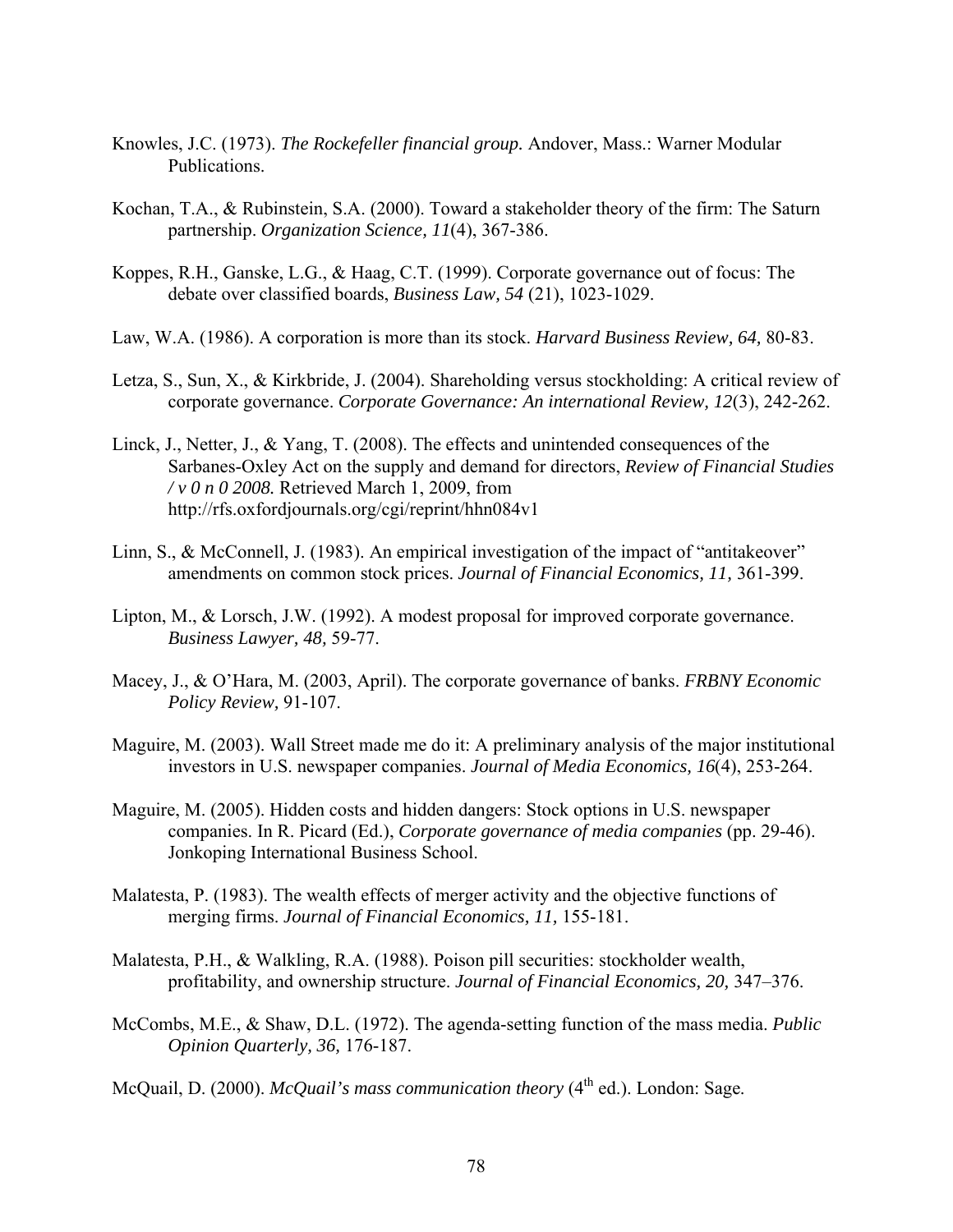- Knowles, J.C. (1973). *The Rockefeller financial group.* Andover, Mass.: Warner Modular Publications.
- Kochan, T.A., & Rubinstein, S.A. (2000). Toward a stakeholder theory of the firm: The Saturn partnership. *Organization Science, 11*(4), 367-386.
- Koppes, R.H., Ganske, L.G., & Haag, C.T. (1999). Corporate governance out of focus: The debate over classified boards, *Business Law, 54* (21), 1023-1029.
- Law, W.A. (1986). A corporation is more than its stock. *Harvard Business Review, 64,* 80-83.
- Letza, S., Sun, X., & Kirkbride, J. (2004). Shareholding versus stockholding: A critical review of corporate governance. *Corporate Governance: An international Review, 12*(3), 242-262.
- Linck, J., Netter, J., & Yang, T. (2008). The effects and unintended consequences of the Sarbanes-Oxley Act on the supply and demand for directors, *Review of Financial Studies / v 0 n 0 2008.* Retrieved March 1, 2009, from http://rfs.oxfordjournals.org/cgi/reprint/hhn084v1
- Linn, S., & McConnell, J. (1983). An empirical investigation of the impact of "antitakeover" amendments on common stock prices. *Journal of Financial Economics, 11,* 361-399.
- Lipton, M., & Lorsch, J.W. (1992). A modest proposal for improved corporate governance. *Business Lawyer, 48,* 59-77.
- Macey, J., & O'Hara, M. (2003, April). The corporate governance of banks. *FRBNY Economic Policy Review,* 91-107.
- Maguire, M. (2003). Wall Street made me do it: A preliminary analysis of the major institutional investors in U.S. newspaper companies. *Journal of Media Economics, 16*(4), 253-264.
- Maguire, M. (2005). Hidden costs and hidden dangers: Stock options in U.S. newspaper companies. In R. Picard (Ed.), *Corporate governance of media companies* (pp. 29-46). Jonkoping International Business School.
- Malatesta, P. (1983). The wealth effects of merger activity and the objective functions of merging firms. *Journal of Financial Economics, 11,* 155-181.
- Malatesta, P.H., & Walkling, R.A. (1988). Poison pill securities: stockholder wealth, profitability, and ownership structure. *Journal of Financial Economics, 20,* 347–376.
- McCombs, M.E., & Shaw, D.L. (1972). The agenda-setting function of the mass media. *Public Opinion Quarterly, 36,* 176-187.
- McQuail, D. (2000). *McQuail's mass communication theory* (4<sup>th</sup> ed.). London: Sage.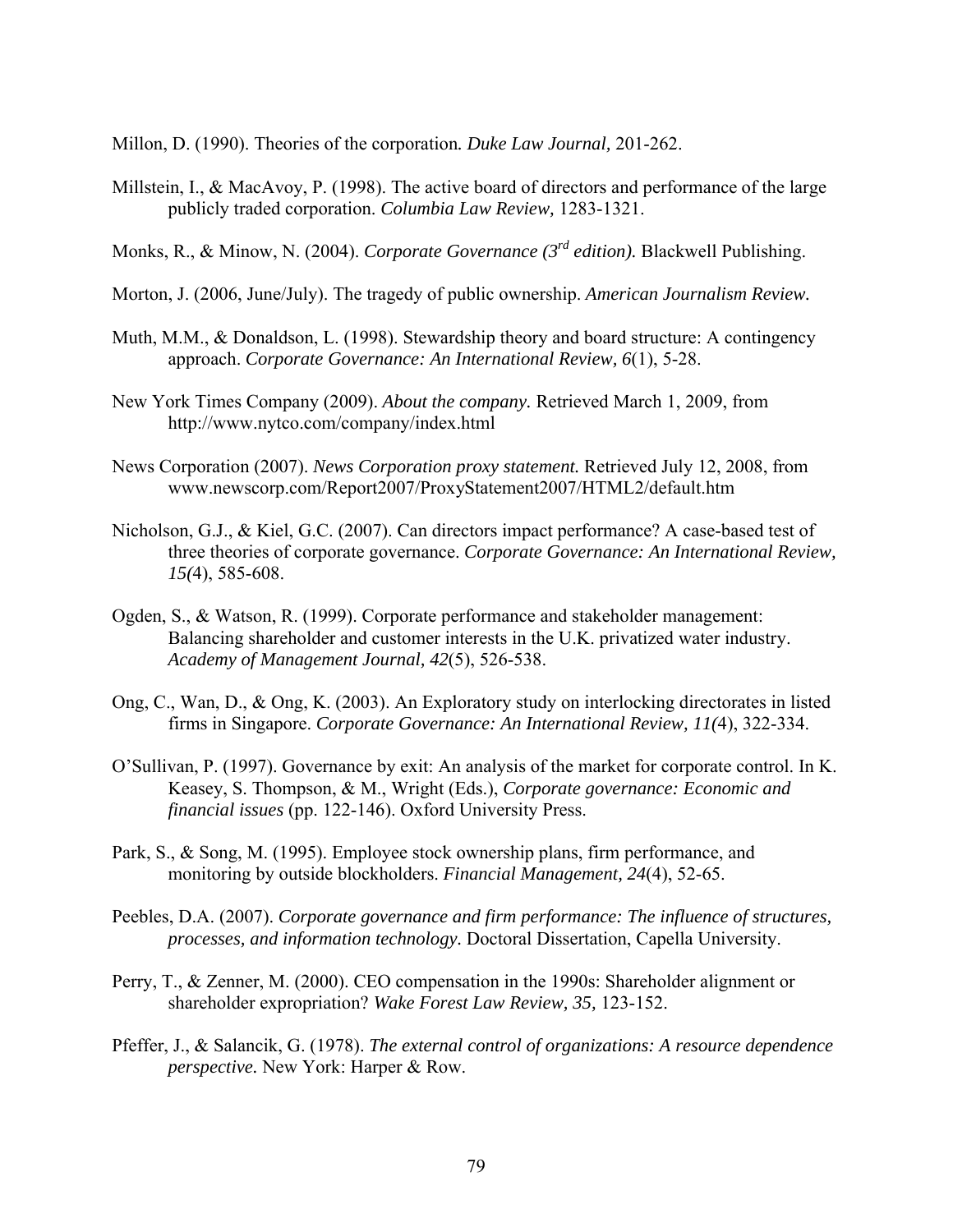Millon, D. (1990). Theories of the corporation*. Duke Law Journal,* 201-262.

- Millstein, I., & MacAvoy, P. (1998). The active board of directors and performance of the large publicly traded corporation. *Columbia Law Review,* 1283-1321.
- Monks, R., & Minow, N. (2004). *Corporate Governance (3rd edition).* Blackwell Publishing.
- Morton, J. (2006, June/July). The tragedy of public ownership. *American Journalism Review.*
- Muth, M.M., & Donaldson, L. (1998). Stewardship theory and board structure: A contingency approach. *Corporate Governance: An International Review, 6*(1), 5-28.
- New York Times Company (2009). *About the company.* Retrieved March 1, 2009, from http://www.nytco.com/company/index.html
- News Corporation (2007). *News Corporation proxy statement.* Retrieved July 12, 2008, from www.newscorp.com/Report2007/ProxyStatement2007/HTML2/default.htm
- Nicholson, G.J., & Kiel, G.C. (2007). Can directors impact performance? A case-based test of three theories of corporate governance. *Corporate Governance: An International Review, 15(*4), 585-608.
- Ogden, S., & Watson, R. (1999). Corporate performance and stakeholder management: Balancing shareholder and customer interests in the U.K. privatized water industry. *Academy of Management Journal, 42*(5), 526-538.
- Ong, C., Wan, D., & Ong, K. (2003). An Exploratory study on interlocking directorates in listed firms in Singapore. *Corporate Governance: An International Review, 11(*4), 322-334.
- O'Sullivan, P. (1997). Governance by exit: An analysis of the market for corporate control. In K. Keasey, S. Thompson, & M., Wright (Eds.), *Corporate governance: Economic and financial issues* (pp. 122-146). Oxford University Press.
- Park, S., & Song, M. (1995). Employee stock ownership plans, firm performance, and monitoring by outside blockholders. *Financial Management, 24*(4), 52-65.
- Peebles, D.A. (2007). *Corporate governance and firm performance: The influence of structures, processes, and information technology.* Doctoral Dissertation, Capella University.
- Perry, T., & Zenner, M. (2000). CEO compensation in the 1990s: Shareholder alignment or shareholder expropriation? *Wake Forest Law Review, 35,* 123-152.
- Pfeffer, J., & Salancik, G. (1978). *The external control of organizations: A resource dependence perspective.* New York: Harper & Row.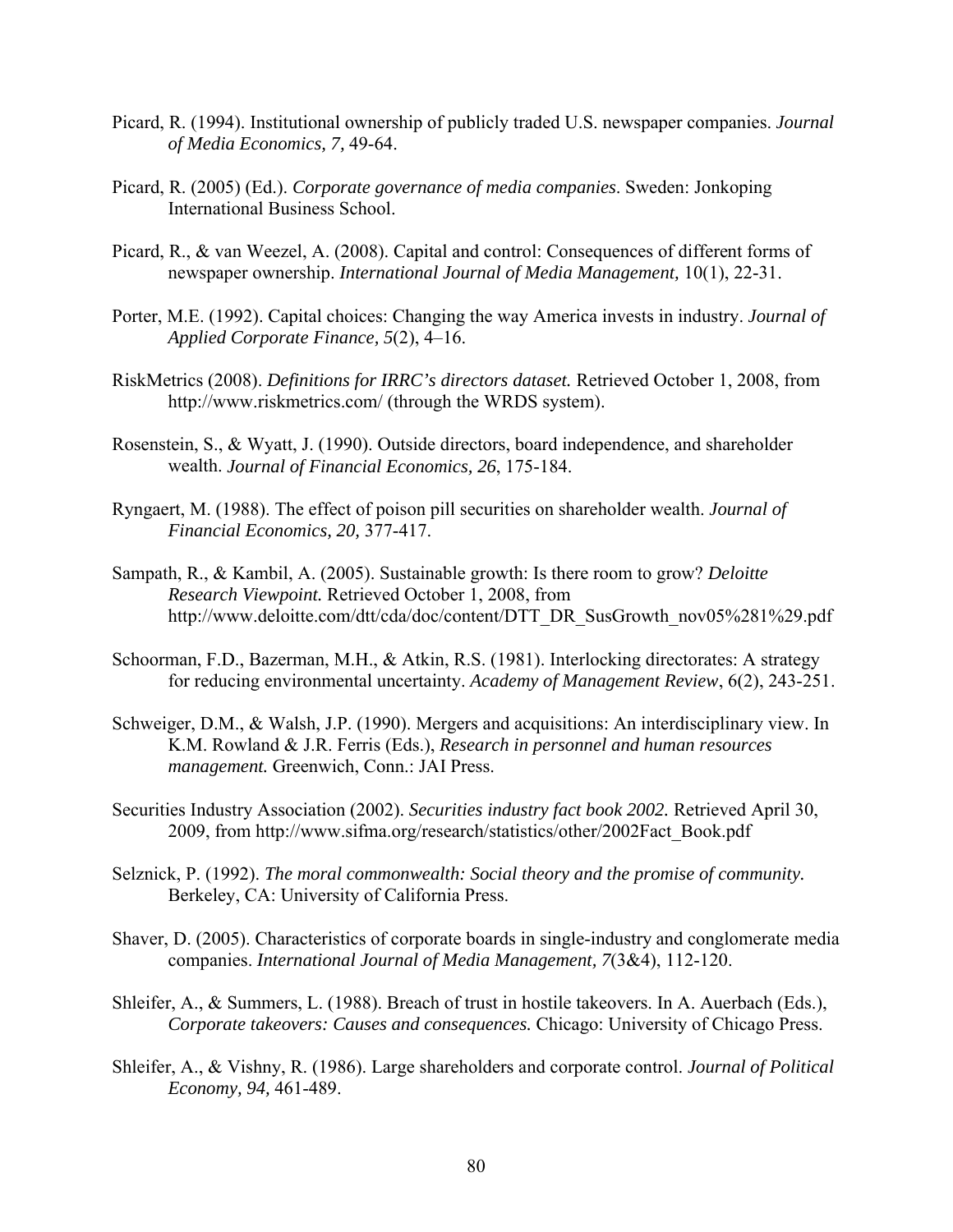- Picard, R. (1994). Institutional ownership of publicly traded U.S. newspaper companies. *Journal of Media Economics, 7,* 49-64.
- Picard, R. (2005) (Ed.). *Corporate governance of media companies*. Sweden: Jonkoping International Business School.
- Picard, R., & van Weezel, A. (2008). Capital and control: Consequences of different forms of newspaper ownership. *International Journal of Media Management,* 10(1), 22-31.
- Porter, M.E. (1992). Capital choices: Changing the way America invests in industry. *Journal of Applied Corporate Finance, 5*(2), 4–16.
- RiskMetrics (2008). *Definitions for IRRC's directors dataset.* Retrieved October 1, 2008, from http://www.riskmetrics.com/ (through the WRDS system).
- Rosenstein, S., & Wyatt, J. (1990). Outside directors, board independence, and shareholder wealth. *Journal of Financial Economics, 26*, 175-184.
- Ryngaert, M. (1988). The effect of poison pill securities on shareholder wealth. *Journal of Financial Economics, 20,* 377-417.
- Sampath, R., & Kambil, A. (2005). Sustainable growth: Is there room to grow? *Deloitte Research Viewpoint.* Retrieved October 1, 2008, from http://www.deloitte.com/dtt/cda/doc/content/DTT\_DR\_SusGrowth\_nov05%281%29.pdf
- Schoorman, F.D., Bazerman, M.H., & Atkin, R.S. (1981). Interlocking directorates: A strategy for reducing environmental uncertainty. *Academy of Management Review*, 6(2), 243-251.
- Schweiger, D.M., & Walsh, J.P. (1990). Mergers and acquisitions: An interdisciplinary view. In K.M. Rowland & J.R. Ferris (Eds.), *Research in personnel and human resources management.* Greenwich, Conn.: JAI Press.
- Securities Industry Association (2002). *Securities industry fact book 2002.* Retrieved April 30, 2009, from http://www.sifma.org/research/statistics/other/2002Fact\_Book.pdf
- Selznick, P. (1992). *The moral commonwealth: Social theory and the promise of community.* Berkeley, CA: University of California Press.
- Shaver, D. (2005). Characteristics of corporate boards in single-industry and conglomerate media companies. *International Journal of Media Management, 7*(3&4), 112-120.
- Shleifer, A., & Summers, L. (1988). Breach of trust in hostile takeovers. In A. Auerbach (Eds.), *Corporate takeovers: Causes and consequences.* Chicago: University of Chicago Press.
- Shleifer, A., & Vishny, R. (1986). Large shareholders and corporate control. *Journal of Political Economy, 94,* 461-489.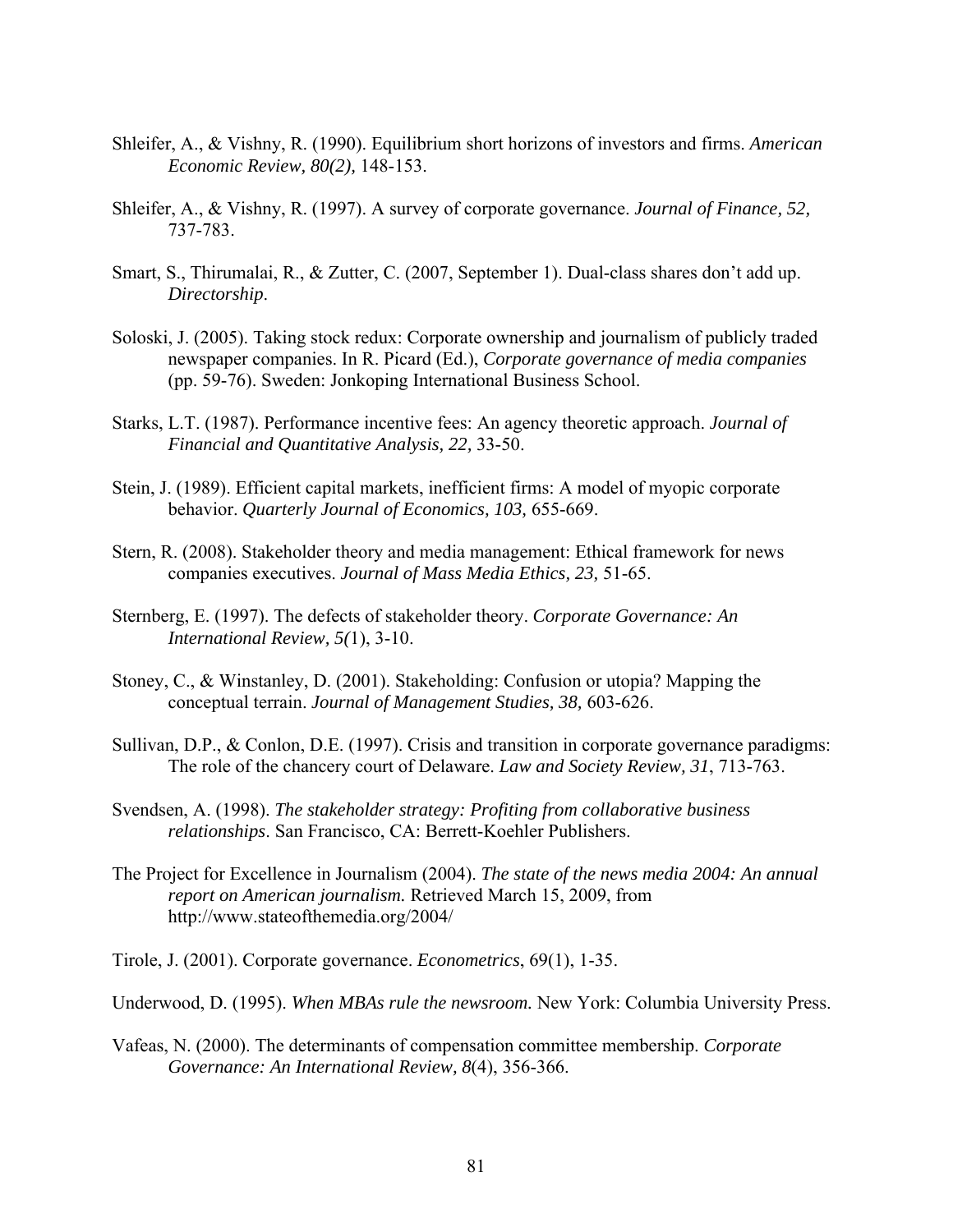- Shleifer, A., & Vishny, R. (1990). Equilibrium short horizons of investors and firms. *American Economic Review, 80(2),* 148-153.
- Shleifer, A., & Vishny, R. (1997). A survey of corporate governance. *Journal of Finance, 52,*  737-783.
- Smart, S., Thirumalai, R., & Zutter, C. (2007, September 1). Dual-class shares don't add up. *Directorship*.
- Soloski, J. (2005). Taking stock redux: Corporate ownership and journalism of publicly traded newspaper companies. In R. Picard (Ed.), *Corporate governance of media companies*  (pp. 59-76). Sweden: Jonkoping International Business School.
- Starks, L.T. (1987). Performance incentive fees: An agency theoretic approach. *Journal of Financial and Quantitative Analysis, 22,* 33-50.
- Stein, J. (1989). Efficient capital markets, inefficient firms: A model of myopic corporate behavior. *Quarterly Journal of Economics, 103,* 655-669.
- Stern, R. (2008). Stakeholder theory and media management: Ethical framework for news companies executives. *Journal of Mass Media Ethics, 23,* 51-65.
- Sternberg, E. (1997). The defects of stakeholder theory. *Corporate Governance: An International Review, 5(*1), 3-10.
- Stoney, C., & Winstanley, D. (2001). Stakeholding: Confusion or utopia? Mapping the conceptual terrain. *Journal of Management Studies, 38,* 603-626.
- Sullivan, D.P., & Conlon, D.E. (1997). Crisis and transition in corporate governance paradigms: The role of the chancery court of Delaware. *Law and Society Review, 31*, 713-763.
- Svendsen, A. (1998). *The stakeholder strategy: Profiting from collaborative business relationships*. San Francisco, CA: Berrett-Koehler Publishers.
- The Project for Excellence in Journalism (2004). *The state of the news media 2004: An annual report on American journalism.* Retrieved March 15, 2009, from http://www.stateofthemedia.org/2004/

Tirole, J. (2001). Corporate governance. *Econometrics*, 69(1), 1-35.

- Underwood, D. (1995). *When MBAs rule the newsroom.* New York: Columbia University Press.
- Vafeas, N. (2000). The determinants of compensation committee membership. *Corporate Governance: An International Review, 8*(4), 356-366.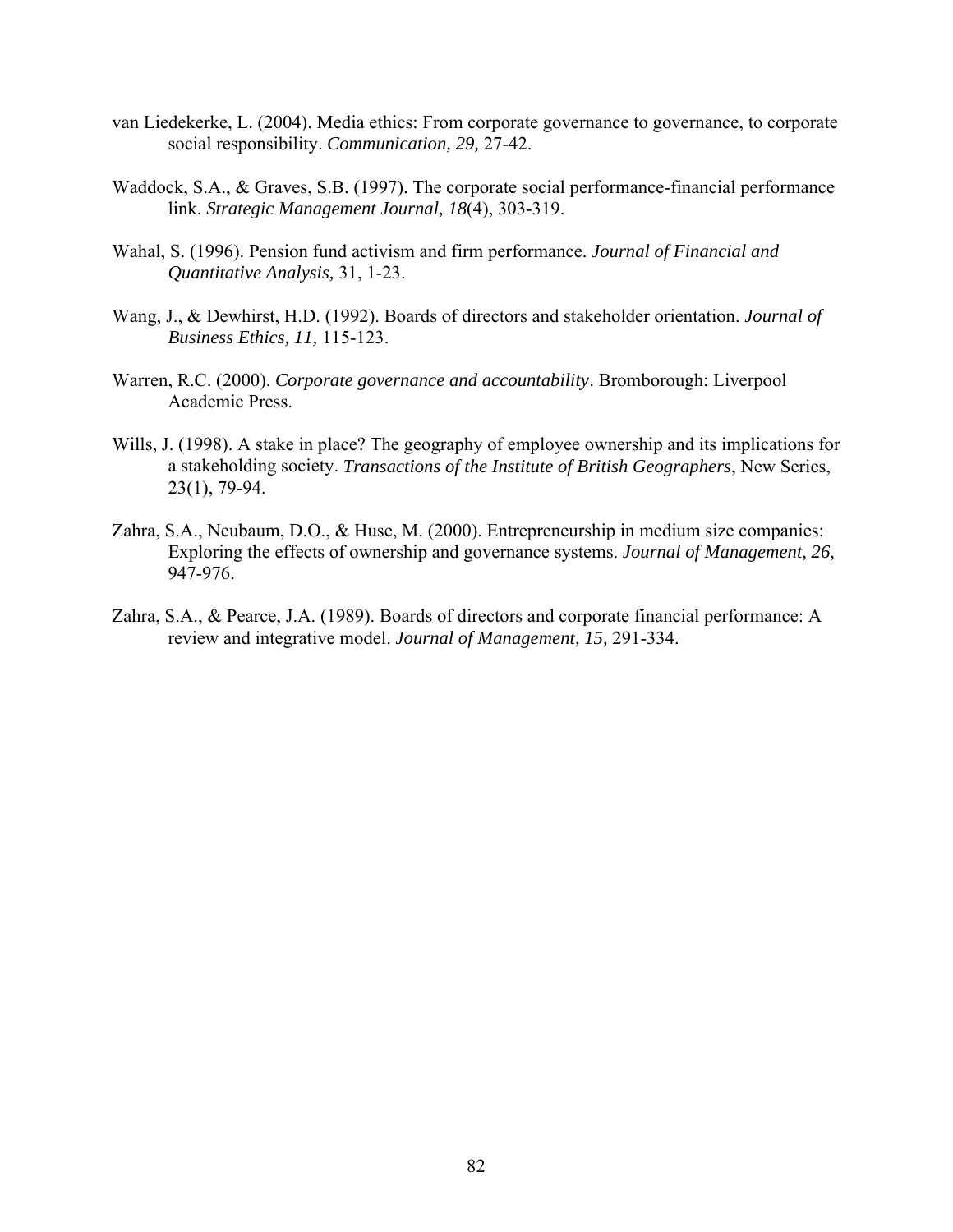- van Liedekerke, L. (2004). Media ethics: From corporate governance to governance, to corporate social responsibility. *Communication, 29,* 27-42.
- Waddock, S.A., & Graves, S.B. (1997). The corporate social performance-financial performance link. *Strategic Management Journal, 18*(4), 303-319.
- Wahal, S. (1996). Pension fund activism and firm performance. *Journal of Financial and Quantitative Analysis,* 31, 1-23.
- Wang, J., & Dewhirst, H.D. (1992). Boards of directors and stakeholder orientation. *Journal of Business Ethics, 11,* 115-123.
- Warren, R.C. (2000). *Corporate governance and accountability*. Bromborough: Liverpool Academic Press.
- Wills, J. (1998). A stake in place? The geography of employee ownership and its implications for a stakeholding society. *Transactions of the Institute of British Geographers*, New Series, 23(1), 79-94.
- Zahra, S.A., Neubaum, D.O., & Huse, M. (2000). Entrepreneurship in medium size companies: Exploring the effects of ownership and governance systems. *Journal of Management, 26,* 947-976.
- Zahra, S.A., & Pearce, J.A. (1989). Boards of directors and corporate financial performance: A review and integrative model. *Journal of Management, 15,* 291-334.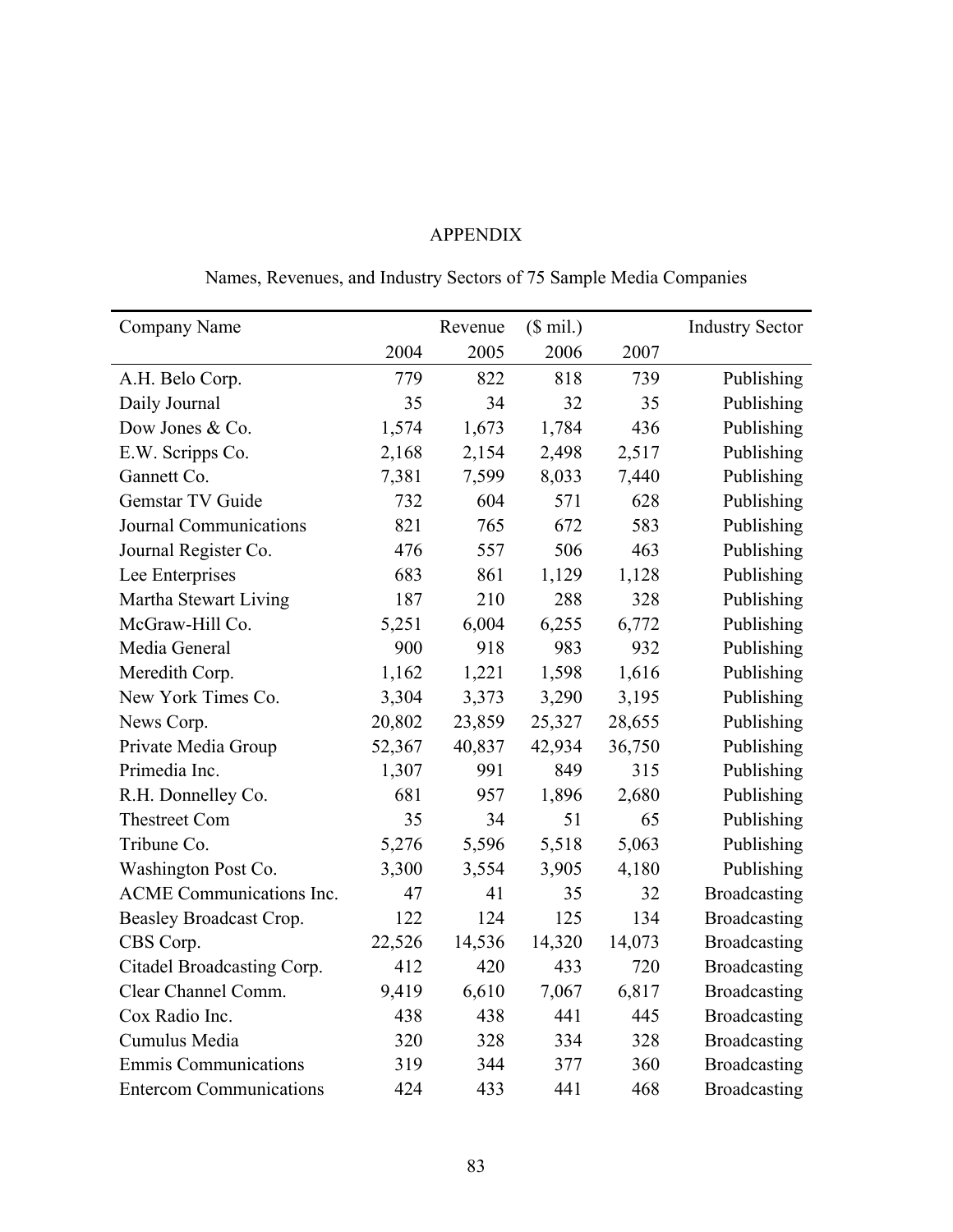## APPENDIX

# Names, Revenues, and Industry Sectors of 75 Sample Media Companies

| Company Name                    |        | Revenue | $($$ mil.) |        | <b>Industry Sector</b> |
|---------------------------------|--------|---------|------------|--------|------------------------|
|                                 | 2004   | 2005    | 2006       | 2007   |                        |
| A.H. Belo Corp.                 | 779    | 822     | 818        | 739    | Publishing             |
| Daily Journal                   | 35     | 34      | 32         | 35     | Publishing             |
| Dow Jones & Co.                 | 1,574  | 1,673   | 1,784      | 436    | Publishing             |
| E.W. Scripps Co.                | 2,168  | 2,154   | 2,498      | 2,517  | Publishing             |
| Gannett Co.                     | 7,381  | 7,599   | 8,033      | 7,440  | Publishing             |
| Gemstar TV Guide                | 732    | 604     | 571        | 628    | Publishing             |
| Journal Communications          | 821    | 765     | 672        | 583    | Publishing             |
| Journal Register Co.            | 476    | 557     | 506        | 463    | Publishing             |
| Lee Enterprises                 | 683    | 861     | 1,129      | 1,128  | Publishing             |
| Martha Stewart Living           | 187    | 210     | 288        | 328    | Publishing             |
| McGraw-Hill Co.                 | 5,251  | 6,004   | 6,255      | 6,772  | Publishing             |
| Media General                   | 900    | 918     | 983        | 932    | Publishing             |
| Meredith Corp.                  | 1,162  | 1,221   | 1,598      | 1,616  | Publishing             |
| New York Times Co.              | 3,304  | 3,373   | 3,290      | 3,195  | Publishing             |
| News Corp.                      | 20,802 | 23,859  | 25,327     | 28,655 | Publishing             |
| Private Media Group             | 52,367 | 40,837  | 42,934     | 36,750 | Publishing             |
| Primedia Inc.                   | 1,307  | 991     | 849        | 315    | Publishing             |
| R.H. Donnelley Co.              | 681    | 957     | 1,896      | 2,680  | Publishing             |
| <b>Thestreet Com</b>            | 35     | 34      | 51         | 65     | Publishing             |
| Tribune Co.                     | 5,276  | 5,596   | 5,518      | 5,063  | Publishing             |
| Washington Post Co.             | 3,300  | 3,554   | 3,905      | 4,180  | Publishing             |
| <b>ACME</b> Communications Inc. | 47     | 41      | 35         | 32     | <b>Broadcasting</b>    |
| Beasley Broadcast Crop.         | 122    | 124     | 125        | 134    | <b>Broadcasting</b>    |
| CBS Corp.                       | 22,526 | 14,536  | 14,320     | 14,073 | <b>Broadcasting</b>    |
| Citadel Broadcasting Corp.      | 412    | 420     | 433        | 720    | <b>Broadcasting</b>    |
| Clear Channel Comm.             | 9,419  | 6,610   | 7,067      | 6,817  | <b>Broadcasting</b>    |
| Cox Radio Inc.                  | 438    | 438     | 441        | 445    | <b>Broadcasting</b>    |
| Cumulus Media                   | 320    | 328     | 334        | 328    | <b>Broadcasting</b>    |
| <b>Emmis Communications</b>     | 319    | 344     | 377        | 360    | <b>Broadcasting</b>    |
| <b>Entercom Communications</b>  | 424    | 433     | 441        | 468    | <b>Broadcasting</b>    |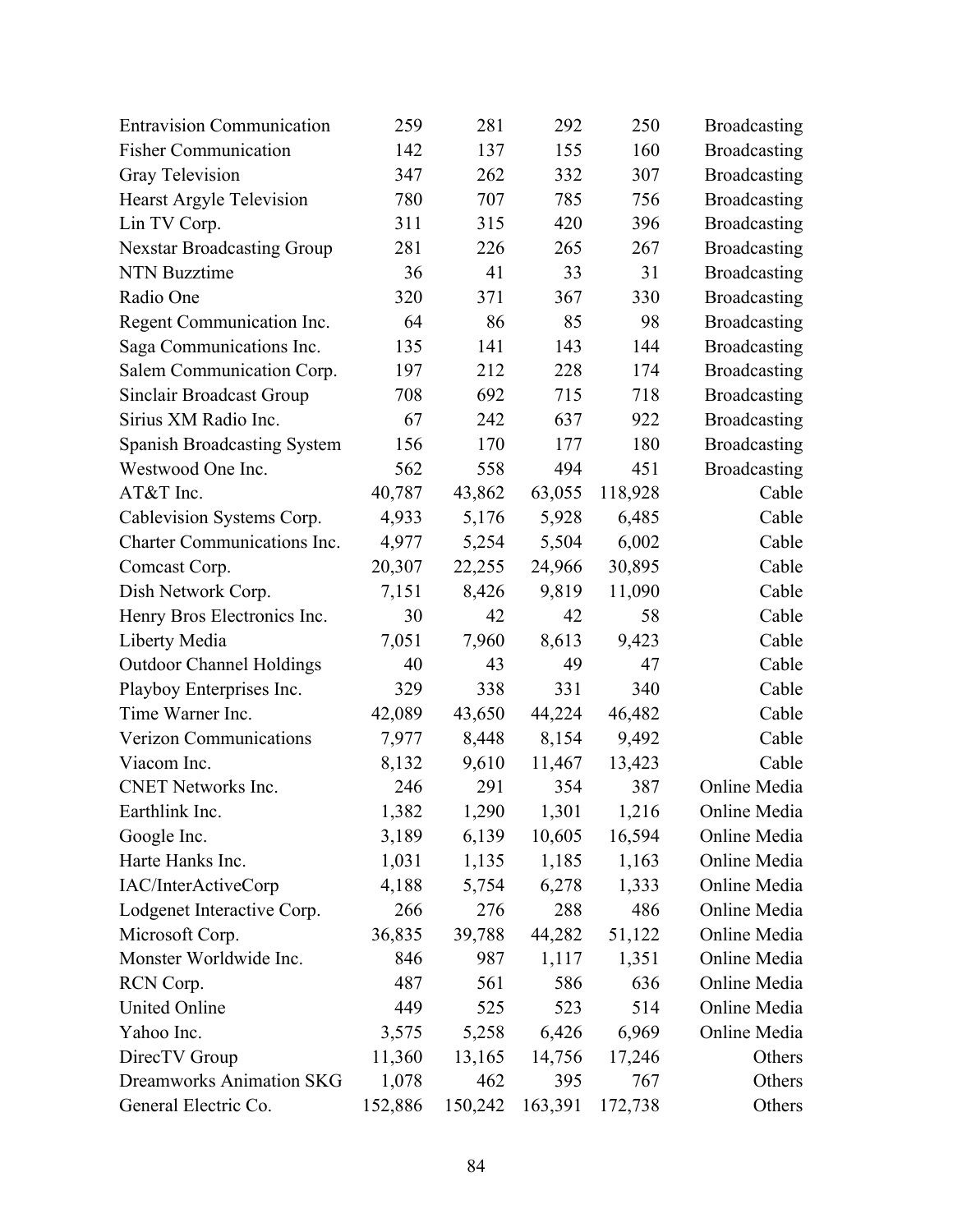| <b>Entravision Communication</b>   | 259     | 281     | 292     | 250     | <b>Broadcasting</b> |
|------------------------------------|---------|---------|---------|---------|---------------------|
| <b>Fisher Communication</b>        | 142     | 137     | 155     | 160     | <b>Broadcasting</b> |
| Gray Television                    | 347     | 262     | 332     | 307     | <b>Broadcasting</b> |
| Hearst Argyle Television           | 780     | 707     | 785     | 756     | Broadcasting        |
| Lin TV Corp.                       | 311     | 315     | 420     | 396     | <b>Broadcasting</b> |
| Nexstar Broadcasting Group         | 281     | 226     | 265     | 267     | <b>Broadcasting</b> |
| <b>NTN Buzztime</b>                | 36      | 41      | 33      | 31      | Broadcasting        |
| Radio One                          | 320     | 371     | 367     | 330     | <b>Broadcasting</b> |
| Regent Communication Inc.          | 64      | 86      | 85      | 98      | <b>Broadcasting</b> |
| Saga Communications Inc.           | 135     | 141     | 143     | 144     | <b>Broadcasting</b> |
| Salem Communication Corp.          | 197     | 212     | 228     | 174     | <b>Broadcasting</b> |
| Sinclair Broadcast Group           | 708     | 692     | 715     | 718     | <b>Broadcasting</b> |
| Sirius XM Radio Inc.               | 67      | 242     | 637     | 922     | <b>Broadcasting</b> |
| <b>Spanish Broadcasting System</b> | 156     | 170     | 177     | 180     | <b>Broadcasting</b> |
| Westwood One Inc.                  | 562     | 558     | 494     | 451     | Broadcasting        |
| AT&T Inc.                          | 40,787  | 43,862  | 63,055  | 118,928 | Cable               |
| Cablevision Systems Corp.          | 4,933   | 5,176   | 5,928   | 6,485   | Cable               |
| Charter Communications Inc.        | 4,977   | 5,254   | 5,504   | 6,002   | Cable               |
| Comcast Corp.                      | 20,307  | 22,255  | 24,966  | 30,895  | Cable               |
| Dish Network Corp.                 | 7,151   | 8,426   | 9,819   | 11,090  | Cable               |
| Henry Bros Electronics Inc.        | 30      | 42      | 42      | 58      | Cable               |
| Liberty Media                      | 7,051   | 7,960   | 8,613   | 9,423   | Cable               |
| <b>Outdoor Channel Holdings</b>    | 40      | 43      | 49      | 47      | Cable               |
| Playboy Enterprises Inc.           | 329     | 338     | 331     | 340     | Cable               |
| Time Warner Inc.                   | 42,089  | 43,650  | 44,224  | 46,482  | Cable               |
| Verizon Communications             | 7,977   | 8,448   | 8,154   | 9,492   | Cable               |
| Viacom Inc.                        | 8,132   | 9,610   | 11,467  | 13,423  | Cable               |
| <b>CNET Networks Inc.</b>          | 246     | 291     | 354     | 387     | Online Media        |
| Earthlink Inc.                     | 1,382   | 1,290   | 1,301   | 1,216   | Online Media        |
| Google Inc.                        | 3,189   | 6,139   | 10,605  | 16,594  | Online Media        |
| Harte Hanks Inc.                   | 1,031   | 1,135   | 1,185   | 1,163   | Online Media        |
| IAC/InterActiveCorp                | 4,188   | 5,754   | 6,278   | 1,333   | Online Media        |
| Lodgenet Interactive Corp.         | 266     | 276     | 288     | 486     | Online Media        |
| Microsoft Corp.                    | 36,835  | 39,788  | 44,282  | 51,122  | Online Media        |
| Monster Worldwide Inc.             | 846     | 987     | 1,117   | 1,351   | Online Media        |
| RCN Corp.                          | 487     | 561     | 586     | 636     | Online Media        |
| United Online                      | 449     | 525     | 523     | 514     | Online Media        |
| Yahoo Inc.                         | 3,575   | 5,258   | 6,426   | 6,969   | Online Media        |
| DirecTV Group                      | 11,360  | 13,165  | 14,756  | 17,246  | Others              |
| <b>Dreamworks Animation SKG</b>    | 1,078   | 462     | 395     | 767     | Others              |
| General Electric Co.               | 152,886 | 150,242 | 163,391 | 172,738 | Others              |